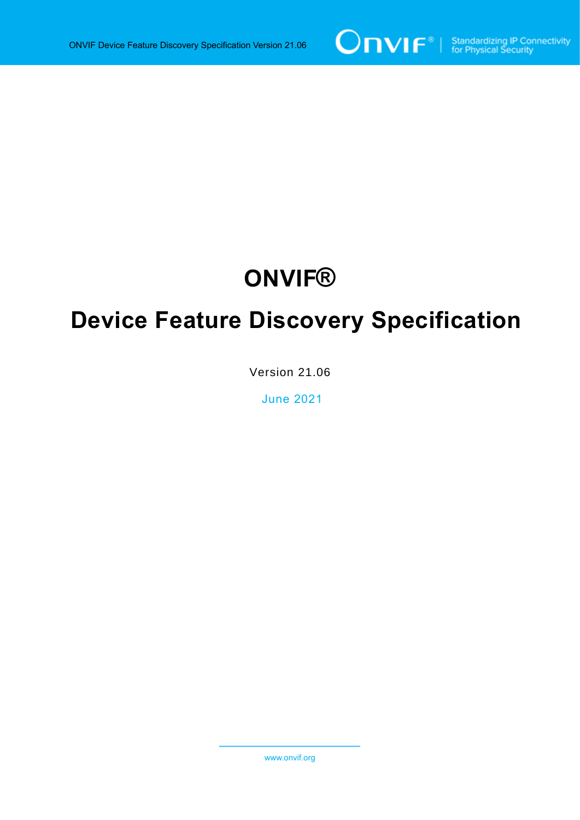

# **ONVIF®**

# **Device Feature Discovery Specification**

Version 21.06

June 2021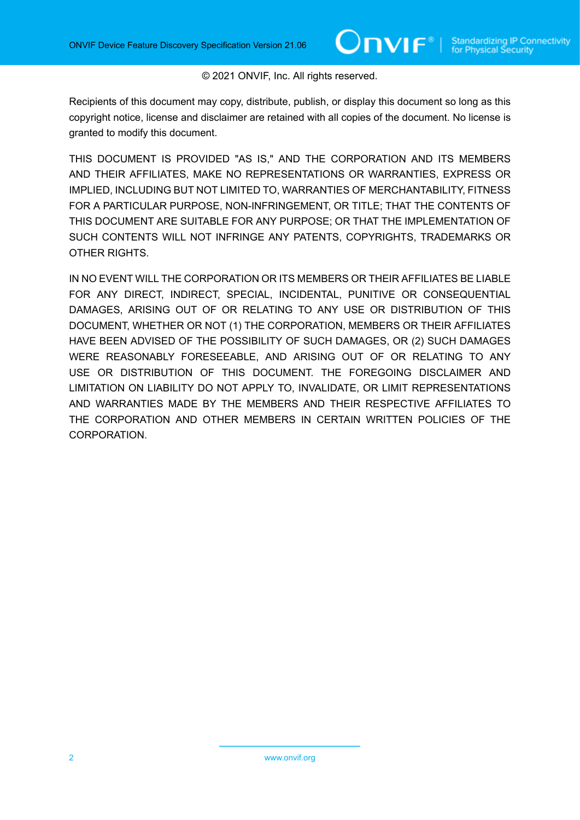### © 2021 ONVIF, Inc. All rights reserved.

Recipients of this document may copy, distribute, publish, or display this document so long as this copyright notice, license and disclaimer are retained with all copies of the document. No license is granted to modify this document.

THIS DOCUMENT IS PROVIDED "AS IS," AND THE CORPORATION AND ITS MEMBERS AND THEIR AFFILIATES, MAKE NO REPRESENTATIONS OR WARRANTIES, EXPRESS OR IMPLIED, INCLUDING BUT NOT LIMITED TO, WARRANTIES OF MERCHANTABILITY, FITNESS FOR A PARTICULAR PURPOSE, NON-INFRINGEMENT, OR TITLE; THAT THE CONTENTS OF THIS DOCUMENT ARE SUITABLE FOR ANY PURPOSE; OR THAT THE IMPLEMENTATION OF SUCH CONTENTS WILL NOT INFRINGE ANY PATENTS, COPYRIGHTS, TRADEMARKS OR OTHER RIGHTS.

IN NO EVENT WILL THE CORPORATION OR ITS MEMBERS OR THEIR AFFILIATES BE LIABLE FOR ANY DIRECT, INDIRECT, SPECIAL, INCIDENTAL, PUNITIVE OR CONSEQUENTIAL DAMAGES, ARISING OUT OF OR RELATING TO ANY USE OR DISTRIBUTION OF THIS DOCUMENT, WHETHER OR NOT (1) THE CORPORATION, MEMBERS OR THEIR AFFILIATES HAVE BEEN ADVISED OF THE POSSIBILITY OF SUCH DAMAGES, OR (2) SUCH DAMAGES WERE REASONABLY FORESEEABLE, AND ARISING OUT OF OR RELATING TO ANY USE OR DISTRIBUTION OF THIS DOCUMENT. THE FOREGOING DISCLAIMER AND LIMITATION ON LIABILITY DO NOT APPLY TO, INVALIDATE, OR LIMIT REPRESENTATIONS AND WARRANTIES MADE BY THE MEMBERS AND THEIR RESPECTIVE AFFILIATES TO THE CORPORATION AND OTHER MEMBERS IN CERTAIN WRITTEN POLICIES OF THE CORPORATION.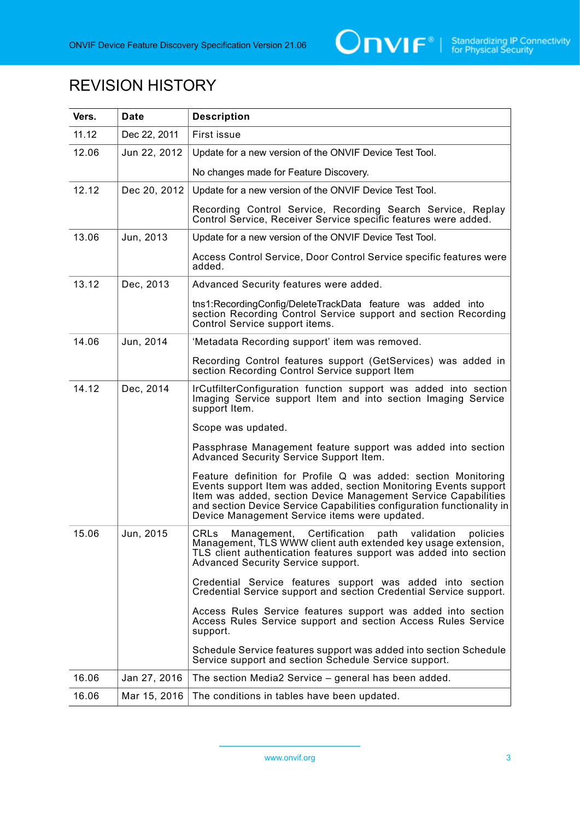

## REVISION HISTORY

| Vers. | <b>Date</b>  | <b>Description</b>                                                                                                                                                                                                                                                                                                              |
|-------|--------------|---------------------------------------------------------------------------------------------------------------------------------------------------------------------------------------------------------------------------------------------------------------------------------------------------------------------------------|
| 11.12 | Dec 22, 2011 | First issue                                                                                                                                                                                                                                                                                                                     |
| 12.06 | Jun 22, 2012 | Update for a new version of the ONVIF Device Test Tool.                                                                                                                                                                                                                                                                         |
|       |              | No changes made for Feature Discovery.                                                                                                                                                                                                                                                                                          |
| 12.12 | Dec 20, 2012 | Update for a new version of the ONVIF Device Test Tool.                                                                                                                                                                                                                                                                         |
|       |              | Recording Control Service, Recording Search Service, Replay<br>Control Service, Receiver Service specific features were added.                                                                                                                                                                                                  |
| 13.06 | Jun, 2013    | Update for a new version of the ONVIF Device Test Tool.                                                                                                                                                                                                                                                                         |
|       |              | Access Control Service, Door Control Service specific features were<br>added.                                                                                                                                                                                                                                                   |
| 13.12 | Dec, 2013    | Advanced Security features were added.                                                                                                                                                                                                                                                                                          |
|       |              | tns1:RecordingConfig/DeleteTrackData feature was added into<br>section Recording Control Service support and section Recording<br>Control Service support items.                                                                                                                                                                |
| 14.06 | Jun, 2014    | 'Metadata Recording support' item was removed.                                                                                                                                                                                                                                                                                  |
|       |              | Recording Control features support (GetServices) was added in<br>section Recording Control Service support Item                                                                                                                                                                                                                 |
| 14.12 | Dec, 2014    | IrCutfilterConfiguration function support was added into section<br>Imaging Service support Item and into section Imaging Service<br>support Item.                                                                                                                                                                              |
|       |              | Scope was updated.                                                                                                                                                                                                                                                                                                              |
|       |              | Passphrase Management feature support was added into section<br>Advanced Security Service Support Item.                                                                                                                                                                                                                         |
|       |              | Feature definition for Profile Q was added: section Monitoring<br>Events support Item was added, section Monitoring Events support<br>Item was added, section Device Management Service Capabilities<br>and section Device Service Capabilities configuration functionality in<br>Device Management Service items were updated. |
| 15.06 | Jun, 2015    | CRLs<br>Management,<br>Certification<br>validation<br>path<br>policies<br>Management, TLS WWW client auth extended key usage extension,<br>TLS client authentication features support was added into section<br>Advanced Security Service support.                                                                              |
|       |              | Credential Service features support was added into section<br>Credential Service support and section Credential Service support.                                                                                                                                                                                                |
|       |              | Access Rules Service features support was added into section<br>Access Rules Service support and section Access Rules Service<br>support.                                                                                                                                                                                       |
|       |              | Schedule Service features support was added into section Schedule<br>Service support and section Schedule Service support.                                                                                                                                                                                                      |
| 16.06 | Jan 27, 2016 | The section Media2 Service – general has been added.                                                                                                                                                                                                                                                                            |
| 16.06 | Mar 15, 2016 | The conditions in tables have been updated.                                                                                                                                                                                                                                                                                     |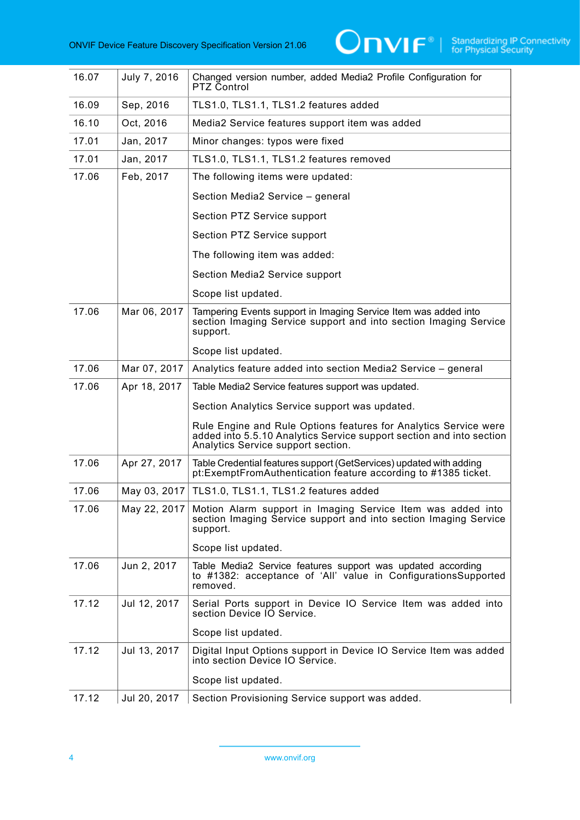

| 16.07 | July 7, 2016 | Changed version number, added Media2 Profile Configuration for<br>PTZ Control                                                                                                  |
|-------|--------------|--------------------------------------------------------------------------------------------------------------------------------------------------------------------------------|
| 16.09 | Sep, 2016    | TLS1.0, TLS1.1, TLS1.2 features added                                                                                                                                          |
| 16.10 | Oct, 2016    | Media2 Service features support item was added                                                                                                                                 |
| 17.01 | Jan, 2017    | Minor changes: typos were fixed                                                                                                                                                |
| 17.01 | Jan, 2017    | TLS1.0, TLS1.1, TLS1.2 features removed                                                                                                                                        |
| 17.06 | Feb, 2017    | The following items were updated:                                                                                                                                              |
|       |              | Section Media2 Service - general                                                                                                                                               |
|       |              | Section PTZ Service support                                                                                                                                                    |
|       |              | Section PTZ Service support                                                                                                                                                    |
|       |              | The following item was added:                                                                                                                                                  |
|       |              | Section Media2 Service support                                                                                                                                                 |
|       |              | Scope list updated.                                                                                                                                                            |
| 17.06 | Mar 06, 2017 | Tampering Events support in Imaging Service Item was added into<br>section Imaging Service support and into section Imaging Service<br>support.                                |
|       |              | Scope list updated.                                                                                                                                                            |
| 17.06 | Mar 07, 2017 | Analytics feature added into section Media2 Service - general                                                                                                                  |
| 17.06 | Apr 18, 2017 | Table Media2 Service features support was updated.                                                                                                                             |
|       |              | Section Analytics Service support was updated.                                                                                                                                 |
|       |              | Rule Engine and Rule Options features for Analytics Service were<br>added into 5.5.10 Analytics Service support section and into section<br>Analytics Service support section. |
| 17.06 | Apr 27, 2017 | Table Credential features support (GetServices) updated with adding<br>pt:ExemptFromAuthentication feature according to #1385 ticket.                                          |
| 17.06 | May 03, 2017 | TLS1.0, TLS1.1, TLS1.2 features added                                                                                                                                          |
| 17.06 | May 22, 2017 | Motion Alarm support in Imaging Service Item was added into<br>section Imaging Service support and into section Imaging Service<br>support.                                    |
|       |              | Scope list updated.                                                                                                                                                            |
| 17.06 | Jun 2, 2017  | Table Media2 Service features support was updated according<br>to #1382: acceptance of 'All' value in ConfigurationsSupported<br>removed.                                      |
| 17.12 | Jul 12, 2017 | Serial Ports support in Device IO Service Item was added into<br>section Device IO Service.                                                                                    |
|       |              | Scope list updated.                                                                                                                                                            |
| 17.12 | Jul 13, 2017 | Digital Input Options support in Device IO Service Item was added<br>into section Device IO Service.                                                                           |
|       |              | Scope list updated.                                                                                                                                                            |
| 17.12 | Jul 20, 2017 | Section Provisioning Service support was added.                                                                                                                                |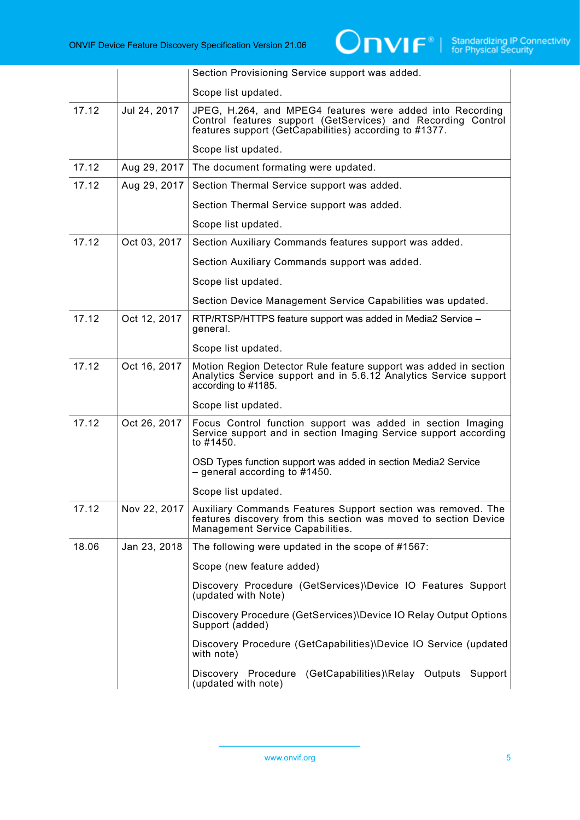

|       |              | Section Provisioning Service support was added.                                                                                                                                     |
|-------|--------------|-------------------------------------------------------------------------------------------------------------------------------------------------------------------------------------|
|       |              | Scope list updated.                                                                                                                                                                 |
| 17.12 | Jul 24, 2017 | JPEG, H.264, and MPEG4 features were added into Recording<br>Control features support (GetServices) and Recording Control<br>features support (GetCapabilities) according to #1377. |
|       |              | Scope list updated.                                                                                                                                                                 |
| 17.12 | Aug 29, 2017 | The document formating were updated.                                                                                                                                                |
| 17.12 | Aug 29, 2017 | Section Thermal Service support was added.                                                                                                                                          |
|       |              | Section Thermal Service support was added.                                                                                                                                          |
|       |              | Scope list updated.                                                                                                                                                                 |
| 17.12 | Oct 03, 2017 | Section Auxiliary Commands features support was added.                                                                                                                              |
|       |              | Section Auxiliary Commands support was added.                                                                                                                                       |
|       |              | Scope list updated.                                                                                                                                                                 |
|       |              | Section Device Management Service Capabilities was updated.                                                                                                                         |
| 17.12 | Oct 12, 2017 | RTP/RTSP/HTTPS feature support was added in Media2 Service -<br>general.                                                                                                            |
|       |              | Scope list updated.                                                                                                                                                                 |
| 17.12 | Oct 16, 2017 | Motion Region Detector Rule feature support was added in section<br>Analytics Service support and in 5.6.12 Analytics Service support<br>according to #1185.                        |
|       |              | Scope list updated.                                                                                                                                                                 |
| 17.12 | Oct 26, 2017 | Focus Control function support was added in section Imaging<br>Service support and in section Imaging Service support according<br>to #1450.                                        |
|       |              | OSD Types function support was added in section Media2 Service<br>$-$ general according to #1450.                                                                                   |
|       |              | Scope list updated.                                                                                                                                                                 |
| 17.12 | Nov 22, 2017 | Auxiliary Commands Features Support section was removed. The<br>features discovery from this section was moved to section Device<br>Management Service Capabilities.                |
| 18.06 | Jan 23, 2018 | The following were updated in the scope of #1567:                                                                                                                                   |
|       |              | Scope (new feature added)                                                                                                                                                           |
|       |              | Discovery Procedure (GetServices)\Device IO Features Support<br>(updated with Note)                                                                                                 |
|       |              | Discovery Procedure (GetServices)\Device IO Relay Output Options<br>Support (added)                                                                                                 |
|       |              | Discovery Procedure (GetCapabilities)\Device IO Service (updated<br>with note)                                                                                                      |
|       |              | (GetCapabilities)\Relay Outputs Support<br>Discovery Procedure<br>(updated with note)                                                                                               |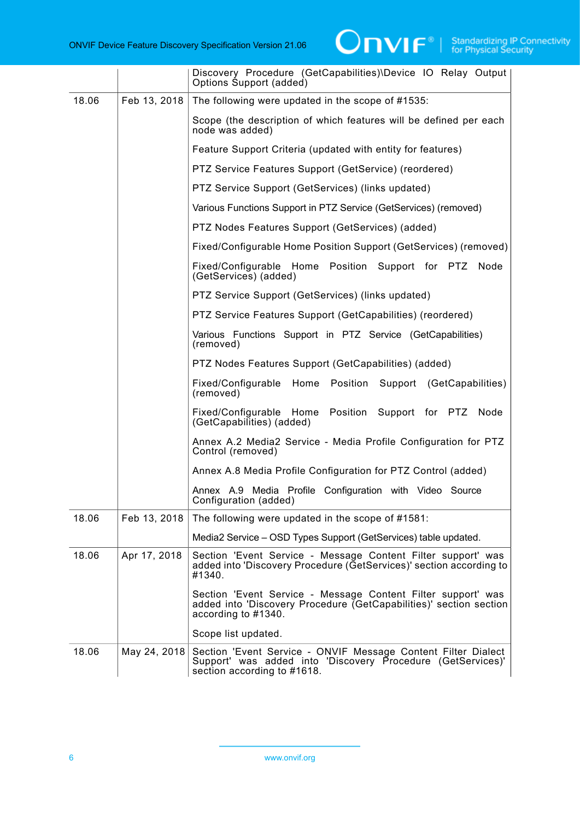

|       |              | Discovery Procedure (GetCapabilities)\Device IO Relay Output<br>Options Support (added)                                                                     |
|-------|--------------|-------------------------------------------------------------------------------------------------------------------------------------------------------------|
| 18.06 | Feb 13, 2018 | The following were updated in the scope of #1535:                                                                                                           |
|       |              | Scope (the description of which features will be defined per each<br>node was added)                                                                        |
|       |              | Feature Support Criteria (updated with entity for features)                                                                                                 |
|       |              | PTZ Service Features Support (GetService) (reordered)                                                                                                       |
|       |              | PTZ Service Support (GetServices) (links updated)                                                                                                           |
|       |              | Various Functions Support in PTZ Service (GetServices) (removed)                                                                                            |
|       |              | PTZ Nodes Features Support (GetServices) (added)                                                                                                            |
|       |              | Fixed/Configurable Home Position Support (GetServices) (removed)                                                                                            |
|       |              | Fixed/Configurable Home Position Support for PTZ<br>Node<br>(GetServices) (added)                                                                           |
|       |              | PTZ Service Support (GetServices) (links updated)                                                                                                           |
|       |              | PTZ Service Features Support (GetCapabilities) (reordered)                                                                                                  |
|       |              | Various Functions Support in PTZ Service (GetCapabilities)<br>(removed)                                                                                     |
|       |              | PTZ Nodes Features Support (GetCapabilities) (added)                                                                                                        |
|       |              | Home<br>Position Support (GetCapabilities)<br>Fixed/Configurable<br>(removed)                                                                               |
|       |              | Fixed/Configurable Home Position Support for PTZ<br>Node<br>(GetCapabilities) (added)                                                                       |
|       |              | Annex A.2 Media2 Service - Media Profile Configuration for PTZ<br>Control (removed)                                                                         |
|       |              | Annex A.8 Media Profile Configuration for PTZ Control (added)                                                                                               |
|       |              | Annex A.9 Media Profile Configuration with Video Source<br>Configuration (added)                                                                            |
| 18.06 | Feb 13, 2018 | The following were updated in the scope of #1581:                                                                                                           |
|       |              | Media2 Service - OSD Types Support (GetServices) table updated.                                                                                             |
| 18.06 | Apr 17, 2018 | Section 'Event Service - Message Content Filter support' was<br>added into 'Discovery Procedure (GetServices)' section according to<br>#1340.               |
|       |              | Section 'Event Service - Message Content Filter support' was<br>added into 'Discovery Procedure (GetCapabilities)' section section<br>according to #1340.   |
|       |              | Scope list updated.                                                                                                                                         |
| 18.06 | May 24, 2018 | Section 'Event Service - ONVIF Message Content Filter Dialect<br>Support' was added into 'Discovery Procedure (GetServices)'<br>section according to #1618. |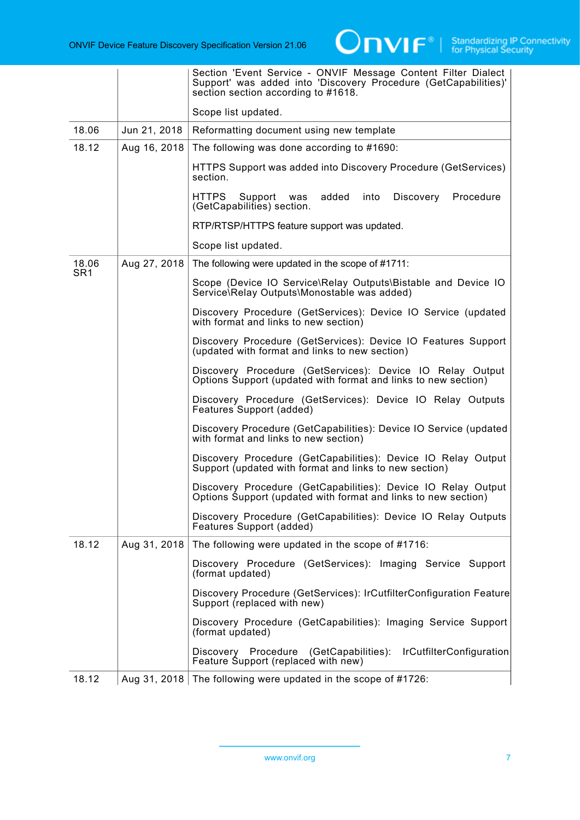

|                          |              | Section 'Event Service - ONVIF Message Content Filter Dialect<br>Support' was added into 'Discovery Procedure (GetCapabilities)'<br>section section according to #1618. |
|--------------------------|--------------|-------------------------------------------------------------------------------------------------------------------------------------------------------------------------|
|                          |              | Scope list updated.                                                                                                                                                     |
| 18.06                    | Jun 21, 2018 | Reformatting document using new template                                                                                                                                |
| 18.12                    | Aug 16, 2018 | The following was done according to #1690:                                                                                                                              |
|                          |              | HTTPS Support was added into Discovery Procedure (GetServices)<br>section.                                                                                              |
|                          |              | <b>HTTPS</b><br>Support was<br>added<br>into<br>Discovery<br>Procedure<br>(GetCapabilities) section.                                                                    |
|                          |              | RTP/RTSP/HTTPS feature support was updated.                                                                                                                             |
|                          |              | Scope list updated.                                                                                                                                                     |
| 18.06<br>SR <sub>1</sub> | Aug 27, 2018 | The following were updated in the scope of #1711:                                                                                                                       |
|                          |              | Scope (Device IO Service\Relay Outputs\Bistable and Device IO<br>Service\Relay Outputs\Monostable was added)                                                            |
|                          |              | Discovery Procedure (GetServices): Device IO Service (updated<br>with format and links to new section)                                                                  |
|                          |              | Discovery Procedure (GetServices): Device IO Features Support<br>(updated with format and links to new section)                                                         |
|                          |              | Discovery Procedure (GetServices): Device IO Relay Output<br>Options Support (updated with format and links to new section)                                             |
|                          |              | Discovery Procedure (GetServices): Device IO Relay Outputs<br>Features Support (added)                                                                                  |
|                          |              | Discovery Procedure (GetCapabilities): Device IO Service (updated<br>with format and links to new section)                                                              |
|                          |              | Discovery Procedure (GetCapabilities): Device IO Relay Output<br>Support (updated with format and links to new section)                                                 |
|                          |              | Discovery Procedure (GetCapabilities): Device IO Relay Output<br>Options Support (updated with format and links to new section)                                         |
|                          |              | Discovery Procedure (GetCapabilities): Device IO Relay Outputs<br>Features Support (added)                                                                              |
| 18.12                    | Aug 31, 2018 | The following were updated in the scope of #1716:                                                                                                                       |
|                          |              | Discovery Procedure (GetServices): Imaging Service Support<br>(format updated)                                                                                          |
|                          |              | Discovery Procedure (GetServices): IrCutfilterConfiguration Feature<br>Support (replaced with new)                                                                      |
|                          |              | Discovery Procedure (GetCapabilities): Imaging Service Support<br>(format updated)                                                                                      |
|                          |              | IrCutfilterConfiguration<br>Discovery Procedure<br>(GetCapabilities):<br>Feature Support (replaced with new)                                                            |
| 18.12                    |              | Aug 31, 2018 The following were updated in the scope of #1726:                                                                                                          |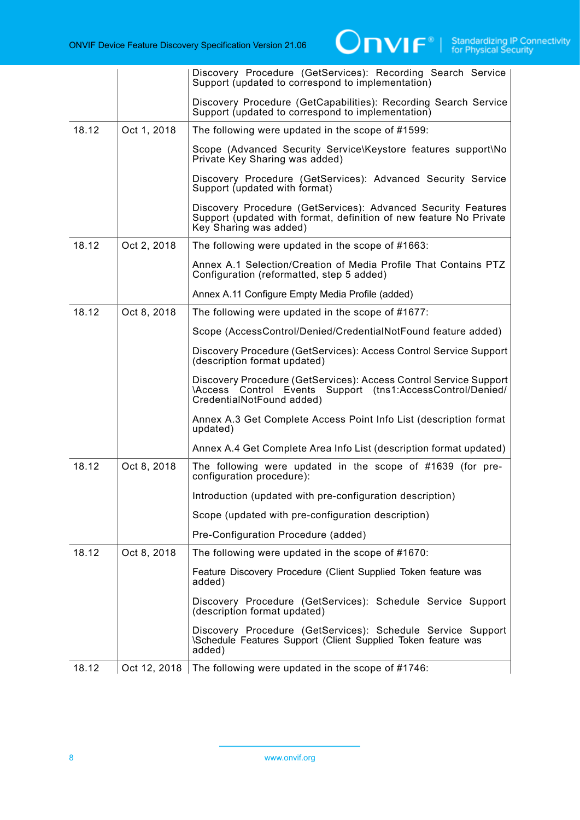|       |              | Discovery Procedure (GetServices): Recording Search Service<br>Support (updated to correspond to implementation)                                                      |
|-------|--------------|-----------------------------------------------------------------------------------------------------------------------------------------------------------------------|
|       |              | Discovery Procedure (GetCapabilities): Recording Search Service<br>Support (updated to correspond to implementation)                                                  |
| 18.12 | Oct 1, 2018  | The following were updated in the scope of #1599:                                                                                                                     |
|       |              | Scope (Advanced Security Service\Keystore features support\No<br>Private Key Sharing was added)                                                                       |
|       |              | Discovery Procedure (GetServices): Advanced Security Service<br>Support (updated with format)                                                                         |
|       |              | Discovery Procedure (GetServices): Advanced Security Features<br>Support (updated with format, definition of new feature No Private<br>Key Sharing was added)         |
| 18.12 | Oct 2, 2018  | The following were updated in the scope of #1663:                                                                                                                     |
|       |              | Annex A.1 Selection/Creation of Media Profile That Contains PTZ<br>Configuration (reformatted, step 5 added)                                                          |
|       |              | Annex A.11 Configure Empty Media Profile (added)                                                                                                                      |
| 18.12 | Oct 8, 2018  | The following were updated in the scope of #1677:                                                                                                                     |
|       |              | Scope (AccessControl/Denied/CredentialNotFound feature added)                                                                                                         |
|       |              | Discovery Procedure (GetServices): Access Control Service Support<br>(description format updated)                                                                     |
|       |              | Discovery Procedure (GetServices): Access Control Service Support<br>Events Support (tns1:AccessControl/Denied/<br><b>Access Control</b><br>CredentialNotFound added) |
|       |              | Annex A.3 Get Complete Access Point Info List (description format<br>updated)                                                                                         |
|       |              | Annex A.4 Get Complete Area Info List (description format updated)                                                                                                    |
| 18.12 | Oct 8, 2018  | The following were updated in the scope of #1639 (for pre-<br>configuration procedure):                                                                               |
|       |              | Introduction (updated with pre-configuration description)                                                                                                             |
|       |              | Scope (updated with pre-configuration description)                                                                                                                    |
|       |              | Pre-Configuration Procedure (added)                                                                                                                                   |
| 18.12 | Oct 8, 2018  | The following were updated in the scope of #1670:                                                                                                                     |
|       |              | Feature Discovery Procedure (Client Supplied Token feature was<br>added)                                                                                              |
|       |              | Discovery Procedure (GetServices): Schedule Service Support<br>(description format updated)                                                                           |
|       |              | Discovery Procedure (GetServices): Schedule Service Support<br>\Schedule Features Support (Client Supplied Token feature was<br>added)                                |
| 18.12 | Oct 12, 2018 | The following were updated in the scope of #1746:                                                                                                                     |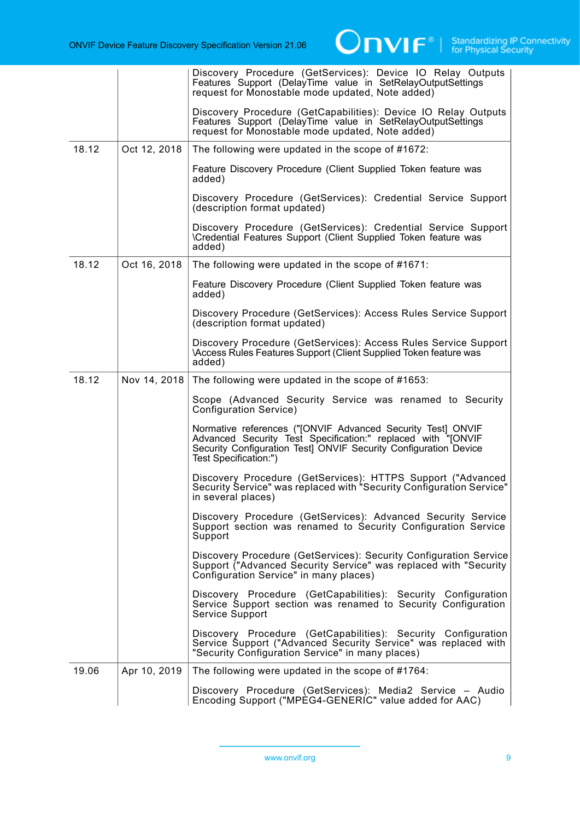|       |              | Discovery Procedure (GetServices): Device IO Relay Outputs<br>Features Support (DelayTime value in SetRelayOutputSettings<br>request for Monostable mode updated, Note added)                                            |
|-------|--------------|--------------------------------------------------------------------------------------------------------------------------------------------------------------------------------------------------------------------------|
|       |              | Discovery Procedure (GetCapabilities): Device IO Relay Outputs<br>Features Support (DelayTime value in SetRelayOutputSettings<br>request for Monostable mode updated, Note added)                                        |
| 18.12 | Oct 12, 2018 | The following were updated in the scope of #1672:                                                                                                                                                                        |
|       |              | Feature Discovery Procedure (Client Supplied Token feature was<br>added)                                                                                                                                                 |
|       |              | Discovery Procedure (GetServices): Credential Service Support<br>(description format updated)                                                                                                                            |
|       |              | Discovery Procedure (GetServices): Credential Service Support<br>\Credential Features Support (Client Supplied Token feature was<br>added)                                                                               |
| 18.12 | Oct 16, 2018 | The following were updated in the scope of #1671:                                                                                                                                                                        |
|       |              | Feature Discovery Procedure (Client Supplied Token feature was<br>added)                                                                                                                                                 |
|       |              | Discovery Procedure (GetServices): Access Rules Service Support<br>(description format updated)                                                                                                                          |
|       |              | Discovery Procedure (GetServices): Access Rules Service Support<br><b>\Access Rules Features Support (Client Supplied Token feature was</b><br>added)                                                                    |
| 18.12 | Nov 14, 2018 | The following were updated in the scope of #1653:                                                                                                                                                                        |
|       |              | Scope (Advanced Security Service was renamed to Security<br>Configuration Service)                                                                                                                                       |
|       |              | Normative references ("[ONVIF Advanced Security Test] ONVIF<br>Advanced Security Test Specification:" replaced with "[ONVIF<br>Security Configuration Test] ONVIF Security Configuration Device<br>Test Specification:") |
|       |              | Discovery Procedure (GetServices): HTTPS Support ("Advanced<br>Security Service" was replaced with "Security Configuration Service"<br>in several places)                                                                |
|       |              | Discovery Procedure (GetServices): Advanced Security Service<br>Support section was renamed to Security Configuration Service<br>Support                                                                                 |
|       |              | Discovery Procedure (GetServices): Security Configuration Service<br>Support ("Advanced Security Service" was replaced with "Security<br>Configuration Service" in many places)                                          |
|       |              | Discovery Procedure (GetCapabilities): Security Configuration<br>Service Support section was renamed to Security Configuration<br>Service Support                                                                        |
|       |              | Discovery Procedure (GetCapabilities): Security Configuration<br>Service Support ("Advanced Security Service" was replaced with<br>"Security Configuration Service" in many places)                                      |
| 19.06 | Apr 10, 2019 | The following were updated in the scope of #1764:                                                                                                                                                                        |
|       |              | Discovery Procedure (GetServices): Media2 Service - Audio<br>Encoding Support ("MPEG4-GENERIC" value added for AAC)                                                                                                      |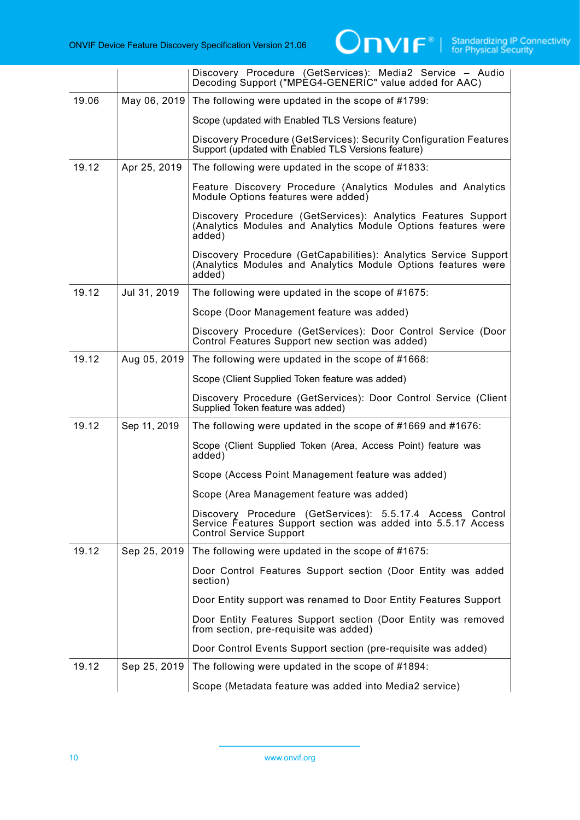|       |              | Discovery Procedure (GetServices): Media2 Service - Audio<br>Decoding Support ("MPEG4-GENERIC" value added for AAC)                                           |
|-------|--------------|---------------------------------------------------------------------------------------------------------------------------------------------------------------|
| 19.06 | May 06, 2019 | The following were updated in the scope of #1799:                                                                                                             |
|       |              | Scope (updated with Enabled TLS Versions feature)                                                                                                             |
|       |              | Discovery Procedure (GetServices): Security Configuration Features<br>Support (updated with Enabled TLS Versions feature)                                     |
| 19.12 | Apr 25, 2019 | The following were updated in the scope of #1833:                                                                                                             |
|       |              | Feature Discovery Procedure (Analytics Modules and Analytics<br>Module Options features were added)                                                           |
|       |              | Discovery Procedure (GetServices): Analytics Features Support<br>(Analytics Modules and Analytics Module Options features were<br>added)                      |
|       |              | Discovery Procedure (GetCapabilities): Analytics Service Support<br>(Analytics Modules and Analytics Module Options features were<br>added)                   |
| 19.12 | Jul 31, 2019 | The following were updated in the scope of #1675:                                                                                                             |
|       |              | Scope (Door Management feature was added)                                                                                                                     |
|       |              | Discovery Procedure (GetServices): Door Control Service (Door<br>Control Features Support new section was added)                                              |
| 19.12 | Aug 05, 2019 | The following were updated in the scope of #1668:                                                                                                             |
|       |              | Scope (Client Supplied Token feature was added)                                                                                                               |
|       |              | Discovery Procedure (GetServices): Door Control Service (Client<br>Supplied Token feature was added)                                                          |
| 19.12 | Sep 11, 2019 | The following were updated in the scope of #1669 and #1676:                                                                                                   |
|       |              | Scope (Client Supplied Token (Area, Access Point) feature was<br>added)                                                                                       |
|       |              | Scope (Access Point Management feature was added)                                                                                                             |
|       |              | Scope (Area Management feature was added)                                                                                                                     |
|       |              | Discovery Procedure (GetServices): 5.5.17.4 Access Control<br>Service Features Support section was added into 5.5.17 Access<br><b>Control Service Support</b> |
| 19.12 | Sep 25, 2019 | The following were updated in the scope of #1675:                                                                                                             |
|       |              | Door Control Features Support section (Door Entity was added<br>section)                                                                                      |
|       |              | Door Entity support was renamed to Door Entity Features Support                                                                                               |
|       |              | Door Entity Features Support section (Door Entity was removed<br>from section, pre-requisite was added)                                                       |
|       |              | Door Control Events Support section (pre-requisite was added)                                                                                                 |
| 19.12 | Sep 25, 2019 | The following were updated in the scope of #1894:                                                                                                             |
|       |              | Scope (Metadata feature was added into Media2 service)                                                                                                        |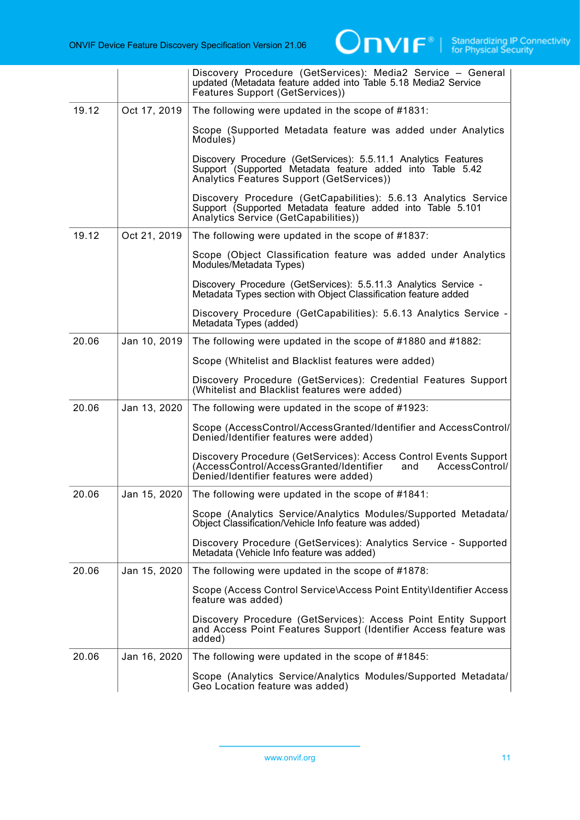

|       |              | Discovery Procedure (GetServices): Media2 Service - General<br>updated (Metadata feature added into Table 5.18 Media2 Service<br>Features Support (GetServices))               |
|-------|--------------|--------------------------------------------------------------------------------------------------------------------------------------------------------------------------------|
| 19.12 | Oct 17, 2019 | The following were updated in the scope of #1831:                                                                                                                              |
|       |              | Scope (Supported Metadata feature was added under Analytics<br>Modules)                                                                                                        |
|       |              | Discovery Procedure (GetServices): 5.5.11.1 Analytics Features<br>Support (Supported Metadata feature added into Table 5.42<br>Analytics Features Support (GetServices))       |
|       |              | Discovery Procedure (GetCapabilities): 5.6.13 Analytics Service<br>Support (Supported Metadata feature added into Table 5.101<br>Analytics Service (GetCapabilities))          |
| 19.12 | Oct 21, 2019 | The following were updated in the scope of #1837:                                                                                                                              |
|       |              | Scope (Object Classification feature was added under Analytics<br>Modules/Metadata Types)                                                                                      |
|       |              | Discovery Procedure (GetServices): 5.5.11.3 Analytics Service -<br>Metadata Types section with Object Classification feature added                                             |
|       |              | Discovery Procedure (GetCapabilities): 5.6.13 Analytics Service -<br>Metadata Types (added)                                                                                    |
| 20.06 | Jan 10, 2019 | The following were updated in the scope of #1880 and #1882:                                                                                                                    |
|       |              | Scope (Whitelist and Blacklist features were added)                                                                                                                            |
|       |              | Discovery Procedure (GetServices): Credential Features Support<br>(Whitelist and Blacklist features were added)                                                                |
| 20.06 | Jan 13, 2020 | The following were updated in the scope of #1923:                                                                                                                              |
|       |              | Scope (AccessControl/AccessGranted/Identifier and AccessControl/<br>Denied/Identifier features were added)                                                                     |
|       |              | Discovery Procedure (GetServices): Access Control Events Support<br>(AccessControl/AccessGranted/Identifier<br>AccessControl/<br>and<br>Denied/Identifier features were added) |
| 20.06 | Jan 15, 2020 | The following were updated in the scope of #1841:                                                                                                                              |
|       |              | Scope (Analytics Service/Analytics Modules/Supported Metadata/<br>Object Classification/Vehicle Info feature was added)                                                        |
|       |              | Discovery Procedure (GetServices): Analytics Service - Supported<br>Metadata (Vehicle Info feature was added)                                                                  |
| 20.06 | Jan 15, 2020 | The following were updated in the scope of #1878:                                                                                                                              |
|       |              | Scope (Access Control Service\Access Point Entity\Identifier Access<br>feature was added)                                                                                      |
|       |              | Discovery Procedure (GetServices): Access Point Entity Support<br>and Access Point Features Support (Identifier Access feature was<br>added)                                   |
| 20.06 | Jan 16, 2020 | The following were updated in the scope of #1845:                                                                                                                              |
|       |              | Scope (Analytics Service/Analytics Modules/Supported Metadata/<br>Geo Location feature was added)                                                                              |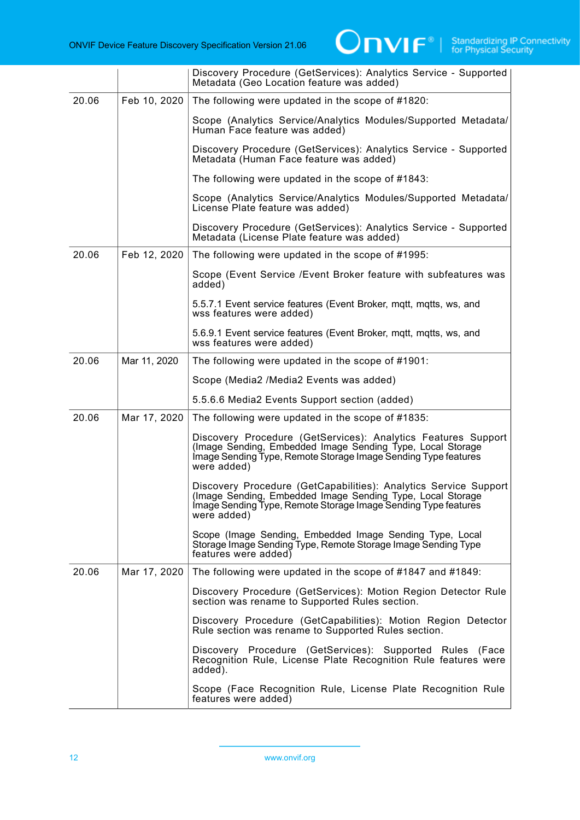

|       |              | Discovery Procedure (GetServices): Analytics Service - Supported<br>Metadata (Geo Location feature was added)                                                                                                   |
|-------|--------------|-----------------------------------------------------------------------------------------------------------------------------------------------------------------------------------------------------------------|
| 20.06 | Feb 10, 2020 | The following were updated in the scope of #1820:                                                                                                                                                               |
|       |              | Scope (Analytics Service/Analytics Modules/Supported Metadata/<br>Human Face feature was added)                                                                                                                 |
|       |              | Discovery Procedure (GetServices): Analytics Service - Supported<br>Metadata (Human Face feature was added)                                                                                                     |
|       |              | The following were updated in the scope of #1843:                                                                                                                                                               |
|       |              | Scope (Analytics Service/Analytics Modules/Supported Metadata/<br>License Plate feature was added)                                                                                                              |
|       |              | Discovery Procedure (GetServices): Analytics Service - Supported<br>Metadata (License Plate feature was added)                                                                                                  |
| 20.06 | Feb 12, 2020 | The following were updated in the scope of #1995:                                                                                                                                                               |
|       |              | Scope (Event Service /Event Broker feature with subfeatures was<br>added)                                                                                                                                       |
|       |              | 5.5.7.1 Event service features (Event Broker, mqtt, mqtts, ws, and<br>wss features were added)                                                                                                                  |
|       |              | 5.6.9.1 Event service features (Event Broker, mqtt, mqtts, ws, and<br>wss features were added)                                                                                                                  |
| 20.06 | Mar 11, 2020 | The following were updated in the scope of #1901:                                                                                                                                                               |
|       |              | Scope (Media2 /Media2 Events was added)                                                                                                                                                                         |
|       |              | 5.5.6.6 Media2 Events Support section (added)                                                                                                                                                                   |
| 20.06 | Mar 17, 2020 | The following were updated in the scope of #1835:                                                                                                                                                               |
|       |              | Discovery Procedure (GetServices): Analytics Features Support<br>(Image Sending, Embedded Image Sending Type, Local Storage<br>Image Sending Type, Remote Storage Image Sending Type features<br>were added)    |
|       |              | Discovery Procedure (GetCapabilities): Analytics Service Support<br>(Image Sending, Embedded Image Sending Type, Local Storage<br>Image Sending Type, Remote Storage Image Sending Type features<br>were added) |
|       |              | Scope (Image Sending, Embedded Image Sending Type, Local<br>Storage Image Sending Type, Remote Storage Image Sending Type<br>features were added)                                                               |
| 20.06 | Mar 17, 2020 | The following were updated in the scope of #1847 and #1849:                                                                                                                                                     |
|       |              | Discovery Procedure (GetServices): Motion Region Detector Rule<br>section was rename to Supported Rules section.                                                                                                |
|       |              | Discovery Procedure (GetCapabilities): Motion Region Detector<br>Rule section was rename to Supported Rules section.                                                                                            |
|       |              | Discovery Procedure (GetServices): Supported Rules (Face<br>Recognition Rule, License Plate Recognition Rule features were<br>added).                                                                           |
|       |              | Scope (Face Recognition Rule, License Plate Recognition Rule<br>features were added)                                                                                                                            |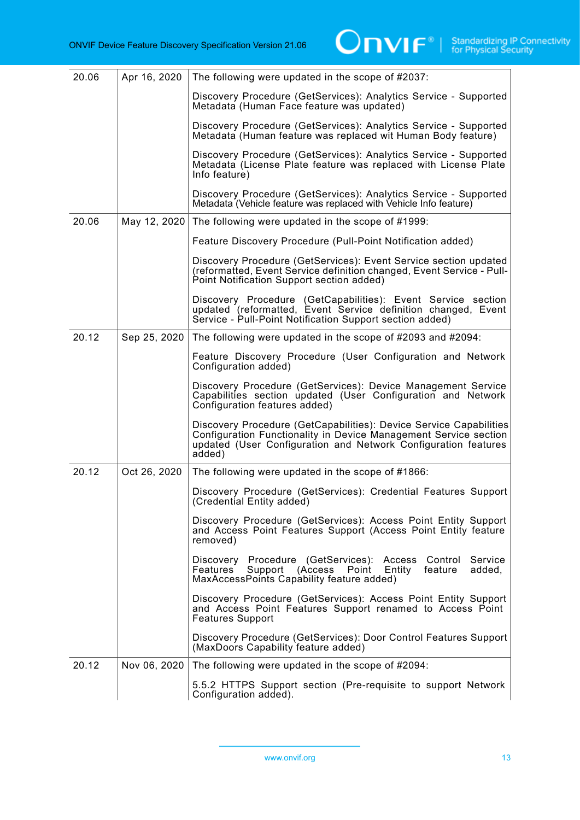| 20.06 | Apr 16, 2020 | The following were updated in the scope of #2037:                                                                                                                                                                  |
|-------|--------------|--------------------------------------------------------------------------------------------------------------------------------------------------------------------------------------------------------------------|
|       |              | Discovery Procedure (GetServices): Analytics Service - Supported<br>Metadata (Human Face feature was updated)                                                                                                      |
|       |              | Discovery Procedure (GetServices): Analytics Service - Supported<br>Metadata (Human feature was replaced wit Human Body feature)                                                                                   |
|       |              | Discovery Procedure (GetServices): Analytics Service - Supported<br>Metadata (License Plate feature was replaced with License Plate<br>Info feature)                                                               |
|       |              | Discovery Procedure (GetServices): Analytics Service - Supported<br>Metadata (Vehicle feature was replaced with Vehicle Info feature)                                                                              |
| 20.06 | May 12, 2020 | The following were updated in the scope of #1999:                                                                                                                                                                  |
|       |              | Feature Discovery Procedure (Pull-Point Notification added)                                                                                                                                                        |
|       |              | Discovery Procedure (GetServices): Event Service section updated<br>(reformatted, Event Service definition changed, Event Service - Pull-<br>Point Notification Support section added)                             |
|       |              | Discovery Procedure (GetCapabilities): Event Service section<br>updated (reformatted, Event Service definition changed, Event<br>Service - Pull-Point Notification Support section added)                          |
| 20.12 | Sep 25, 2020 | The following were updated in the scope of #2093 and #2094:                                                                                                                                                        |
|       |              | Feature Discovery Procedure (User Configuration and Network<br>Configuration added)                                                                                                                                |
|       |              | Discovery Procedure (GetServices): Device Management Service<br>Capabilities section updated (User Configuration and Network<br>Configuration features added)                                                      |
|       |              | Discovery Procedure (GetCapabilities): Device Service Capabilities<br>Configuration Functionality in Device Management Service section<br>updated (User Configuration and Network Configuration features<br>added) |
| 20.12 | Oct 26, 2020 | The following were updated in the scope of #1866:                                                                                                                                                                  |
|       |              | Discovery Procedure (GetServices): Credential Features Support<br>(Credential Entity added)                                                                                                                        |
|       |              | Discovery Procedure (GetServices): Access Point Entity Support<br>and Access Point Features Support (Access Point Entity feature<br>removed)                                                                       |
|       |              | Discovery Procedure (GetServices): Access Control<br>Service<br>Support (Access<br>Entity<br>feature<br>added,<br>Features<br>Point<br>MaxAccessPoints Capability feature added)                                   |
|       |              | Discovery Procedure (GetServices): Access Point Entity Support<br>and Access Point Features Support renamed to Access Point<br><b>Features Support</b>                                                             |
|       |              | Discovery Procedure (GetServices): Door Control Features Support<br>(MaxDoors Capability feature added)                                                                                                            |
| 20.12 | Nov 06, 2020 | The following were updated in the scope of #2094:                                                                                                                                                                  |
|       |              | 5.5.2 HTTPS Support section (Pre-requisite to support Network<br>Configuration added).                                                                                                                             |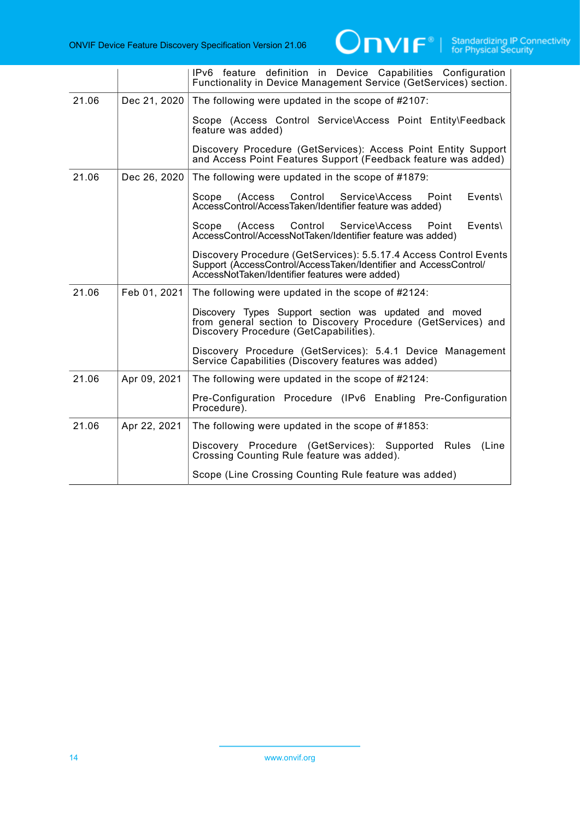|       |              | IPv6 feature definition in Device Capabilities Configuration<br>Functionality in Device Management Service (GetServices) section.                                                       |
|-------|--------------|-----------------------------------------------------------------------------------------------------------------------------------------------------------------------------------------|
| 21.06 | Dec 21, 2020 | The following were updated in the scope of #2107:                                                                                                                                       |
|       |              | Scope (Access Control Service\Access Point Entity\Feedback<br>feature was added)                                                                                                        |
|       |              | Discovery Procedure (GetServices): Access Point Entity Support<br>and Access Point Features Support (Feedback feature was added)                                                        |
| 21.06 | Dec 26, 2020 | The following were updated in the scope of #1879:                                                                                                                                       |
|       |              | Control<br>Service\Access Point<br>$Events\$<br>(Access<br>Scope<br>AccessControl/AccessTaken/Identifier feature was added)                                                             |
|       |              | (Access Control Service\Access<br>Point<br>Events<br>Scope<br>AccessControl/AccessNotTaken/Identifier feature was added)                                                                |
|       |              | Discovery Procedure (GetServices): 5.5.17.4 Access Control Events<br>Support (AccessControl/AccessTaken/Identifier and AccessControl/<br>AccessNotTaken/Identifier features were added) |
| 21.06 | Feb 01, 2021 | The following were updated in the scope of #2124:                                                                                                                                       |
|       |              | Discovery Types Support section was updated and moved<br>from general section to Discovery Procedure (GetServices) and<br>Discovery Procedure (GetCapabilities).                        |
|       |              | Discovery Procedure (GetServices): 5.4.1 Device Management<br>Service Capabilities (Discovery features was added)                                                                       |
| 21.06 | Apr 09, 2021 | The following were updated in the scope of #2124:                                                                                                                                       |
|       |              | Pre-Configuration Procedure (IPv6 Enabling Pre-Configuration<br>Procedure).                                                                                                             |
| 21.06 | Apr 22, 2021 | The following were updated in the scope of #1853:                                                                                                                                       |
|       |              | Discovery Procedure (GetServices): Supported Rules (Line<br>Crossing Counting Rule feature was added).                                                                                  |
|       |              | Scope (Line Crossing Counting Rule feature was added)                                                                                                                                   |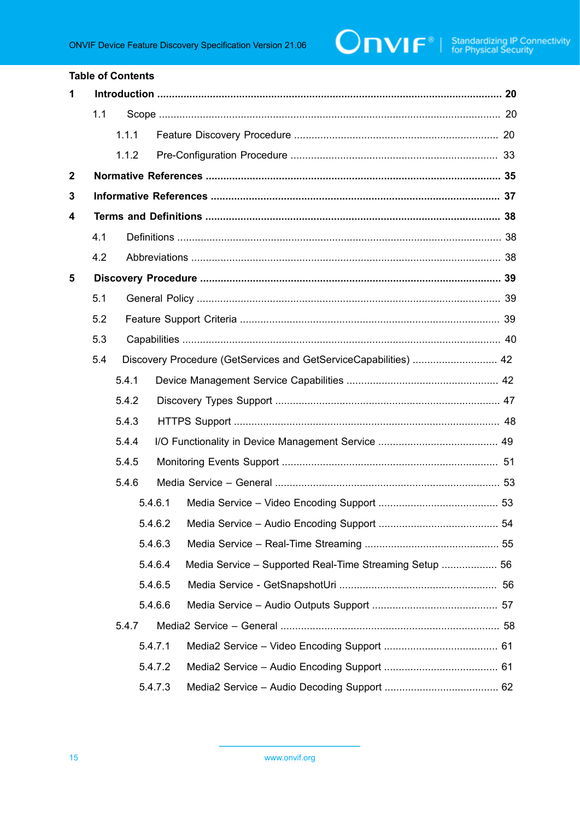### **Table of Contents** 1  $1.1$  $1.1.1$  $1.1.2$  $\overline{2}$  $\overline{\mathbf{3}}$  $\boldsymbol{4}$  $4.1$  $4.2$ 5  $5.1$  $5.2$  $5.3$ 5.4 Discovery Procedure (GetServices and GetServiceCapabilities) ................................ 42 541 5.4.2 5.4.3  $5.4.4$  $5.4.5$  $5.4.6$ 5.4.6.1 5.4.6.2 5.4.6.3 5.4.6.4 Media Service - Supported Real-Time Streaming Setup ................... 56 5.4.6.5 5.4.6.6 547 5471 5.4.7.2 5.4.7.3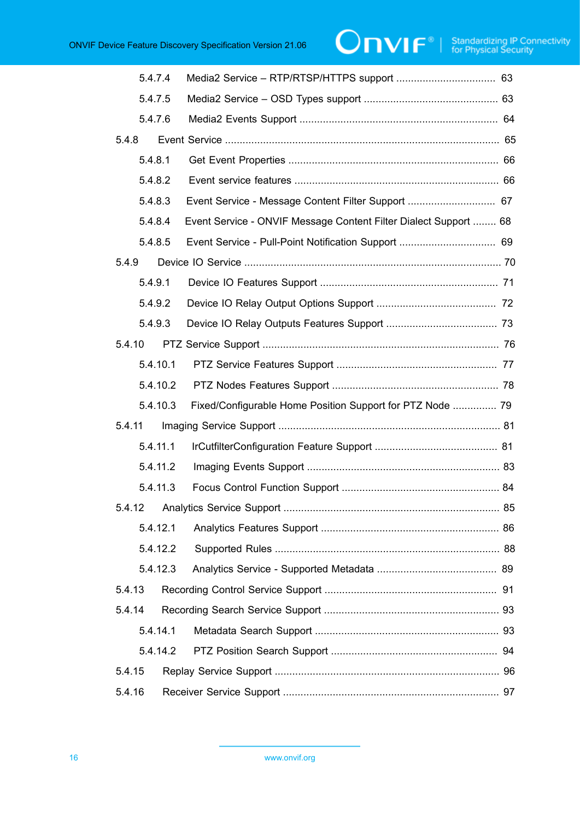| 5.4.7.4  |                                                                  |  |
|----------|------------------------------------------------------------------|--|
| 5.4.7.5  |                                                                  |  |
| 5.4.7.6  |                                                                  |  |
| 5.4.8    |                                                                  |  |
| 5.4.8.1  |                                                                  |  |
| 5.4.8.2  |                                                                  |  |
| 5.4.8.3  | Event Service - Message Content Filter Support  67               |  |
| 5.4.8.4  | Event Service - ONVIF Message Content Filter Dialect Support  68 |  |
| 5.4.8.5  |                                                                  |  |
| 5.4.9    |                                                                  |  |
| 5.4.9.1  |                                                                  |  |
| 5.4.9.2  |                                                                  |  |
| 5.4.9.3  |                                                                  |  |
| 5.4.10   |                                                                  |  |
| 5.4.10.1 |                                                                  |  |
| 5.4.10.2 |                                                                  |  |
| 5.4.10.3 | Fixed/Configurable Home Position Support for PTZ Node  79        |  |
| 5.4.11   |                                                                  |  |
| 5.4.11.1 |                                                                  |  |
| 5.4.11.2 |                                                                  |  |
| 5.4.11.3 |                                                                  |  |
|          |                                                                  |  |
| 5.4.12.1 |                                                                  |  |
| 5.4.12.2 |                                                                  |  |
| 5.4.12.3 |                                                                  |  |
| 5.4.13   |                                                                  |  |
| 5.4.14   |                                                                  |  |
| 5.4.14.1 |                                                                  |  |
|          |                                                                  |  |
| 5.4.15   |                                                                  |  |
| 5.4.16   |                                                                  |  |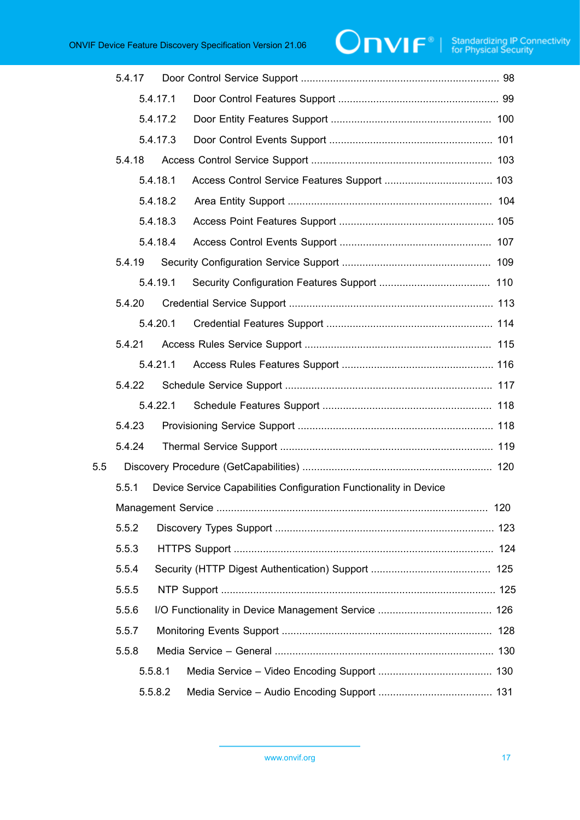|     | 5.4.17 |          |                                                                   |  |
|-----|--------|----------|-------------------------------------------------------------------|--|
|     |        | 5.4.17.1 |                                                                   |  |
|     |        | 5.4.17.2 |                                                                   |  |
|     |        | 5.4.17.3 |                                                                   |  |
|     | 5.4.18 |          |                                                                   |  |
|     |        | 5.4.18.1 |                                                                   |  |
|     |        | 5.4.18.2 |                                                                   |  |
|     |        | 5.4.18.3 |                                                                   |  |
|     |        | 5.4.18.4 |                                                                   |  |
|     | 5.4.19 |          |                                                                   |  |
|     |        | 5.4.19.1 |                                                                   |  |
|     | 5.4.20 |          |                                                                   |  |
|     |        | 5.4.20.1 |                                                                   |  |
|     | 5.4.21 |          |                                                                   |  |
|     |        | 5.4.21.1 |                                                                   |  |
|     | 5.4.22 |          |                                                                   |  |
|     |        | 5.4.22.1 |                                                                   |  |
|     | 5.4.23 |          |                                                                   |  |
|     | 5.4.24 |          |                                                                   |  |
| 5.5 |        |          |                                                                   |  |
|     | 5.5.1  |          | Device Service Capabilities Configuration Functionality in Device |  |
|     |        |          |                                                                   |  |
|     | 5.5.2  |          |                                                                   |  |
|     | 5.5.3  |          |                                                                   |  |
|     | 5.5.4  |          |                                                                   |  |
|     | 5.5.5  |          |                                                                   |  |
|     | 5.5.6  |          |                                                                   |  |
|     | 5.5.7  |          |                                                                   |  |
|     | 5.5.8  |          |                                                                   |  |
|     |        | 5.5.8.1  |                                                                   |  |
|     |        | 5.5.8.2  |                                                                   |  |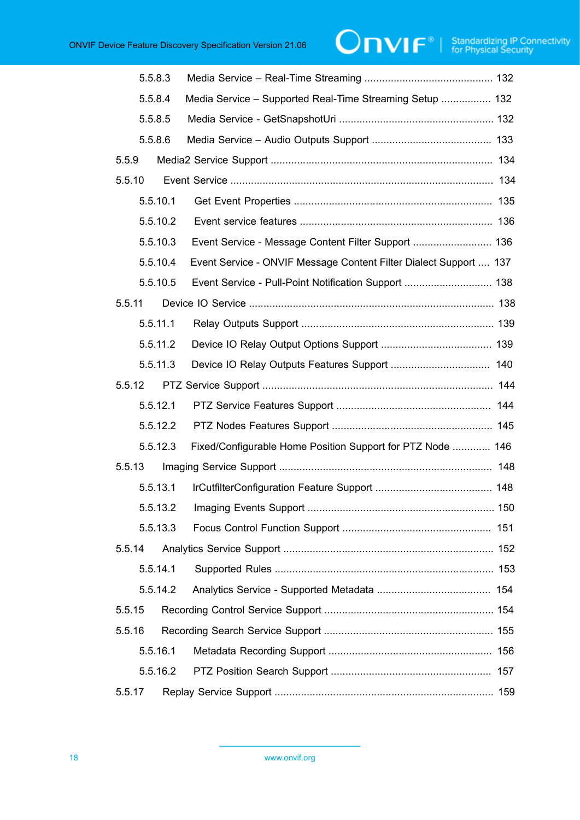# $\boxed{\color{red} \bigcap \textbf{VIF}^{\textcolor{red}{\circ}} \; | \; \; \substack{\textnormal{Standardizing IP Connectivity} \\ \textnormal{for Physical Security}}}$

| 5.5.8.3  |                                                                   |  |
|----------|-------------------------------------------------------------------|--|
| 5.5.8.4  | Media Service - Supported Real-Time Streaming Setup  132          |  |
| 5.5.8.5  |                                                                   |  |
| 5.5.8.6  |                                                                   |  |
| 5.5.9    |                                                                   |  |
| 5.5.10   |                                                                   |  |
| 5.5.10.1 |                                                                   |  |
| 5.5.10.2 |                                                                   |  |
| 5.5.10.3 |                                                                   |  |
| 5.5.10.4 | Event Service - ONVIF Message Content Filter Dialect Support  137 |  |
| 5.5.10.5 | Event Service - Pull-Point Notification Support  138              |  |
| 5.5.11   |                                                                   |  |
| 5.5.11.1 |                                                                   |  |
| 5.5.11.2 |                                                                   |  |
| 5.5.11.3 |                                                                   |  |
| 5.5.12   |                                                                   |  |
| 5.5.12.1 |                                                                   |  |
| 5.5.12.2 |                                                                   |  |
| 5.5.12.3 | Fixed/Configurable Home Position Support for PTZ Node  146        |  |
| 5.5.13   |                                                                   |  |
| 5.5.13.1 |                                                                   |  |
|          |                                                                   |  |
| 5.5.13.3 |                                                                   |  |
| 5.5.14   |                                                                   |  |
| 5.5.14.1 |                                                                   |  |
| 5.5.14.2 |                                                                   |  |
| 5.5.15   |                                                                   |  |
| 5.5.16   |                                                                   |  |
| 5.5.16.1 |                                                                   |  |
| 5.5.16.2 |                                                                   |  |
| 5.5.17   |                                                                   |  |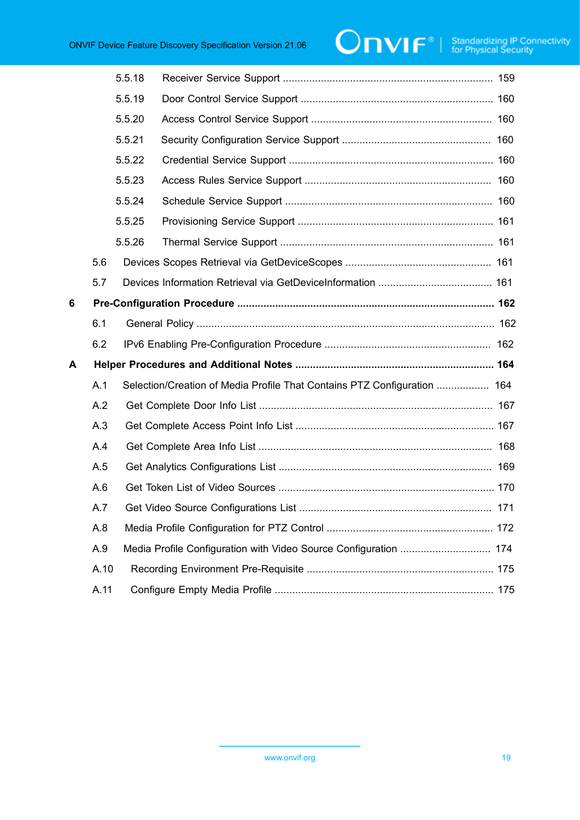|   |      | 5.5.18 |                                                                          |  |
|---|------|--------|--------------------------------------------------------------------------|--|
|   |      | 5.5.19 |                                                                          |  |
|   |      | 5.5.20 |                                                                          |  |
|   |      | 5.5.21 |                                                                          |  |
|   |      | 5.5.22 |                                                                          |  |
|   |      | 5.5.23 |                                                                          |  |
|   |      | 5.5.24 |                                                                          |  |
|   |      | 5.5.25 |                                                                          |  |
|   |      | 5.5.26 |                                                                          |  |
|   | 5.6  |        |                                                                          |  |
|   | 5.7  |        |                                                                          |  |
| 6 |      |        |                                                                          |  |
|   | 6.1  |        |                                                                          |  |
|   | 6.2  |        |                                                                          |  |
| A |      |        |                                                                          |  |
|   | A.1  |        | Selection/Creation of Media Profile That Contains PTZ Configuration  164 |  |
|   | A.2  |        |                                                                          |  |
|   | A.3  |        |                                                                          |  |
|   | A.4  |        |                                                                          |  |
|   | A.5  |        |                                                                          |  |
|   | A.6  |        |                                                                          |  |
|   | A.7  |        |                                                                          |  |
|   | A.8  |        |                                                                          |  |
|   | A.9  |        | Media Profile Configuration with Video Source Configuration  174         |  |
|   | A.10 |        |                                                                          |  |
|   | A.11 |        |                                                                          |  |
|   |      |        |                                                                          |  |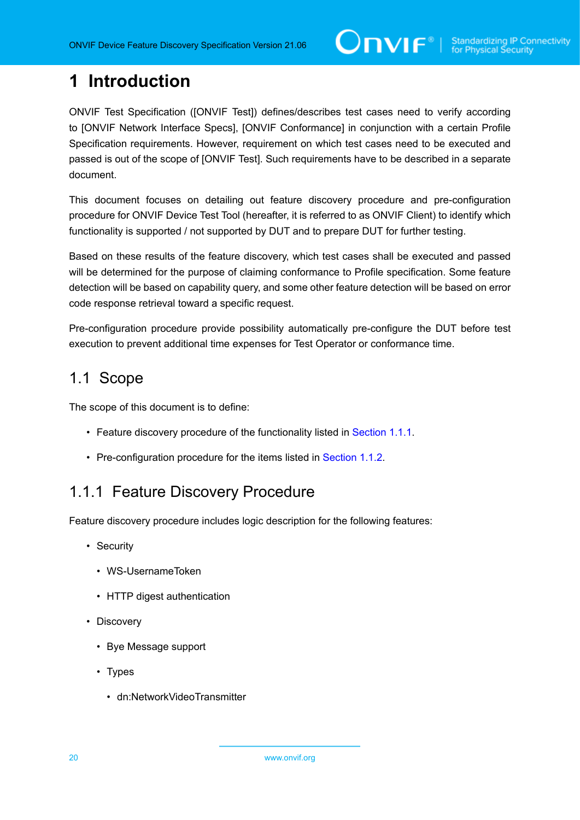## <span id="page-19-0"></span>**1 Introduction**

ONVIF Test Specification ([ONVIF Test]) defines/describes test cases need to verify according to [ONVIF Network Interface Specs], [ONVIF Conformance] in conjunction with a certain Profile Specification requirements. However, requirement on which test cases need to be executed and passed is out of the scope of [ONVIF Test]. Such requirements have to be described in a separate document.

This document focuses on detailing out feature discovery procedure and pre-configuration procedure for ONVIF Device Test Tool (hereafter, it is referred to as ONVIF Client) to identify which functionality is supported / not supported by DUT and to prepare DUT for further testing.

Based on these results of the feature discovery, which test cases shall be executed and passed will be determined for the purpose of claiming conformance to Profile specification. Some feature detection will be based on capability query, and some other feature detection will be based on error code response retrieval toward a specific request.

Pre-configuration procedure provide possibility automatically pre-configure the DUT before test execution to prevent additional time expenses for Test Operator or conformance time.

### <span id="page-19-1"></span>1.1 Scope

The scope of this document is to define:

- Feature discovery procedure of the functionality listed in [Section 1.1.1.](#page-19-2)
- Pre-configuration procedure for the items listed in [Section 1.1.2.](#page-32-0)

### <span id="page-19-2"></span>1.1.1 Feature Discovery Procedure

Feature discovery procedure includes logic description for the following features:

- Security
	- WS-UsernameToken
	- HTTP digest authentication
- Discovery
	- Bye Message support
	- Types
		- dn:NetworkVideoTransmitter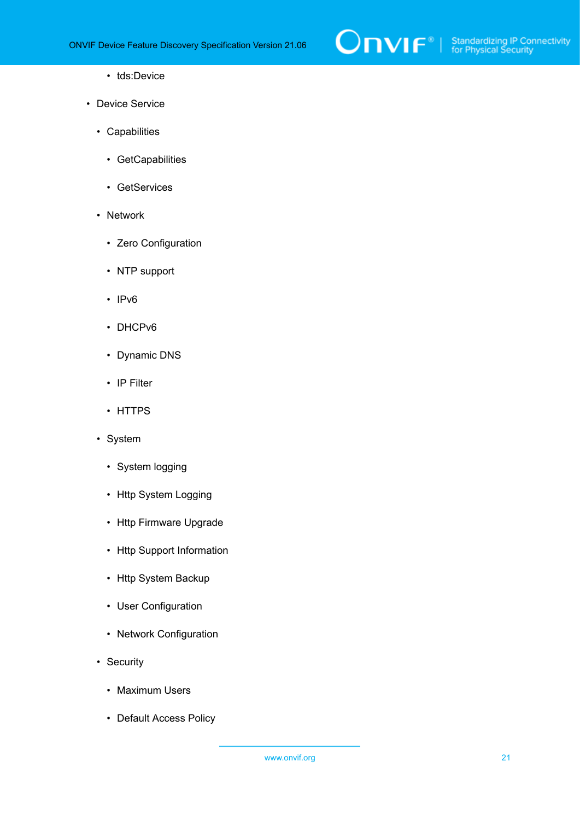

- tds:Device
- Device Service
	- Capabilities
		- GetCapabilities
		- GetServices
	- Network
		- Zero Configuration
		- NTP support
		- IPv6
		- DHCPv6
		- Dynamic DNS
		- IP Filter
		- HTTPS
	- System
		- System logging
		- Http System Logging
		- Http Firmware Upgrade
		- Http Support Information
		- Http System Backup
		- User Configuration
		- Network Configuration
	- Security
		- Maximum Users
		- Default Access Policy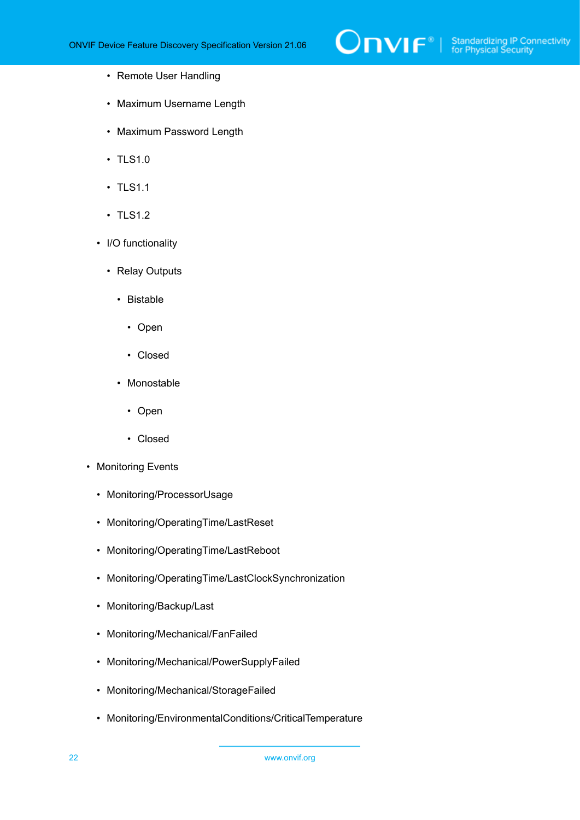

- Remote User Handling
- Maximum Username Length
- Maximum Password Length
- TLS1.0
- TLS1.1
- TLS1.2
- I/O functionality
	- Relay Outputs
		- Bistable
			- Open
			- Closed
		- Monostable
			- Open
			- Closed
- Monitoring Events
	- Monitoring/ProcessorUsage
	- Monitoring/OperatingTime/LastReset
	- Monitoring/OperatingTime/LastReboot
	- Monitoring/OperatingTime/LastClockSynchronization
	- Monitoring/Backup/Last
	- Monitoring/Mechanical/FanFailed
	- Monitoring/Mechanical/PowerSupplyFailed
	- Monitoring/Mechanical/StorageFailed
	- Monitoring/EnvironmentalConditions/CriticalTemperature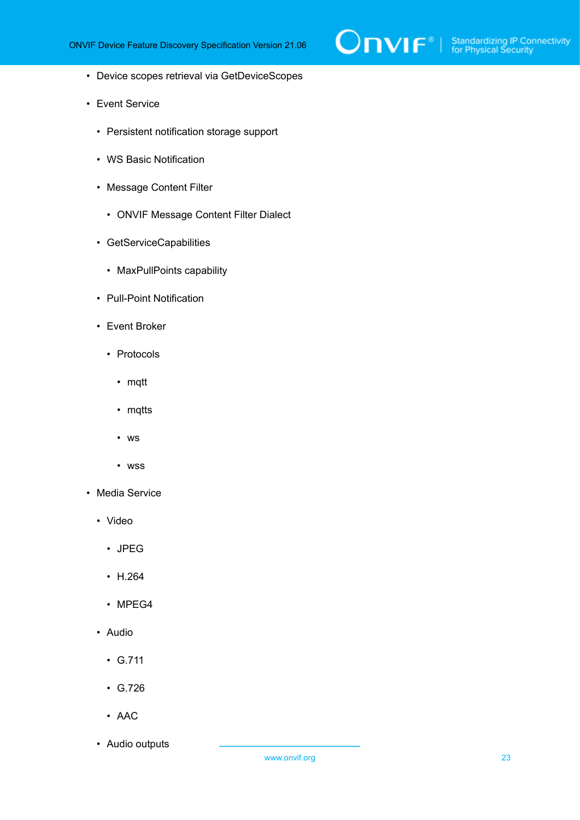

- Device scopes retrieval via GetDeviceScopes
- Event Service
	- Persistent notification storage support
	- WS Basic Notification
	- Message Content Filter
		- ONVIF Message Content Filter Dialect
	- GetServiceCapabilities
		- MaxPullPoints capability
	- Pull-Point Notification
	- Event Broker
		- Protocols
			- mqtt
			- mqtts
			- ws
			- wss
- Media Service
	- Video
		- JPEG
		- H.264
		- MPEG4
	- Audio
		- G.711
		- G.726
		- AAC
	- Audio outputs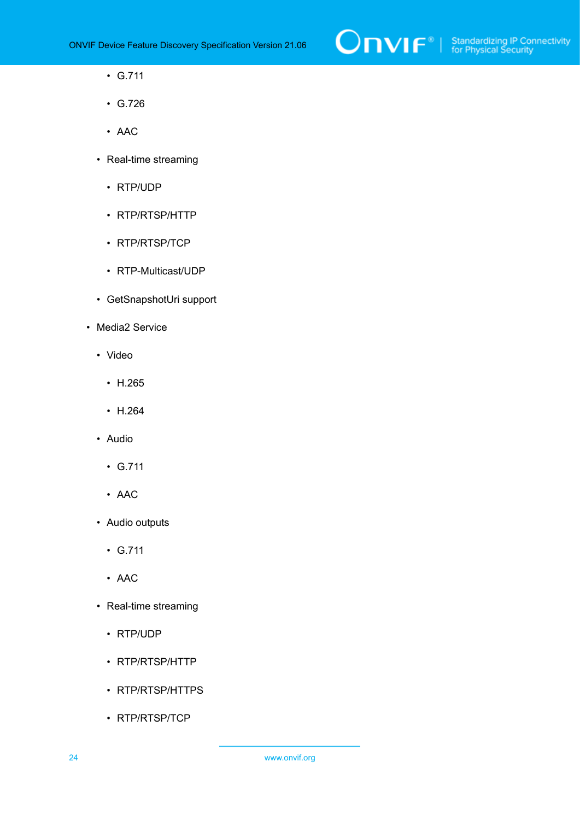

- G.711
- G.726
- AAC
- Real-time streaming
	- RTP/UDP
	- RTP/RTSP/HTTP
	- RTP/RTSP/TCP
	- RTP-Multicast/UDP
- GetSnapshotUri support
- Media2 Service
	- Video
		- H.265
		- H.264
	- Audio
		- G.711
		- AAC
	- Audio outputs
		- G.711
		- AAC
	- Real-time streaming
		- RTP/UDP
		- RTP/RTSP/HTTP
		- RTP/RTSP/HTTPS
		- RTP/RTSP/TCP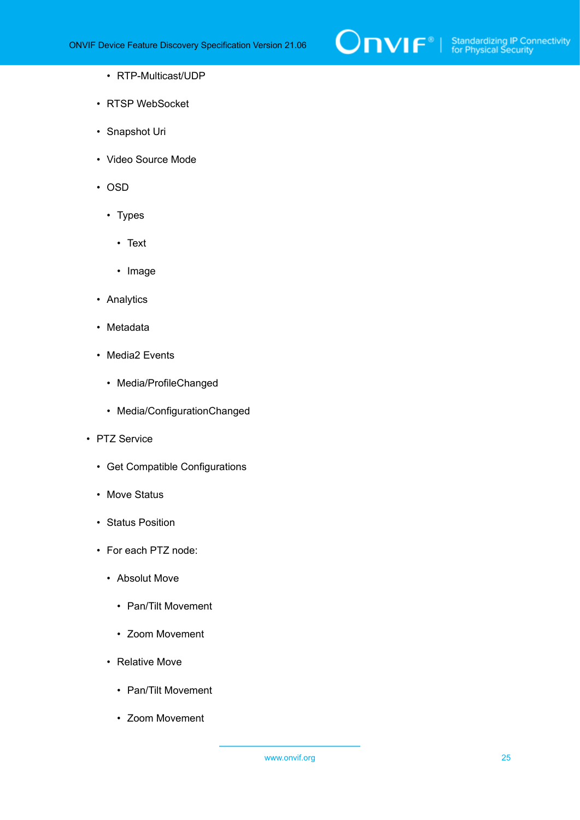

- RTP-Multicast/UDP
- RTSP WebSocket
- Snapshot Uri
- Video Source Mode
- OSD
	- Types
		- Text
		- Image
- Analytics
- Metadata
- Media2 Events
	- Media/ProfileChanged
	- Media/ConfigurationChanged
- PTZ Service
	- Get Compatible Configurations
	- Move Status
	- Status Position
	- For each PTZ node:
		- Absolut Move
			- Pan/Tilt Movement
			- Zoom Movement
		- Relative Move
			- Pan/Tilt Movement
			- Zoom Movement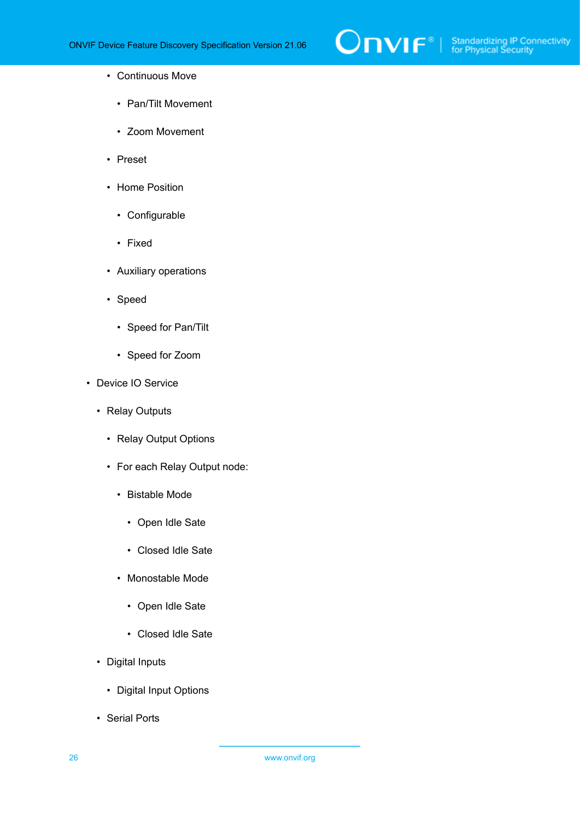

- Continuous Move
	- Pan/Tilt Movement
	- Zoom Movement
- Preset
- Home Position
	- Configurable
	- Fixed
- Auxiliary operations
- Speed
	- Speed for Pan/Tilt
	- Speed for Zoom
- Device IO Service
	- Relay Outputs
		- Relay Output Options
		- For each Relay Output node:
			- Bistable Mode
				- Open Idle Sate
				- Closed Idle Sate
			- Monostable Mode
				- Open Idle Sate
				- Closed Idle Sate
	- Digital Inputs
		- Digital Input Options
	- Serial Ports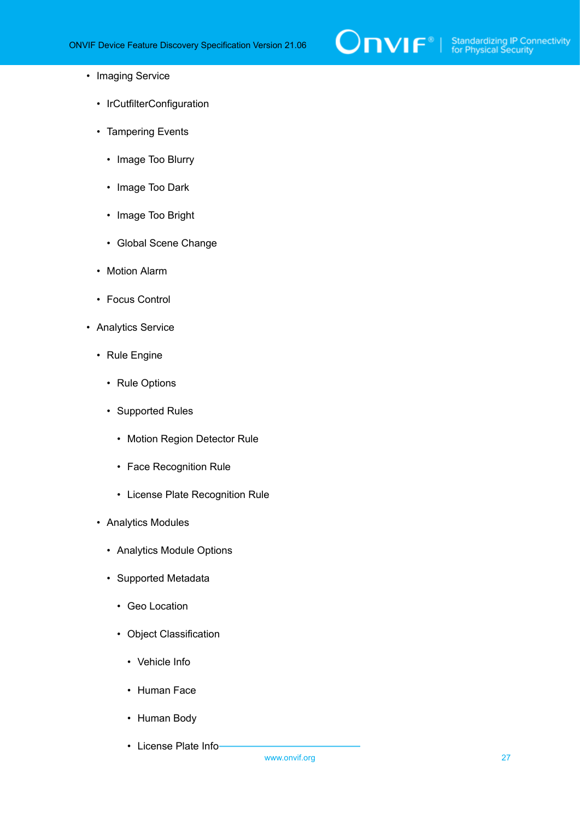

- Imaging Service
	- IrCutfilterConfiguration
	- Tampering Events
		- Image Too Blurry
		- Image Too Dark
		- Image Too Bright
		- Global Scene Change
	- Motion Alarm
	- Focus Control
- Analytics Service
	- Rule Engine
		- Rule Options
		- Supported Rules
			- Motion Region Detector Rule
			- Face Recognition Rule
			- License Plate Recognition Rule
	- Analytics Modules
		- Analytics Module Options
		- Supported Metadata
			- Geo Location
			- Object Classification
				- Vehicle Info
				- Human Face
				- Human Body
				- License Plate Info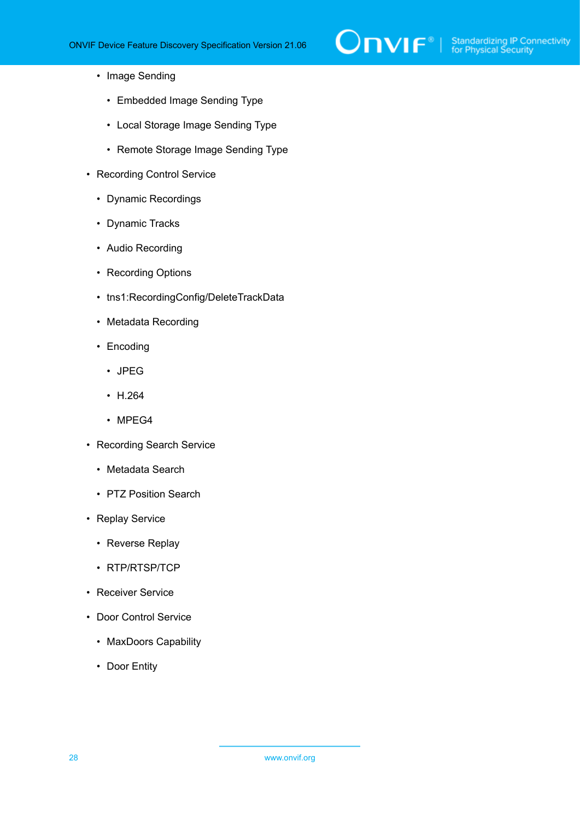- Image Sending
	- Embedded Image Sending Type
	- Local Storage Image Sending Type
	- Remote Storage Image Sending Type
- Recording Control Service
	- Dynamic Recordings
	- Dynamic Tracks
	- Audio Recording
	- Recording Options
	- tns1:RecordingConfig/DeleteTrackData
	- Metadata Recording
	- Encoding
		- JPEG
		- H.264
		- MPEG4
- Recording Search Service
	- Metadata Search
	- PTZ Position Search
- Replay Service
	- Reverse Replay
	- RTP/RTSP/TCP
- Receiver Service
- Door Control Service
	- MaxDoors Capability
	- Door Entity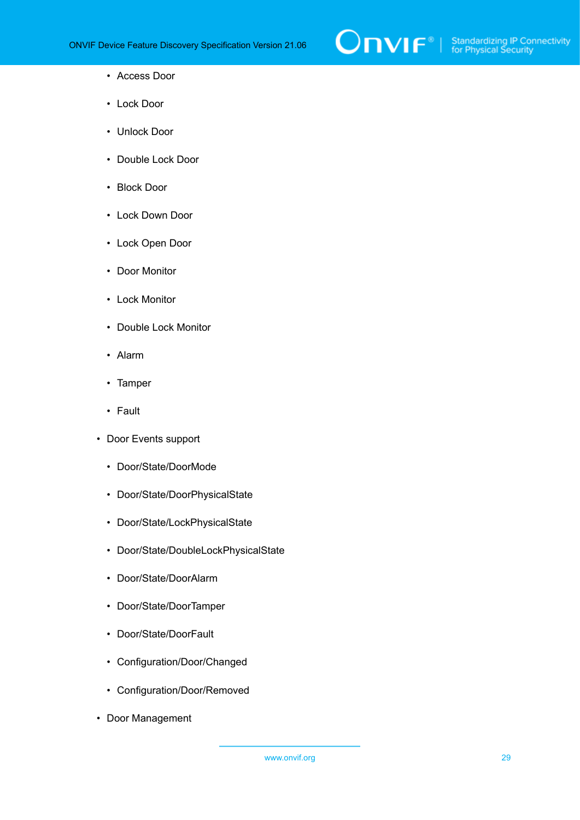

- Access Door
- Lock Door
- Unlock Door
- Double Lock Door
- Block Door
- Lock Down Door
- Lock Open Door
- Door Monitor
- Lock Monitor
- Double Lock Monitor
- Alarm
- Tamper
- Fault
- Door Events support
	- Door/State/DoorMode
	- Door/State/DoorPhysicalState
	- Door/State/LockPhysicalState
	- Door/State/DoubleLockPhysicalState
	- Door/State/DoorAlarm
	- Door/State/DoorTamper
	- Door/State/DoorFault
	- Configuration/Door/Changed
	- Configuration/Door/Removed
- Door Management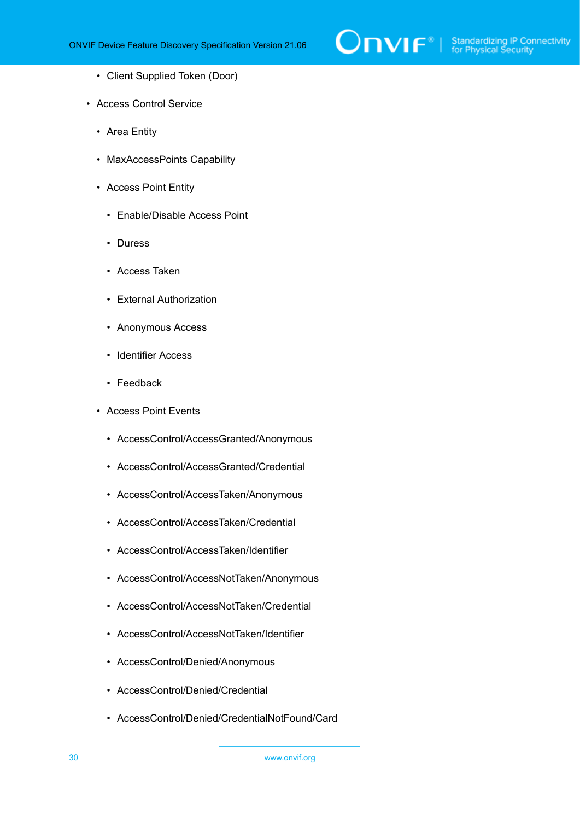

- Client Supplied Token (Door)
- Access Control Service
	- Area Entity
	- MaxAccessPoints Capability
	- Access Point Entity
		- Enable/Disable Access Point
		- Duress
		- Access Taken
		- External Authorization
		- Anonymous Access
		- Identifier Access
		- Feedback
	- Access Point Events
		- AccessControl/AccessGranted/Anonymous
		- AccessControl/AccessGranted/Credential
		- AccessControl/AccessTaken/Anonymous
		- AccessControl/AccessTaken/Credential
		- AccessControl/AccessTaken/Identifier
		- AccessControl/AccessNotTaken/Anonymous
		- AccessControl/AccessNotTaken/Credential
		- AccessControl/AccessNotTaken/Identifier
		- AccessControl/Denied/Anonymous
		- AccessControl/Denied/Credential
		- AccessControl/Denied/CredentialNotFound/Card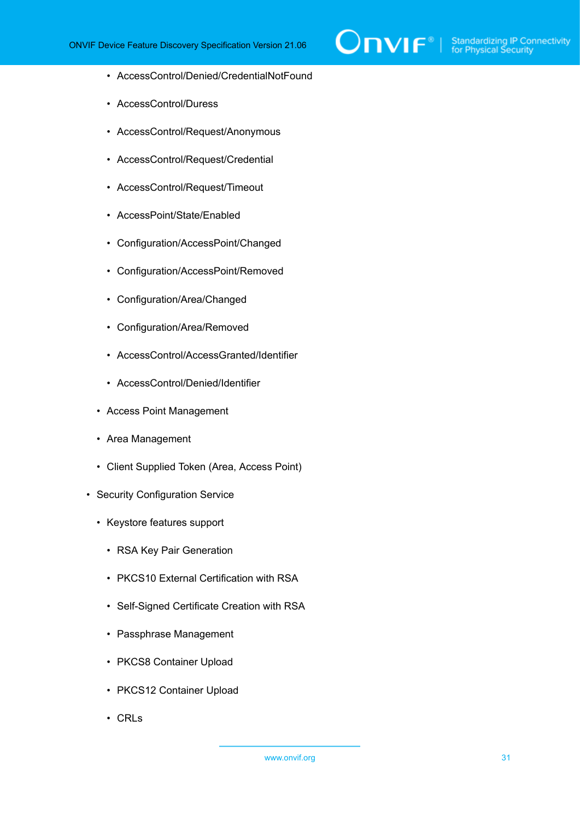

- AccessControl/Denied/CredentialNotFound
- AccessControl/Duress
- AccessControl/Request/Anonymous
- AccessControl/Request/Credential
- AccessControl/Request/Timeout
- AccessPoint/State/Enabled
- Configuration/AccessPoint/Changed
- Configuration/AccessPoint/Removed
- Configuration/Area/Changed
- Configuration/Area/Removed
- AccessControl/AccessGranted/Identifier
- AccessControl/Denied/Identifier
- Access Point Management
- Area Management
- Client Supplied Token (Area, Access Point)
- Security Configuration Service
	- Keystore features support
		- RSA Key Pair Generation
		- PKCS10 External Certification with RSA
		- Self-Signed Certificate Creation with RSA
		- Passphrase Management
		- PKCS8 Container Upload
		- PKCS12 Container Upload
		- CRLs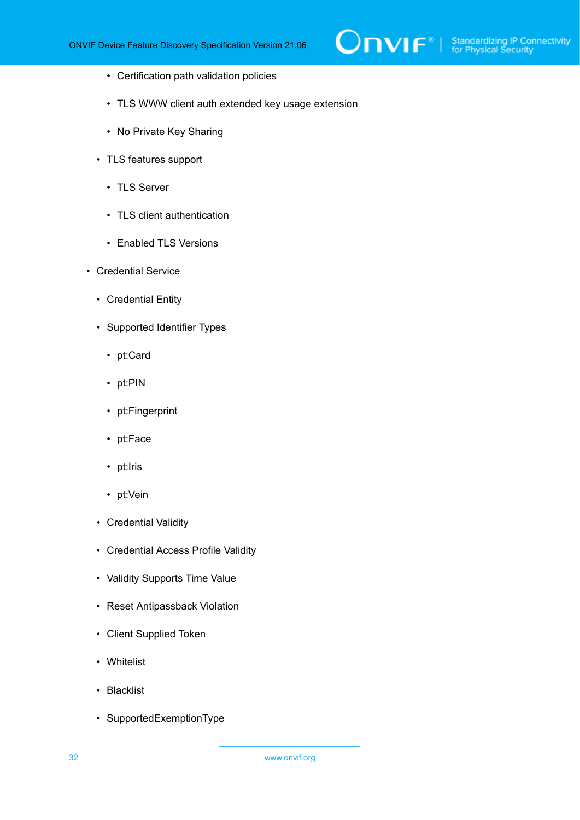$\mathsf{D}\mathbf{n}\mathsf{V}\mathsf{I}\mathsf{F}^\ast$  i

- Certification path validation policies
- TLS WWW client auth extended key usage extension
- No Private Key Sharing
- TLS features support
	- TLS Server
	- TLS client authentication
	- Enabled TLS Versions
- Credential Service
	- Credential Entity
	- Supported Identifier Types
		- pt:Card
		- pt:PIN
		- pt:Fingerprint
		- pt:Face
		- pt:Iris
		- pt:Vein
	- Credential Validity
	- Credential Access Profile Validity
	- Validity Supports Time Value
	- Reset Antipassback Violation
	- Client Supplied Token
	- Whitelist
	- Blacklist
	- SupportedExemptionType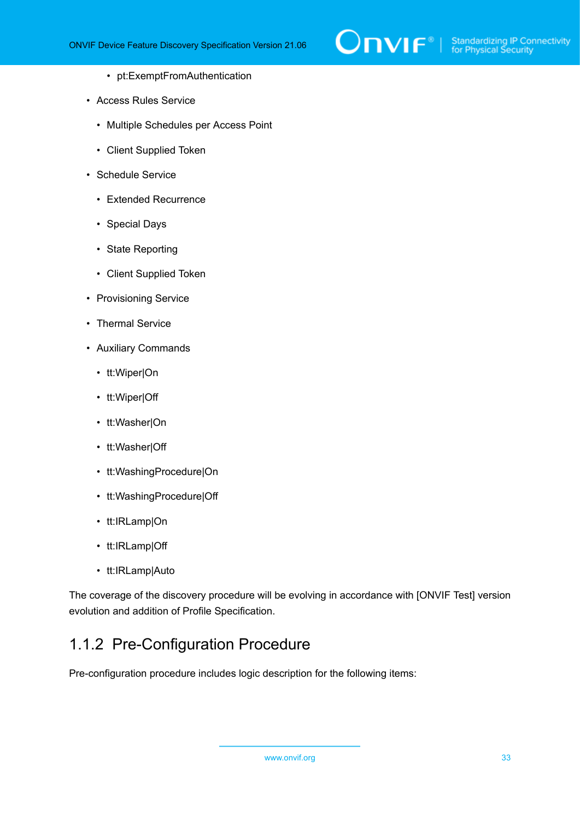

- pt:ExemptFromAuthentication
- Access Rules Service
	- Multiple Schedules per Access Point
	- Client Supplied Token
- Schedule Service
	- Extended Recurrence
	- Special Days
	- State Reporting
	- Client Supplied Token
- Provisioning Service
- Thermal Service
- Auxiliary Commands
	- tt:Wiper|On
	- tt:Wiper|Off
	- tt:Washer|On
	- tt:Washer|Off
	- tt:WashingProcedure|On
	- tt:WashingProcedure|Off
	- tt:IRLamp|On
	- tt:IRLamp|Off
	- tt:IRLamp|Auto

The coverage of the discovery procedure will be evolving in accordance with [ONVIF Test] version evolution and addition of Profile Specification.

### <span id="page-32-0"></span>1.1.2 Pre-Configuration Procedure

Pre-configuration procedure includes logic description for the following items: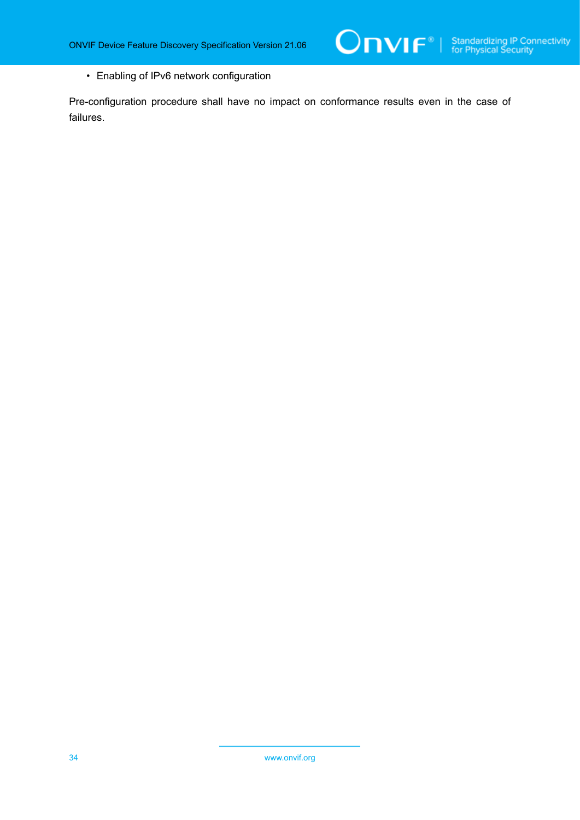• Enabling of IPv6 network configuration

Pre-configuration procedure shall have no impact on conformance results even in the case of failures.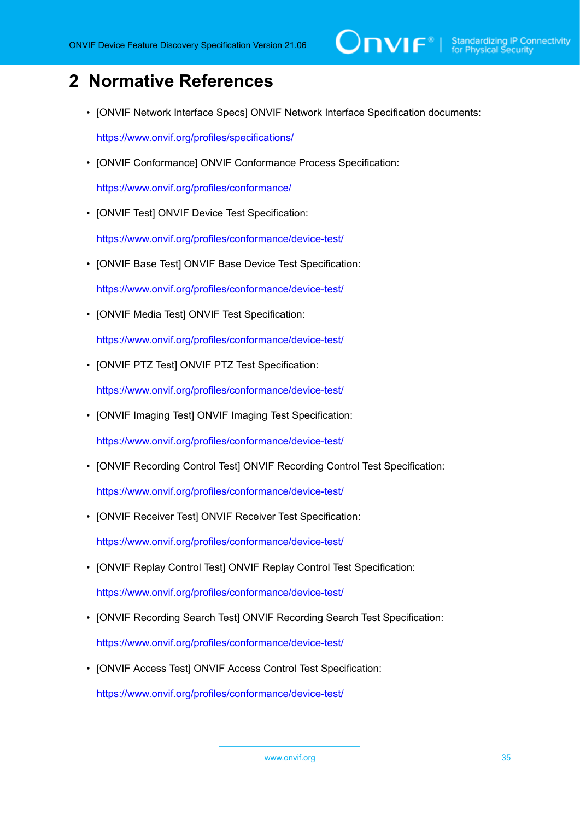## <span id="page-34-0"></span>**2 Normative References**

• [ONVIF Network Interface Specs] ONVIF Network Interface Specification documents:

<https://www.onvif.org/profiles/specifications/>

• [ONVIF Conformance] ONVIF Conformance Process Specification:

<https://www.onvif.org/profiles/conformance/>

• [ONVIF Test] ONVIF Device Test Specification:

<https://www.onvif.org/profiles/conformance/device-test/>

- [ONVIF Base Test] ONVIF Base Device Test Specification: <https://www.onvif.org/profiles/conformance/device-test/>
- [ONVIF Media Test] ONVIF Test Specification:

<https://www.onvif.org/profiles/conformance/device-test/>

• [ONVIF PTZ Test] ONVIF PTZ Test Specification:

<https://www.onvif.org/profiles/conformance/device-test/>

• [ONVIF Imaging Test] ONVIF Imaging Test Specification:

<https://www.onvif.org/profiles/conformance/device-test/>

• [ONVIF Recording Control Test] ONVIF Recording Control Test Specification:

<https://www.onvif.org/profiles/conformance/device-test/>

• [ONVIF Receiver Test] ONVIF Receiver Test Specification:

<https://www.onvif.org/profiles/conformance/device-test/>

- [ONVIF Replay Control Test] ONVIF Replay Control Test Specification: <https://www.onvif.org/profiles/conformance/device-test/>
- [ONVIF Recording Search Test] ONVIF Recording Search Test Specification:

<https://www.onvif.org/profiles/conformance/device-test/>

• [ONVIF Access Test] ONVIF Access Control Test Specification:

<https://www.onvif.org/profiles/conformance/device-test/>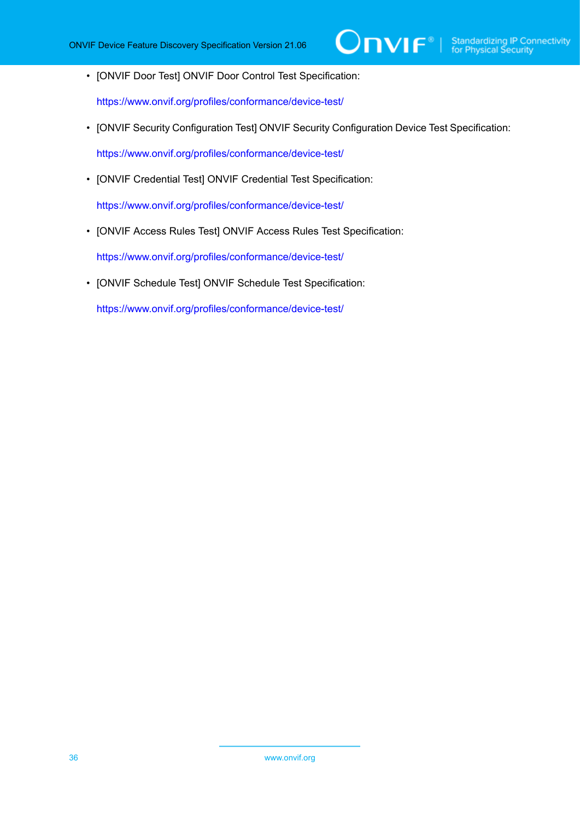• [ONVIF Door Test] ONVIF Door Control Test Specification:

<https://www.onvif.org/profiles/conformance/device-test/>

• [ONVIF Security Configuration Test] ONVIF Security Configuration Device Test Specification:

<https://www.onvif.org/profiles/conformance/device-test/>

• [ONVIF Credential Test] ONVIF Credential Test Specification:

<https://www.onvif.org/profiles/conformance/device-test/>

• [ONVIF Access Rules Test] ONVIF Access Rules Test Specification:

<https://www.onvif.org/profiles/conformance/device-test/>

• [ONVIF Schedule Test] ONVIF Schedule Test Specification:

<https://www.onvif.org/profiles/conformance/device-test/>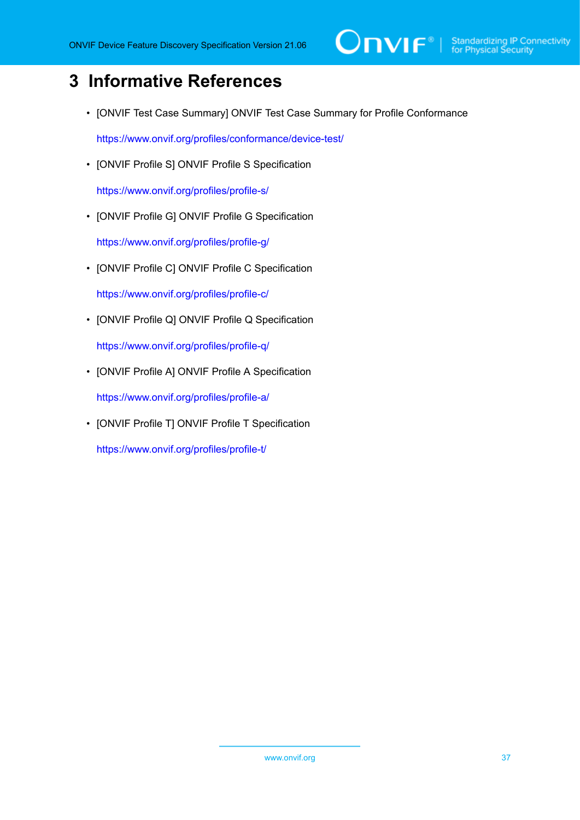# $\sum_{\text{IVIF}^{\circ} | \text{Standardizing IP Connectivity}}$

# **3 Informative References**

• [ONVIF Test Case Summary] ONVIF Test Case Summary for Profile Conformance

<https://www.onvif.org/profiles/conformance/device-test/>

• [ONVIF Profile S] ONVIF Profile S Specification

<https://www.onvif.org/profiles/profile-s/>

• [ONVIF Profile G] ONVIF Profile G Specification

<https://www.onvif.org/profiles/profile-g/>

• [ONVIF Profile C] ONVIF Profile C Specification

<https://www.onvif.org/profiles/profile-c/>

• [ONVIF Profile Q] ONVIF Profile Q Specification

<https://www.onvif.org/profiles/profile-q/>

• [ONVIF Profile A] ONVIF Profile A Specification

<https://www.onvif.org/profiles/profile-a/>

• [ONVIF Profile T] ONVIF Profile T Specification

<https://www.onvif.org/profiles/profile-t/>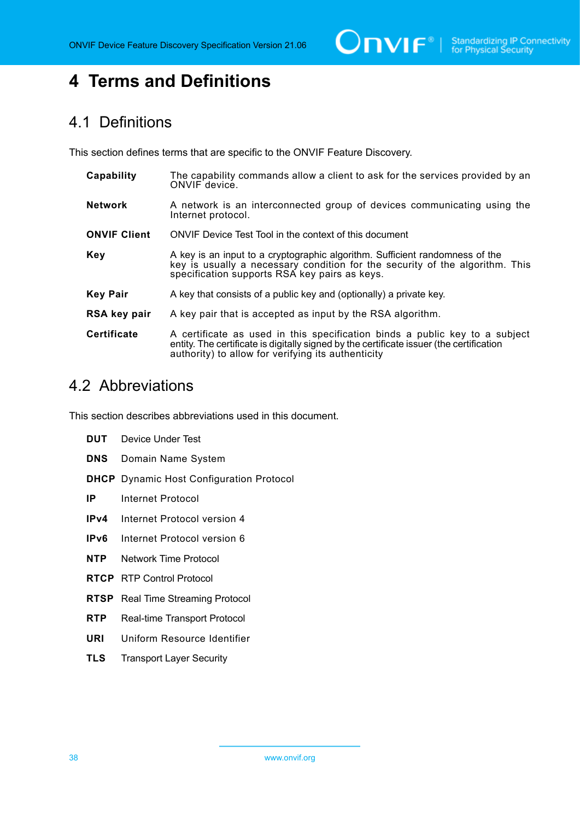$\boxed{\color{red} \bigcap \textbf{VIF}^{\textcolor{red}{\circ}} \; | \; \; \substack{\textnormal{Standardizing IP Connectivity} \\ \textnormal{for Physical Security}}}$ 

# **4 Terms and Definitions**

# 4.1 Definitions

This section defines terms that are specific to the ONVIF Feature Discovery.

| Capability          | The capability commands allow a client to ask for the services provided by an<br>ONVIF device.                                                                                                                                |
|---------------------|-------------------------------------------------------------------------------------------------------------------------------------------------------------------------------------------------------------------------------|
| <b>Network</b>      | A network is an interconnected group of devices communicating using the<br>Internet protocol.                                                                                                                                 |
| <b>ONVIF Client</b> | ONVIF Device Test Tool in the context of this document                                                                                                                                                                        |
| <b>Key</b>          | A key is an input to a cryptographic algorithm. Sufficient randomness of the<br>key is usually a necessary condition for the security of the algorithm. This<br>specification supports RSA key pairs as keys.                 |
| <b>Key Pair</b>     | A key that consists of a public key and (optionally) a private key.                                                                                                                                                           |
| RSA key pair        | A key pair that is accepted as input by the RSA algorithm.                                                                                                                                                                    |
| <b>Certificate</b>  | A certificate as used in this specification binds a public key to a subject<br>entity. The certificate is digitally signed by the certificate issuer (the certification<br>authority) to allow for verifying its authenticity |

# 4.2 Abbreviations

This section describes abbreviations used in this document.

| DUT        | Device Under Test                               |
|------------|-------------------------------------------------|
| DNS        | Domain Name System                              |
|            | <b>DHCP</b> Dynamic Host Configuration Protocol |
| IP -       | Internet Protocol                               |
| IPv4       | Internet Protocol version 4                     |
| IPv6       | Internet Protocol version 6                     |
| NTP.       | Network Time Protocol                           |
|            | <b>RTCP</b> RTP Control Protocol                |
|            | <b>RTSP</b> Real Time Streaming Protocol        |
| <b>RTP</b> | Real-time Transport Protocol                    |
| URI        | Uniform Resource Identifier                     |
| TLS        | <b>Transport Layer Security</b>                 |
|            |                                                 |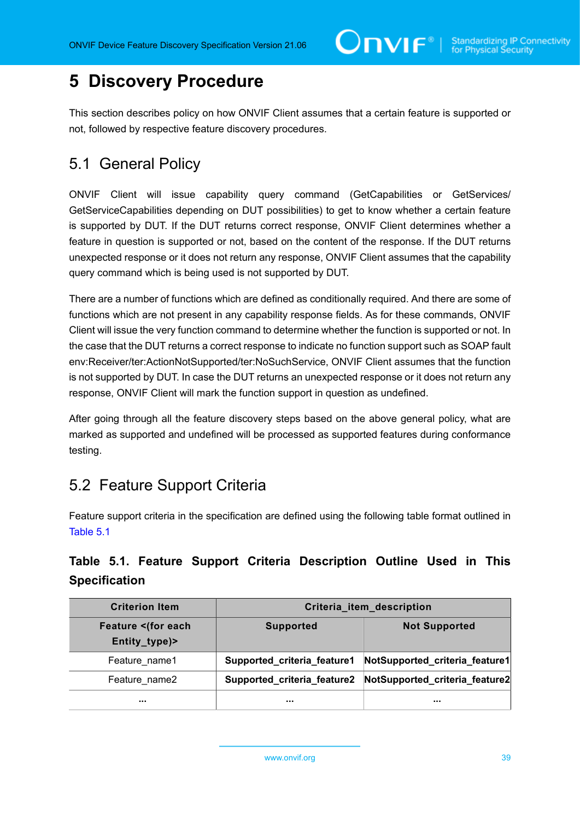# **5 Discovery Procedure**

This section describes policy on how ONVIF Client assumes that a certain feature is supported or not, followed by respective feature discovery procedures.

# 5.1 General Policy

ONVIF Client will issue capability query command (GetCapabilities or GetServices/ GetServiceCapabilities depending on DUT possibilities) to get to know whether a certain feature is supported by DUT. If the DUT returns correct response, ONVIF Client determines whether a feature in question is supported or not, based on the content of the response. If the DUT returns unexpected response or it does not return any response, ONVIF Client assumes that the capability query command which is being used is not supported by DUT.

There are a number of functions which are defined as conditionally required. And there are some of functions which are not present in any capability response fields. As for these commands, ONVIF Client will issue the very function command to determine whether the function is supported or not. In the case that the DUT returns a correct response to indicate no function support such as SOAP fault env:Receiver/ter:ActionNotSupported/ter:NoSuchService, ONVIF Client assumes that the function is not supported by DUT. In case the DUT returns an unexpected response or it does not return any response, ONVIF Client will mark the function support in question as undefined.

After going through all the feature discovery steps based on the above general policy, what are marked as supported and undefined will be processed as supported features during conformance testing.

# <span id="page-38-1"></span>5.2 Feature Support Criteria

Feature support criteria in the specification are defined using the following table format outlined in [Table](#page-38-0) 5.1

### <span id="page-38-0"></span>**Table 5.1. Feature Support Criteria Description Outline Used in This Specification**

| <b>Criterion Item</b>                | Criteria_item_description   |                                |
|--------------------------------------|-----------------------------|--------------------------------|
| <b>Feature <br/>Entity_type)&gt;</b> | <b>Supported</b>            | <b>Not Supported</b>           |
| Feature name1                        | Supported_criteria_feature1 | NotSupported_criteria_feature1 |
| Feature name2                        | Supported_criteria_feature2 | NotSupported_criteria_feature2 |
|                                      |                             |                                |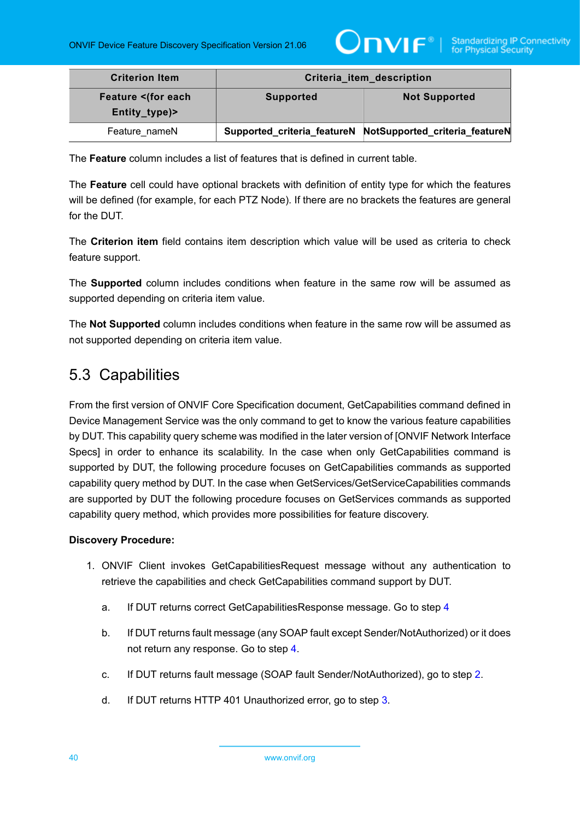

| <b>Criterion Item</b>               | Criteria_item_description |                                                            |
|-------------------------------------|---------------------------|------------------------------------------------------------|
| Feature <(for each<br>Entity_type)> | <b>Supported</b>          | <b>Not Supported</b>                                       |
| Feature nameN                       |                           | Supported_criteria_featureN NotSupported_criteria_featureN |

The **Feature** column includes a list of features that is defined in current table.

The **Feature** cell could have optional brackets with definition of entity type for which the features will be defined (for example, for each PTZ Node). If there are no brackets the features are general for the DUT.

The **Criterion item** field contains item description which value will be used as criteria to check feature support.

The **Supported** column includes conditions when feature in the same row will be assumed as supported depending on criteria item value.

The **Not Supported** column includes conditions when feature in the same row will be assumed as not supported depending on criteria item value.

# 5.3 Capabilities

From the first version of ONVIF Core Specification document, GetCapabilities command defined in Device Management Service was the only command to get to know the various feature capabilities by DUT. This capability query scheme was modified in the later version of [ONVIF Network Interface Specs] in order to enhance its scalability. In the case when only GetCapabilities command is supported by DUT, the following procedure focuses on GetCapabilities commands as supported capability query method by DUT. In the case when GetServices/GetServiceCapabilities commands are supported by DUT the following procedure focuses on GetServices commands as supported capability query method, which provides more possibilities for feature discovery.

- 1. ONVIF Client invokes GetCapabilitiesRequest message without any authentication to retrieve the capabilities and check GetCapabilities command support by DUT.
	- a. If DUT returns correct GetCapabilitiesResponse message. Go to step [4](#page-40-0)
	- b. If DUT returns fault message (any SOAP fault except Sender/NotAuthorized) or it does not return any response. Go to step [4.](#page-40-0)
	- c. If DUT returns fault message (SOAP fault Sender/NotAuthorized), go to step [2](#page-40-1).
	- d. If DUT returns HTTP 401 Unauthorized error, go to step [3.](#page-40-2)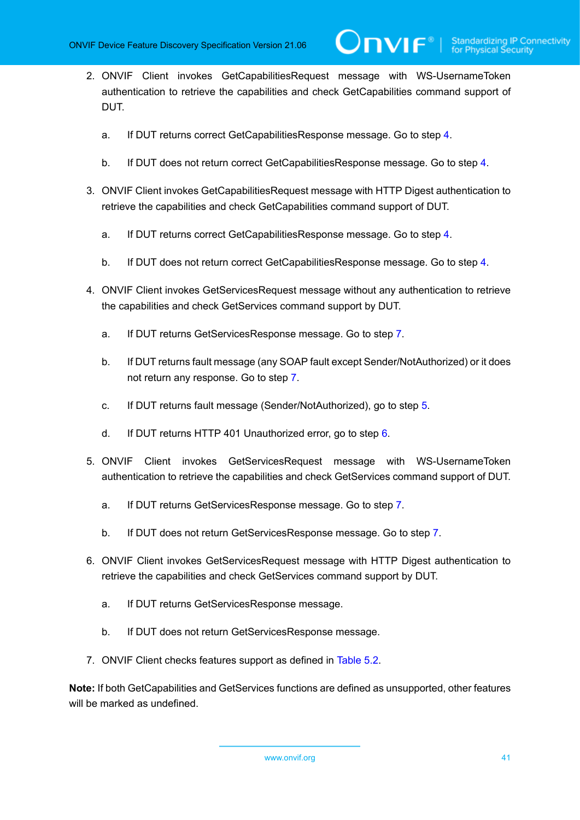<span id="page-40-1"></span>2. ONVIF Client invokes GetCapabilitiesRequest message with WS-UsernameToken authentication to retrieve the capabilities and check GetCapabilities command support of DUT.

 $\mathsf{D}\mathbf{N}\mathsf{I}\mathsf{F}^\ast$ l

- a. If DUT returns correct GetCapabilitiesResponse message. Go to step [4](#page-40-0).
- b. If DUT does not return correct GetCapabilitiesResponse message. Go to step [4](#page-40-0).
- <span id="page-40-2"></span>3. ONVIF Client invokes GetCapabilitiesRequest message with HTTP Digest authentication to retrieve the capabilities and check GetCapabilities command support of DUT.
	- a. If DUT returns correct GetCapabilitiesResponse message. Go to step [4](#page-40-0).
	- b. If DUT does not return correct GetCapabilitiesResponse message. Go to step [4](#page-40-0).
- <span id="page-40-0"></span>4. ONVIF Client invokes GetServicesRequest message without any authentication to retrieve the capabilities and check GetServices command support by DUT.
	- a. If DUT returns GetServicesResponse message. Go to step [7](#page-40-3).
	- b. If DUT returns fault message (any SOAP fault except Sender/NotAuthorized) or it does not return any response. Go to step [7.](#page-40-3)
	- c. If DUT returns fault message (Sender/NotAuthorized), go to step [5.](#page-40-4)
	- d. If DUT returns HTTP 401 Unauthorized error, go to step [6.](#page-40-5)
- <span id="page-40-4"></span>5. ONVIF Client invokes GetServicesRequest message with WS-UsernameToken authentication to retrieve the capabilities and check GetServices command support of DUT.
	- a. If DUT returns GetServicesResponse message. Go to step [7](#page-40-3).
	- b. If DUT does not return GetServicesResponse message. Go to step [7](#page-40-3).
- <span id="page-40-5"></span>6. ONVIF Client invokes GetServicesRequest message with HTTP Digest authentication to retrieve the capabilities and check GetServices command support by DUT.
	- a. If DUT returns GetServicesResponse message.
	- b. If DUT does not return GetServicesResponse message.
- <span id="page-40-3"></span>7. ONVIF Client checks features support as defined in [Table](#page-41-0) 5.2.

**Note:** If both GetCapabilities and GetServices functions are defined as unsupported, other features will be marked as undefined.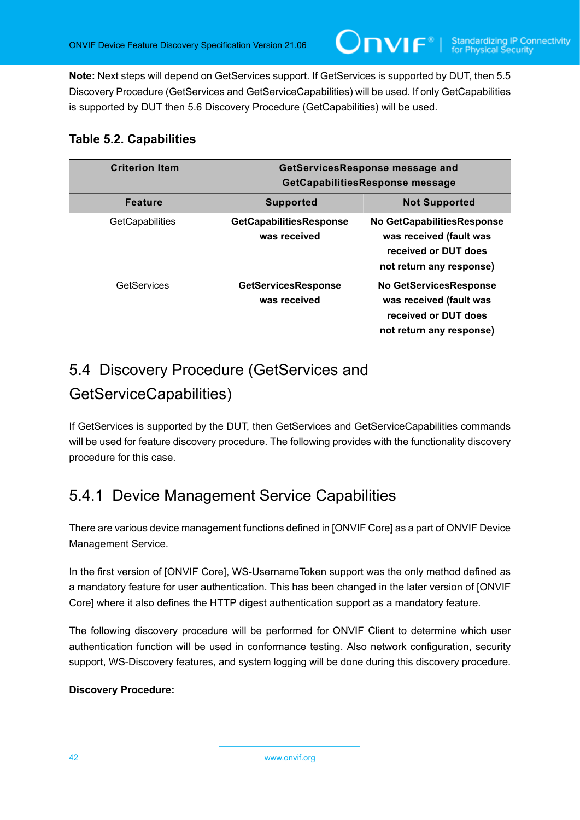**Note:** Next steps will depend on GetServices support. If GetServices is supported by DUT, then 5.5 Discovery Procedure (GetServices and GetServiceCapabilities) will be used. If only GetCapabilities is supported by DUT then 5.6 Discovery Procedure (GetCapabilities) will be used.

### <span id="page-41-0"></span>**Table 5.2. Capabilities**

| <b>Criterion Item</b>  | GetServicesResponse message and<br>GetCapabilitiesResponse message |                                                                                                              |
|------------------------|--------------------------------------------------------------------|--------------------------------------------------------------------------------------------------------------|
| <b>Feature</b>         | <b>Supported</b>                                                   | <b>Not Supported</b>                                                                                         |
| <b>GetCapabilities</b> | GetCapabilitiesResponse<br>was received                            | No GetCapabilitiesResponse<br>was received (fault was<br>received or DUT does<br>not return any response)    |
| GetServices            | <b>GetServicesResponse</b><br>was received                         | <b>No GetServicesResponse</b><br>was received (fault was<br>received or DUT does<br>not return any response) |

# 5.4 Discovery Procedure (GetServices and GetServiceCapabilities)

If GetServices is supported by the DUT, then GetServices and GetServiceCapabilities commands will be used for feature discovery procedure. The following provides with the functionality discovery procedure for this case.

# <span id="page-41-1"></span>5.4.1 Device Management Service Capabilities

There are various device management functions defined in [ONVIF Core] as a part of ONVIF Device Management Service.

In the first version of [ONVIF Core], WS-UsernameToken support was the only method defined as a mandatory feature for user authentication. This has been changed in the later version of [ONVIF Core] where it also defines the HTTP digest authentication support as a mandatory feature.

The following discovery procedure will be performed for ONVIF Client to determine which user authentication function will be used in conformance testing. Also network configuration, security support, WS-Discovery features, and system logging will be done during this discovery procedure.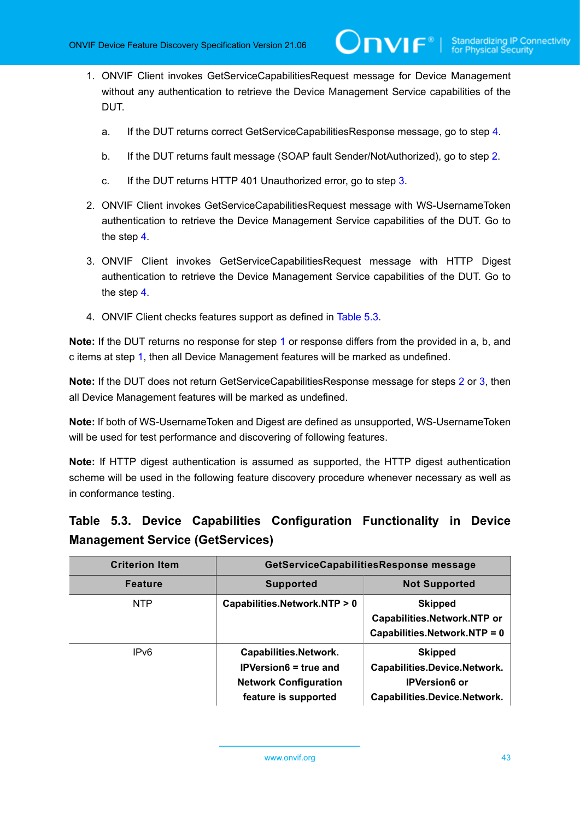**TVIF**®

- <span id="page-42-4"></span>1. ONVIF Client invokes GetServiceCapabilitiesRequest message for Device Management without any authentication to retrieve the Device Management Service capabilities of the DUT.
	- a. If the DUT returns correct GetServiceCapabilitiesResponse message, go to step [4.](#page-42-0)
	- b. If the DUT returns fault message (SOAP fault Sender/NotAuthorized), go to step [2.](#page-42-1)
	- c. If the DUT returns HTTP 401 Unauthorized error, go to step [3](#page-42-2).
- <span id="page-42-1"></span>2. ONVIF Client invokes GetServiceCapabilitiesRequest message with WS-UsernameToken authentication to retrieve the Device Management Service capabilities of the DUT. Go to the step [4.](#page-42-0)
- <span id="page-42-2"></span>3. ONVIF Client invokes GetServiceCapabilitiesRequest message with HTTP Digest authentication to retrieve the Device Management Service capabilities of the DUT. Go to the step [4.](#page-42-0)
- <span id="page-42-0"></span>4. ONVIF Client checks features support as defined in [Table](#page-42-3) 5.3.

**Note:** If the DUT returns no response for step [1](#page-42-4) or response differs from the provided in a, b, and c items at step [1](#page-42-4), then all Device Management features will be marked as undefined.

**Note:** If the DUT does not return GetServiceCapabilitiesResponse message for steps [2](#page-42-1) or [3](#page-42-2), then all Device Management features will be marked as undefined.

**Note:** If both of WS-UsernameToken and Digest are defined as unsupported, WS-UsernameToken will be used for test performance and discovering of following features.

**Note:** If HTTP digest authentication is assumed as supported, the HTTP digest authentication scheme will be used in the following feature discovery procedure whenever necessary as well as in conformance testing.

### <span id="page-42-3"></span>**Table 5.3. Device Capabilities Configuration Functionality in Device Management Service (GetServices)**

| <b>Criterion Item</b> | GetServiceCapabilitiesResponse message                                                                               |                                                                                                        |
|-----------------------|----------------------------------------------------------------------------------------------------------------------|--------------------------------------------------------------------------------------------------------|
| <b>Feature</b>        | <b>Supported</b>                                                                                                     | <b>Not Supported</b>                                                                                   |
| <b>NTP</b>            | Capabilities.Network.NTP > 0                                                                                         | <b>Skipped</b><br>Capabilities.Network.NTP or<br>Capabilities.Network.NTP = 0                          |
| IP <sub>v6</sub>      | <b>Capabilities.Network.</b><br><b>IPVersion6</b> = true and<br><b>Network Configuration</b><br>feature is supported | <b>Skipped</b><br>Capabilities.Device.Network.<br><b>IPVersion6 or</b><br>Capabilities.Device.Network. |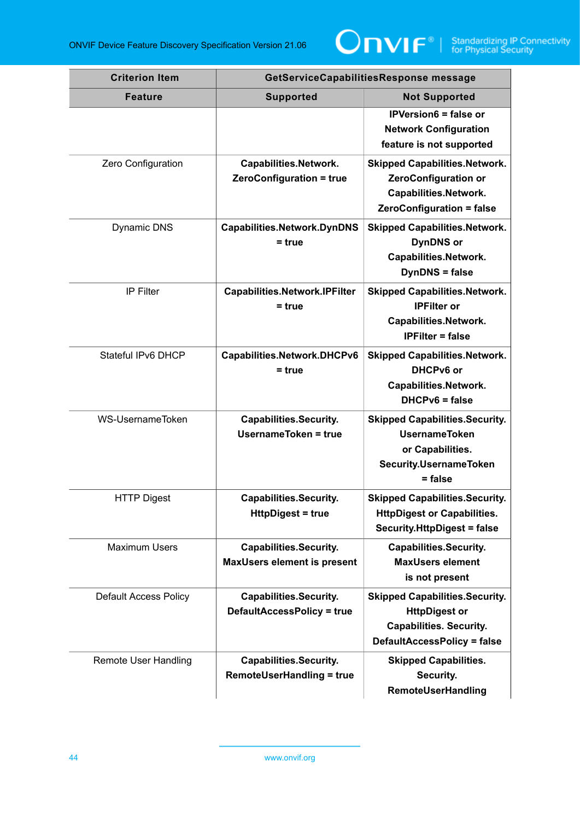

| <b>Criterion Item</b>        | GetServiceCapabilitiesResponse message                              |                                                                                                                                  |
|------------------------------|---------------------------------------------------------------------|----------------------------------------------------------------------------------------------------------------------------------|
| <b>Feature</b>               | <b>Supported</b>                                                    | <b>Not Supported</b>                                                                                                             |
|                              |                                                                     | <b>IPVersion6 = false or</b><br><b>Network Configuration</b><br>feature is not supported                                         |
| Zero Configuration           | Capabilities.Network.<br><b>ZeroConfiguration = true</b>            | <b>Skipped Capabilities.Network.</b><br><b>ZeroConfiguration or</b><br>Capabilities.Network.<br><b>ZeroConfiguration = false</b> |
| <b>Dynamic DNS</b>           | <b>Capabilities.Network.DynDNS</b><br>$= true$                      | <b>Skipped Capabilities.Network.</b><br><b>DynDNS</b> or<br>Capabilities.Network.<br><b>DynDNS</b> = false                       |
| <b>IP Filter</b>             | <b>Capabilities.Network.IPFilter</b><br>$= true$                    | <b>Skipped Capabilities.Network.</b><br><b>IPFilter or</b><br>Capabilities.Network.<br><b>IPFilter = false</b>                   |
| Stateful IPv6 DHCP           | Capabilities.Network.DHCPv6<br>$= true$                             | <b>Skipped Capabilities.Network.</b><br>DHCPv6 or<br>Capabilities.Network.<br>$DHCPv6 = false$                                   |
| WS-UsernameToken             | <b>Capabilities.Security.</b><br>UsernameToken = true               | <b>Skipped Capabilities.Security.</b><br><b>UsernameToken</b><br>or Capabilities.<br><b>Security.UsernameToken</b><br>$= false$  |
| <b>HTTP Digest</b>           | <b>Capabilities.Security.</b><br><b>HttpDigest = true</b>           | <b>Skipped Capabilities.Security.</b><br><b>HttpDigest or Capabilities.</b><br><b>Security.HttpDigest = false</b>                |
| <b>Maximum Users</b>         | <b>Capabilities.Security.</b><br><b>MaxUsers element is present</b> | <b>Capabilities.Security.</b><br><b>MaxUsers element</b><br>is not present                                                       |
| <b>Default Access Policy</b> | <b>Capabilities.Security.</b><br><b>DefaultAccessPolicy = true</b>  | <b>Skipped Capabilities.Security.</b><br><b>HttpDigest or</b><br><b>Capabilities. Security.</b><br>DefaultAccessPolicy = false   |
| <b>Remote User Handling</b>  | <b>Capabilities.Security.</b><br><b>RemoteUserHandling = true</b>   | <b>Skipped Capabilities.</b><br>Security.<br>RemoteUserHandling                                                                  |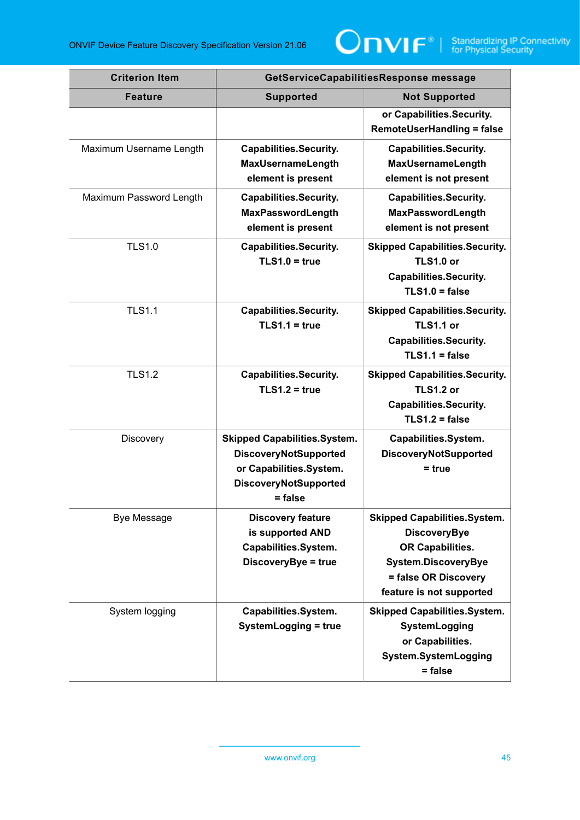

| <b>Criterion Item</b>   | GetServiceCapabilitiesResponse message                                                                                                      |                                                                                                                                                           |
|-------------------------|---------------------------------------------------------------------------------------------------------------------------------------------|-----------------------------------------------------------------------------------------------------------------------------------------------------------|
| <b>Feature</b>          | <b>Supported</b>                                                                                                                            | <b>Not Supported</b>                                                                                                                                      |
|                         |                                                                                                                                             | or Capabilities.Security.<br><b>RemoteUserHandling = false</b>                                                                                            |
| Maximum Username Length | <b>Capabilities.Security.</b><br><b>MaxUsernameLength</b><br>element is present                                                             | <b>Capabilities.Security.</b><br><b>MaxUsernameLength</b><br>element is not present                                                                       |
| Maximum Password Length | <b>Capabilities.Security.</b><br>MaxPasswordLength<br>element is present                                                                    | <b>Capabilities.Security.</b><br>MaxPasswordLength<br>element is not present                                                                              |
| <b>TLS1.0</b>           | <b>Capabilities.Security.</b><br>$TLS1.0 = true$                                                                                            | <b>Skipped Capabilities.Security.</b><br><b>TLS1.0 or</b><br><b>Capabilities.Security.</b><br>$TLS1.0 = false$                                            |
| <b>TLS1.1</b>           | <b>Capabilities.Security.</b><br>$TLS1.1 = true$                                                                                            | <b>Skipped Capabilities.Security.</b><br><b>TLS1.1 or</b><br><b>Capabilities.Security.</b><br>$TLS1.1 = false$                                            |
| <b>TLS1.2</b>           | <b>Capabilities.Security.</b><br>$TLS1.2 = true$                                                                                            | <b>Skipped Capabilities.Security.</b><br><b>TLS1.2 or</b><br><b>Capabilities.Security.</b><br>$TLS1.2 = false$                                            |
| Discovery               | <b>Skipped Capabilities.System.</b><br><b>DiscoveryNotSupported</b><br>or Capabilities.System.<br><b>DiscoveryNotSupported</b><br>$=$ false | Capabilities.System.<br><b>DiscoveryNotSupported</b><br>= true                                                                                            |
| <b>Bye Message</b>      | <b>Discovery feature</b><br>is supported AND<br>Capabilities.System.<br>DiscoveryBye = true                                                 | <b>Skipped Capabilities.System.</b><br><b>DiscoveryBye</b><br>OR Capabilities.<br>System.DiscoveryBye<br>= false OR Discovery<br>feature is not supported |
| System logging          | Capabilities.System.<br>SystemLogging = true                                                                                                | <b>Skipped Capabilities.System.</b><br>SystemLogging<br>or Capabilities.<br>System.SystemLogging<br>= false                                               |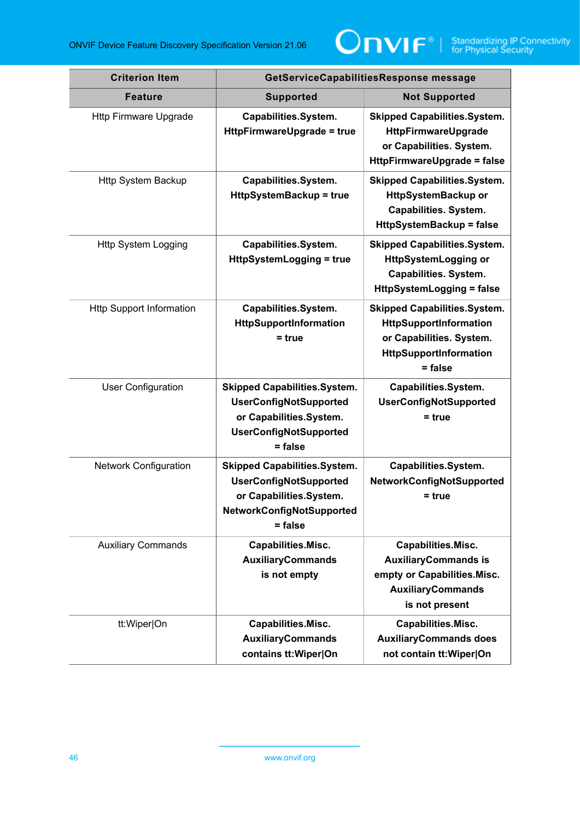

| <b>Criterion Item</b>           | GetServiceCapabilitiesResponse message                                                                                                        |                                                                                                                                         |
|---------------------------------|-----------------------------------------------------------------------------------------------------------------------------------------------|-----------------------------------------------------------------------------------------------------------------------------------------|
| <b>Feature</b>                  | <b>Supported</b>                                                                                                                              | <b>Not Supported</b>                                                                                                                    |
| <b>Http Firmware Upgrade</b>    | Capabilities.System.<br>HttpFirmwareUpgrade = true                                                                                            | <b>Skipped Capabilities.System.</b><br>HttpFirmwareUpgrade<br>or Capabilities. System.<br><b>HttpFirmwareUpgrade = false</b>            |
| <b>Http System Backup</b>       | Capabilities.System.<br><b>HttpSystemBackup = true</b>                                                                                        | <b>Skipped Capabilities.System.</b><br>HttpSystemBackup or<br><b>Capabilities. System.</b><br><b>HttpSystemBackup = false</b>           |
| <b>Http System Logging</b>      | Capabilities.System.<br><b>HttpSystemLogging = true</b>                                                                                       | <b>Skipped Capabilities.System.</b><br><b>HttpSystemLogging or</b><br><b>Capabilities. System.</b><br><b>HttpSystemLogging = false</b>  |
| <b>Http Support Information</b> | Capabilities.System.<br>HttpSupportInformation<br>$=$ true                                                                                    | <b>Skipped Capabilities.System.</b><br>HttpSupportInformation<br>or Capabilities. System.<br><b>HttpSupportInformation</b><br>$=$ false |
| <b>User Configuration</b>       | <b>Skipped Capabilities.System.</b><br><b>UserConfigNotSupported</b><br>or Capabilities.System.<br><b>UserConfigNotSupported</b><br>$=$ false | Capabilities.System.<br><b>UserConfigNotSupported</b><br>$=$ true                                                                       |
| <b>Network Configuration</b>    | <b>Skipped Capabilities.System.</b><br><b>UserConfigNotSupported</b><br>or Capabilities.System.<br>NetworkConfigNotSupported<br>= false       | Capabilities.System.<br>NetworkConfigNotSupported<br>$= true$                                                                           |
| <b>Auxiliary Commands</b>       | Capabilities.Misc.<br><b>AuxiliaryCommands</b><br>is not empty                                                                                | Capabilities.Misc.<br><b>AuxiliaryCommands is</b><br>empty or Capabilities.Misc.<br><b>AuxiliaryCommands</b><br>is not present          |
| tt:Wiper On                     | Capabilities.Misc.<br><b>AuxiliaryCommands</b><br>contains tt: Wiper On                                                                       | Capabilities.Misc.<br><b>AuxiliaryCommands does</b><br>not contain tt: Wiper On                                                         |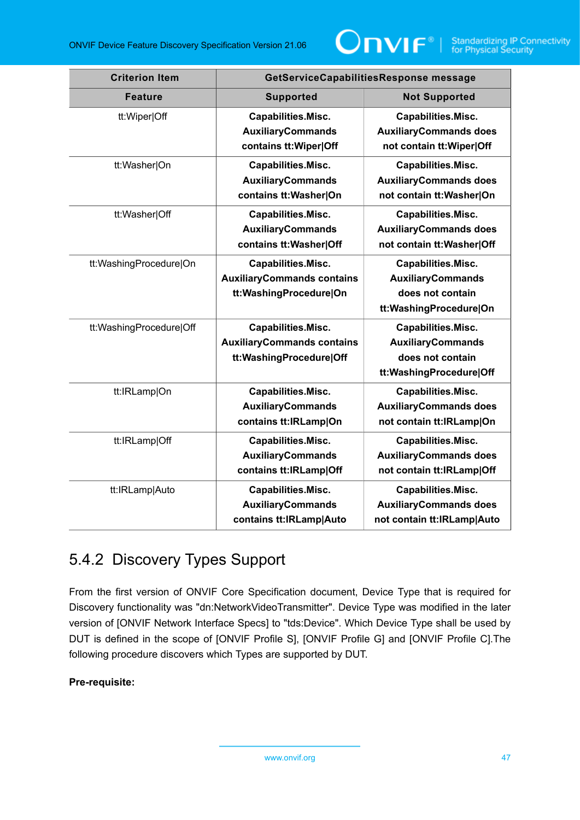

| <b>Criterion Item</b>   | GetServiceCapabilitiesResponse message                                                    |                                                                                               |
|-------------------------|-------------------------------------------------------------------------------------------|-----------------------------------------------------------------------------------------------|
| <b>Feature</b>          | <b>Supported</b>                                                                          | <b>Not Supported</b>                                                                          |
| tt:Wiper Off            | Capabilities.Misc.<br><b>AuxiliaryCommands</b><br>contains tt: Wiper Off                  | Capabilities.Misc.<br><b>AuxiliaryCommands does</b><br>not contain tt: Wiper Off              |
| tt:Washer On            | Capabilities.Misc.<br><b>AuxiliaryCommands</b><br>contains tt: Washer On                  | Capabilities.Misc.<br><b>AuxiliaryCommands does</b><br>not contain tt: Washer On              |
| tt:Washer Off           | Capabilities.Misc.<br><b>AuxiliaryCommands</b><br>contains tt: Washer Off                 | Capabilities.Misc.<br><b>AuxiliaryCommands does</b><br>not contain tt: Washer Off             |
| tt:WashingProcedure On  | Capabilities.Misc.<br><b>AuxiliaryCommands contains</b><br>tt:WashingProcedure On         | Capabilities.Misc.<br><b>AuxiliaryCommands</b><br>does not contain<br>tt:WashingProcedure On  |
| tt:WashingProcedure Off | <b>Capabilities.Misc.</b><br><b>AuxiliaryCommands contains</b><br>tt:WashingProcedure Off | Capabilities.Misc.<br><b>AuxiliaryCommands</b><br>does not contain<br>tt:WashingProcedure Off |
| tt:IRLamp On            | Capabilities.Misc.<br><b>AuxiliaryCommands</b><br>contains tt:IRLamp On                   | Capabilities.Misc.<br><b>AuxiliaryCommands does</b><br>not contain tt:IRLamp On               |
| tt:IRLamp Off           | Capabilities.Misc.<br><b>AuxiliaryCommands</b><br>contains tt:IRLamp Off                  | Capabilities.Misc.<br><b>AuxiliaryCommands does</b><br>not contain tt:IRLamp Off              |
| tt:IRLamp Auto          | Capabilities.Misc.<br><b>AuxiliaryCommands</b><br>contains tt:IRLamp Auto                 | Capabilities.Misc.<br><b>AuxiliaryCommands does</b><br>not contain tt:IRLamp Auto             |

# 5.4.2 Discovery Types Support

From the first version of ONVIF Core Specification document, Device Type that is required for Discovery functionality was "dn:NetworkVideoTransmitter". Device Type was modified in the later version of [ONVIF Network Interface Specs] to "tds:Device". Which Device Type shall be used by DUT is defined in the scope of [ONVIF Profile S], [ONVIF Profile G] and [ONVIF Profile C].The following procedure discovers which Types are supported by DUT.

### **Pre-requisite:**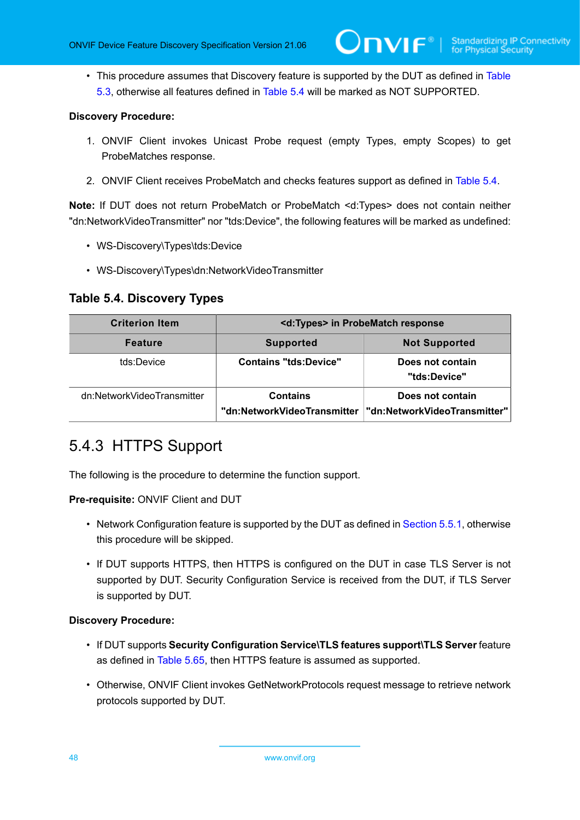• This procedure assumes that Discovery feature is supported by the DUT as defined in [Table](#page-42-3) [5.3,](#page-42-3) otherwise all features defined in [Table](#page-47-0) 5.4 will be marked as NOT SUPPORTED.

### **Discovery Procedure:**

- 1. ONVIF Client invokes Unicast Probe request (empty Types, empty Scopes) to get ProbeMatches response.
- 2. ONVIF Client receives ProbeMatch and checks features support as defined in [Table](#page-47-0) 5.4.

**Note:** If DUT does not return ProbeMatch or ProbeMatch <d:Types> does not contain neither "dn:NetworkVideoTransmitter" nor "tds:Device", the following features will be marked as undefined:

- WS-Discovery\Types\tds:Device
- WS-Discovery\Types\dn:NetworkVideoTransmitter

### <span id="page-47-0"></span>**Table 5.4. Discovery Types**

| <b>Criterion Item</b>      | <d:types> in ProbeMatch response</d:types>     |                                                  |
|----------------------------|------------------------------------------------|--------------------------------------------------|
| <b>Feature</b>             | <b>Supported</b>                               | <b>Not Supported</b>                             |
| tds:Device                 | <b>Contains "tds:Device"</b>                   | Does not contain<br>"tds:Device"                 |
| dn:NetworkVideoTransmitter | <b>Contains</b><br>"dn:NetworkVideoTransmitter | Does not contain<br>"dn:NetworkVideoTransmitter" |

# <span id="page-47-1"></span>5.4.3 HTTPS Support

The following is the procedure to determine the function support.

### **Pre-requisite:** ONVIF Client and DUT

- Network Configuration feature is supported by the DUT as defined in [Section 5.5.1](#page-41-1), otherwise this procedure will be skipped.
- If DUT supports HTTPS, then HTTPS is configured on the DUT in case TLS Server is not supported by DUT. Security Configuration Service is received from the DUT, if TLS Server is supported by DUT.

- If DUT supports **Security Configuration Service\TLS features support\TLS Server** feature as defined in [Table](#page-109-0) 5.65, then HTTPS feature is assumed as supported.
- Otherwise, ONVIF Client invokes GetNetworkProtocols request message to retrieve network protocols supported by DUT.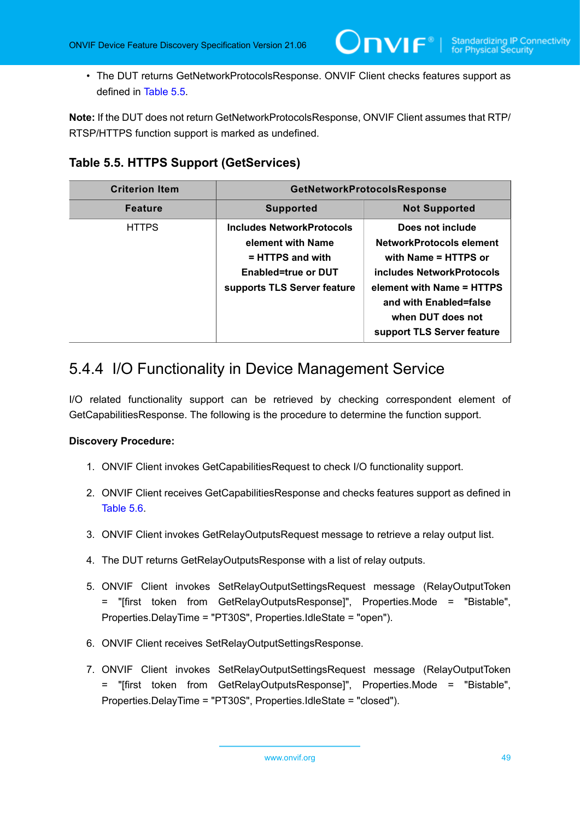• The DUT returns GetNetworkProtocolsResponse. ONVIF Client checks features support as defined in [Table](#page-48-0) 5.5.

**Note:** If the DUT does not return GetNetworkProtocolsResponse, ONVIF Client assumes that RTP/ RTSP/HTTPS function support is marked as undefined.

<span id="page-48-0"></span>**Table 5.5. HTTPS Support (GetServices)**

| <b>Criterion Item</b> | GetNetworkProtocolsResponse                                                                                                              |                                                                                                                                                                                                             |
|-----------------------|------------------------------------------------------------------------------------------------------------------------------------------|-------------------------------------------------------------------------------------------------------------------------------------------------------------------------------------------------------------|
| <b>Feature</b>        | <b>Supported</b>                                                                                                                         | <b>Not Supported</b>                                                                                                                                                                                        |
| <b>HTTPS</b>          | <b>Includes NetworkProtocols</b><br>element with Name<br>$=$ HTTPS and with<br><b>Enabled=true or DUT</b><br>supports TLS Server feature | Does not include<br>NetworkProtocols element<br>with Name = HTTPS or<br>includes NetworkProtocols<br>element with Name = HTTPS<br>and with Enabled=false<br>when DUT does not<br>support TLS Server feature |

# 5.4.4 I/O Functionality in Device Management Service

I/O related functionality support can be retrieved by checking correspondent element of GetCapabilitiesResponse. The following is the procedure to determine the function support.

- 1. ONVIF Client invokes GetCapabilitiesRequest to check I/O functionality support.
- 2. ONVIF Client receives GetCapabilitiesResponse and checks features support as defined in [Table](#page-49-0) 5.6.
- 3. ONVIF Client invokes GetRelayOutputsRequest message to retrieve a relay output list.
- 4. The DUT returns GetRelayOutputsResponse with a list of relay outputs.
- 5. ONVIF Client invokes SetRelayOutputSettingsRequest message (RelayOutputToken = "[first token from GetRelayOutputsResponse]", Properties.Mode = "Bistable", Properties.DelayTime = "PT30S", Properties.IdleState = "open").
- <span id="page-48-1"></span>6. ONVIF Client receives SetRelayOutputSettingsResponse.
- 7. ONVIF Client invokes SetRelayOutputSettingsRequest message (RelayOutputToken = "[first token from GetRelayOutputsResponse]", Properties.Mode = "Bistable", Properties.DelayTime = "PT30S", Properties.IdleState = "closed").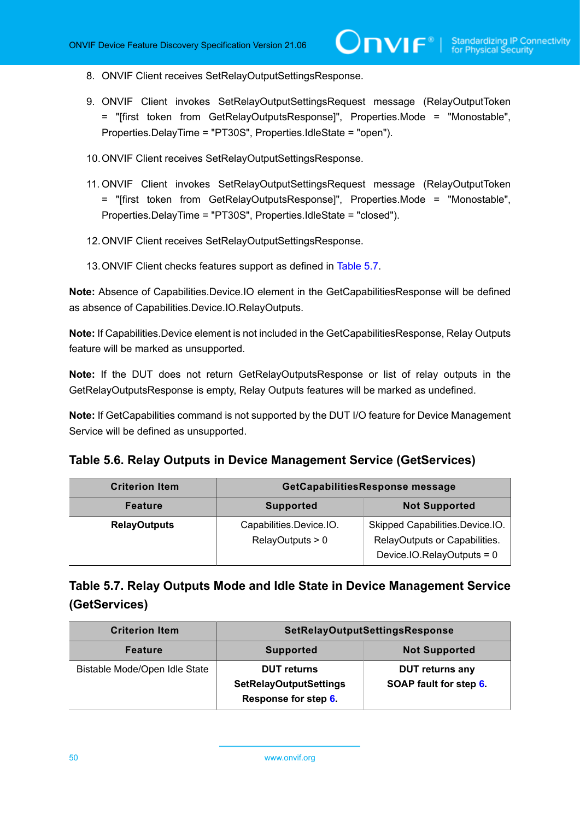- <span id="page-49-2"></span>8. ONVIF Client receives SetRelayOutputSettingsResponse.
- <span id="page-49-3"></span>9. ONVIF Client invokes SetRelayOutputSettingsRequest message (RelayOutputToken = "[first token from GetRelayOutputsResponse]", Properties.Mode = "Monostable", Properties.DelayTime = "PT30S", Properties.IdleState = "open").
- 10.ONVIF Client receives SetRelayOutputSettingsResponse.
- <span id="page-49-4"></span>11. ONVIF Client invokes SetRelayOutputSettingsRequest message (RelayOutputToken = "[first token from GetRelayOutputsResponse]", Properties.Mode = "Monostable", Properties.DelayTime = "PT30S", Properties.IdleState = "closed").
- 12.ONVIF Client receives SetRelayOutputSettingsResponse.
- 13.ONVIF Client checks features support as defined in [Table](#page-49-1) 5.7.

**Note:** Absence of Capabilities.Device.IO element in the GetCapabilitiesResponse will be defined as absence of Capabilities.Device.IO.RelayOutputs.

**Note:** If Capabilities.Device element is not included in the GetCapabilitiesResponse, Relay Outputs feature will be marked as unsupported.

**Note:** If the DUT does not return GetRelayOutputsResponse or list of relay outputs in the GetRelayOutputsResponse is empty, Relay Outputs features will be marked as undefined.

**Note:** If GetCapabilities command is not supported by the DUT I/O feature for Device Management Service will be defined as unsupported.

<span id="page-49-0"></span>

|  |  |  | Table 5.6. Relay Outputs in Device Management Service (GetServices) |
|--|--|--|---------------------------------------------------------------------|
|--|--|--|---------------------------------------------------------------------|

| <b>Criterion Item</b> | GetCapabilitiesResponse message             |                                                                                                  |
|-----------------------|---------------------------------------------|--------------------------------------------------------------------------------------------------|
| <b>Feature</b>        | <b>Supported</b>                            | <b>Not Supported</b>                                                                             |
| <b>RelayOutputs</b>   | Capabilities.Device.IO.<br>RelayOutputs > 0 | Skipped Capabilities.Device.IO.<br>RelayOutputs or Capabilities.<br>Device.IO.RelayOutputs = $0$ |

### <span id="page-49-1"></span>**Table 5.7. Relay Outputs Mode and Idle State in Device Management Service (GetServices)**

| <b>Criterion Item</b>         | SetRelayOutputSettingsResponse                                              |                                                  |
|-------------------------------|-----------------------------------------------------------------------------|--------------------------------------------------|
| <b>Feature</b>                | <b>Supported</b>                                                            | <b>Not Supported</b>                             |
| Bistable Mode/Open Idle State | <b>DUT</b> returns<br><b>SetRelayOutputSettings</b><br>Response for step 6. | <b>DUT returns any</b><br>SOAP fault for step 6. |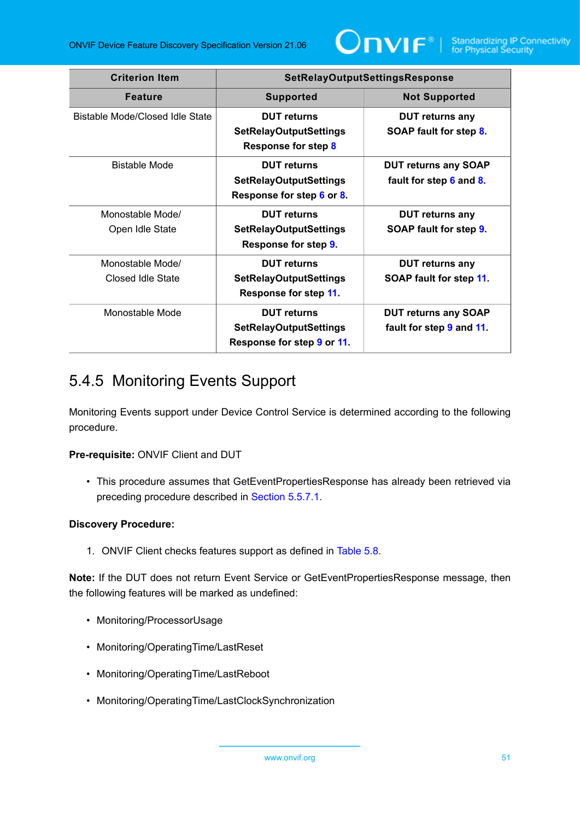

| <b>Criterion Item</b>                 | <b>SetRelayOutputSettingsResponse</b>                                             |                                                         |
|---------------------------------------|-----------------------------------------------------------------------------------|---------------------------------------------------------|
| <b>Feature</b>                        | <b>Supported</b>                                                                  | <b>Not Supported</b>                                    |
| Bistable Mode/Closed Idle State       | <b>DUT</b> returns<br><b>SetRelayOutputSettings</b><br>Response for step 8        | <b>DUT</b> returns any<br>SOAP fault for step 8.        |
| Bistable Mode                         | <b>DUT</b> returns<br><b>SetRelayOutputSettings</b><br>Response for step 6 or 8.  | <b>DUT returns any SOAP</b><br>fault for step 6 and 8.  |
| Monostable Mode/<br>Open Idle State   | <b>DUT</b> returns<br><b>SetRelayOutputSettings</b><br>Response for step 9.       | <b>DUT returns any</b><br>SOAP fault for step 9.        |
| Monostable Mode/<br>Closed Idle State | <b>DUT</b> returns<br><b>SetRelayOutputSettings</b><br>Response for step 11.      | <b>DUT returns any</b><br>SOAP fault for step 11.       |
| Monostable Mode                       | <b>DUT</b> returns<br><b>SetRelayOutputSettings</b><br>Response for step 9 or 11. | <b>DUT returns any SOAP</b><br>fault for step 9 and 11. |

# 5.4.5 Monitoring Events Support

Monitoring Events support under Device Control Service is determined according to the following procedure.

### **Pre-requisite:** ONVIF Client and DUT

• This procedure assumes that GetEventPropertiesResponse has already been retrieved via preceding procedure described in [Section 5.5.7.1.](#page-65-0)

### **Discovery Procedure:**

1. ONVIF Client checks features support as defined in [Table](#page-51-0) 5.8.

**Note:** If the DUT does not return Event Service or GetEventPropertiesResponse message, then the following features will be marked as undefined:

- Monitoring/ProcessorUsage
- Monitoring/OperatingTime/LastReset
- Monitoring/OperatingTime/LastReboot
- Monitoring/OperatingTime/LastClockSynchronization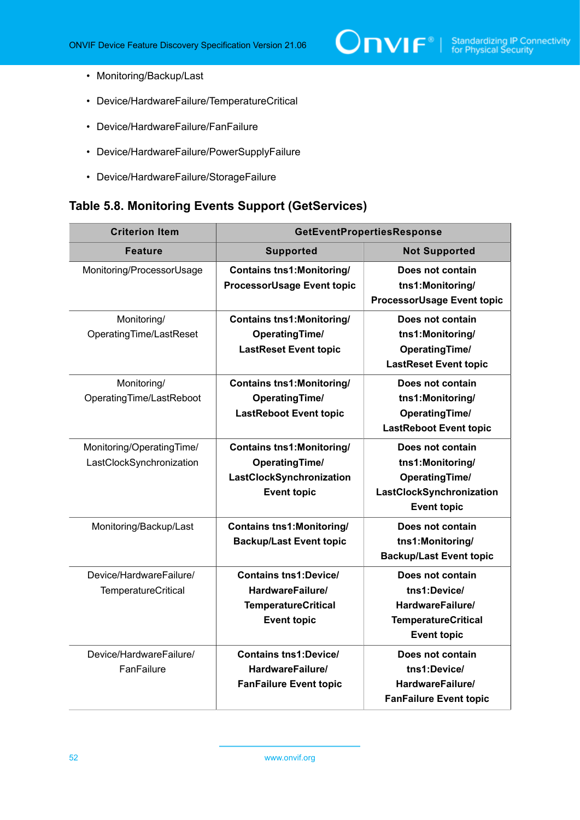$\boxed{\color{red}{\bigcap\mathbf{VIF}^{\circ}\mid \; \substack{\text{Standardizing IP Connectivity} \\ \text{for Physical Security}}} }$ 

- Monitoring/Backup/Last
- Device/HardwareFailure/TemperatureCritical
- Device/HardwareFailure/FanFailure
- Device/HardwareFailure/PowerSupplyFailure
- Device/HardwareFailure/StorageFailure

### <span id="page-51-0"></span>**Table 5.8. Monitoring Events Support (GetServices)**

| <b>Criterion Item</b>                                 | <b>GetEventPropertiesResponse</b>                                                                            |                                                                                                                 |
|-------------------------------------------------------|--------------------------------------------------------------------------------------------------------------|-----------------------------------------------------------------------------------------------------------------|
| <b>Feature</b>                                        | <b>Supported</b>                                                                                             | <b>Not Supported</b>                                                                                            |
| Monitoring/ProcessorUsage                             | <b>Contains tns1: Monitoring/</b><br><b>ProcessorUsage Event topic</b>                                       | Does not contain<br>tns1:Monitoring/<br><b>ProcessorUsage Event topic</b>                                       |
| Monitoring/<br>OperatingTime/LastReset                | <b>Contains tns1: Monitoring/</b><br><b>OperatingTime/</b><br><b>LastReset Event topic</b>                   | Does not contain<br>tns1:Monitoring/<br><b>OperatingTime/</b><br><b>LastReset Event topic</b>                   |
| Monitoring/<br>OperatingTime/LastReboot               | <b>Contains tns1:Monitoring/</b><br><b>OperatingTime/</b><br><b>LastReboot Event topic</b>                   | Does not contain<br>tns1:Monitoring/<br><b>OperatingTime/</b><br><b>LastReboot Event topic</b>                  |
| Monitoring/OperatingTime/<br>LastClockSynchronization | <b>Contains tns1: Monitoring/</b><br><b>OperatingTime/</b><br>LastClockSynchronization<br><b>Event topic</b> | Does not contain<br>tns1:Monitoring/<br><b>OperatingTime/</b><br>LastClockSynchronization<br><b>Event topic</b> |
| Monitoring/Backup/Last                                | <b>Contains tns1:Monitoring/</b><br><b>Backup/Last Event topic</b>                                           | Does not contain<br>tns1:Monitoring/<br><b>Backup/Last Event topic</b>                                          |
| Device/HardwareFailure/<br><b>TemperatureCritical</b> | <b>Contains tns1:Device/</b><br>HardwareFailure/<br><b>TemperatureCritical</b><br><b>Event topic</b>         | Does not contain<br>tns1:Device/<br>HardwareFailure/<br><b>TemperatureCritical</b><br><b>Event topic</b>        |
| Device/HardwareFailure/<br>FanFailure                 | <b>Contains tns1:Device/</b><br>HardwareFailure/<br><b>FanFailure Event topic</b>                            | Does not contain<br>tns1:Device/<br>HardwareFailure/<br><b>FanFailure Event topic</b>                           |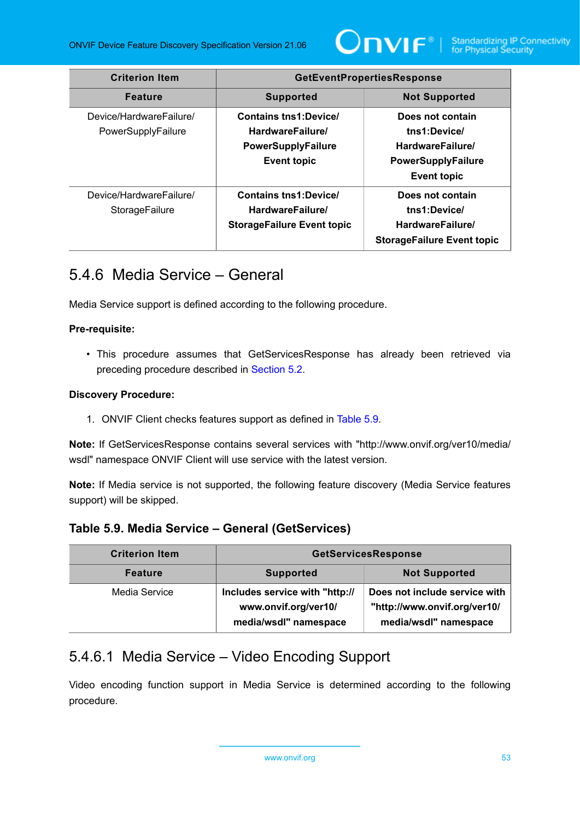

| <b>Criterion Item</b>                         | <b>GetEventPropertiesResponse</b>                                                                   |                                                                                                         |
|-----------------------------------------------|-----------------------------------------------------------------------------------------------------|---------------------------------------------------------------------------------------------------------|
| <b>Feature</b>                                | <b>Supported</b>                                                                                    | <b>Not Supported</b>                                                                                    |
| Device/HardwareFailure/<br>PowerSupplyFailure | <b>Contains tns1:Device/</b><br>HardwareFailure/<br><b>PowerSupplyFailure</b><br><b>Event topic</b> | Does not contain<br>tns1:Device/<br>HardwareFailure/<br><b>PowerSupplyFailure</b><br><b>Event topic</b> |
| Device/HardwareFailure/<br>StorageFailure     | <b>Contains tns1:Device/</b><br>HardwareFailure/<br><b>StorageFailure Event topic</b>               | Does not contain<br>tns1:Device/<br>HardwareFailure/<br><b>StorageFailure Event topic</b>               |

# 5.4.6 Media Service – General

Media Service support is defined according to the following procedure.

### **Pre-requisite:**

• This procedure assumes that GetServicesResponse has already been retrieved via preceding procedure described in [Section 5.2](#page-38-1).

### **Discovery Procedure:**

1. ONVIF Client checks features support as defined in [Table](#page-52-0) 5.9.

**Note:** If GetServicesResponse contains several services with "http://www.onvif.org/ver10/media/ wsdl" namespace ONVIF Client will use service with the latest version.

**Note:** If Media service is not supported, the following feature discovery (Media Service features support) will be skipped.

### <span id="page-52-0"></span>**Table 5.9. Media Service – General (GetServices)**

| <b>Criterion Item</b> | <b>GetServicesResponse</b>                                                      |                                                                                        |
|-----------------------|---------------------------------------------------------------------------------|----------------------------------------------------------------------------------------|
| <b>Feature</b>        | <b>Supported</b>                                                                | <b>Not Supported</b>                                                                   |
| Media Service         | Includes service with "http://<br>www.onvif.org/ver10/<br>media/wsdl" namespace | Does not include service with<br>"http://www.onvif.org/ver10/<br>media/wsdl" namespace |

### 5.4.6.1 Media Service – Video Encoding Support

Video encoding function support in Media Service is determined according to the following procedure.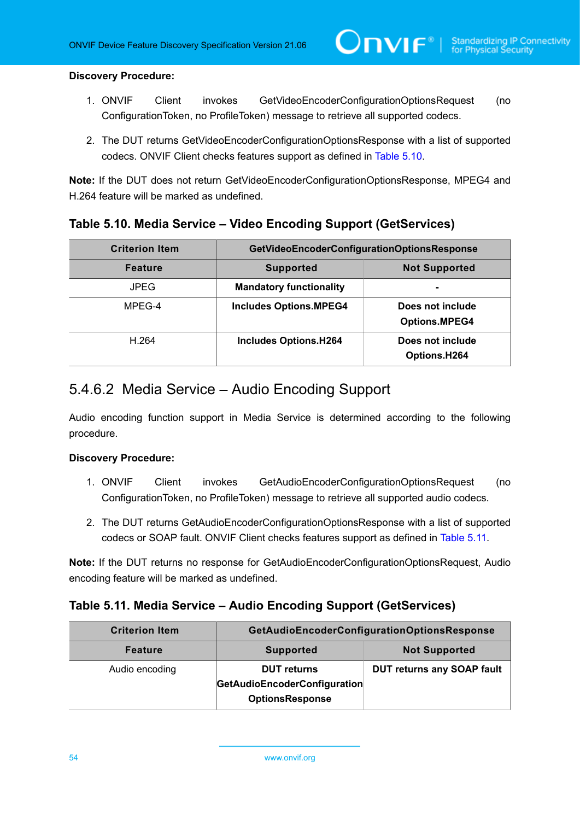### **Discovery Procedure:**

- 1. ONVIF Client invokes GetVideoEncoderConfigurationOptionsRequest (no ConfigurationToken, no ProfileToken) message to retrieve all supported codecs.
- 2. The DUT returns GetVideoEncoderConfigurationOptionsResponse with a list of supported codecs. ONVIF Client checks features support as defined in [Table](#page-53-0) 5.10.

**Note:** If the DUT does not return GetVideoEncoderConfigurationOptionsResponse, MPEG4 and H.264 feature will be marked as undefined.

### <span id="page-53-0"></span>**Table 5.10. Media Service – Video Encoding Support (GetServices)**

| <b>Criterion Item</b> | GetVideoEncoderConfigurationOptionsResponse |                                          |
|-----------------------|---------------------------------------------|------------------------------------------|
| <b>Feature</b>        | <b>Supported</b>                            | <b>Not Supported</b>                     |
| <b>JPEG</b>           | <b>Mandatory functionality</b>              |                                          |
| MPEG-4                | <b>Includes Options.MPEG4</b>               | Does not include<br><b>Options.MPEG4</b> |
| H.264                 | <b>Includes Options.H264</b>                | Does not include<br>Options.H264         |

### 5.4.6.2 Media Service – Audio Encoding Support

Audio encoding function support in Media Service is determined according to the following procedure.

### **Discovery Procedure:**

- 1. ONVIF Client invokes GetAudioEncoderConfigurationOptionsRequest (no ConfigurationToken, no ProfileToken) message to retrieve all supported audio codecs.
- 2. The DUT returns GetAudioEncoderConfigurationOptionsResponse with a list of supported codecs or SOAP fault. ONVIF Client checks features support as defined in [Table](#page-53-1) 5.11.

**Note:** If the DUT returns no response for GetAudioEncoderConfigurationOptionsRequest, Audio encoding feature will be marked as undefined.

### <span id="page-53-1"></span>**Table 5.11. Media Service – Audio Encoding Support (GetServices)**

| <b>Criterion Item</b> | <b>GetAudioEncoderConfigurationOptionsResponse</b> |                                   |
|-----------------------|----------------------------------------------------|-----------------------------------|
| <b>Feature</b>        | <b>Supported</b>                                   | <b>Not Supported</b>              |
| Audio encoding        | <b>DUT</b> returns                                 | <b>DUT returns any SOAP fault</b> |
|                       | GetAudioEncoderConfiguration                       |                                   |
|                       | <b>OptionsResponse</b>                             |                                   |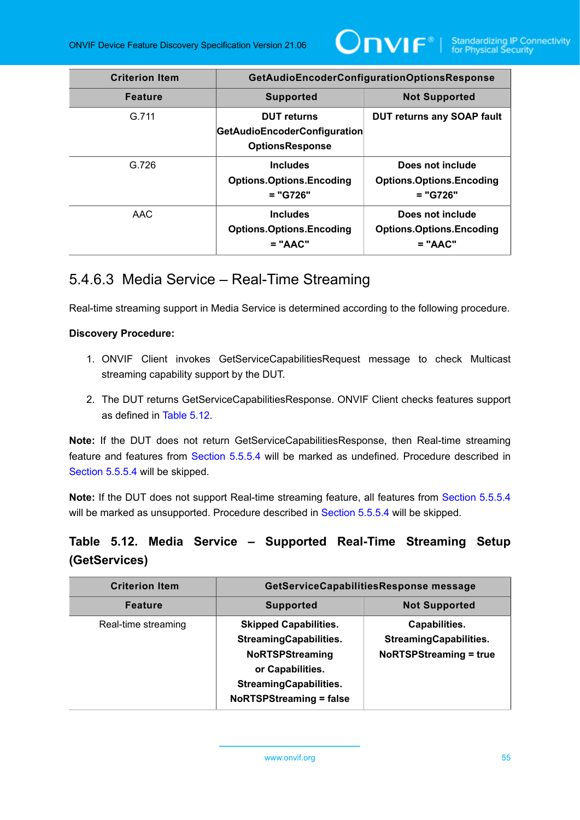

| <b>Criterion Item</b> | <b>GetAudioEncoderConfigurationOptionsResponse</b>                                  |                                                                   |
|-----------------------|-------------------------------------------------------------------------------------|-------------------------------------------------------------------|
| <b>Feature</b>        | <b>Supported</b>                                                                    | <b>Not Supported</b>                                              |
| G.711                 | <b>DUT</b> returns<br><b>GetAudioEncoderConfiguration</b><br><b>OptionsResponse</b> | <b>DUT returns any SOAP fault</b>                                 |
| G.726                 | <b>Includes</b><br><b>Options.Options.Encoding</b><br>$= "G726"$                    | Does not include<br><b>Options.Options.Encoding</b><br>$= "G726"$ |
| AAC                   | <b>Includes</b><br><b>Options.Options.Encoding</b><br>$= "AAC"$                     | Does not include<br><b>Options.Options.Encoding</b><br>$= "AAC"$  |

### <span id="page-54-1"></span>5.4.6.3 Media Service – Real-Time Streaming

Real-time streaming support in Media Service is determined according to the following procedure.

### **Discovery Procedure:**

- 1. ONVIF Client invokes GetServiceCapabilitiesRequest message to check Multicast streaming capability support by the DUT.
- 2. The DUT returns GetServiceCapabilitiesResponse. ONVIF Client checks features support as defined in [Table](#page-54-0) 5.12.

**Note:** If the DUT does not return GetServiceCapabilitiesResponse, then Real-time streaming feature and features from [Section 5.5.5.4](#page-55-0) will be marked as undefined. Procedure described in [Section 5.5.5.4](#page-55-0) will be skipped.

**Note:** If the DUT does not support Real-time streaming feature, all features from [Section 5.5.5.4](#page-55-0) will be marked as unsupported. Procedure described in [Section 5.5.5.4](#page-55-0) will be skipped.

### <span id="page-54-0"></span>**Table 5.12. Media Service – Supported Real-Time Streaming Setup (GetServices)**

| <b>Criterion Item</b> | GetServiceCapabilitiesResponse message                                                                                                                                         |                                                                                 |
|-----------------------|--------------------------------------------------------------------------------------------------------------------------------------------------------------------------------|---------------------------------------------------------------------------------|
| <b>Feature</b>        | <b>Supported</b>                                                                                                                                                               | <b>Not Supported</b>                                                            |
| Real-time streaming   | <b>Skipped Capabilities.</b><br><b>StreamingCapabilities.</b><br><b>NoRTSPStreaming</b><br>or Capabilities.<br><b>StreamingCapabilities.</b><br><b>NoRTSPStreaming = false</b> | Capabilities.<br><b>StreamingCapabilities.</b><br><b>NoRTSPStreaming = true</b> |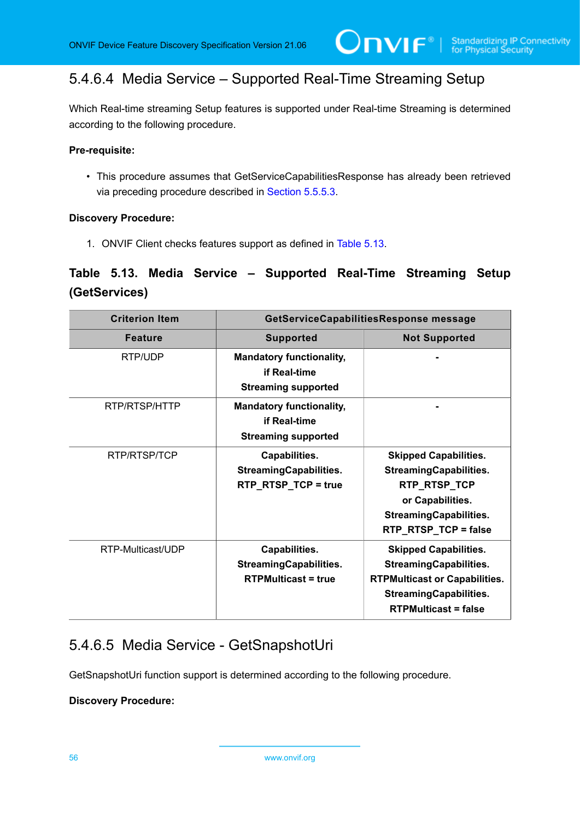## <span id="page-55-0"></span>5.4.6.4 Media Service – Supported Real-Time Streaming Setup

Which Real-time streaming Setup features is supported under Real-time Streaming is determined according to the following procedure.

### **Pre-requisite:**

• This procedure assumes that GetServiceCapabilitiesResponse has already been retrieved via preceding procedure described in [Section 5.5.5.3](#page-54-1).

### **Discovery Procedure:**

1. ONVIF Client checks features support as defined in [Table](#page-55-1) 5.13.

### <span id="page-55-1"></span>**Table 5.13. Media Service – Supported Real-Time Streaming Setup (GetServices)**

| <b>Criterion Item</b> | GetServiceCapabilitiesResponse message                                        |                                                                                                                                                                       |
|-----------------------|-------------------------------------------------------------------------------|-----------------------------------------------------------------------------------------------------------------------------------------------------------------------|
| <b>Feature</b>        | <b>Supported</b>                                                              | <b>Not Supported</b>                                                                                                                                                  |
| RTP/UDP               | <b>Mandatory functionality,</b><br>if Real-time<br><b>Streaming supported</b> |                                                                                                                                                                       |
| RTP/RTSP/HTTP         | <b>Mandatory functionality,</b><br>if Real-time<br><b>Streaming supported</b> |                                                                                                                                                                       |
| RTP/RTSP/TCP          | Capabilities.<br><b>StreamingCapabilities.</b><br>RTP_RTSP_TCP = true         | <b>Skipped Capabilities.</b><br><b>StreamingCapabilities.</b><br>RTP_RTSP_TCP<br>or Capabilities.<br><b>StreamingCapabilities.</b><br>RTP_RTSP_TCP = false            |
| RTP-Multicast/UDP     | Capabilities.<br><b>StreamingCapabilities.</b><br><b>RTPMulticast = true</b>  | <b>Skipped Capabilities.</b><br><b>StreamingCapabilities.</b><br><b>RTPMulticast or Capabilities.</b><br><b>StreamingCapabilities.</b><br><b>RTPMulticast = false</b> |

### 5.4.6.5 Media Service - GetSnapshotUri

GetSnapshotUri function support is determined according to the following procedure.

### **Discovery Procedure:**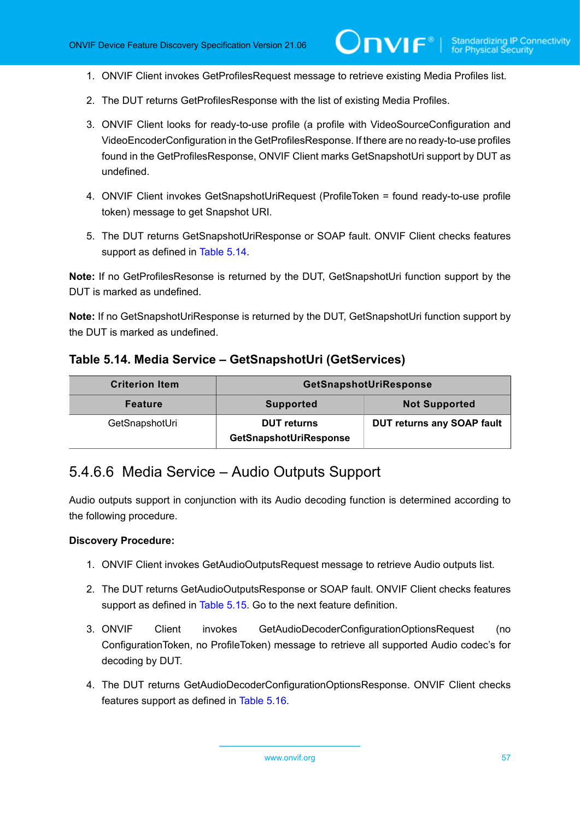- 1. ONVIF Client invokes GetProfilesRequest message to retrieve existing Media Profiles list.
- 2. The DUT returns GetProfilesResponse with the list of existing Media Profiles.
- 3. ONVIF Client looks for ready-to-use profile (a profile with VideoSourceConfiguration and VideoEncoderConfiguration in the GetProfilesResponse. If there are no ready-to-use profiles found in the GetProfilesResponse, ONVIF Client marks GetSnapshotUri support by DUT as undefined.
- 4. ONVIF Client invokes GetSnapshotUriRequest (ProfileToken = found ready-to-use profile token) message to get Snapshot URI.
- 5. The DUT returns GetSnapshotUriResponse or SOAP fault. ONVIF Client checks features support as defined in [Table](#page-56-0) 5.14.

**Note:** If no GetProfilesResonse is returned by the DUT, GetSnapshotUri function support by the DUT is marked as undefined.

**Note:** If no GetSnapshotUriResponse is returned by the DUT, GetSnapshotUri function support by the DUT is marked as undefined.

<span id="page-56-0"></span>

|  | Table 5.14. Media Service – GetSnapshotUri (GetServices) |  |
|--|----------------------------------------------------------|--|
|--|----------------------------------------------------------|--|

| <b>Criterion Item</b> | GetSnapshotUriResponse                       |                                   |
|-----------------------|----------------------------------------------|-----------------------------------|
| <b>Feature</b>        | <b>Supported</b>                             | <b>Not Supported</b>              |
| GetSnapshotUri        | <b>DUT</b> returns<br>GetSnapshotUriResponse | <b>DUT returns any SOAP fault</b> |

### 5.4.6.6 Media Service – Audio Outputs Support

Audio outputs support in conjunction with its Audio decoding function is determined according to the following procedure.

### **Discovery Procedure:**

- 1. ONVIF Client invokes GetAudioOutputsRequest message to retrieve Audio outputs list.
- 2. The DUT returns GetAudioOutputsResponse or SOAP fault. ONVIF Client checks features support as defined in [Table](#page-57-0) 5.15. Go to the next feature definition.
- 3. ONVIF Client invokes GetAudioDecoderConfigurationOptionsRequest (no ConfigurationToken, no ProfileToken) message to retrieve all supported Audio codec's for decoding by DUT.
- 4. The DUT returns GetAudioDecoderConfigurationOptionsResponse. ONVIF Client checks features support as defined in [Table](#page-57-1) 5.16.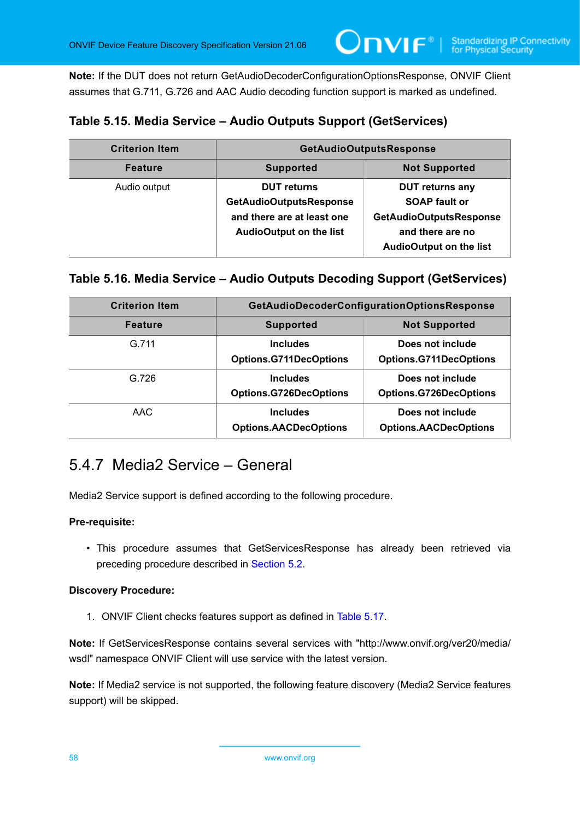**Note:** If the DUT does not return GetAudioDecoderConfigurationOptionsResponse, ONVIF Client assumes that G.711, G.726 and AAC Audio decoding function support is marked as undefined.

### <span id="page-57-0"></span>**Table 5.15. Media Service – Audio Outputs Support (GetServices)**

| <b>Criterion Item</b> | <b>GetAudioOutputsResponse</b>                                                                                       |                                                                                                                                        |
|-----------------------|----------------------------------------------------------------------------------------------------------------------|----------------------------------------------------------------------------------------------------------------------------------------|
| <b>Feature</b>        | <b>Supported</b>                                                                                                     | <b>Not Supported</b>                                                                                                                   |
| Audio output          | <b>DUT</b> returns<br><b>GetAudioOutputsResponse</b><br>and there are at least one<br><b>AudioOutput on the list</b> | <b>DUT returns any</b><br><b>SOAP fault or</b><br><b>GetAudioOutputsResponse</b><br>and there are no<br><b>AudioOutput on the list</b> |

### <span id="page-57-1"></span>**Table 5.16. Media Service – Audio Outputs Decoding Support (GetServices)**

| <b>Criterion Item</b> | GetAudioDecoderConfigurationOptionsResponse      |                                                   |
|-----------------------|--------------------------------------------------|---------------------------------------------------|
| <b>Feature</b>        | <b>Supported</b>                                 | <b>Not Supported</b>                              |
| G.711                 | <b>Includes</b><br><b>Options.G711DecOptions</b> | Does not include<br><b>Options.G711DecOptions</b> |
| G.726                 | <b>Includes</b><br><b>Options.G726DecOptions</b> | Does not include<br><b>Options.G726DecOptions</b> |
| AAC                   | <b>Includes</b><br><b>Options.AACDecOptions</b>  | Does not include<br><b>Options.AACDecOptions</b>  |

### <span id="page-57-2"></span>5.4.7 Media2 Service – General

Media2 Service support is defined according to the following procedure.

### **Pre-requisite:**

• This procedure assumes that GetServicesResponse has already been retrieved via preceding procedure described in [Section 5.2](#page-38-1).

### **Discovery Procedure:**

1. ONVIF Client checks features support as defined in [Table](#page-58-0) 5.17.

**Note:** If GetServicesResponse contains several services with "http://www.onvif.org/ver20/media/ wsdl" namespace ONVIF Client will use service with the latest version.

**Note:** If Media2 service is not supported, the following feature discovery (Media2 Service features support) will be skipped.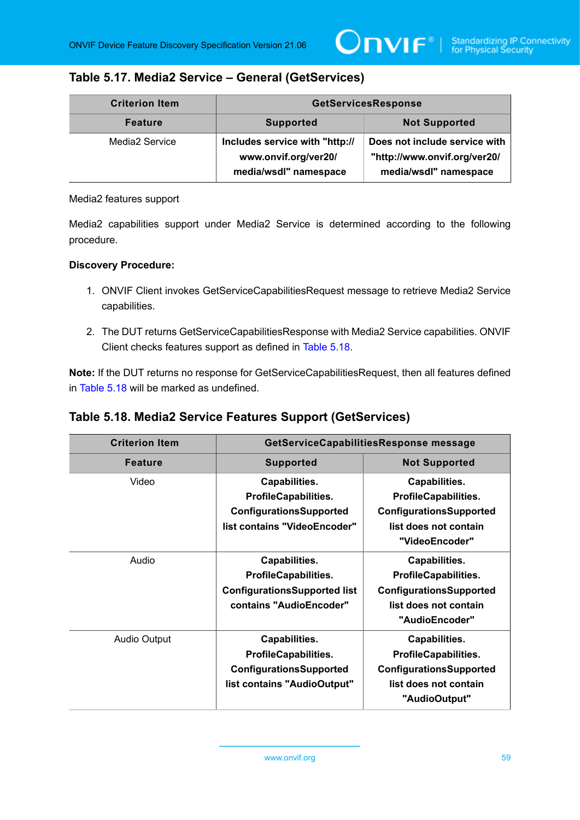### <span id="page-58-0"></span>**Table 5.17. Media2 Service – General (GetServices)**

| <b>Criterion Item</b> | <b>GetServicesResponse</b>                                                      |                                                                                        |
|-----------------------|---------------------------------------------------------------------------------|----------------------------------------------------------------------------------------|
| <b>Feature</b>        | <b>Supported</b>                                                                | <b>Not Supported</b>                                                                   |
| Media2 Service        | Includes service with "http://<br>www.onvif.org/ver20/<br>media/wsdl" namespace | Does not include service with<br>"http://www.onvif.org/ver20/<br>media/wsdl" namespace |

Media2 features support

Media2 capabilities support under Media2 Service is determined according to the following procedure.

### **Discovery Procedure:**

- 1. ONVIF Client invokes GetServiceCapabilitiesRequest message to retrieve Media2 Service capabilities.
- 2. The DUT returns GetServiceCapabilitiesResponse with Media2 Service capabilities. ONVIF Client checks features support as defined in [Table](#page-58-1) 5.18.

**Note:** If the DUT returns no response for GetServiceCapabilitiesRequest, then all features defined in [Table](#page-58-1) 5.18 will be marked as undefined.

<span id="page-58-1"></span>

| <b>Criterion Item</b> | GetServiceCapabilitiesResponse message                                                                         |                                                                                                                    |
|-----------------------|----------------------------------------------------------------------------------------------------------------|--------------------------------------------------------------------------------------------------------------------|
| <b>Feature</b>        | <b>Supported</b>                                                                                               | <b>Not Supported</b>                                                                                               |
| Video                 | Capabilities.<br><b>ProfileCapabilities.</b><br><b>ConfigurationsSupported</b><br>list contains "VideoEncoder" | Capabilities.<br><b>ProfileCapabilities.</b><br>ConfigurationsSupported<br>list does not contain<br>"VideoEncoder" |
| Audio                 | Capabilities.<br><b>ProfileCapabilities.</b><br><b>ConfigurationsSupported list</b><br>contains "AudioEncoder" | Capabilities.<br><b>ProfileCapabilities.</b><br>ConfigurationsSupported<br>list does not contain<br>"AudioEncoder" |
| <b>Audio Output</b>   | Capabilities.<br><b>ProfileCapabilities.</b><br><b>ConfigurationsSupported</b><br>list contains "AudioOutput"  | Capabilities.<br><b>ProfileCapabilities.</b><br>ConfigurationsSupported<br>list does not contain<br>"AudioOutput"  |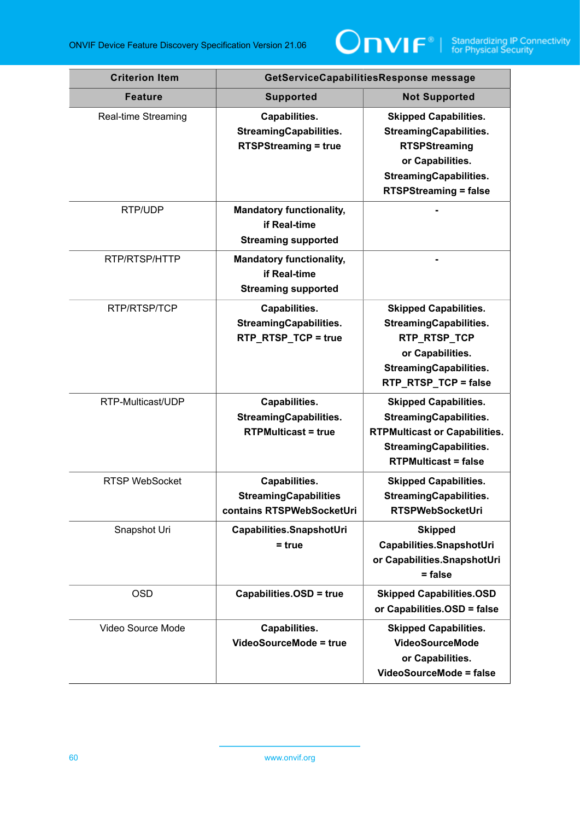

| <b>Criterion Item</b> | GetServiceCapabilitiesResponse message                                        |                                                                                                                                                                            |
|-----------------------|-------------------------------------------------------------------------------|----------------------------------------------------------------------------------------------------------------------------------------------------------------------------|
| <b>Feature</b>        | <b>Supported</b>                                                              | <b>Not Supported</b>                                                                                                                                                       |
| Real-time Streaming   | Capabilities.<br><b>StreamingCapabilities.</b><br><b>RTSPStreaming = true</b> | <b>Skipped Capabilities.</b><br><b>StreamingCapabilities.</b><br><b>RTSPStreaming</b><br>or Capabilities.<br><b>StreamingCapabilities.</b><br><b>RTSPStreaming = false</b> |
| RTP/UDP               | <b>Mandatory functionality,</b><br>if Real-time<br><b>Streaming supported</b> |                                                                                                                                                                            |
| RTP/RTSP/HTTP         | <b>Mandatory functionality,</b><br>if Real-time<br><b>Streaming supported</b> |                                                                                                                                                                            |
| RTP/RTSP/TCP          | Capabilities.<br><b>StreamingCapabilities.</b><br>RTP_RTSP_TCP = true         | <b>Skipped Capabilities.</b><br><b>StreamingCapabilities.</b><br>RTP_RTSP_TCP<br>or Capabilities.<br><b>StreamingCapabilities.</b><br>RTP_RTSP_TCP = false                 |
| RTP-Multicast/UDP     | Capabilities.<br><b>StreamingCapabilities.</b><br><b>RTPMulticast = true</b>  | <b>Skipped Capabilities.</b><br><b>StreamingCapabilities.</b><br><b>RTPMulticast or Capabilities.</b><br><b>StreamingCapabilities.</b><br><b>RTPMulticast = false</b>      |
| <b>RTSP WebSocket</b> | Capabilities.<br><b>StreamingCapabilities</b><br>contains RTSPWebSocketUri    | <b>Skipped Capabilities.</b><br><b>StreamingCapabilities.</b><br><b>RTSPWebSocketUri</b>                                                                                   |
| Snapshot Uri          | Capabilities.SnapshotUri<br>$=$ true                                          | <b>Skipped</b><br>Capabilities.SnapshotUri<br>or Capabilities.SnapshotUri<br>= false                                                                                       |
| <b>OSD</b>            | Capabilities.OSD = true                                                       | <b>Skipped Capabilities.OSD</b><br>or Capabilities.OSD = false                                                                                                             |
| Video Source Mode     | Capabilities.<br>VideoSourceMode = true                                       | <b>Skipped Capabilities.</b><br><b>VideoSourceMode</b><br>or Capabilities.<br><b>VideoSourceMode = false</b>                                                               |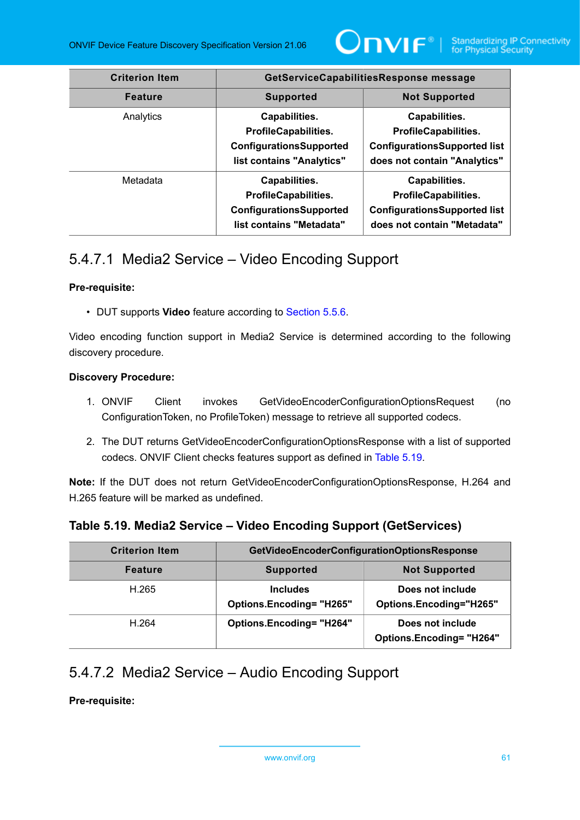

| <b>Criterion Item</b> | GetServiceCapabilitiesResponse message                                                                      |                                                                                                                     |
|-----------------------|-------------------------------------------------------------------------------------------------------------|---------------------------------------------------------------------------------------------------------------------|
| <b>Feature</b>        | <b>Supported</b>                                                                                            | <b>Not Supported</b>                                                                                                |
| Analytics             | Capabilities.<br><b>ProfileCapabilities.</b><br><b>ConfigurationsSupported</b><br>list contains "Analytics" | Capabilities.<br><b>ProfileCapabilities.</b><br><b>ConfigurationsSupported list</b><br>does not contain "Analytics" |
| Metadata              | Capabilities.<br><b>ProfileCapabilities.</b><br><b>ConfigurationsSupported</b><br>list contains "Metadata"  | Capabilities.<br><b>ProfileCapabilities.</b><br><b>ConfigurationsSupported list</b><br>does not contain "Metadata"  |

## 5.4.7.1 Media2 Service – Video Encoding Support

### **Pre-requisite:**

• DUT supports **Video** feature according to [Section 5.5.6](#page-57-2).

Video encoding function support in Media2 Service is determined according to the following discovery procedure.

### **Discovery Procedure:**

- 1. ONVIF Client invokes GetVideoEncoderConfigurationOptionsRequest (no ConfigurationToken, no ProfileToken) message to retrieve all supported codecs.
- 2. The DUT returns GetVideoEncoderConfigurationOptionsResponse with a list of supported codecs. ONVIF Client checks features support as defined in [Table](#page-60-0) 5.19.

**Note:** If the DUT does not return GetVideoEncoderConfigurationOptionsResponse, H.264 and H.265 feature will be marked as undefined.

### <span id="page-60-0"></span>**Table 5.19. Media2 Service – Video Encoding Support (GetServices)**

| <b>Criterion Item</b> | GetVideoEncoderConfigurationOptionsResponse        |                                                     |
|-----------------------|----------------------------------------------------|-----------------------------------------------------|
| <b>Feature</b>        | <b>Supported</b>                                   | <b>Not Supported</b>                                |
| H.265                 | <b>Includes</b><br><b>Options.Encoding= "H265"</b> | Does not include<br>Options.Encoding="H265"         |
| H.264                 | <b>Options.Encoding= "H264"</b>                    | Does not include<br><b>Options.Encoding= "H264"</b> |

# 5.4.7.2 Media2 Service – Audio Encoding Support

**Pre-requisite:**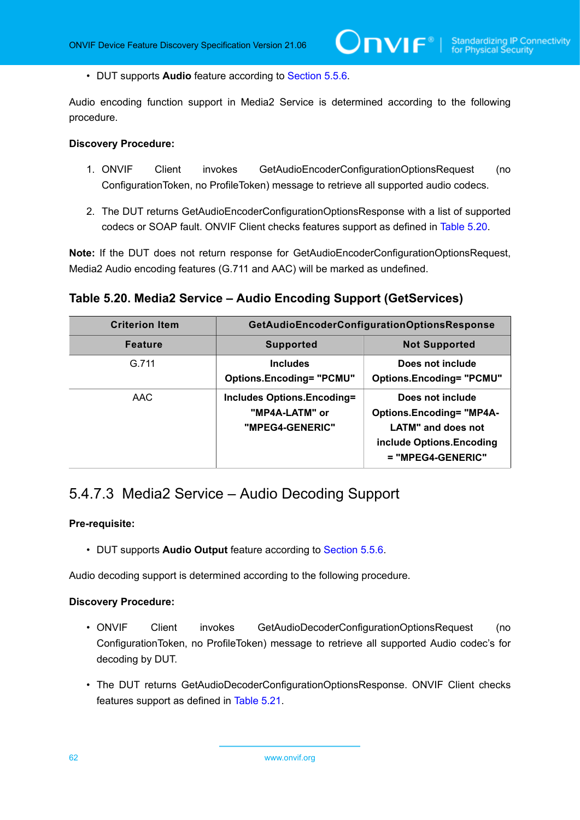• DUT supports **Audio** feature according to [Section 5.5.6](#page-57-2).

Audio encoding function support in Media2 Service is determined according to the following procedure.

 $\mathsf{D}\mathsf{N}\mathsf{H}^*$ l

#### **Discovery Procedure:**

- 1. ONVIF Client invokes GetAudioEncoderConfigurationOptionsRequest (no ConfigurationToken, no ProfileToken) message to retrieve all supported audio codecs.
- 2. The DUT returns GetAudioEncoderConfigurationOptionsResponse with a list of supported codecs or SOAP fault. ONVIF Client checks features support as defined in [Table](#page-61-0) 5.20.

**Note:** If the DUT does not return response for GetAudioEncoderConfigurationOptionsRequest, Media2 Audio encoding features (G.711 and AAC) will be marked as undefined.

<span id="page-61-0"></span>**Table 5.20. Media2 Service – Audio Encoding Support (GetServices)**

| <b>Criterion Item</b> | GetAudioEncoderConfigurationOptionsResponse                            |                                                                                                                                      |
|-----------------------|------------------------------------------------------------------------|--------------------------------------------------------------------------------------------------------------------------------------|
| <b>Feature</b>        | <b>Supported</b>                                                       | <b>Not Supported</b>                                                                                                                 |
| G.711                 | <b>Includes</b><br><b>Options.Encoding= "PCMU"</b>                     | Does not include<br><b>Options.Encoding= "PCMU"</b>                                                                                  |
| AAC                   | <b>Includes Options.Encoding=</b><br>"MP4A-LATM" or<br>"MPEG4-GENERIC" | Does not include<br><b>Options.Encoding= "MP4A-</b><br><b>LATM"</b> and does not<br>include Options. Encoding<br>$= "MPEG4-GENERIC"$ |

### 5.4.7.3 Media2 Service – Audio Decoding Support

### **Pre-requisite:**

• DUT supports **Audio Output** feature according to [Section 5.5.6.](#page-57-2)

Audio decoding support is determined according to the following procedure.

- ONVIF Client invokes GetAudioDecoderConfigurationOptionsRequest (no ConfigurationToken, no ProfileToken) message to retrieve all supported Audio codec's for decoding by DUT.
- The DUT returns GetAudioDecoderConfigurationOptionsResponse. ONVIF Client checks features support as defined in [Table](#page-62-0) 5.21.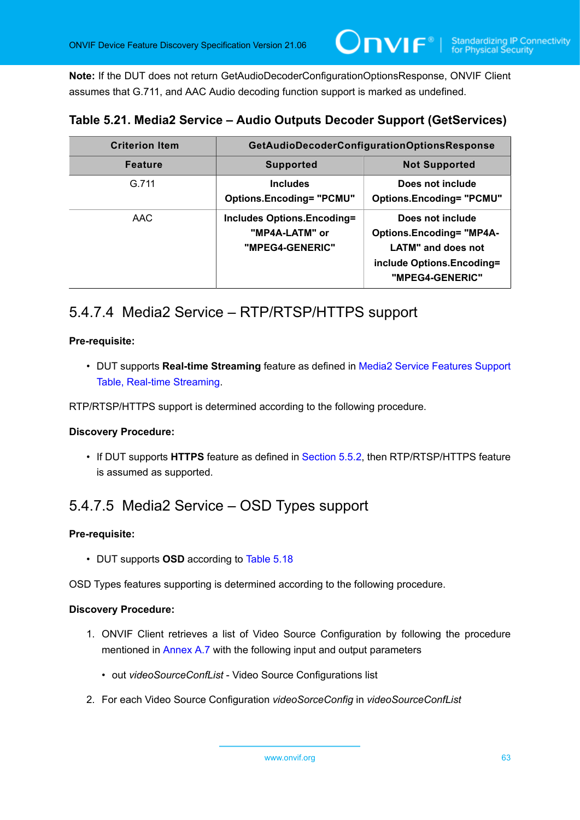**Note:** If the DUT does not return GetAudioDecoderConfigurationOptionsResponse, ONVIF Client assumes that G.711, and AAC Audio decoding function support is marked as undefined.

### <span id="page-62-0"></span>**Table 5.21. Media2 Service – Audio Outputs Decoder Support (GetServices)**

| <b>Criterion Item</b> | GetAudioDecoderConfigurationOptionsResponse                            |                                                                                                                           |
|-----------------------|------------------------------------------------------------------------|---------------------------------------------------------------------------------------------------------------------------|
| <b>Feature</b>        | <b>Supported</b>                                                       | <b>Not Supported</b>                                                                                                      |
| G.711                 | <b>Includes</b><br><b>Options.Encoding= "PCMU"</b>                     | Does not include<br><b>Options.Encoding= "PCMU"</b>                                                                       |
| AAC                   | <b>Includes Options.Encoding=</b><br>"MP4A-LATM" or<br>"MPEG4-GENERIC" | Does not include<br><b>Options.Encoding= "MP4A-</b><br>LATM" and does not<br>include Options.Encoding=<br>"MPEG4-GENERIC" |

## 5.4.7.4 Media2 Service – RTP/RTSP/HTTPS support

### **Pre-requisite:**

• DUT supports **Real-time Streaming** feature as defined in Media2 Service Features Support Table, Real-time Streaming.

RTP/RTSP/HTTPS support is determined according to the following procedure.

### **Discovery Procedure:**

• If DUT supports **HTTPS** feature as defined in [Section 5.5.2](#page-47-1), then RTP/RTSP/HTTPS feature is assumed as supported.

### 5.4.7.5 Media2 Service – OSD Types support

### **Pre-requisite:**

• DUT supports **OSD** according to [Table](#page-58-1) 5.18

OSD Types features supporting is determined according to the following procedure.

- 1. ONVIF Client retrieves a list of Video Source Configuration by following the procedure mentioned in [Annex A.7](#page-170-0) with the following input and output parameters
	- out *videoSourceConfList* Video Source Configurations list
- 2. For each Video Source Configuration *videoSorceConfig* in *videoSourceConfList*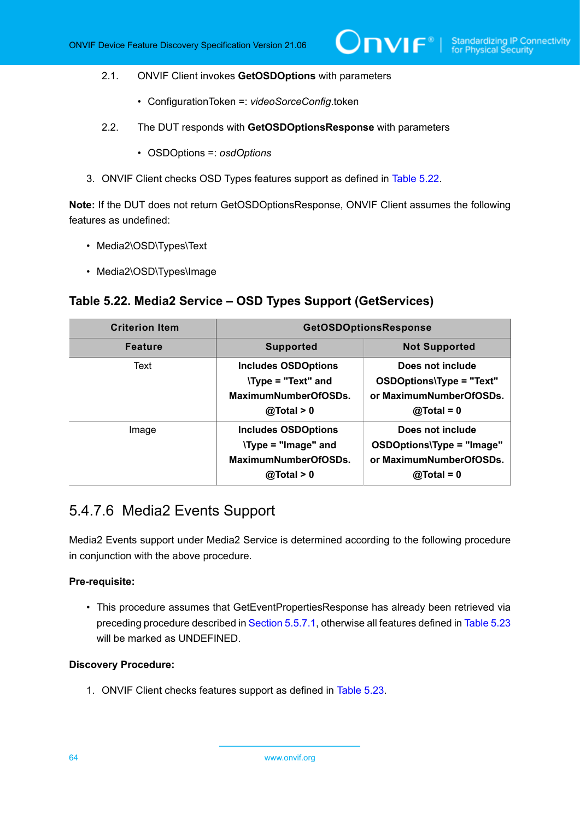#### 2.1. ONVIF Client invokes **GetOSDOptions** with parameters

- ConfigurationToken =: *videoSorceConfig*.token
- 2.2. The DUT responds with **GetOSDOptionsResponse** with parameters
	- OSDOptions =: *osdOptions*
- 3. ONVIF Client checks OSD Types features support as defined in [Table](#page-63-0) 5.22.

**Note:** If the DUT does not return GetOSDOptionsResponse, ONVIF Client assumes the following features as undefined:

- Media2\OSD\Types\Text
- Media2\OSD\Types\Image

### <span id="page-63-0"></span>**Table 5.22. Media2 Service – OSD Types Support (GetServices)**

| <b>Criterion Item</b> | <b>GetOSDOptionsResponse</b>                                                                   |                                                                                          |
|-----------------------|------------------------------------------------------------------------------------------------|------------------------------------------------------------------------------------------|
| <b>Feature</b>        | <b>Supported</b>                                                                               | <b>Not Supported</b>                                                                     |
| Text                  | <b>Includes OSDOptions</b><br><b>\Type = "Text" and</b><br>MaximumNumberOfOSDs.<br>@Total > 0  | Does not include<br>OSDOptions\Type = "Text"<br>or MaximumNumberOfOSDs.<br>$@Total = 0$  |
| Image                 | <b>Includes OSDOptions</b><br><b>\Type = "Image" and</b><br>MaximumNumberOfOSDs.<br>@Total > 0 | Does not include<br>OSDOptions\Type = "Image"<br>or MaximumNumberOfOSDs.<br>$@Total = 0$ |

### 5.4.7.6 Media2 Events Support

Media2 Events support under Media2 Service is determined according to the following procedure in conjunction with the above procedure.

### **Pre-requisite:**

• This procedure assumes that GetEventPropertiesResponse has already been retrieved via preceding procedure described in [Section 5.5.7.1](#page-65-0), otherwise all features defined in [Table](#page-64-0) 5.23 will be marked as UNDEFINED.

### **Discovery Procedure:**

1. ONVIF Client checks features support as defined in [Table](#page-64-0) 5.23.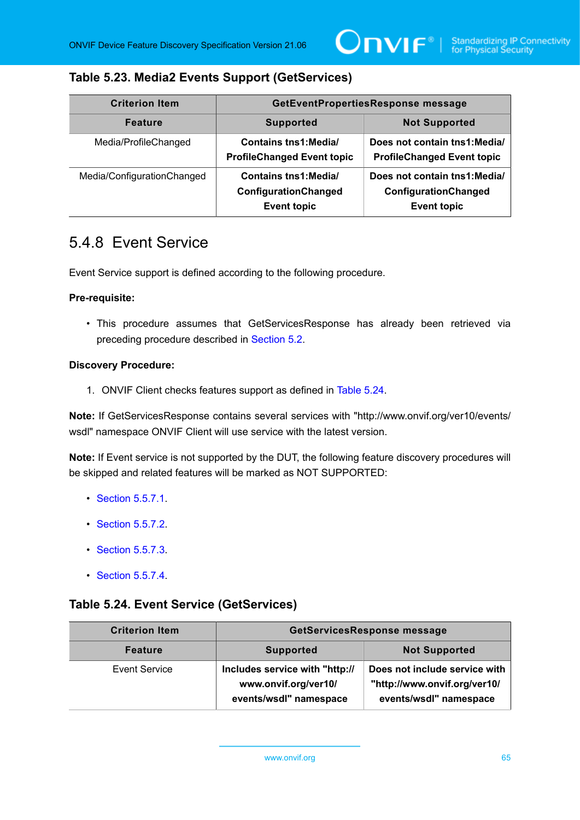### <span id="page-64-0"></span>**Table 5.23. Media2 Events Support (GetServices)**

| <b>Criterion Item</b>      | GetEventPropertiesResponse message                                         |                                                                             |
|----------------------------|----------------------------------------------------------------------------|-----------------------------------------------------------------------------|
| <b>Feature</b>             | <b>Not Supported</b><br><b>Supported</b>                                   |                                                                             |
| Media/ProfileChanged       | <b>Contains tns1: Media/</b><br><b>ProfileChanged Event topic</b>          | Does not contain tns1: Media/<br><b>ProfileChanged Event topic</b>          |
| Media/ConfigurationChanged | <b>Contains tns1: Media/</b><br>ConfigurationChanged<br><b>Event topic</b> | Does not contain tns1: Media/<br>ConfigurationChanged<br><b>Event topic</b> |

### <span id="page-64-2"></span>5.4.8 Event Service

Event Service support is defined according to the following procedure.

### **Pre-requisite:**

• This procedure assumes that GetServicesResponse has already been retrieved via preceding procedure described in [Section 5.2](#page-38-1).

#### **Discovery Procedure:**

1. ONVIF Client checks features support as defined in [Table](#page-64-1) 5.24.

**Note:** If GetServicesResponse contains several services with "http://www.onvif.org/ver10/events/ wsdl" namespace ONVIF Client will use service with the latest version.

**Note:** If Event service is not supported by the DUT, the following feature discovery procedures will be skipped and related features will be marked as NOT SUPPORTED:

- **[Section 5.5.7.1](#page-65-0).**
- [Section 5.5.7.2](#page-65-1).
- [Section 5.5.7.3](#page-66-0).
- [Section 5.5.7.4](#page-67-0).

### <span id="page-64-1"></span>**Table 5.24. Event Service (GetServices)**

| <b>Criterion Item</b> | <b>GetServicesResponse message</b>                                               |                                                                                         |
|-----------------------|----------------------------------------------------------------------------------|-----------------------------------------------------------------------------------------|
| <b>Feature</b>        | <b>Supported</b>                                                                 | <b>Not Supported</b>                                                                    |
| Event Service         | Includes service with "http://<br>www.onvif.org/ver10/<br>events/wsdl" namespace | Does not include service with<br>"http://www.onvif.org/ver10/<br>events/wsdl" namespace |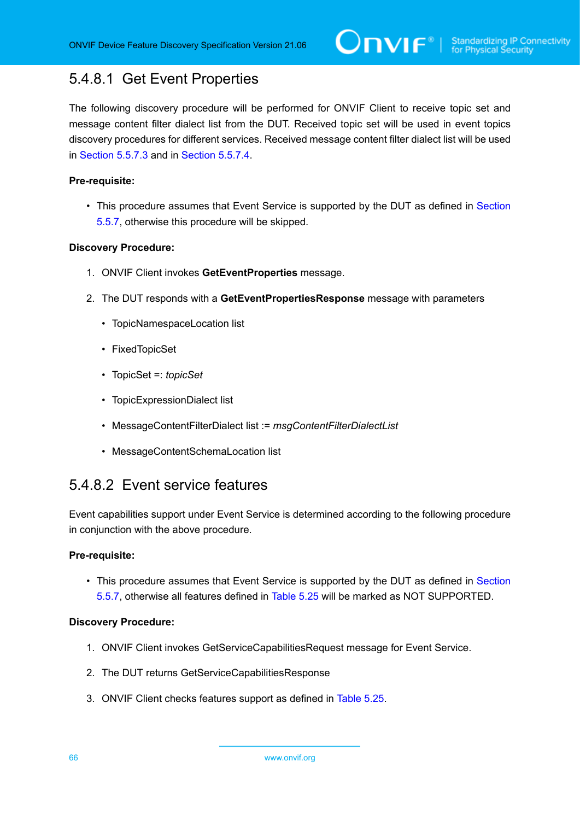# <span id="page-65-0"></span>5.4.8.1 Get Event Properties

The following discovery procedure will be performed for ONVIF Client to receive topic set and message content filter dialect list from the DUT. Received topic set will be used in event topics discovery procedures for different services. Received message content filter dialect list will be used in [Section 5.5.7.3](#page-66-0) and in [Section 5.5.7.4](#page-67-0).

### **Pre-requisite:**

• This procedure assumes that Event Service is supported by the DUT as defined in [Section](#page-64-2) [5.5.7,](#page-64-2) otherwise this procedure will be skipped.

### **Discovery Procedure:**

- 1. ONVIF Client invokes **GetEventProperties** message.
- 2. The DUT responds with a **GetEventPropertiesResponse** message with parameters
	- TopicNamespaceLocation list
	- FixedTopicSet
	- TopicSet =: *topicSet*
	- TopicExpressionDialect list
	- MessageContentFilterDialect list := *msgContentFilterDialectList*
	- MessageContentSchemaLocation list

### <span id="page-65-1"></span>5.4.8.2 Event service features

Event capabilities support under Event Service is determined according to the following procedure in conjunction with the above procedure.

### **Pre-requisite:**

• This procedure assumes that Event Service is supported by the DUT as defined in [Section](#page-64-2) [5.5.7,](#page-64-2) otherwise all features defined in [Table](#page-66-1) 5.25 will be marked as NOT SUPPORTED.

- 1. ONVIF Client invokes GetServiceCapabilitiesRequest message for Event Service.
- 2. The DUT returns GetServiceCapabilitiesResponse
- 3. ONVIF Client checks features support as defined in [Table](#page-66-1) 5.25.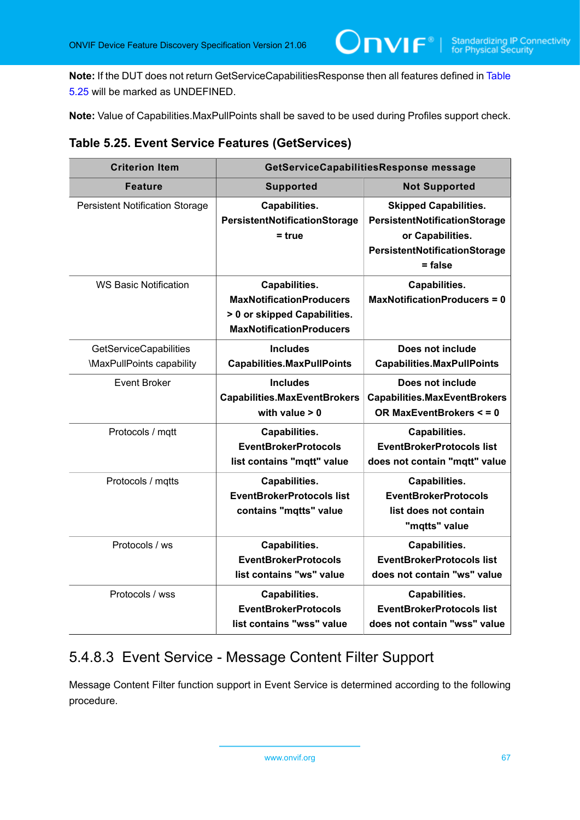**Note:** If the DUT does not return GetServiceCapabilitiesResponse then all features defined in [Table](#page-66-1) [5.25](#page-66-1) will be marked as UNDEFINED.

 $\mathsf{Onv}\mathsf{IF}^*$ l

**Note:** Value of Capabilities.MaxPullPoints shall be saved to be used during Profiles support check.

<span id="page-66-1"></span>

|  |  |  |  | Table 5.25. Event Service Features (GetServices) |
|--|--|--|--|--------------------------------------------------|
|--|--|--|--|--------------------------------------------------|

| <b>Criterion Item</b>                                      | GetServiceCapabilitiesResponse message                                                                              |                                                                                                                                 |
|------------------------------------------------------------|---------------------------------------------------------------------------------------------------------------------|---------------------------------------------------------------------------------------------------------------------------------|
| <b>Feature</b>                                             | <b>Supported</b>                                                                                                    | <b>Not Supported</b>                                                                                                            |
| <b>Persistent Notification Storage</b>                     | Capabilities.<br>PersistentNotificationStorage<br>$=$ true                                                          | <b>Skipped Capabilities.</b><br>PersistentNotificationStorage<br>or Capabilities.<br>PersistentNotificationStorage<br>$=$ false |
| <b>WS Basic Notification</b>                               | Capabilities.<br><b>MaxNotificationProducers</b><br>> 0 or skipped Capabilities.<br><b>MaxNotificationProducers</b> | Capabilities.<br><b>MaxNotificationProducers = 0</b>                                                                            |
| <b>GetServiceCapabilities</b><br>\MaxPullPoints capability | <b>Includes</b><br><b>Capabilities.MaxPullPoints</b>                                                                | Does not include<br><b>Capabilities.MaxPullPoints</b>                                                                           |
| <b>Event Broker</b>                                        | <b>Includes</b><br><b>Capabilities.MaxEventBrokers</b><br>with value $> 0$                                          | Does not include<br><b>Capabilities.MaxEventBrokers</b><br>OR MaxEventBrokers < = 0                                             |
| Protocols / mqtt                                           | Capabilities.<br><b>EventBrokerProtocols</b><br>list contains "mqtt" value                                          | Capabilities.<br><b>EventBrokerProtocols list</b><br>does not contain "mqtt" value                                              |
| Protocols / mqtts                                          | Capabilities.<br><b>EventBrokerProtocols list</b><br>contains "mqtts" value                                         | Capabilities.<br><b>EventBrokerProtocols</b><br>list does not contain<br>"mqtts" value                                          |
| Protocols / ws                                             | Capabilities.<br><b>EventBrokerProtocols</b><br>list contains "ws" value                                            | Capabilities.<br><b>EventBrokerProtocols list</b><br>does not contain "ws" value                                                |
| Protocols / wss                                            | Capabilities.<br><b>EventBrokerProtocols</b><br>list contains "wss" value                                           | Capabilities.<br><b>EventBrokerProtocols list</b><br>does not contain "wss" value                                               |

# <span id="page-66-0"></span>5.4.8.3 Event Service - Message Content Filter Support

Message Content Filter function support in Event Service is determined according to the following procedure.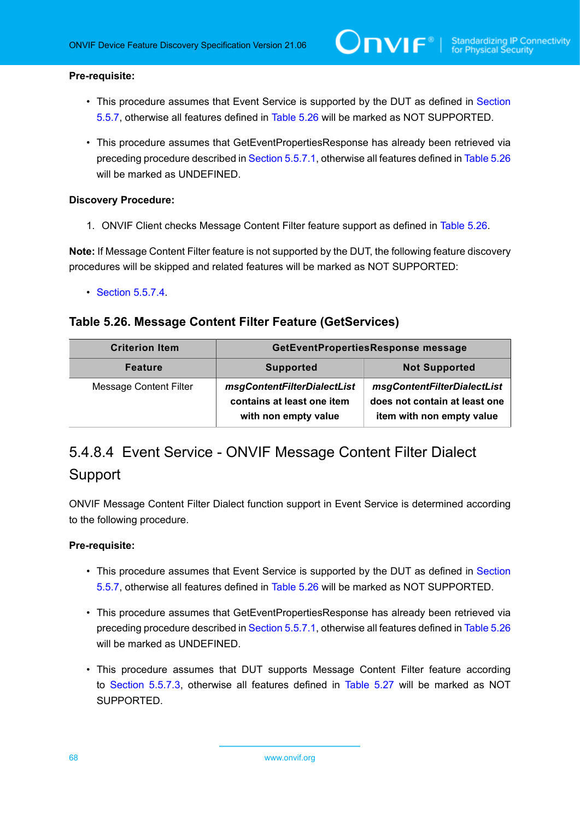#### **Pre-requisite:**

- This procedure assumes that Event Service is supported by the DUT as defined in [Section](#page-64-2) [5.5.7,](#page-64-2) otherwise all features defined in [Table](#page-67-1) 5.26 will be marked as NOT SUPPORTED.
- This procedure assumes that GetEventPropertiesResponse has already been retrieved via preceding procedure described in [Section 5.5.7.1](#page-65-0), otherwise all features defined in [Table](#page-67-1) 5.26 will be marked as UNDEFINED.

#### **Discovery Procedure:**

1. ONVIF Client checks Message Content Filter feature support as defined in [Table](#page-67-1) 5.26.

**Note:** If Message Content Filter feature is not supported by the DUT, the following feature discovery procedures will be skipped and related features will be marked as NOT SUPPORTED:

• [Section 5.5.7.4](#page-67-0).

### <span id="page-67-1"></span>**Table 5.26. Message Content Filter Feature (GetServices)**

| <b>Criterion Item</b>  | GetEventPropertiesResponse message                                                |                                                                                           |
|------------------------|-----------------------------------------------------------------------------------|-------------------------------------------------------------------------------------------|
| <b>Feature</b>         | <b>Not Supported</b><br><b>Supported</b>                                          |                                                                                           |
| Message Content Filter | msgContentFilterDialectList<br>contains at least one item<br>with non empty value | msgContentFilterDialectList<br>does not contain at least one<br>item with non empty value |

# <span id="page-67-0"></span>5.4.8.4 Event Service - ONVIF Message Content Filter Dialect Support

ONVIF Message Content Filter Dialect function support in Event Service is determined according to the following procedure.

### **Pre-requisite:**

- This procedure assumes that Event Service is supported by the DUT as defined in [Section](#page-64-2) [5.5.7,](#page-64-2) otherwise all features defined in [Table](#page-67-1) 5.26 will be marked as NOT SUPPORTED.
- This procedure assumes that GetEventPropertiesResponse has already been retrieved via preceding procedure described in [Section 5.5.7.1](#page-65-0), otherwise all features defined in [Table](#page-67-1) 5.26 will be marked as UNDEFINED.
- This procedure assumes that DUT supports Message Content Filter feature according to [Section 5.5.7.3](#page-66-0), otherwise all features defined in [Table](#page-68-0) 5.27 will be marked as NOT SUPPORTED.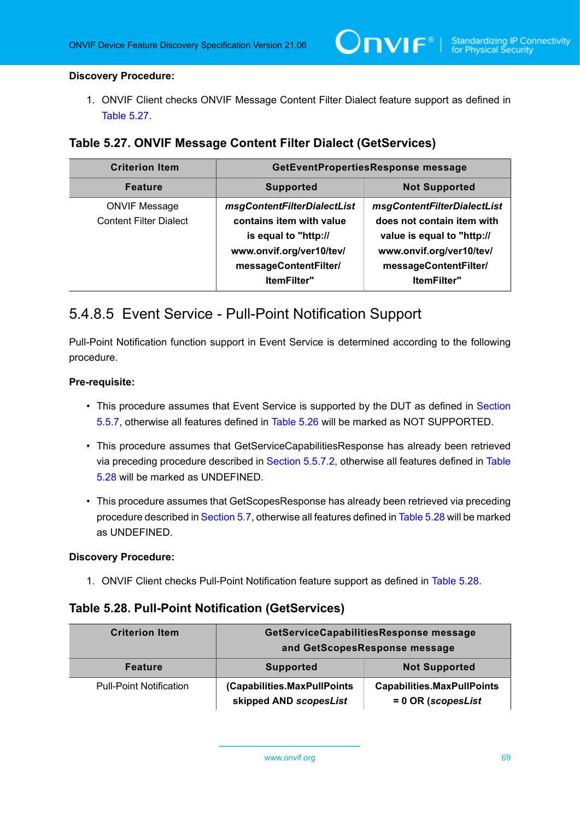### **Discovery Procedure:**

1. ONVIF Client checks ONVIF Message Content Filter Dialect feature support as defined in [Table](#page-68-0) 5.27.

### <span id="page-68-0"></span>**Table 5.27. ONVIF Message Content Filter Dialect (GetServices)**

| <b>Criterion Item</b>                                 | GetEventPropertiesResponse message                                                                                                                         |                                                                                                                                                             |
|-------------------------------------------------------|------------------------------------------------------------------------------------------------------------------------------------------------------------|-------------------------------------------------------------------------------------------------------------------------------------------------------------|
| <b>Feature</b>                                        | <b>Supported</b><br><b>Not Supported</b>                                                                                                                   |                                                                                                                                                             |
| <b>ONVIF Message</b><br><b>Content Filter Dialect</b> | msgContentFilterDialectList<br>contains item with value<br>is equal to "http://<br>www.onvif.org/ver10/tev/<br>messageContentFilter/<br><b>ItemFilter"</b> | msgContentFilterDialectList<br>does not contain item with<br>value is equal to "http://<br>www.onvif.org/ver10/tev/<br>messageContentFilter/<br>ItemFilter" |

### 5.4.8.5 Event Service - Pull-Point Notification Support

Pull-Point Notification function support in Event Service is determined according to the following procedure.

### **Pre-requisite:**

- This procedure assumes that Event Service is supported by the DUT as defined in [Section](#page-64-2) [5.5.7,](#page-64-2) otherwise all features defined in [Table](#page-67-1) 5.26 will be marked as NOT SUPPORTED.
- This procedure assumes that GetServiceCapabilitiesResponse has already been retrieved via preceding procedure described in [Section 5.5.7.2,](#page-65-1) otherwise all features defined in [Table](#page-68-1) [5.28](#page-68-1) will be marked as UNDEFINED.
- This procedure assumes that GetScopesResponse has already been retrieved via preceding procedure described in [Section 5.7](#page-160-0), otherwise all features defined in [Table](#page-68-1) 5.28 will be marked as UNDEFINED.

### **Discovery Procedure:**

1. ONVIF Client checks Pull-Point Notification feature support as defined in [Table](#page-68-1) 5.28.

### <span id="page-68-1"></span>**Table 5.28. Pull-Point Notification (GetServices)**

| <b>Criterion Item</b>          | GetServiceCapabilitiesResponse message<br>and GetScopesResponse message |                                                           |
|--------------------------------|-------------------------------------------------------------------------|-----------------------------------------------------------|
| <b>Feature</b>                 | <b>Supported</b>                                                        | <b>Not Supported</b>                                      |
| <b>Pull-Point Notification</b> | (Capabilities.MaxPullPoints<br>skipped AND scopesList                   | <b>Capabilities.MaxPullPoints</b><br>$= 0$ OR (scopesList |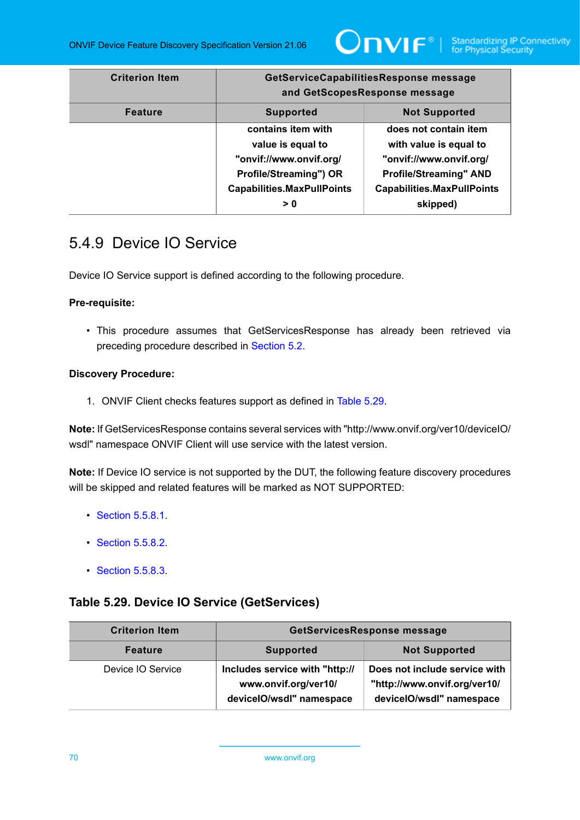

| <b>Criterion Item</b> | GetServiceCapabilitiesResponse message<br>and GetScopesResponse message                                                                  |                                                                                                                                                              |
|-----------------------|------------------------------------------------------------------------------------------------------------------------------------------|--------------------------------------------------------------------------------------------------------------------------------------------------------------|
| <b>Feature</b>        | <b>Not Supported</b><br><b>Supported</b>                                                                                                 |                                                                                                                                                              |
|                       | contains item with<br>value is equal to<br>"onvif://www.onvif.org/<br>Profile/Streaming") OR<br><b>Capabilities.MaxPullPoints</b><br>> 0 | does not contain item<br>with value is equal to<br>"onvif://www.onvif.org/<br><b>Profile/Streaming" AND</b><br><b>Capabilities.MaxPullPoints</b><br>skipped) |

## <span id="page-69-1"></span>5.4.9 Device IO Service

Device IO Service support is defined according to the following procedure.

### **Pre-requisite:**

• This procedure assumes that GetServicesResponse has already been retrieved via preceding procedure described in [Section 5.2](#page-38-1).

### **Discovery Procedure:**

1. ONVIF Client checks features support as defined in [Table](#page-69-0) 5.29.

**Note:** If GetServicesResponse contains several services with "http://www.onvif.org/ver10/deviceIO/ wsdl" namespace ONVIF Client will use service with the latest version.

**Note:** If Device IO service is not supported by the DUT, the following feature discovery procedures will be skipped and related features will be marked as NOT SUPPORTED:

- **[Section 5.5.8.1](#page-70-0).**
- [Section 5.5.8.2](#page-71-0).
- [Section 5.5.8.3](#page-72-0).

### <span id="page-69-0"></span>**Table 5.29. Device IO Service (GetServices)**

| <b>Criterion Item</b> | <b>GetServicesResponse message</b>                                                 |                                                                                           |
|-----------------------|------------------------------------------------------------------------------------|-------------------------------------------------------------------------------------------|
| <b>Feature</b>        | <b>Supported</b>                                                                   | <b>Not Supported</b>                                                                      |
| Device IO Service     | Includes service with "http://<br>www.onvif.org/ver10/<br>deviceIO/wsdl" namespace | Does not include service with<br>"http://www.onvif.org/ver10/<br>deviceIO/wsdl" namespace |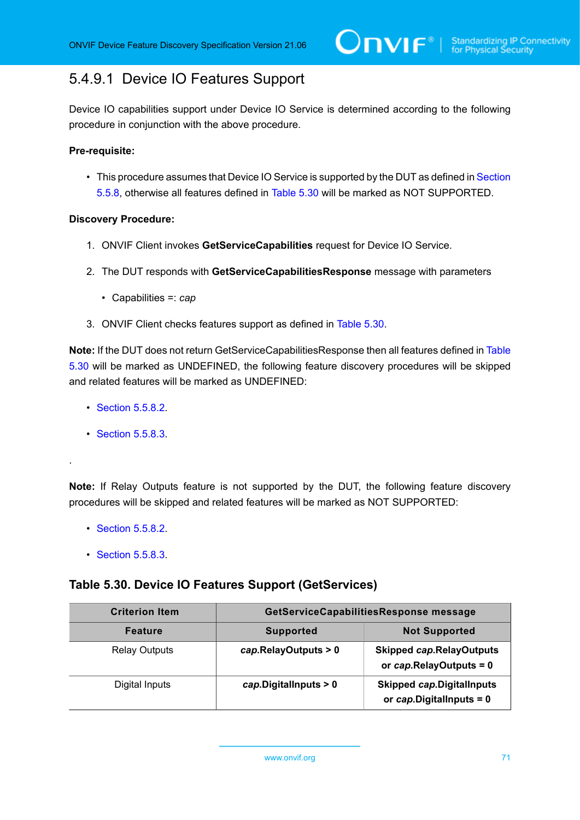### <span id="page-70-0"></span>5.4.9.1 Device IO Features Support

Device IO capabilities support under Device IO Service is determined according to the following procedure in conjunction with the above procedure.

### **Pre-requisite:**

• This procedure assumes that Device IO Service is supported by the DUT as defined in [Section](#page-69-1) [5.5.8,](#page-69-1) otherwise all features defined in [Table](#page-70-1) 5.30 will be marked as NOT SUPPORTED.

### **Discovery Procedure:**

- 1. ONVIF Client invokes **GetServiceCapabilities** request for Device IO Service.
- 2. The DUT responds with **GetServiceCapabilitiesResponse** message with parameters
	- Capabilities =: *cap*
- 3. ONVIF Client checks features support as defined in [Table](#page-70-1) 5.30.

**Note:** If the DUT does not return GetServiceCapabilitiesResponse then all features defined in [Table](#page-70-1) [5.30](#page-70-1) will be marked as UNDEFINED, the following feature discovery procedures will be skipped and related features will be marked as UNDEFINED:

- [Section 5.5.8.2](#page-71-0).
- [Section 5.5.8.3](#page-72-0).

.

**Note:** If Relay Outputs feature is not supported by the DUT, the following feature discovery procedures will be skipped and related features will be marked as NOT SUPPORTED:

- [Section 5.5.8.2](#page-71-0).
- **[Section 5.5.8.3](#page-72-0).**

### <span id="page-70-1"></span>**Table 5.30. Device IO Features Support (GetServices)**

| <b>Criterion Item</b> | GetServiceCapabilitiesResponse message |                                                                 |
|-----------------------|----------------------------------------|-----------------------------------------------------------------|
| <b>Feature</b>        | <b>Supported</b>                       | <b>Not Supported</b>                                            |
| <b>Relay Outputs</b>  | cap.RelayOutputs > 0                   | <b>Skipped cap.RelayOutputs</b><br>or cap.RelayOutputs = 0      |
| Digital Inputs        | cap.Digital inputs > 0                 | <b>Skipped cap.DigitalInputs</b><br>or $cap.D$ igitallnputs = 0 |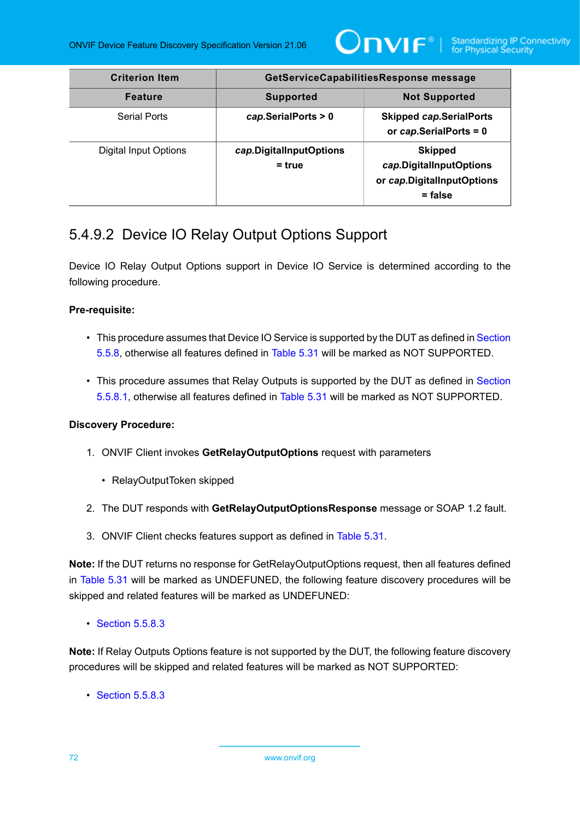

| <b>Criterion Item</b>        | GetServiceCapabilitiesResponse message   |                                                                                      |
|------------------------------|------------------------------------------|--------------------------------------------------------------------------------------|
| <b>Feature</b>               | <b>Not Supported</b><br><b>Supported</b> |                                                                                      |
| Serial Ports                 | cap.SerialPorts > 0                      | <b>Skipped cap.SerialPorts</b><br>or cap.SerialPorts = 0                             |
| <b>Digital Input Options</b> | cap.DigitalInputOptions<br>$=$ true      | <b>Skipped</b><br>cap.DigitalInputOptions<br>or cap.DigitalInputOptions<br>$=$ false |

## <span id="page-71-0"></span>5.4.9.2 Device IO Relay Output Options Support

Device IO Relay Output Options support in Device IO Service is determined according to the following procedure.

### **Pre-requisite:**

- This procedure assumes that Device IO Service is supported by the DUT as defined in [Section](#page-69-1) [5.5.8,](#page-69-1) otherwise all features defined in [Table](#page-72-1) 5.31 will be marked as NOT SUPPORTED.
- This procedure assumes that Relay Outputs is supported by the DUT as defined in [Section](#page-70-0) [5.5.8.1](#page-70-0), otherwise all features defined in [Table](#page-72-1) 5.31 will be marked as NOT SUPPORTED.

### **Discovery Procedure:**

- 1. ONVIF Client invokes **GetRelayOutputOptions** request with parameters
	- RelayOutputToken skipped
- 2. The DUT responds with **GetRelayOutputOptionsResponse** message or SOAP 1.2 fault.
- 3. ONVIF Client checks features support as defined in [Table](#page-72-1) 5.31.

**Note:** If the DUT returns no response for GetRelayOutputOptions request, then all features defined in [Table](#page-72-1) 5.31 will be marked as UNDEFUNED, the following feature discovery procedures will be skipped and related features will be marked as UNDEFUNED:

• [Section 5.5.8.3](#page-72-0)

**Note:** If Relay Outputs Options feature is not supported by the DUT, the following feature discovery procedures will be skipped and related features will be marked as NOT SUPPORTED:

• **[Section 5.5.8.3](#page-72-0)**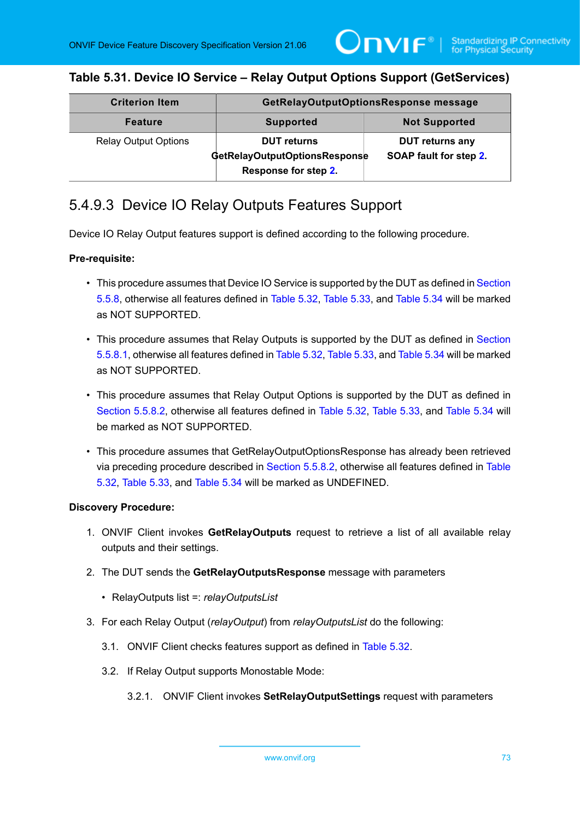## **Table 5.31. Device IO Service – Relay Output Options Support (GetServices)**

| <b>Criterion Item</b>       | GetRelayOutputOptionsResponse message                                       |                                                  |
|-----------------------------|-----------------------------------------------------------------------------|--------------------------------------------------|
| <b>Feature</b>              | <b>Supported</b>                                                            | <b>Not Supported</b>                             |
| <b>Relay Output Options</b> | <b>DUT</b> returns<br>GetRelayOutputOptionsResponse<br>Response for step 2. | <b>DUT returns any</b><br>SOAP fault for step 2. |

## 5.4.9.3 Device IO Relay Outputs Features Support

Device IO Relay Output features support is defined according to the following procedure.

#### **Pre-requisite:**

- This procedure assumes that Device IO Service is supported by the DUT as defined in [Section](#page-69-0) [5.5.8,](#page-69-0) otherwise all features defined in [Table](#page-74-0) 5.32, [Table](#page-75-0) 5.33, and [Table](#page-75-1) 5.34 will be marked as NOT SUPPORTED.
- This procedure assumes that Relay Outputs is supported by the DUT as defined in [Section](#page-70-0) [5.5.8.1](#page-70-0), otherwise all features defined in [Table](#page-74-0) 5.32, [Table](#page-75-0) 5.33, and [Table](#page-75-1) 5.34 will be marked as NOT SUPPORTED.
- This procedure assumes that Relay Output Options is supported by the DUT as defined in [Section 5.5.8.2](#page-71-1), otherwise all features defined in [Table](#page-74-0) 5.32, [Table](#page-75-0) 5.33, and [Table](#page-75-1) 5.34 will be marked as NOT SUPPORTED.
- This procedure assumes that GetRelayOutputOptionsResponse has already been retrieved via preceding procedure described in [Section 5.5.8.2,](#page-71-1) otherwise all features defined in [Table](#page-74-0) [5.32,](#page-74-0) [Table](#page-75-0) 5.33, and [Table](#page-75-1) 5.34 will be marked as UNDEFINED.

- 1. ONVIF Client invokes **GetRelayOutputs** request to retrieve a list of all available relay outputs and their settings.
- 2. The DUT sends the **GetRelayOutputsResponse** message with parameters
	- RelayOutputs list =: *relayOutputsList*
- 3. For each Relay Output (*relayOutput*) from *relayOutputsList* do the following:
	- 3.1. ONVIF Client checks features support as defined in [Table](#page-74-0) 5.32.
	- 3.2. If Relay Output supports Monostable Mode:
		- 3.2.1. ONVIF Client invokes **SetRelayOutputSettings** request with parameters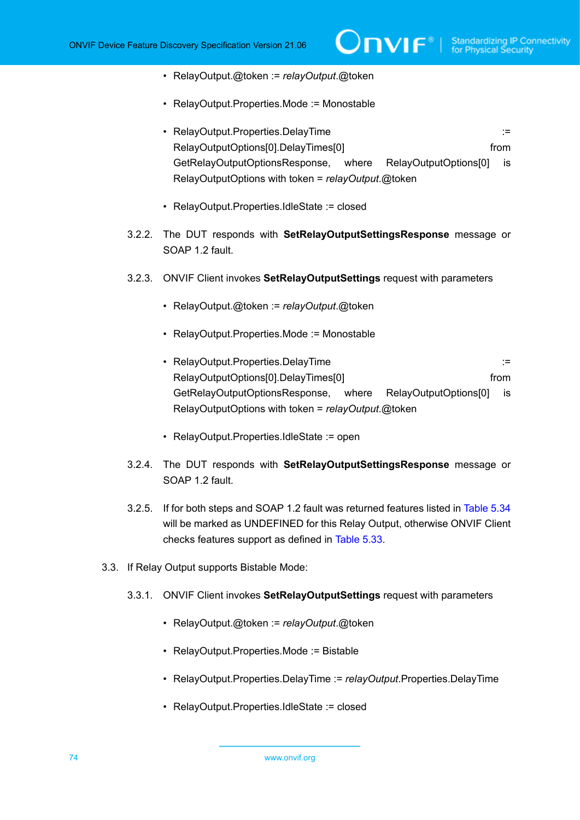- RelayOutput.@token := *relayOutput*.@token
- RelayOutput.Properties.Mode := Monostable
- RelayOutput.Properties.DelayTime := RelayOutputOptions[0].DelayTimes[0] from GetRelayOutputOptionsResponse, where RelayOutputOptions[0] is RelayOutputOptions with token = *relayOutput*.@token
- RelayOutput.Properties.IdleState := closed
- <span id="page-73-0"></span>3.2.2. The DUT responds with **SetRelayOutputSettingsResponse** message or SOAP 1.2 fault.
- 3.2.3. ONVIF Client invokes **SetRelayOutputSettings** request with parameters
	- RelayOutput.@token := *relayOutput*.@token
	- RelayOutput.Properties.Mode := Monostable
	- RelayOutput.Properties.DelayTime := RelayOutputOptions[0].DelayTimes[0] example from from GetRelayOutputOptionsResponse, where RelayOutputOptions[0] is RelayOutputOptions with token = *relayOutput*.@token
	- RelayOutput.Properties.IdleState := open
- <span id="page-73-1"></span>3.2.4. The DUT responds with **SetRelayOutputSettingsResponse** message or SOAP 1.2 fault.
- 3.2.5. If for both steps and SOAP 1.2 fault was returned features listed in [Table](#page-75-1) 5.34 will be marked as UNDEFINED for this Relay Output, otherwise ONVIF Client checks features support as defined in [Table](#page-75-0) 5.33.
- 3.3. If Relay Output supports Bistable Mode:
	- 3.3.1. ONVIF Client invokes **SetRelayOutputSettings** request with parameters
		- RelayOutput.@token := *relayOutput*.@token
		- RelayOutput.Properties.Mode := Bistable
		- RelayOutput.Properties.DelayTime := *relayOutput*.Properties.DelayTime
		- RelayOutput.Properties.IdleState := closed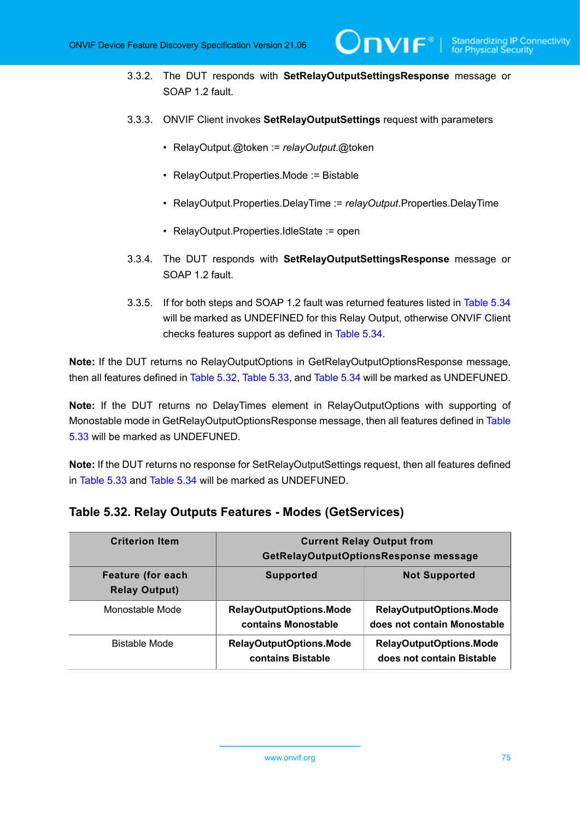<span id="page-74-1"></span>3.3.2. The DUT responds with **SetRelayOutputSettingsResponse** message or SOAP 1.2 fault.

 $\mathsf{D}\mathbf{n}\mathsf{V}\mathsf{I}\mathsf{F}^\ast$  .

- 3.3.3. ONVIF Client invokes **SetRelayOutputSettings** request with parameters
	- RelayOutput.@token := *relayOutput*.@token
	- RelayOutput.Properties.Mode := Bistable
	- RelayOutput.Properties.DelayTime := *relayOutput*.Properties.DelayTime
	- RelayOutput.Properties.IdleState := open
- <span id="page-74-2"></span>3.3.4. The DUT responds with **SetRelayOutputSettingsResponse** message or SOAP 1.2 fault.
- 3.3.5. If for both steps and SOAP 1.2 fault was returned features listed in [Table](#page-75-1) 5.34 will be marked as UNDEFINED for this Relay Output, otherwise ONVIF Client checks features support as defined in [Table](#page-75-1) 5.34.

**Note:** If the DUT returns no RelayOutputOptions in GetRelayOutputOptionsResponse message, then all features defined in [Table](#page-74-0) 5.32, [Table](#page-75-0) 5.33, and [Table](#page-75-1) 5.34 will be marked as UNDEFUNED.

**Note:** If the DUT returns no DelayTimes element in RelayOutputOptions with supporting of Monostable mode in GetRelayOutputOptionsResponse message, then all features defined in [Table](#page-75-0) [5.33](#page-75-0) will be marked as UNDEFUNED.

**Note:** If the DUT returns no response for SetRelayOutputSettings request, then all features defined in [Table](#page-75-0) 5.33 and [Table](#page-75-1) 5.34 will be marked as UNDEFUNED.

| <b>Criterion Item</b>                            | <b>Current Relay Output from</b><br>GetRelayOutputOptionsResponse message |                                                               |
|--------------------------------------------------|---------------------------------------------------------------------------|---------------------------------------------------------------|
| <b>Feature (for each</b><br><b>Relay Output)</b> | <b>Supported</b>                                                          | <b>Not Supported</b>                                          |
| Monostable Mode                                  | <b>RelayOutputOptions.Mode</b><br>contains Monostable                     | <b>RelayOutputOptions.Mode</b><br>does not contain Monostable |
| Bistable Mode                                    | <b>RelayOutputOptions.Mode</b><br>contains Bistable                       | <b>RelayOutputOptions.Mode</b><br>does not contain Bistable   |

### <span id="page-74-0"></span>**Table 5.32. Relay Outputs Features - Modes (GetServices)**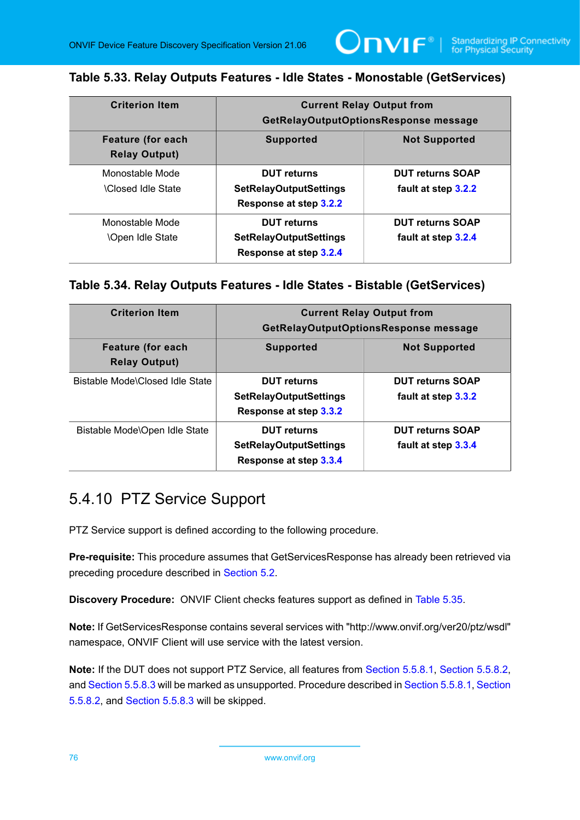### <span id="page-75-0"></span>**Table 5.33. Relay Outputs Features - Idle States - Monostable (GetServices)**

 $\mathsf{Onv}$ r $^\circ$ 

| <b>Criterion Item</b>                            | <b>Current Relay Output from</b><br>GetRelayOutputOptionsResponse message     |                                                |
|--------------------------------------------------|-------------------------------------------------------------------------------|------------------------------------------------|
| <b>Feature (for each</b><br><b>Relay Output)</b> | <b>Supported</b>                                                              | <b>Not Supported</b>                           |
| Monostable Mode<br><b>\Closed Idle State</b>     | <b>DUT</b> returns<br><b>SetRelayOutputSettings</b><br>Response at step 3.2.2 | <b>DUT returns SOAP</b><br>fault at step 3.2.2 |
| Monostable Mode<br><b>\Open Idle State</b>       | <b>DUT</b> returns<br><b>SetRelayOutputSettings</b><br>Response at step 3.2.4 | <b>DUT returns SOAP</b><br>fault at step 3.2.4 |

#### <span id="page-75-1"></span>**Table 5.34. Relay Outputs Features - Idle States - Bistable (GetServices)**

| <b>Criterion Item</b>                            | <b>Current Relay Output from</b><br>GetRelayOutputOptionsResponse message     |                                                |
|--------------------------------------------------|-------------------------------------------------------------------------------|------------------------------------------------|
| <b>Feature (for each</b><br><b>Relay Output)</b> | <b>Supported</b>                                                              | <b>Not Supported</b>                           |
| Bistable Mode\Closed Idle State                  | <b>DUT</b> returns<br><b>SetRelayOutputSettings</b><br>Response at step 3.3.2 | <b>DUT returns SOAP</b><br>fault at step 3.3.2 |
| Bistable Mode\Open Idle State                    | <b>DUT</b> returns<br><b>SetRelayOutputSettings</b><br>Response at step 3.3.4 | <b>DUT returns SOAP</b><br>fault at step 3.3.4 |

## 5.4.10 PTZ Service Support

PTZ Service support is defined according to the following procedure.

**Pre-requisite:** This procedure assumes that GetServicesResponse has already been retrieved via preceding procedure described in [Section 5.2](#page-38-0).

**Discovery Procedure:** ONVIF Client checks features support as defined in [Table](#page-76-0) 5.35.

**Note:** If GetServicesResponse contains several services with "http://www.onvif.org/ver20/ptz/wsdl" namespace, ONVIF Client will use service with the latest version.

**Note:** If the DUT does not support PTZ Service, all features from [Section 5.5.8.1](#page-76-1), [Section 5.5.8.2](#page-77-0), and [Section 5.5.8.3](#page-78-0) will be marked as unsupported. Procedure described in [Section 5.5.8.1](#page-76-1), [Section](#page-77-0) [5.5.8.2,](#page-77-0) and [Section 5.5.8.3](#page-78-0) will be skipped.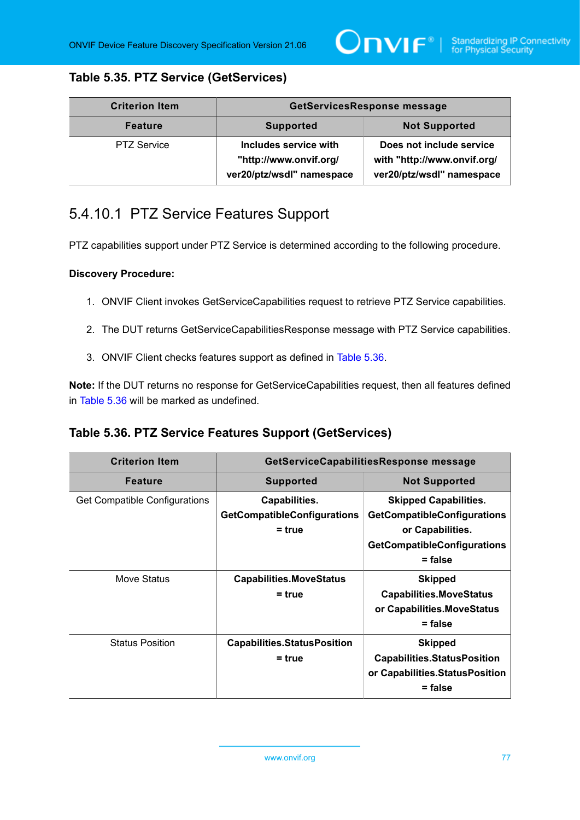## <span id="page-76-0"></span>**Table 5.35. PTZ Service (GetServices)**

| <b>Criterion Item</b> | <b>GetServicesResponse message</b>                                           |                                                                                      |
|-----------------------|------------------------------------------------------------------------------|--------------------------------------------------------------------------------------|
| <b>Feature</b>        | <b>Supported</b>                                                             | <b>Not Supported</b>                                                                 |
| <b>PTZ Service</b>    | Includes service with<br>"http://www.onvif.org/<br>ver20/ptz/wsdl" namespace | Does not include service<br>with "http://www.onvif.org/<br>ver20/ptz/wsdl" namespace |

# <span id="page-76-1"></span>5.4.10.1 PTZ Service Features Support

PTZ capabilities support under PTZ Service is determined according to the following procedure.

#### **Discovery Procedure:**

- 1. ONVIF Client invokes GetServiceCapabilities request to retrieve PTZ Service capabilities.
- 2. The DUT returns GetServiceCapabilitiesResponse message with PTZ Service capabilities.
- 3. ONVIF Client checks features support as defined in [Table](#page-76-2) 5.36.

**Note:** If the DUT returns no response for GetServiceCapabilities request, then all features defined in [Table](#page-76-2) 5.36 will be marked as undefined.

## <span id="page-76-2"></span>**Table 5.36. PTZ Service Features Support (GetServices)**

| <b>Criterion Item</b>         | GetServiceCapabilitiesResponse message                          |                                                                                                                                           |
|-------------------------------|-----------------------------------------------------------------|-------------------------------------------------------------------------------------------------------------------------------------------|
| <b>Feature</b>                | <b>Supported</b>                                                | <b>Not Supported</b>                                                                                                                      |
| Get Compatible Configurations | Capabilities.<br><b>GetCompatibleConfigurations</b><br>$= true$ | <b>Skipped Capabilities.</b><br><b>GetCompatibleConfigurations</b><br>or Capabilities.<br><b>GetCompatibleConfigurations</b><br>$=$ false |
| Move Status                   | <b>Capabilities.MoveStatus</b><br>$=$ true                      | <b>Skipped</b><br><b>Capabilities.MoveStatus</b><br>or Capabilities.MoveStatus<br>$=$ false                                               |
| <b>Status Position</b>        | <b>Capabilities.StatusPosition</b><br>$=$ true                  | <b>Skipped</b><br><b>Capabilities.StatusPosition</b><br>or Capabilities. Status Position<br>$=$ false                                     |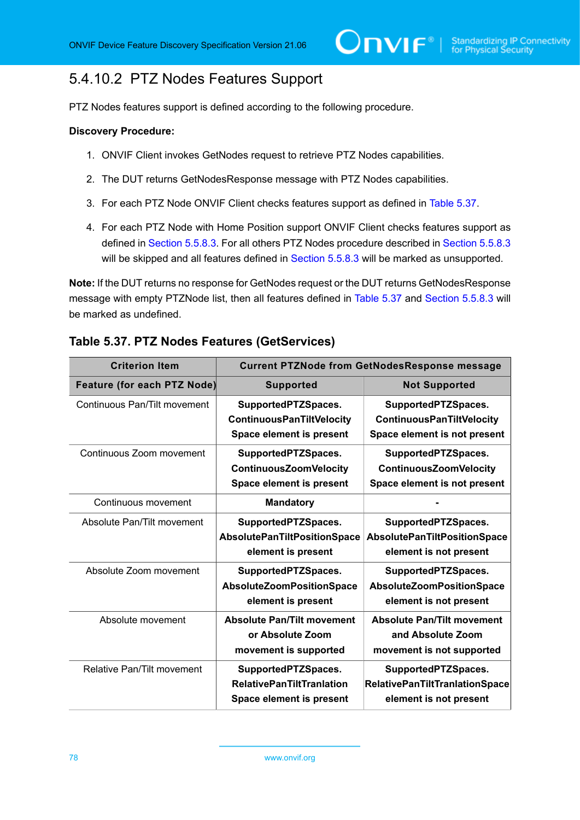# <span id="page-77-0"></span>5.4.10.2 PTZ Nodes Features Support

PTZ Nodes features support is defined according to the following procedure.

#### **Discovery Procedure:**

- 1. ONVIF Client invokes GetNodes request to retrieve PTZ Nodes capabilities.
- 2. The DUT returns GetNodesResponse message with PTZ Nodes capabilities.
- 3. For each PTZ Node ONVIF Client checks features support as defined in [Table](#page-77-1) 5.37.
- 4. For each PTZ Node with Home Position support ONVIF Client checks features support as defined in [Section 5.5.8.3.](#page-78-0) For all others PTZ Nodes procedure described in [Section 5.5.8.3](#page-78-0) will be skipped and all features defined in [Section 5.5.8.3](#page-78-0) will be marked as unsupported.

**Note:** If the DUT returns no response for GetNodes request or the DUT returns GetNodesResponse message with empty PTZNode list, then all features defined in [Table](#page-77-1) 5.37 and [Section 5.5.8.3](#page-78-0) will be marked as undefined.

| <b>Criterion Item</b>              | <b>Current PTZNode from GetNodesResponse message</b> |                                     |
|------------------------------------|------------------------------------------------------|-------------------------------------|
| <b>Feature (for each PTZ Node)</b> | <b>Supported</b>                                     | <b>Not Supported</b>                |
| Continuous Pan/Tilt movement       | SupportedPTZSpaces.                                  | SupportedPTZSpaces.                 |
|                                    | <b>ContinuousPanTiltVelocity</b>                     | <b>ContinuousPanTiltVelocity</b>    |
|                                    | Space element is present                             | Space element is not present        |
| Continuous Zoom movement           | SupportedPTZSpaces.                                  | SupportedPTZSpaces.                 |
|                                    | <b>ContinuousZoomVelocity</b>                        | <b>ContinuousZoomVelocity</b>       |
|                                    | Space element is present                             | Space element is not present        |
| Continuous movement                | <b>Mandatory</b>                                     |                                     |
| Absolute Pan/Tilt movement         | SupportedPTZSpaces.                                  | SupportedPTZSpaces.                 |
|                                    | AbsolutePanTiltPositionSpace                         | <b>AbsolutePanTiltPositionSpace</b> |
|                                    | element is present                                   | element is not present              |
| Absolute Zoom movement             | SupportedPTZSpaces.                                  | SupportedPTZSpaces.                 |
|                                    | AbsoluteZoomPositionSpace                            | AbsoluteZoomPositionSpace           |
|                                    | element is present                                   | element is not present              |
| Absolute movement                  | <b>Absolute Pan/Tilt movement</b>                    | <b>Absolute Pan/Tilt movement</b>   |
|                                    | or Absolute Zoom                                     | and Absolute Zoom                   |
|                                    | movement is supported                                | movement is not supported           |
| Relative Pan/Tilt movement         | SupportedPTZSpaces.                                  | SupportedPTZSpaces.                 |
|                                    | <b>RelativePanTiltTranlation</b>                     | RelativePanTiltTranlationSpace      |
|                                    | Space element is present                             | element is not present              |

### <span id="page-77-1"></span>**Table 5.37. PTZ Nodes Features (GetServices)**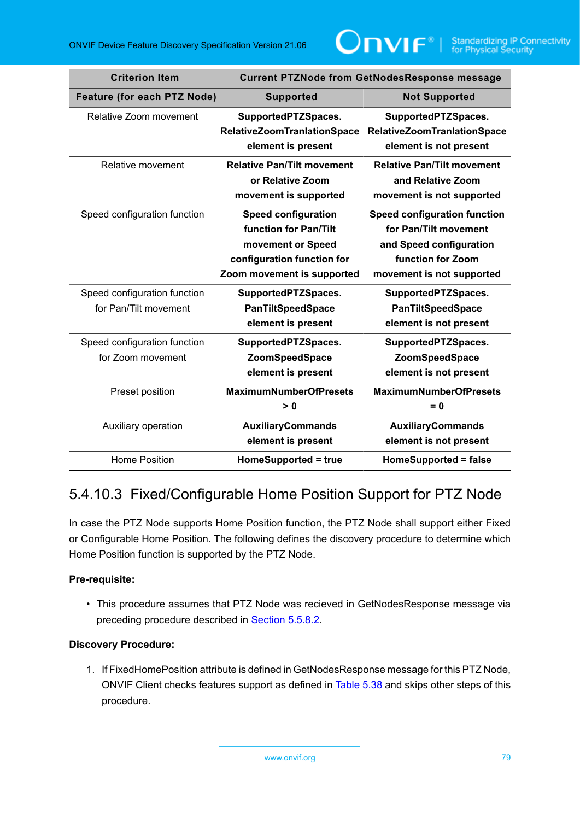

| <b>Criterion Item</b>              | <b>Current PTZNode from GetNodesResponse message</b>                                                                                 |                                                                                                                                           |
|------------------------------------|--------------------------------------------------------------------------------------------------------------------------------------|-------------------------------------------------------------------------------------------------------------------------------------------|
| <b>Feature (for each PTZ Node)</b> | <b>Supported</b>                                                                                                                     | <b>Not Supported</b>                                                                                                                      |
| Relative Zoom movement             | SupportedPTZSpaces.                                                                                                                  | SupportedPTZSpaces.                                                                                                                       |
|                                    | <b>RelativeZoomTranlationSpace</b><br>element is present                                                                             | <b>RelativeZoomTranlationSpace</b><br>element is not present                                                                              |
| Relative movement                  | <b>Relative Pan/Tilt movement</b><br>or Relative Zoom<br>movement is supported                                                       | <b>Relative Pan/Tilt movement</b><br>and Relative Zoom<br>movement is not supported                                                       |
| Speed configuration function       | <b>Speed configuration</b><br>function for Pan/Tilt<br>movement or Speed<br>configuration function for<br>Zoom movement is supported | <b>Speed configuration function</b><br>for Pan/Tilt movement<br>and Speed configuration<br>function for Zoom<br>movement is not supported |
| Speed configuration function       | SupportedPTZSpaces.                                                                                                                  | SupportedPTZSpaces.                                                                                                                       |
| for Pan/Tilt movement              | <b>PanTiltSpeedSpace</b>                                                                                                             | <b>PanTiltSpeedSpace</b>                                                                                                                  |
|                                    | element is present                                                                                                                   | element is not present                                                                                                                    |
| Speed configuration function       | SupportedPTZSpaces.                                                                                                                  | SupportedPTZSpaces.                                                                                                                       |
| for Zoom movement                  | <b>ZoomSpeedSpace</b>                                                                                                                | <b>ZoomSpeedSpace</b>                                                                                                                     |
|                                    | element is present                                                                                                                   | element is not present                                                                                                                    |
| Preset position                    | <b>MaximumNumberOfPresets</b><br>> 0                                                                                                 | <b>MaximumNumberOfPresets</b><br>= 0                                                                                                      |
| Auxiliary operation                | <b>AuxiliaryCommands</b><br>element is present                                                                                       | <b>AuxiliaryCommands</b><br>element is not present                                                                                        |
| <b>Home Position</b>               | HomeSupported = true                                                                                                                 | HomeSupported = false                                                                                                                     |

# <span id="page-78-0"></span>5.4.10.3 Fixed/Configurable Home Position Support for PTZ Node

In case the PTZ Node supports Home Position function, the PTZ Node shall support either Fixed or Configurable Home Position. The following defines the discovery procedure to determine which Home Position function is supported by the PTZ Node.

### **Pre-requisite:**

• This procedure assumes that PTZ Node was recieved in GetNodesResponse message via preceding procedure described in [Section 5.5.8.2.](#page-77-0)

### **Discovery Procedure:**

1. If FixedHomePosition attribute is defined in GetNodesResponse message for this PTZ Node, ONVIF Client checks features support as defined in [Table](#page-79-0) 5.38 and skips other steps of this procedure.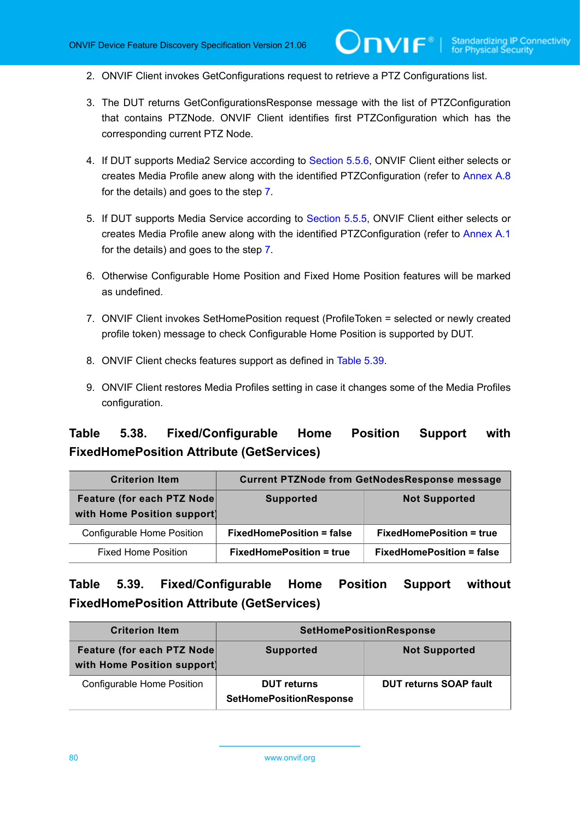- 2. ONVIF Client invokes GetConfigurations request to retrieve a PTZ Configurations list.
- 3. The DUT returns GetConfigurationsResponse message with the list of PTZConfiguration that contains PTZNode. ONVIF Client identifies first PTZConfiguration which has the corresponding current PTZ Node.

 $\mathsf{D}\mathbf{N}\mathsf{I}\mathsf{F}^*$ l

- 4. If DUT supports Media2 Service according to [Section 5.5.6,](#page-57-0) ONVIF Client either selects or creates Media Profile anew along with the identified PTZConfiguration (refer to [Annex A.8](#page-171-0) for the details) and goes to the step [7.](#page-79-1)
- 5. If DUT supports Media Service according to [Section 5.5.5,](#page-52-0) ONVIF Client either selects or creates Media Profile anew along with the identified PTZConfiguration (refer to [Annex A.1](#page-163-0) for the details) and goes to the step [7.](#page-79-1)
- 6. Otherwise Configurable Home Position and Fixed Home Position features will be marked as undefined.
- <span id="page-79-1"></span>7. ONVIF Client invokes SetHomePosition request (ProfileToken = selected or newly created profile token) message to check Configurable Home Position is supported by DUT.
- 8. ONVIF Client checks features support as defined in [Table](#page-79-2) 5.39.
- 9. ONVIF Client restores Media Profiles setting in case it changes some of the Media Profiles configuration.

## <span id="page-79-0"></span>**Table 5.38. Fixed/Configurable Home Position Support with FixedHomePosition Attribute (GetServices)**

| <b>Criterion Item</b>                                      | <b>Current PTZNode from GetNodesResponse message</b> |                                  |
|------------------------------------------------------------|------------------------------------------------------|----------------------------------|
| Feature (for each PTZ Node)<br>with Home Position support) | <b>Supported</b>                                     | <b>Not Supported</b>             |
| Configurable Home Position                                 | <b>FixedHomePosition = false</b>                     | <b>FixedHomePosition = true</b>  |
| <b>Fixed Home Position</b>                                 | <b>FixedHomePosition = true</b>                      | <b>FixedHomePosition = false</b> |

## <span id="page-79-2"></span>**Table 5.39. Fixed/Configurable Home Position Support without FixedHomePosition Attribute (GetServices)**

| <b>Criterion Item</b>                                     | <b>SetHomePositionResponse</b>                       |                               |
|-----------------------------------------------------------|------------------------------------------------------|-------------------------------|
| Feature (for each PTZ Node<br>with Home Position support) | <b>Supported</b>                                     | <b>Not Supported</b>          |
| Configurable Home Position                                | <b>DUT</b> returns<br><b>SetHomePositionResponse</b> | <b>DUT returns SOAP fault</b> |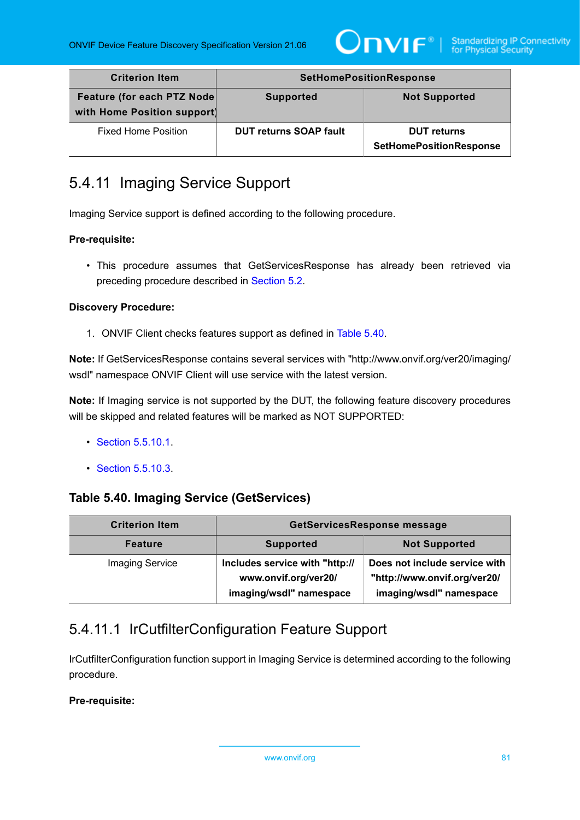

| <b>Criterion Item</b>                                     | <b>SetHomePositionResponse</b> |                                                      |
|-----------------------------------------------------------|--------------------------------|------------------------------------------------------|
| Feature (for each PTZ Node<br>with Home Position support) | <b>Supported</b>               | <b>Not Supported</b>                                 |
| <b>Fixed Home Position</b>                                | <b>DUT returns SOAP fault</b>  | <b>DUT</b> returns<br><b>SetHomePositionResponse</b> |

# <span id="page-80-2"></span>5.4.11 Imaging Service Support

Imaging Service support is defined according to the following procedure.

#### **Pre-requisite:**

• This procedure assumes that GetServicesResponse has already been retrieved via preceding procedure described in [Section 5.2](#page-38-0).

#### **Discovery Procedure:**

1. ONVIF Client checks features support as defined in [Table](#page-80-0) 5.40.

**Note:** If GetServicesResponse contains several services with "http://www.onvif.org/ver20/imaging/ wsdl" namespace ONVIF Client will use service with the latest version.

**Note:** If Imaging service is not supported by the DUT, the following feature discovery procedures will be skipped and related features will be marked as NOT SUPPORTED:

- [Section 5.5.10.1](#page-80-1).
- [Section 5.5.10.3](#page-83-0).

## <span id="page-80-0"></span>**Table 5.40. Imaging Service (GetServices)**

| <b>Criterion Item</b>  | GetServicesResponse message                                                       |                                                                                          |
|------------------------|-----------------------------------------------------------------------------------|------------------------------------------------------------------------------------------|
| <b>Feature</b>         | <b>Supported</b>                                                                  | <b>Not Supported</b>                                                                     |
| <b>Imaging Service</b> | Includes service with "http://<br>www.onvif.org/ver20/<br>imaging/wsdl" namespace | Does not include service with<br>"http://www.onvif.org/ver20/<br>imaging/wsdl" namespace |

# <span id="page-80-1"></span>5.4.11.1 IrCutfilterConfiguration Feature Support

IrCutfilterConfiguration function support in Imaging Service is determined according to the following procedure.

### **Pre-requisite:**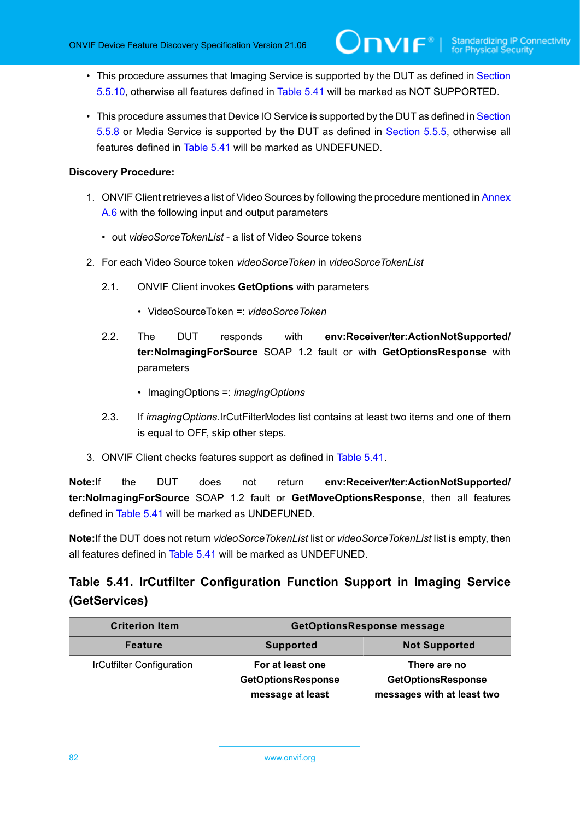- This procedure assumes that Imaging Service is supported by the DUT as defined in [Section](#page-80-2) [5.5.10](#page-80-2), otherwise all features defined in [Table](#page-81-0) 5.41 will be marked as NOT SUPPORTED.
- This procedure assumes that Device IO Service is supported by the DUT as defined in [Section](#page-69-0) [5.5.8](#page-69-0) or Media Service is supported by the DUT as defined in [Section 5.5.5](#page-52-0), otherwise all features defined in [Table](#page-81-0) 5.41 will be marked as UNDEFUNED.

#### **Discovery Procedure:**

- 1. ONVIF Client retrieves a list of Video Sources by following the procedure mentioned in [Annex](#page-169-0) [A.6](#page-169-0) with the following input and output parameters
	- out *videoSorceTokenList* a list of Video Source tokens
- 2. For each Video Source token *videoSorceToken* in *videoSorceTokenList*
	- 2.1. ONVIF Client invokes **GetOptions** with parameters
		- VideoSourceToken =: *videoSorceToken*
	- 2.2. The DUT responds with **env:Receiver/ter:ActionNotSupported/ ter:NoImagingForSource** SOAP 1.2 fault or with **GetOptionsResponse** with parameters
		- ImagingOptions =: *imagingOptions*
	- 2.3. If *imagingOptions*.IrCutFilterModes list contains at least two items and one of them is equal to OFF, skip other steps.
- 3. ONVIF Client checks features support as defined in [Table](#page-81-0) 5.41.

**Note:**If the DUT does not return **env:Receiver/ter:ActionNotSupported/ ter:NoImagingForSource** SOAP 1.2 fault or **GetMoveOptionsResponse**, then all features defined in [Table](#page-81-0) 5.41 will be marked as UNDEFUNED.

**Note:**If the DUT does not return *videoSorceTokenList* list or *videoSorceTokenList* list is empty, then all features defined in [Table](#page-81-0) 5.41 will be marked as UNDEFUNED.

# <span id="page-81-0"></span>**Table 5.41. IrCutfilter Configuration Function Support in Imaging Service (GetServices)**

| <b>Criterion Item</b>            | <b>GetOptionsResponse message</b>                                 |                                                                         |
|----------------------------------|-------------------------------------------------------------------|-------------------------------------------------------------------------|
| <b>Feature</b>                   | <b>Not Supported</b><br><b>Supported</b>                          |                                                                         |
| <b>IrCutfilter Configuration</b> | For at least one<br><b>GetOptionsResponse</b><br>message at least | There are no<br><b>GetOptionsResponse</b><br>messages with at least two |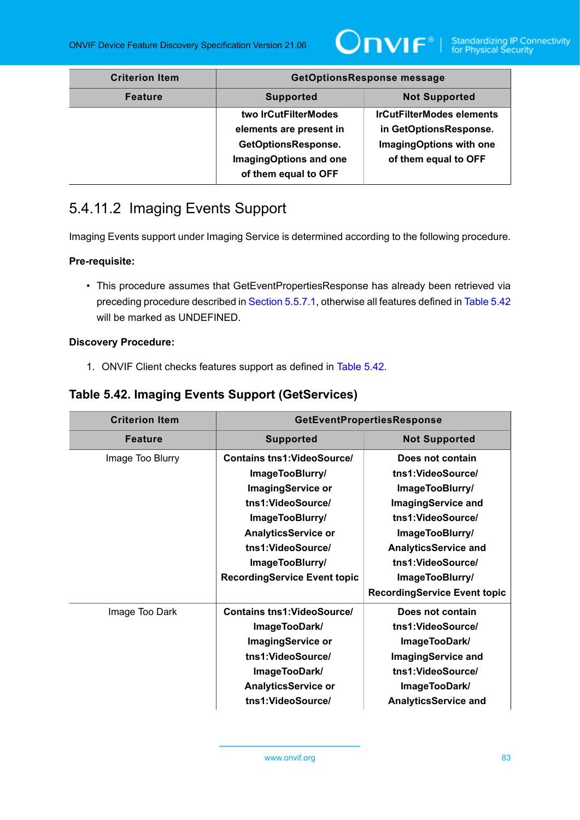

| <b>Criterion Item</b> | <b>GetOptionsResponse message</b>                                                                                        |                                                                                                               |
|-----------------------|--------------------------------------------------------------------------------------------------------------------------|---------------------------------------------------------------------------------------------------------------|
| <b>Feature</b>        | <b>Not Supported</b><br><b>Supported</b>                                                                                 |                                                                                                               |
|                       | two IrCutFilterModes<br>elements are present in<br>GetOptionsResponse.<br>ImagingOptions and one<br>of them equal to OFF | <b>IrCutFilterModes elements</b><br>in GetOptionsResponse.<br>ImagingOptions with one<br>of them equal to OFF |

# 5.4.11.2 Imaging Events Support

Imaging Events support under Imaging Service is determined according to the following procedure.

#### **Pre-requisite:**

• This procedure assumes that GetEventPropertiesResponse has already been retrieved via preceding procedure described in [Section 5.5.7.1](#page-65-0), otherwise all features defined in [Table](#page-82-0) 5.42 will be marked as UNDEFINED.

#### **Discovery Procedure:**

1. ONVIF Client checks features support as defined in [Table](#page-82-0) 5.42.

## <span id="page-82-0"></span>**Table 5.42. Imaging Events Support (GetServices)**

| <b>Criterion Item</b> | <b>GetEventPropertiesResponse</b>        |                                     |
|-----------------------|------------------------------------------|-------------------------------------|
| <b>Feature</b>        | <b>Supported</b><br><b>Not Supported</b> |                                     |
| Image Too Blurry      | <b>Contains tns1: VideoSource/</b>       | Does not contain                    |
|                       | ImageTooBlurry/                          | tns1:VideoSource/                   |
|                       | <b>ImagingService or</b>                 | ImageTooBlurry/                     |
|                       | tns1:VideoSource/                        | <b>ImagingService and</b>           |
|                       | ImageTooBlurry/                          | tns1:VideoSource/                   |
|                       | <b>AnalyticsService or</b>               | ImageTooBlurry/                     |
|                       | tns1:VideoSource/                        | <b>AnalyticsService and</b>         |
|                       | ImageTooBlurry/                          | tns1:VideoSource/                   |
|                       | <b>RecordingService Event topic</b>      | ImageTooBlurry/                     |
|                       |                                          | <b>RecordingService Event topic</b> |
| Image Too Dark        | <b>Contains tns1: VideoSource/</b>       | Does not contain                    |
|                       | ImageTooDark/                            | tns1:VideoSource/                   |
|                       | <b>ImagingService or</b>                 | ImageTooDark/                       |
|                       | tns1:VideoSource/                        | <b>ImagingService and</b>           |
|                       | ImageTooDark/                            | tns1:VideoSource/                   |
|                       | <b>AnalyticsService or</b>               | ImageTooDark/                       |
|                       | tns1:VideoSource/                        | <b>AnalyticsService and</b>         |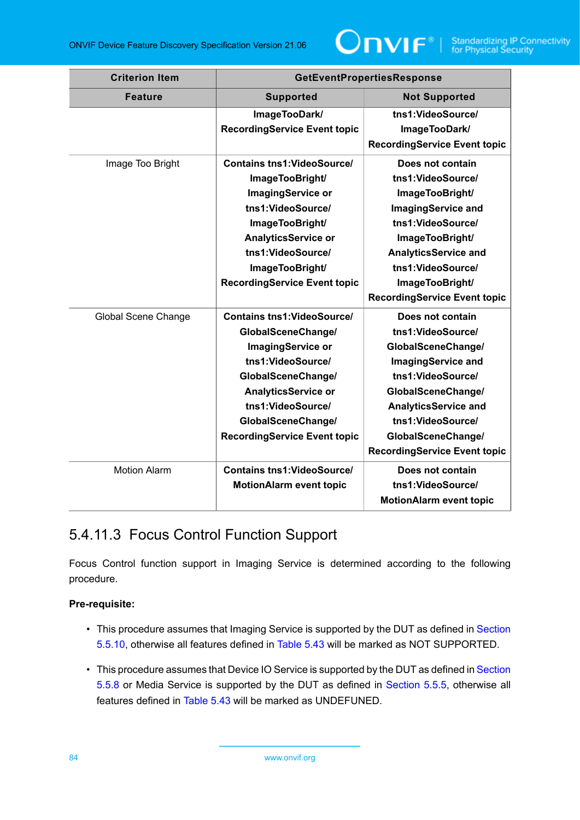

| <b>Criterion Item</b> | <b>GetEventPropertiesResponse</b>   |                                     |
|-----------------------|-------------------------------------|-------------------------------------|
| <b>Feature</b>        | <b>Supported</b>                    | <b>Not Supported</b>                |
|                       | ImageTooDark/                       | tns1:VideoSource/                   |
|                       | <b>RecordingService Event topic</b> | ImageTooDark/                       |
|                       |                                     | <b>RecordingService Event topic</b> |
| Image Too Bright      | <b>Contains tns1: VideoSource/</b>  | Does not contain                    |
|                       | ImageTooBright/                     | tns1:VideoSource/                   |
|                       | <b>ImagingService or</b>            | ImageTooBright/                     |
|                       | tns1:VideoSource/                   | <b>ImagingService and</b>           |
|                       | ImageTooBright/                     | tns1:VideoSource/                   |
|                       | <b>AnalyticsService or</b>          | ImageTooBright/                     |
|                       | tns1:VideoSource/                   | <b>AnalyticsService and</b>         |
|                       | ImageTooBright/                     | tns1:VideoSource/                   |
|                       | <b>RecordingService Event topic</b> | ImageTooBright/                     |
|                       |                                     | <b>RecordingService Event topic</b> |
| Global Scene Change   | <b>Contains tns1: VideoSource/</b>  | Does not contain                    |
|                       | GlobalSceneChange/                  | tns1:VideoSource/                   |
|                       | ImagingService or                   | GlobalSceneChange/                  |
|                       | tns1:VideoSource/                   | <b>ImagingService and</b>           |
|                       | GlobalSceneChange/                  | tns1:VideoSource/                   |
|                       | <b>AnalyticsService or</b>          | GlobalSceneChange/                  |
|                       | tns1:VideoSource/                   | <b>AnalyticsService and</b>         |
|                       | GlobalSceneChange/                  | tns1:VideoSource/                   |
|                       | <b>RecordingService Event topic</b> | GlobalSceneChange/                  |
|                       |                                     | <b>RecordingService Event topic</b> |
| <b>Motion Alarm</b>   | <b>Contains tns1: VideoSource/</b>  | Does not contain                    |
|                       | <b>MotionAlarm event topic</b>      | tns1:VideoSource/                   |
|                       |                                     | <b>MotionAlarm event topic</b>      |

# <span id="page-83-0"></span>5.4.11.3 Focus Control Function Support

Focus Control function support in Imaging Service is determined according to the following procedure.

## **Pre-requisite:**

- This procedure assumes that Imaging Service is supported by the DUT as defined in [Section](#page-80-2) [5.5.10](#page-80-2), otherwise all features defined in [Table](#page-84-0) 5.43 will be marked as NOT SUPPORTED.
- This procedure assumes that Device IO Service is supported by the DUT as defined in [Section](#page-69-0) [5.5.8](#page-69-0) or Media Service is supported by the DUT as defined in [Section 5.5.5](#page-52-0), otherwise all features defined in [Table](#page-84-0) 5.43 will be marked as UNDEFUNED.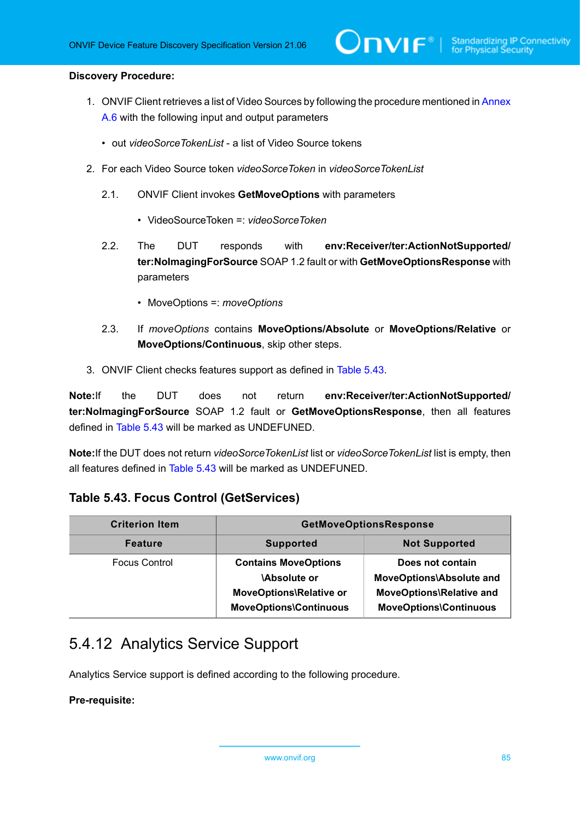#### **Discovery Procedure:**

1. ONVIF Client retrieves a list of Video Sources by following the procedure mentioned in [Annex](#page-169-0) [A.6](#page-169-0) with the following input and output parameters

 $\mathsf{D}\mathsf{N}\mathsf{H}^*$ l

- out *videoSorceTokenList* a list of Video Source tokens
- 2. For each Video Source token *videoSorceToken* in *videoSorceTokenList*
	- 2.1. ONVIF Client invokes **GetMoveOptions** with parameters
		- VideoSourceToken =: *videoSorceToken*
	- 2.2. The DUT responds with **env:Receiver/ter:ActionNotSupported/ ter:NoImagingForSource** SOAP 1.2 fault or with **GetMoveOptionsResponse** with parameters
		- MoveOptions =: *moveOptions*
	- 2.3. If *moveOptions* contains **MoveOptions/Absolute** or **MoveOptions/Relative** or **MoveOptions/Continuous**, skip other steps.
- 3. ONVIF Client checks features support as defined in [Table](#page-84-0) 5.43.

**Note:**If the DUT does not return **env:Receiver/ter:ActionNotSupported/ ter:NoImagingForSource** SOAP 1.2 fault or **GetMoveOptionsResponse**, then all features defined in [Table](#page-84-0) 5.43 will be marked as UNDEFUNED.

**Note:**If the DUT does not return *videoSorceTokenList* list or *videoSorceTokenList* list is empty, then all features defined in [Table](#page-84-0) 5.43 will be marked as UNDEFUNED.

### <span id="page-84-0"></span>**Table 5.43. Focus Control (GetServices)**

| <b>Criterion Item</b> | <b>GetMoveOptionsResponse</b>                                                                                 |                                                                                                                         |
|-----------------------|---------------------------------------------------------------------------------------------------------------|-------------------------------------------------------------------------------------------------------------------------|
| <b>Feature</b>        | <b>Not Supported</b><br><b>Supported</b>                                                                      |                                                                                                                         |
| <b>Focus Control</b>  | <b>Contains MoveOptions</b><br><b>Absolute or</b><br>MoveOptions\Relative or<br><b>MoveOptions\Continuous</b> | Does not contain<br><b>MoveOptions\Absolute and</b><br><b>MoveOptions\Relative and</b><br><b>MoveOptions\Continuous</b> |

# <span id="page-84-1"></span>5.4.12 Analytics Service Support

Analytics Service support is defined according to the following procedure.

#### **Pre-requisite:**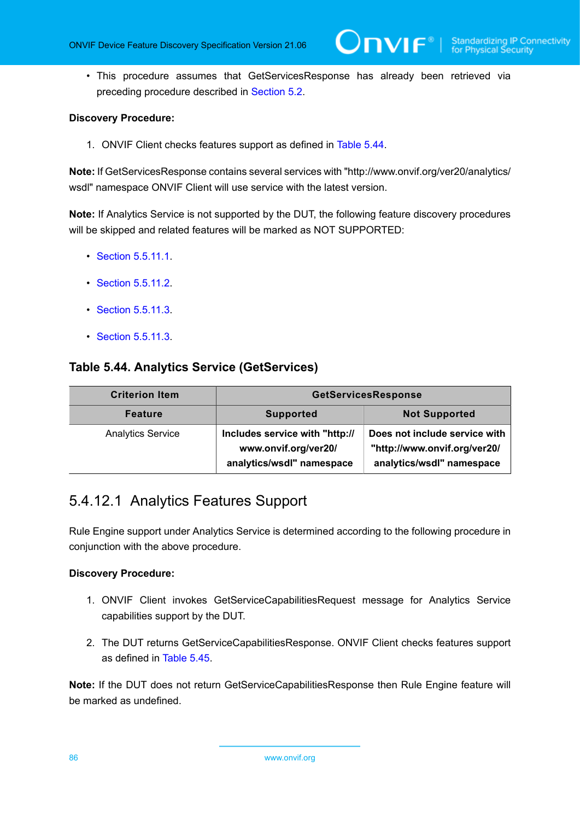• This procedure assumes that GetServicesResponse has already been retrieved via preceding procedure described in [Section 5.2](#page-38-0).

#### **Discovery Procedure:**

1. ONVIF Client checks features support as defined in [Table](#page-85-0) 5.44.

**Note:** If GetServicesResponse contains several services with "http://www.onvif.org/ver20/analytics/ wsdl" namespace ONVIF Client will use service with the latest version.

**Note:** If Analytics Service is not supported by the DUT, the following feature discovery procedures will be skipped and related features will be marked as NOT SUPPORTED:

- Section [5.5.11.1](#page-85-1).
- Section [5.5.11.2](#page-87-0).
- Section [5.5.11.3](#page-88-0).
- Section [5.5.11.3](#page-88-0).

### <span id="page-85-0"></span>**Table 5.44. Analytics Service (GetServices)**

| <b>Criterion Item</b>    | <b>GetServicesResponse</b>                                                          |                                                                                            |
|--------------------------|-------------------------------------------------------------------------------------|--------------------------------------------------------------------------------------------|
| <b>Feature</b>           | <b>Not Supported</b><br><b>Supported</b>                                            |                                                                                            |
| <b>Analytics Service</b> | Includes service with "http://<br>www.onvif.org/ver20/<br>analytics/wsdl" namespace | Does not include service with<br>"http://www.onvif.org/ver20/<br>analytics/wsdl" namespace |

# <span id="page-85-1"></span>5.4.12.1 Analytics Features Support

Rule Engine support under Analytics Service is determined according to the following procedure in conjunction with the above procedure.

#### **Discovery Procedure:**

- 1. ONVIF Client invokes GetServiceCapabilitiesRequest message for Analytics Service capabilities support by the DUT.
- 2. The DUT returns GetServiceCapabilitiesResponse. ONVIF Client checks features support as defined in [Table](#page-86-0) 5.45.

**Note:** If the DUT does not return GetServiceCapabilitiesResponse then Rule Engine feature will be marked as undefined.

86 www.onvif.org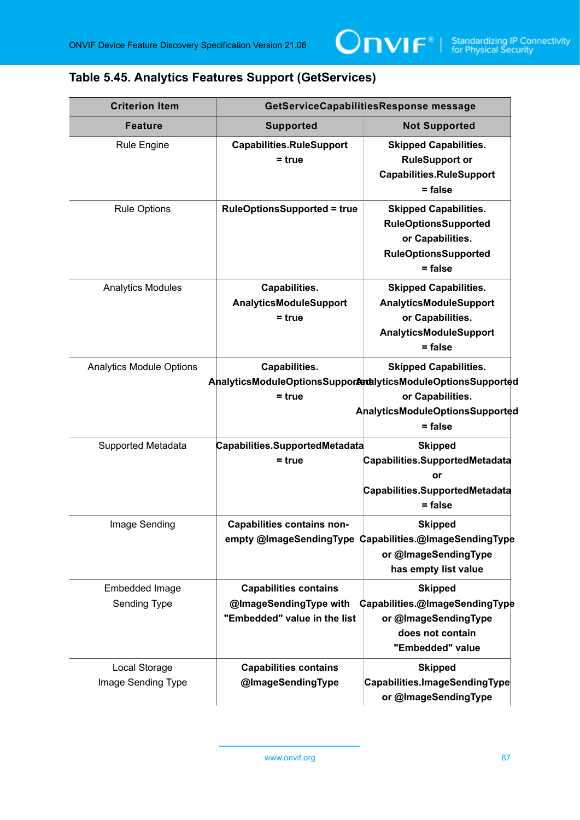## <span id="page-86-0"></span>**Table 5.45. Analytics Features Support (GetServices)**

| <b>Criterion Item</b>               |                                                                                        | GetServiceCapabilitiesResponse message                                                                                                                               |
|-------------------------------------|----------------------------------------------------------------------------------------|----------------------------------------------------------------------------------------------------------------------------------------------------------------------|
| <b>Feature</b>                      | <b>Supported</b>                                                                       | <b>Not Supported</b>                                                                                                                                                 |
| <b>Rule Engine</b>                  | <b>Capabilities.RuleSupport</b><br>$= true$                                            | <b>Skipped Capabilities.</b><br><b>RuleSupport or</b><br><b>Capabilities.RuleSupport</b><br>= false                                                                  |
| <b>Rule Options</b>                 | <b>RuleOptionsSupported = true</b>                                                     | <b>Skipped Capabilities.</b><br><b>RuleOptionsSupported</b><br>or Capabilities.<br><b>RuleOptionsSupported</b><br>$=$ false                                          |
| <b>Analytics Modules</b>            | Capabilities.<br><b>AnalyticsModuleSupport</b><br>$= true$                             | <b>Skipped Capabilities.</b><br>AnalyticsModuleSupport<br>or Capabilities.<br><b>AnalyticsModuleSupport</b><br>$=$ false                                             |
| <b>Analytics Module Options</b>     | Capabilities.<br>$= true$                                                              | <b>Skipped Capabilities.</b><br>AnalyticsModuleOptionsSupportedlyticsModuleOptionsSupported<br>or Capabilities.<br><b>AnalyticsModuleOptionsSupported</b><br>= false |
| <b>Supported Metadata</b>           | Capabilities.SupportedMetadata<br>$= true$                                             | <b>Skipped</b><br>Capabilities.SupportedMetadata<br>or<br>Capabilities.SupportedMetadata<br>$=$ false                                                                |
| Image Sending                       | <b>Capabilities contains non-</b>                                                      | <b>Skipped</b><br>empty @ImageSendingType Capabilities.@ImageSendingType<br>or @ImageSendingType<br>has empty list value                                             |
| Embedded Image<br>Sending Type      | <b>Capabilities contains</b><br>@ImageSendingType with<br>"Embedded" value in the list | <b>Skipped</b><br>Capabilities.@ImageSendingType<br>or @ImageSendingType<br>does not contain<br>"Embedded" value                                                     |
| Local Storage<br>Image Sending Type | <b>Capabilities contains</b><br>@ImageSendingType                                      | <b>Skipped</b><br>Capabilities.ImageSendingType<br>or @ImageSendingType                                                                                              |

www.onvif.org 87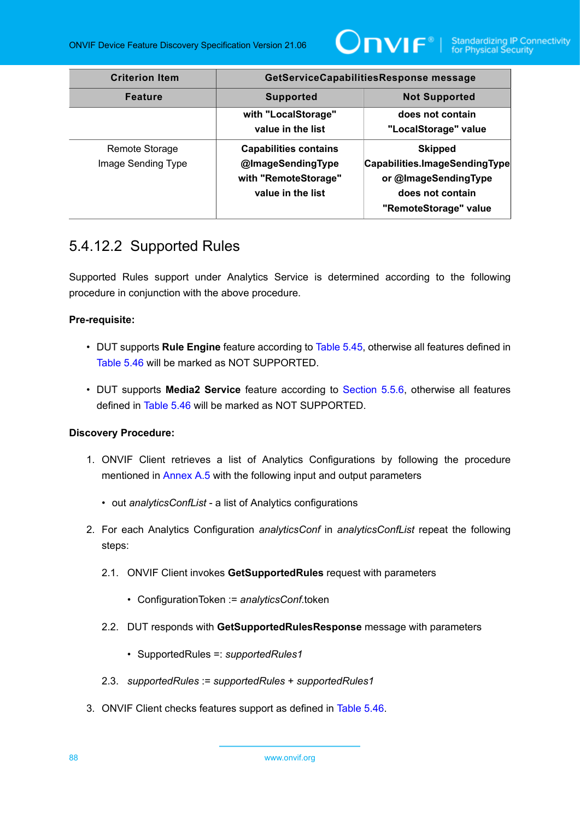

| <b>Criterion Item</b> | GetServiceCapabilitiesResponse message   |                               |
|-----------------------|------------------------------------------|-------------------------------|
| <b>Feature</b>        | <b>Not Supported</b><br><b>Supported</b> |                               |
|                       | with "LocalStorage"                      | does not contain              |
|                       | value in the list                        | "LocalStorage" value          |
| Remote Storage        | <b>Capabilities contains</b>             | <b>Skipped</b>                |
| Image Sending Type    | @ImageSendingType                        | Capabilities.ImageSendingType |
|                       | with "RemoteStorage"                     | or @ImageSendingType          |
|                       | value in the list                        | does not contain              |
|                       |                                          | "RemoteStorage" value         |

## <span id="page-87-0"></span>5.4.12.2 Supported Rules

Supported Rules support under Analytics Service is determined according to the following procedure in conjunction with the above procedure.

### **Pre-requisite:**

- DUT supports **Rule Engine** feature according to [Table](#page-86-0) 5.45, otherwise all features defined in [Table](#page-88-1) 5.46 will be marked as NOT SUPPORTED.
- DUT supports **Media2 Service** feature according to [Section 5.5.6,](#page-57-0) otherwise all features defined in [Table](#page-88-1) 5.46 will be marked as NOT SUPPORTED.

- 1. ONVIF Client retrieves a list of Analytics Configurations by following the procedure mentioned in [Annex A.5](#page-168-0) with the following input and output parameters
	- out *analyticsConfList* a list of Analytics configurations
- 2. For each Analytics Configuration *analyticsConf* in *analyticsConfList* repeat the following steps:
	- 2.1. ONVIF Client invokes **GetSupportedRules** request with parameters
		- ConfigurationToken := *analyticsConf*.token
	- 2.2. DUT responds with **GetSupportedRulesResponse** message with parameters
		- SupportedRules =: *supportedRules1*
	- 2.3. *supportedRules* := *supportedRules* + *supportedRules1*
- 3. ONVIF Client checks features support as defined in [Table](#page-88-1) 5.46.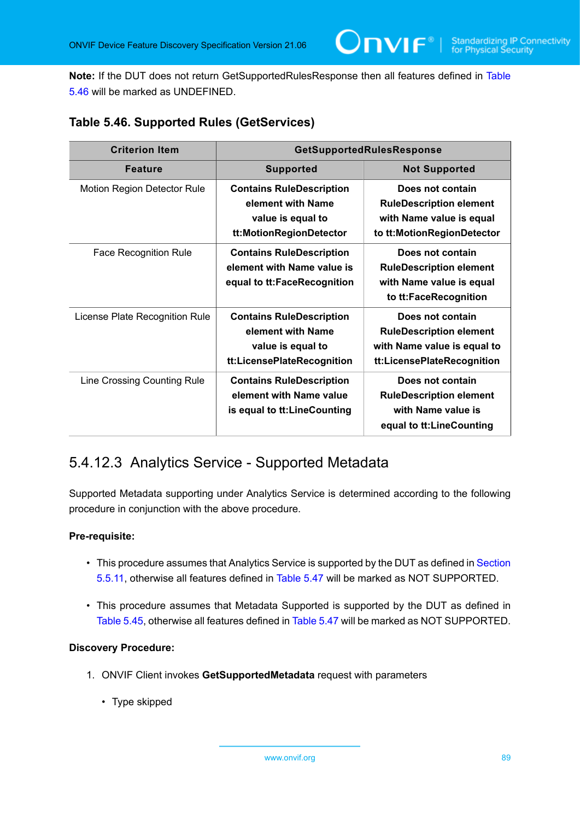**Note:** If the DUT does not return GetSupportedRulesResponse then all features defined in [Table](#page-88-1) [5.46](#page-88-1) will be marked as UNDEFINED.

 $\mathsf{D}\mathbf{n}\mathsf{v}$ if $^\circ$ 

<span id="page-88-1"></span>

|  |  |  | Table 5.46. Supported Rules (GetServices) |
|--|--|--|-------------------------------------------|
|--|--|--|-------------------------------------------|

| <b>Criterion Item</b>              | GetSupportedRulesResponse                                                                               |                                                                                                                 |  |
|------------------------------------|---------------------------------------------------------------------------------------------------------|-----------------------------------------------------------------------------------------------------------------|--|
| <b>Feature</b>                     | <b>Supported</b>                                                                                        | <b>Not Supported</b>                                                                                            |  |
| <b>Motion Region Detector Rule</b> | <b>Contains RuleDescription</b><br>element with Name<br>value is equal to<br>tt:MotionRegionDetector    | Does not contain<br><b>RuleDescription element</b><br>with Name value is equal<br>to tt: Motion Region Detector |  |
| <b>Face Recognition Rule</b>       | <b>Contains RuleDescription</b><br>element with Name value is<br>equal to tt:FaceRecognition            | Does not contain<br><b>RuleDescription element</b><br>with Name value is equal<br>to tt:FaceRecognition         |  |
| License Plate Recognition Rule     | <b>Contains RuleDescription</b><br>element with Name<br>value is equal to<br>tt:LicensePlateRecognition | Does not contain<br><b>RuleDescription element</b><br>with Name value is equal to<br>tt:LicensePlateRecognition |  |
| Line Crossing Counting Rule        | <b>Contains RuleDescription</b><br>element with Name value<br>is equal to tt: Line Counting             | Does not contain<br><b>RuleDescription element</b><br>with Name value is<br>equal to tt:LineCounting            |  |

## <span id="page-88-0"></span>5.4.12.3 Analytics Service - Supported Metadata

Supported Metadata supporting under Analytics Service is determined according to the following procedure in conjunction with the above procedure.

### **Pre-requisite:**

- This procedure assumes that Analytics Service is supported by the DUT as defined in [Section](#page-84-1) [5.5.11,](#page-84-1) otherwise all features defined in [Table](#page-89-0) 5.47 will be marked as NOT SUPPORTED.
- This procedure assumes that Metadata Supported is supported by the DUT as defined in [Table](#page-86-0) 5.45, otherwise all features defined in [Table](#page-89-0) 5.47 will be marked as NOT SUPPORTED.

- 1. ONVIF Client invokes **GetSupportedMetadata** request with parameters
	- Type skipped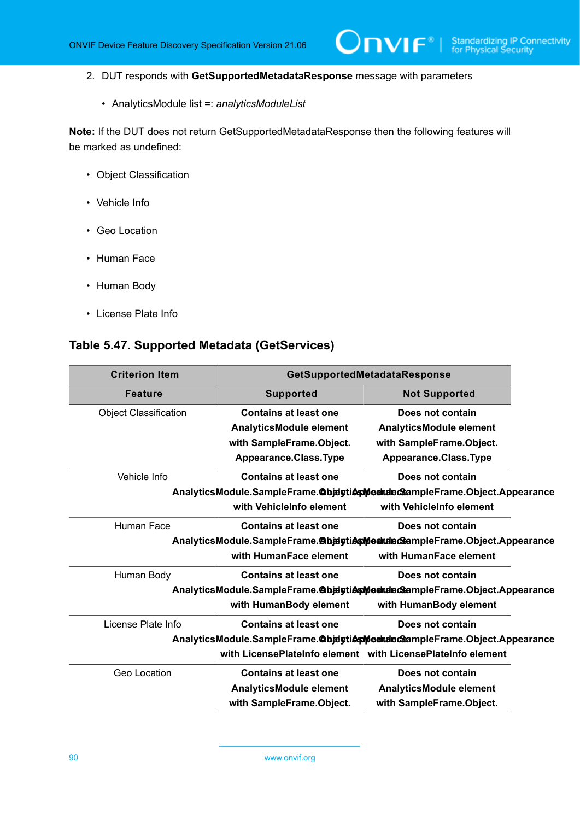$\mathsf{Dnvir}^*$ l

- 2. DUT responds with **GetSupportedMetadataResponse** message with parameters
	- AnalyticsModule list =: *analyticsModuleList*

**Note:** If the DUT does not return GetSupportedMetadataResponse then the following features will be marked as undefined:

- Object Classification
- Vehicle Info
- Geo Location
- Human Face
- Human Body
- License Plate Info

### <span id="page-89-0"></span>**Table 5.47. Supported Metadata (GetServices)**

| <b>Criterion Item</b>                                                     | GetSupportedMetadataResponse   |                                                                           |  |
|---------------------------------------------------------------------------|--------------------------------|---------------------------------------------------------------------------|--|
| <b>Feature</b>                                                            | <b>Supported</b>               | <b>Not Supported</b>                                                      |  |
| <b>Object Classification</b>                                              | <b>Contains at least one</b>   | Does not contain                                                          |  |
|                                                                           | AnalyticsModule element        | <b>AnalyticsModule element</b>                                            |  |
|                                                                           | with SampleFrame.Object.       | with SampleFrame.Object.                                                  |  |
|                                                                           | Appearance.Class.Type          | Appearance.Class.Type                                                     |  |
| Vehicle Info                                                              | <b>Contains at least one</b>   | Does not contain                                                          |  |
|                                                                           |                                | AnalyticsModule.SampleFrame.@bjdytiesModudecSampleFrame.Object.Appearance |  |
|                                                                           | with VehicleInfo element       | with VehicleInfo element                                                  |  |
| Human Face                                                                | <b>Contains at least one</b>   | Does not contain                                                          |  |
|                                                                           |                                | AnalyticsModule.SampleFrame.@bjdytiAsModideGeampleFrame.Object.Appearance |  |
|                                                                           | with HumanFace element         | with HumanFace element                                                    |  |
| Human Body                                                                | <b>Contains at least one</b>   | Does not contain                                                          |  |
|                                                                           |                                | AnalyticsModule.SampleFrame.@bjdytiAsModudeGeampleFrame.Object.Appearance |  |
|                                                                           | with HumanBody element         | with HumanBody element                                                    |  |
| License Plate Info                                                        | <b>Contains at least one</b>   | Does not contain                                                          |  |
| AnalyticsModule.SampleFrame.@bjdytiAsMeakdedSampleFrame.Object.Appearance |                                |                                                                           |  |
|                                                                           | with LicensePlateInfo element  | with LicensePlateInfo element                                             |  |
| Geo Location                                                              | <b>Contains at least one</b>   | Does not contain                                                          |  |
|                                                                           | <b>AnalyticsModule element</b> | <b>AnalyticsModule element</b>                                            |  |
|                                                                           | with SampleFrame.Object.       | with SampleFrame.Object.                                                  |  |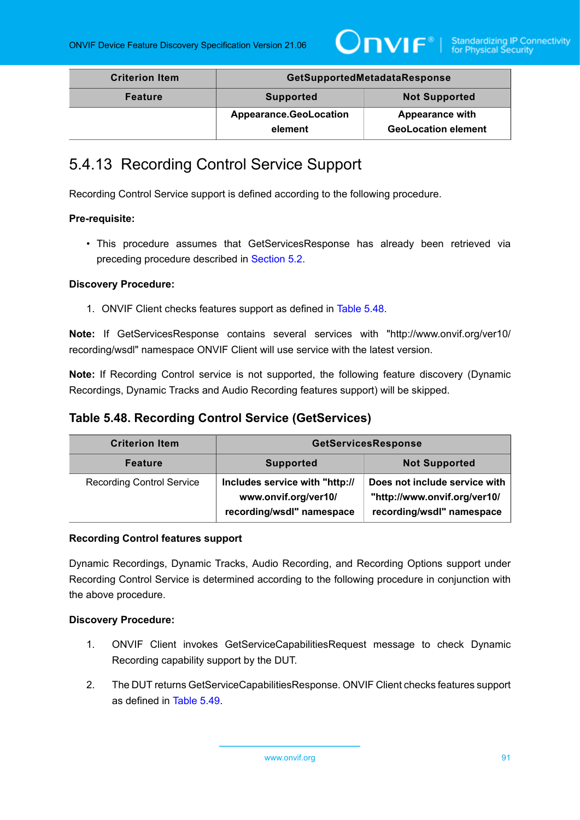

| <b>Criterion Item</b> | GetSupportedMetadataResponse             |                            |
|-----------------------|------------------------------------------|----------------------------|
| <b>Feature</b>        | <b>Not Supported</b><br><b>Supported</b> |                            |
|                       | <b>Appearance.GeoLocation</b>            | <b>Appearance with</b>     |
|                       | element                                  | <b>GeoLocation element</b> |

# 5.4.13 Recording Control Service Support

Recording Control Service support is defined according to the following procedure.

#### **Pre-requisite:**

• This procedure assumes that GetServicesResponse has already been retrieved via preceding procedure described in [Section 5.2](#page-38-0).

#### **Discovery Procedure:**

1. ONVIF Client checks features support as defined in [Table](#page-90-0) 5.48.

**Note:** If GetServicesResponse contains several services with "http://www.onvif.org/ver10/ recording/wsdl" namespace ONVIF Client will use service with the latest version.

**Note:** If Recording Control service is not supported, the following feature discovery (Dynamic Recordings, Dynamic Tracks and Audio Recording features support) will be skipped.

## <span id="page-90-0"></span>**Table 5.48. Recording Control Service (GetServices)**

| <b>Criterion Item</b>            | <b>GetServicesResponse</b>                                                          |                                                                                            |
|----------------------------------|-------------------------------------------------------------------------------------|--------------------------------------------------------------------------------------------|
| <b>Feature</b>                   | <b>Not Supported</b><br><b>Supported</b>                                            |                                                                                            |
| <b>Recording Control Service</b> | Includes service with "http://<br>www.onvif.org/ver10/<br>recording/wsdl" namespace | Does not include service with<br>"http://www.onvif.org/ver10/<br>recording/wsdl" namespace |

#### **Recording Control features support**

Dynamic Recordings, Dynamic Tracks, Audio Recording, and Recording Options support under Recording Control Service is determined according to the following procedure in conjunction with the above procedure.

- 1. ONVIF Client invokes GetServiceCapabilitiesRequest message to check Dynamic Recording capability support by the DUT.
- 2. The DUT returns GetServiceCapabilitiesResponse. ONVIF Client checks features support as defined in [Table](#page-91-0) 5.49.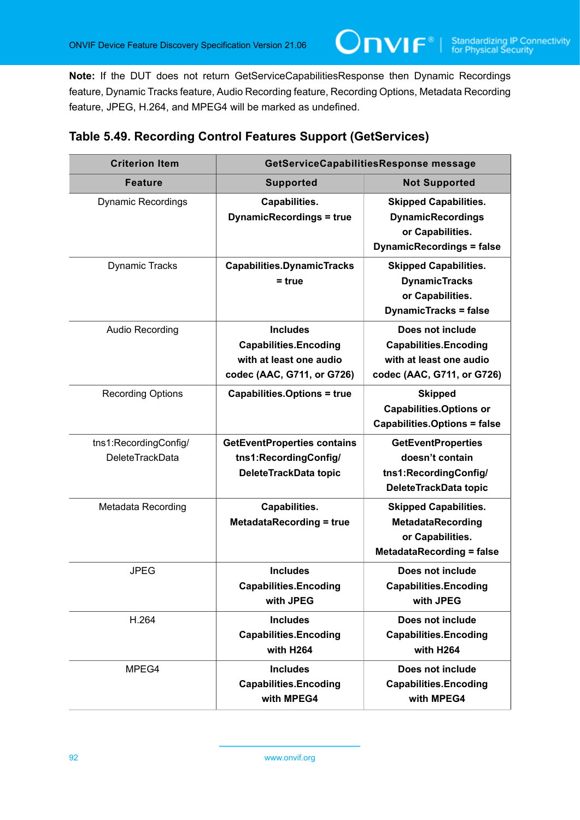**Note:** If the DUT does not return GetServiceCapabilitiesResponse then Dynamic Recordings feature, Dynamic Tracks feature, Audio Recording feature, Recording Options, Metadata Recording feature, JPEG, H.264, and MPEG4 will be marked as undefined.

 $\mathsf{Onv}$ ı $\mathsf{F}^\ast$ l

| <b>Criterion Item</b>                           | GetServiceCapabilitiesResponse message                                                                   |                                                                                                                  |
|-------------------------------------------------|----------------------------------------------------------------------------------------------------------|------------------------------------------------------------------------------------------------------------------|
| <b>Feature</b>                                  | <b>Supported</b><br><b>Not Supported</b>                                                                 |                                                                                                                  |
| <b>Dynamic Recordings</b>                       | Capabilities.<br><b>DynamicRecordings = true</b>                                                         | <b>Skipped Capabilities.</b><br><b>DynamicRecordings</b><br>or Capabilities.<br><b>DynamicRecordings = false</b> |
| <b>Dynamic Tracks</b>                           | <b>Capabilities.DynamicTracks</b><br>$= true$                                                            | <b>Skipped Capabilities.</b><br><b>DynamicTracks</b><br>or Capabilities.<br><b>DynamicTracks = false</b>         |
| Audio Recording                                 | <b>Includes</b><br><b>Capabilities.Encoding</b><br>with at least one audio<br>codec (AAC, G711, or G726) | Does not include<br><b>Capabilities.Encoding</b><br>with at least one audio<br>codec (AAC, G711, or G726)        |
| <b>Recording Options</b>                        | <b>Capabilities.Options = true</b>                                                                       | <b>Skipped</b><br><b>Capabilities.Options or</b><br><b>Capabilities.Options = false</b>                          |
| tns1:RecordingConfig/<br><b>DeleteTrackData</b> | <b>GetEventProperties contains</b><br>tns1:RecordingConfig/<br>DeleteTrackData topic                     | <b>GetEventProperties</b><br>doesn't contain<br>tns1:RecordingConfig/<br>DeleteTrackData topic                   |
| Metadata Recording                              | Capabilities.<br><b>MetadataRecording = true</b>                                                         | <b>Skipped Capabilities.</b><br><b>MetadataRecording</b><br>or Capabilities.<br><b>MetadataRecording = false</b> |
| <b>JPEG</b>                                     | <b>Includes</b><br><b>Capabilities.Encoding</b><br>with JPEG                                             | Does not include<br><b>Capabilities.Encoding</b><br>with JPEG                                                    |
| H.264                                           | <b>Includes</b><br><b>Capabilities.Encoding</b><br>with H264                                             | Does not include<br><b>Capabilities.Encoding</b><br>with H264                                                    |
| MPEG4                                           | <b>Includes</b><br><b>Capabilities.Encoding</b><br>with MPEG4                                            | Does not include<br><b>Capabilities.Encoding</b><br>with MPEG4                                                   |

## <span id="page-91-0"></span>**Table 5.49. Recording Control Features Support (GetServices)**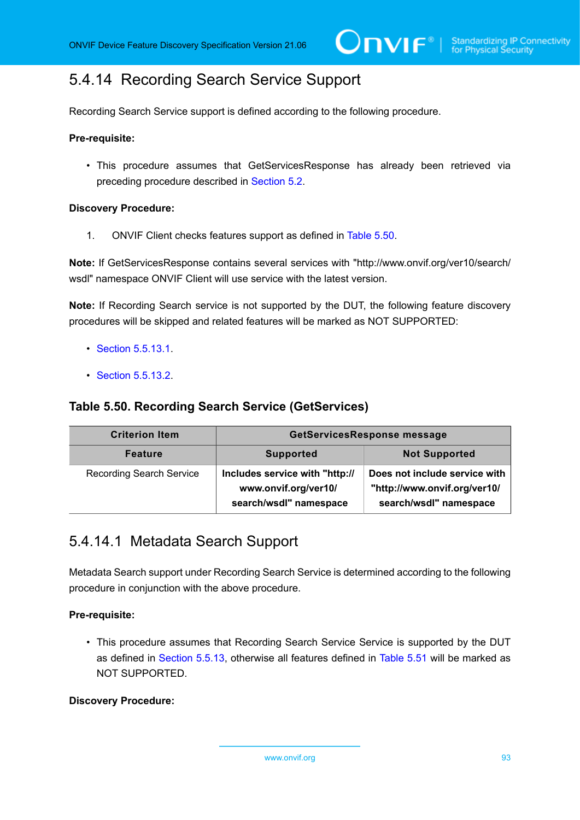# <span id="page-92-2"></span>5.4.14 Recording Search Service Support

Recording Search Service support is defined according to the following procedure.

#### **Pre-requisite:**

• This procedure assumes that GetServicesResponse has already been retrieved via preceding procedure described in [Section 5.2](#page-38-0).

#### **Discovery Procedure:**

1. ONVIF Client checks features support as defined in [Table](#page-92-0) 5.50.

**Note:** If GetServicesResponse contains several services with "http://www.onvif.org/ver10/search/ wsdl" namespace ONVIF Client will use service with the latest version.

**Note:** If Recording Search service is not supported by the DUT, the following feature discovery procedures will be skipped and related features will be marked as NOT SUPPORTED:

- [Section 5.5.13.1](#page-92-1).
- [Section 5.5.13.2](#page-93-0).

### <span id="page-92-0"></span>**Table 5.50. Recording Search Service (GetServices)**

| <b>Criterion Item</b>           | GetServicesResponse message                                                      |                                                                                         |
|---------------------------------|----------------------------------------------------------------------------------|-----------------------------------------------------------------------------------------|
| <b>Feature</b>                  | <b>Not Supported</b><br><b>Supported</b>                                         |                                                                                         |
| <b>Recording Search Service</b> | Includes service with "http://<br>www.onvif.org/ver10/<br>search/wsdl" namespace | Does not include service with<br>"http://www.onvif.org/ver10/<br>search/wsdl" namespace |

## <span id="page-92-1"></span>5.4.14.1 Metadata Search Support

Metadata Search support under Recording Search Service is determined according to the following procedure in conjunction with the above procedure.

#### **Pre-requisite:**

• This procedure assumes that Recording Search Service Service is supported by the DUT as defined in [Section 5.5.13,](#page-92-2) otherwise all features defined in [Table](#page-93-1) 5.51 will be marked as NOT SUPPORTED.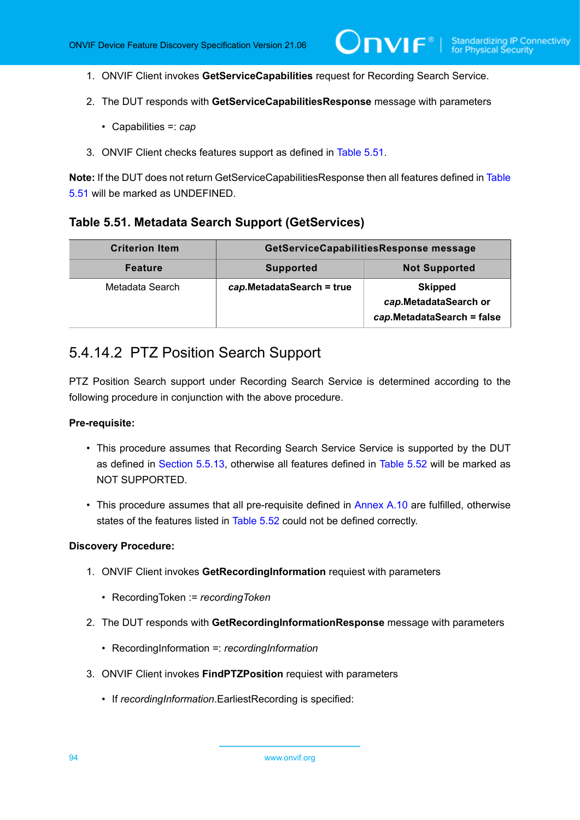- 1. ONVIF Client invokes **GetServiceCapabilities** request for Recording Search Service.
- 2. The DUT responds with **GetServiceCapabilitiesResponse** message with parameters
	- Capabilities =: *cap*
- 3. ONVIF Client checks features support as defined in [Table](#page-93-1) 5.51.

**Note:** If the DUT does not return GetServiceCapabilitiesResponse then all features defined in [Table](#page-93-1) [5.51](#page-93-1) will be marked as UNDEFINED.

#### <span id="page-93-1"></span>**Table 5.51. Metadata Search Support (GetServices)**

| <b>Criterion Item</b> | GetServiceCapabilitiesResponse message |                                                                       |
|-----------------------|----------------------------------------|-----------------------------------------------------------------------|
| <b>Feature</b>        | <b>Supported</b>                       | <b>Not Supported</b>                                                  |
| Metadata Search       | cap.MetadataSearch = true              | <b>Skipped</b><br>cap.MetadataSearch or<br>cap.MetadataSearch = false |

## <span id="page-93-0"></span>5.4.14.2 PTZ Position Search Support

PTZ Position Search support under Recording Search Service is determined according to the following procedure in conjunction with the above procedure.

#### **Pre-requisite:**

- This procedure assumes that Recording Search Service Service is supported by the DUT as defined in [Section 5.5.13,](#page-92-2) otherwise all features defined in [Table](#page-95-0) 5.52 will be marked as NOT SUPPORTED.
- This procedure assumes that all pre-requisite defined in [Annex A.10](#page-174-0) are fulfilled, otherwise states of the features listed in [Table](#page-95-0) 5.52 could not be defined correctly.

- 1. ONVIF Client invokes **GetRecordingInformation** requiest with parameters
	- RecordingToken := *recordingToken*
- 2. The DUT responds with **GetRecordingInformationResponse** message with parameters
	- RecordingInformation =: *recordingInformation*
- 3. ONVIF Client invokes **FindPTZPosition** requiest with parameters
	- If *recordingInformation*.EarliestRecording is specified: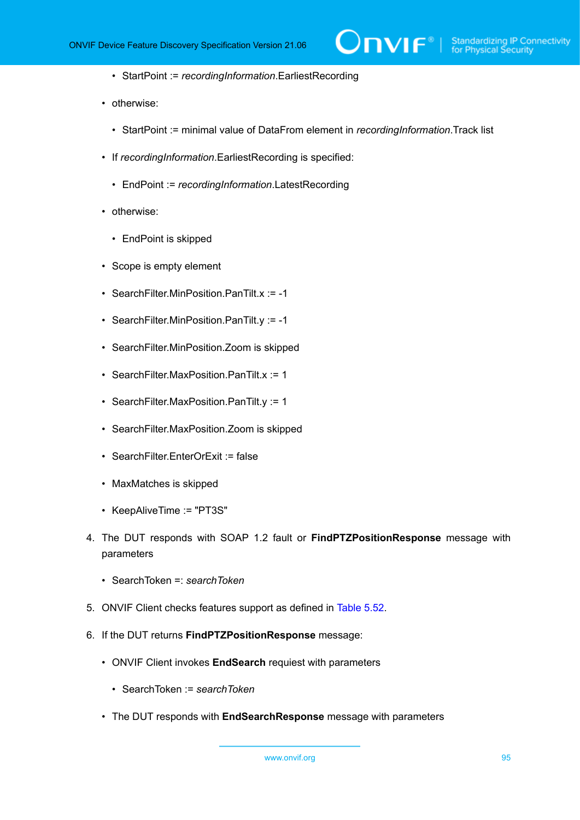$\partial$ NIF $^{\circ}$ l

- StartPoint := *recordingInformation*.EarliestRecording
- otherwise:
	- StartPoint := minimal value of DataFrom element in *recordingInformation*.Track list
- If *recordingInformation*.EarliestRecording is specified:
	- EndPoint := *recordingInformation*.LatestRecording
- otherwise:
	- EndPoint is skipped
- Scope is empty element
- SearchFilter.MinPosition.PanTilt.x := -1
- SearchFilter.MinPosition.PanTilt.y := -1
- SearchFilter.MinPosition.Zoom is skipped
- SearchFilter.MaxPosition.PanTilt.x := 1
- SearchFilter.MaxPosition.PanTilt.y := 1
- SearchFilter.MaxPosition.Zoom is skipped
- SearchFilter.EnterOrExit := false
- MaxMatches is skipped
- KeepAliveTime := "PT3S"
- 4. The DUT responds with SOAP 1.2 fault or **FindPTZPositionResponse** message with parameters
	- SearchToken =: *searchToken*
- 5. ONVIF Client checks features support as defined in [Table](#page-95-0) 5.52.
- 6. If the DUT returns **FindPTZPositionResponse** message:
	- ONVIF Client invokes **EndSearch** requiest with parameters
		- SearchToken := *searchToken*
	- The DUT responds with **EndSearchResponse** message with parameters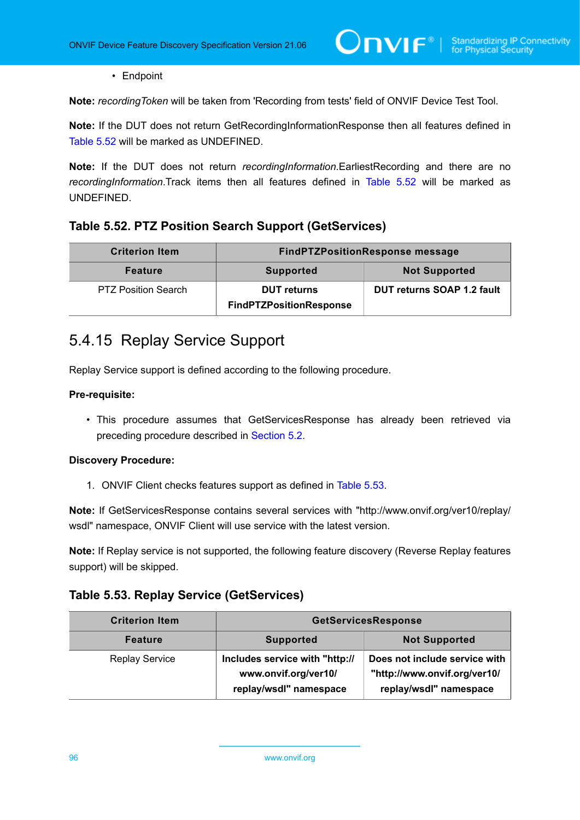• Endpoint

**Note:** *recordingToken* will be taken from 'Recording from tests' field of ONVIF Device Test Tool.

**Note:** If the DUT does not return GetRecordingInformationResponse then all features defined in [Table](#page-95-0) 5.52 will be marked as UNDEFINED.

**Note:** If the DUT does not return *recordingInformation*.EarliestRecording and there are no *recordingInformation*.Track items then all features defined in [Table](#page-95-0) 5.52 will be marked as UNDEFINED.

### <span id="page-95-0"></span>**Table 5.52. PTZ Position Search Support (GetServices)**

| <b>Criterion Item</b>      | <b>FindPTZPositionResponse message</b>               |                            |
|----------------------------|------------------------------------------------------|----------------------------|
| <b>Feature</b>             | <b>Not Supported</b><br><b>Supported</b>             |                            |
| <b>PTZ Position Search</b> | <b>DUT</b> returns<br><b>FindPTZPositionResponse</b> | DUT returns SOAP 1.2 fault |

# 5.4.15 Replay Service Support

Replay Service support is defined according to the following procedure.

#### **Pre-requisite:**

• This procedure assumes that GetServicesResponse has already been retrieved via preceding procedure described in [Section 5.2](#page-38-0).

#### **Discovery Procedure:**

1. ONVIF Client checks features support as defined in [Table](#page-95-1) 5.53.

**Note:** If GetServicesResponse contains several services with "http://www.onvif.org/ver10/replay/ wsdl" namespace, ONVIF Client will use service with the latest version.

**Note:** If Replay service is not supported, the following feature discovery (Reverse Replay features support) will be skipped.

### <span id="page-95-1"></span>**Table 5.53. Replay Service (GetServices)**

| <b>Criterion Item</b> | <b>GetServicesResponse</b>                                                       |                                                                                         |
|-----------------------|----------------------------------------------------------------------------------|-----------------------------------------------------------------------------------------|
| <b>Feature</b>        | <b>Supported</b>                                                                 | <b>Not Supported</b>                                                                    |
| <b>Replay Service</b> | Includes service with "http://<br>www.onvif.org/ver10/<br>replay/wsdl" namespace | Does not include service with<br>"http://www.onvif.org/ver10/<br>replay/wsdl" namespace |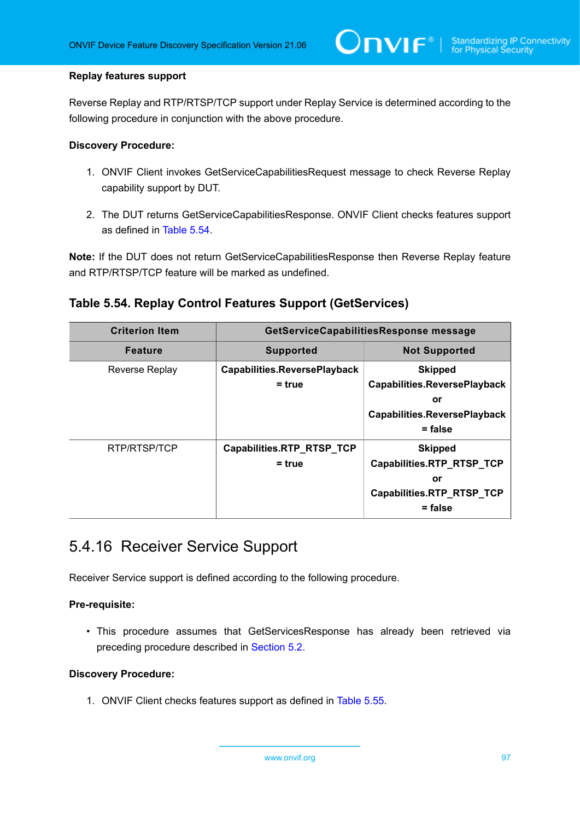#### **Replay features support**

Reverse Replay and RTP/RTSP/TCP support under Replay Service is determined according to the following procedure in conjunction with the above procedure.

#### **Discovery Procedure:**

- 1. ONVIF Client invokes GetServiceCapabilitiesRequest message to check Reverse Replay capability support by DUT.
- 2. The DUT returns GetServiceCapabilitiesResponse. ONVIF Client checks features support as defined in [Table](#page-96-0) 5.54.

**Note:** If the DUT does not return GetServiceCapabilitiesResponse then Reverse Replay feature and RTP/RTSP/TCP feature will be marked as undefined.

## <span id="page-96-0"></span>**Table 5.54. Replay Control Features Support (GetServices)**

| <b>Criterion Item</b> | GetServiceCapabilitiesResponse message          |                                                                                                                 |
|-----------------------|-------------------------------------------------|-----------------------------------------------------------------------------------------------------------------|
| <b>Feature</b>        | <b>Supported</b>                                | <b>Not Supported</b>                                                                                            |
| <b>Reverse Replay</b> | <b>Capabilities.ReversePlayback</b><br>$=$ true | <b>Skipped</b><br><b>Capabilities.ReversePlayback</b><br>or<br><b>Capabilities.ReversePlayback</b><br>$=$ false |
| RTP/RTSP/TCP          | Capabilities.RTP_RTSP_TCP<br>$=$ true           | <b>Skipped</b><br>Capabilities.RTP_RTSP_TCP<br>or<br>Capabilities.RTP_RTSP_TCP<br>$=$ false                     |

## 5.4.16 Receiver Service Support

Receiver Service support is defined according to the following procedure.

#### **Pre-requisite:**

• This procedure assumes that GetServicesResponse has already been retrieved via preceding procedure described in [Section 5.2](#page-38-0).

#### **Discovery Procedure:**

1. ONVIF Client checks features support as defined in [Table](#page-97-0) 5.55.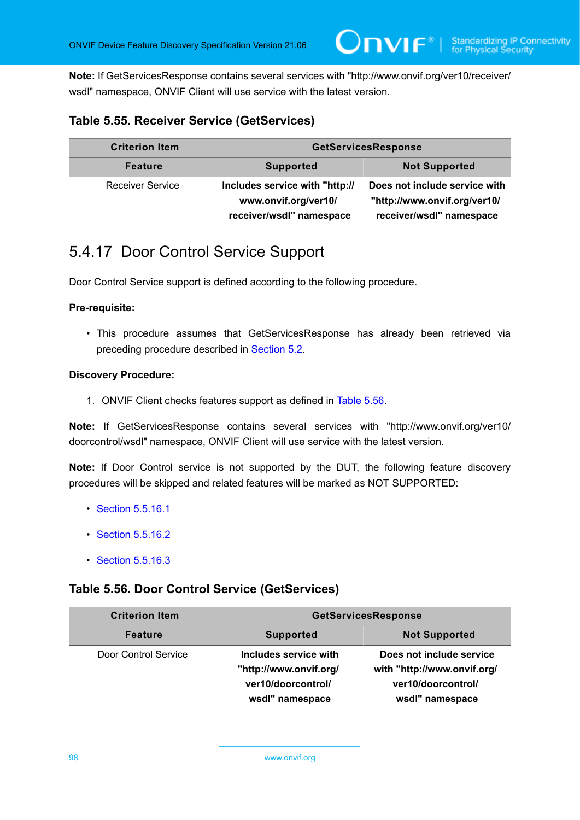**Note:** If GetServicesResponse contains several services with "http://www.onvif.org/ver10/receiver/ wsdl" namespace, ONVIF Client will use service with the latest version.

## <span id="page-97-0"></span>**Table 5.55. Receiver Service (GetServices)**

| <b>Criterion Item</b>   | <b>GetServicesResponse</b>                                                         |                                                                                           |
|-------------------------|------------------------------------------------------------------------------------|-------------------------------------------------------------------------------------------|
| <b>Feature</b>          | <b>Supported</b>                                                                   | <b>Not Supported</b>                                                                      |
| <b>Receiver Service</b> | Includes service with "http://<br>www.onvif.org/ver10/<br>receiver/wsdl" namespace | Does not include service with<br>"http://www.onvif.org/ver10/<br>receiver/wsdl" namespace |

# <span id="page-97-2"></span>5.4.17 Door Control Service Support

Door Control Service support is defined according to the following procedure.

#### **Pre-requisite:**

• This procedure assumes that GetServicesResponse has already been retrieved via preceding procedure described in [Section 5.2](#page-38-0).

#### **Discovery Procedure:**

1. ONVIF Client checks features support as defined in [Table](#page-97-1) 5.56.

**Note:** If GetServicesResponse contains several services with "http://www.onvif.org/ver10/ doorcontrol/wsdl" namespace, ONVIF Client will use service with the latest version.

**Note:** If Door Control service is not supported by the DUT, the following feature discovery procedures will be skipped and related features will be marked as NOT SUPPORTED:

- [Section 5.5.16.1](#page-98-0)
- [Section 5.5.16.2](#page-99-0)
- [Section 5.5.16.3](#page-100-0)

## <span id="page-97-1"></span>**Table 5.56. Door Control Service (GetServices)**

| <b>Criterion Item</b> | <b>GetServicesResponse</b>                                                               |                                                                                                  |
|-----------------------|------------------------------------------------------------------------------------------|--------------------------------------------------------------------------------------------------|
| <b>Feature</b>        | <b>Not Supported</b><br><b>Supported</b>                                                 |                                                                                                  |
| Door Control Service  | Includes service with<br>"http://www.onvif.org/<br>ver10/doorcontrol/<br>wsdl" namespace | Does not include service<br>with "http://www.onvif.org/<br>ver10/doorcontrol/<br>wsdl" namespace |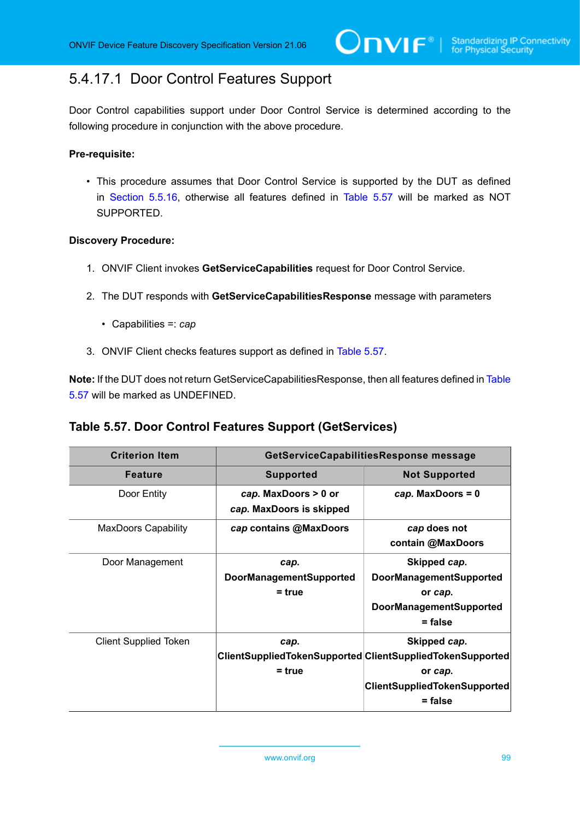# <span id="page-98-0"></span>5.4.17.1 Door Control Features Support

Door Control capabilities support under Door Control Service is determined according to the following procedure in conjunction with the above procedure.

#### **Pre-requisite:**

• This procedure assumes that Door Control Service is supported by the DUT as defined in [Section 5.5.16](#page-97-2), otherwise all features defined in [Table](#page-98-1) 5.57 will be marked as NOT SUPPORTED.

#### **Discovery Procedure:**

- 1. ONVIF Client invokes **GetServiceCapabilities** request for Door Control Service.
- 2. The DUT responds with **GetServiceCapabilitiesResponse** message with parameters
	- Capabilities =: *cap*
- 3. ONVIF Client checks features support as defined in [Table](#page-98-1) 5.57.

**Note:** If the DUT does not return GetServiceCapabilitiesResponse, then all features defined in [Table](#page-98-1) [5.57](#page-98-1) will be marked as UNDEFINED.

## <span id="page-98-1"></span>**Table 5.57. Door Control Features Support (GetServices)**

| <b>Criterion Item</b>        | GetServiceCapabilitiesResponse message             |                                                                                                                                          |
|------------------------------|----------------------------------------------------|------------------------------------------------------------------------------------------------------------------------------------------|
| <b>Feature</b>               | <b>Supported</b>                                   | <b>Not Supported</b>                                                                                                                     |
| Door Entity                  | cap. MaxDoors > 0 or<br>cap. MaxDoors is skipped   | $cap.$ MaxDoors = 0                                                                                                                      |
| <b>MaxDoors Capability</b>   | cap contains @MaxDoors                             | cap does not<br>contain @MaxDoors                                                                                                        |
| Door Management              | cap.<br><b>DoorManagementSupported</b><br>$=$ true | Skipped cap.<br><b>DoorManagementSupported</b><br>or cap.<br><b>DoorManagementSupported</b><br>$=$ false                                 |
| <b>Client Supplied Token</b> | cap.<br>$=$ true                                   | Skipped cap.<br>ClientSuppliedTokenSupported ClientSuppliedTokenSupported<br>or cap.<br><b>ClientSuppliedTokenSupported</b><br>$=$ false |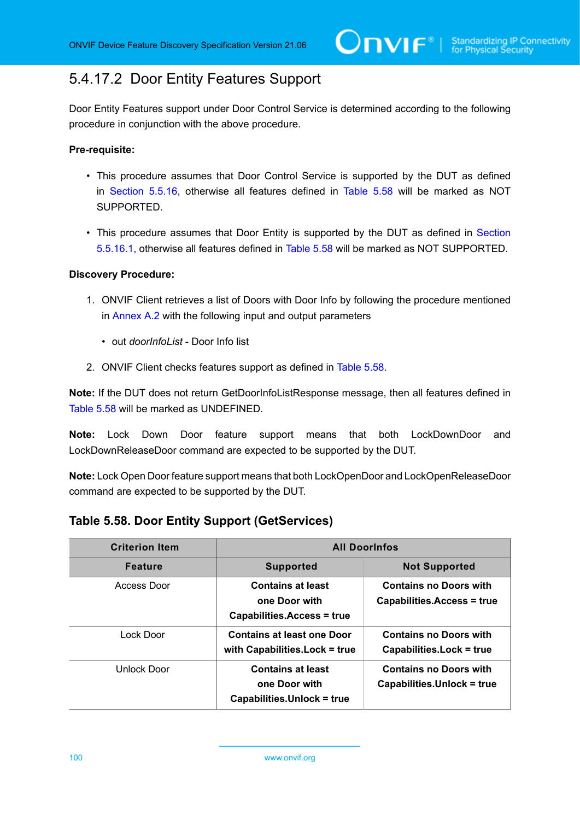# <span id="page-99-0"></span>5.4.17.2 Door Entity Features Support

Door Entity Features support under Door Control Service is determined according to the following procedure in conjunction with the above procedure.

#### **Pre-requisite:**

- This procedure assumes that Door Control Service is supported by the DUT as defined in [Section 5.5.16](#page-97-2), otherwise all features defined in [Table](#page-99-1) 5.58 will be marked as NOT SUPPORTED.
- This procedure assumes that Door Entity is supported by the DUT as defined in [Section](#page-98-0) [5.5.16.1](#page-98-0), otherwise all features defined in [Table](#page-99-1) 5.58 will be marked as NOT SUPPORTED.

#### **Discovery Procedure:**

- 1. ONVIF Client retrieves a list of Doors with Door Info by following the procedure mentioned in [Annex A.2](#page-166-0) with the following input and output parameters
	- out *doorInfoList* Door Info list
- 2. ONVIF Client checks features support as defined in [Table](#page-99-1) 5.58.

**Note:** If the DUT does not return GetDoorInfoListResponse message, then all features defined in [Table](#page-99-1) 5.58 will be marked as UNDEFINED.

**Note:** Lock Down Door feature support means that both LockDownDoor and LockDownReleaseDoor command are expected to be supported by the DUT.

**Note:** Lock Open Door feature support means that both LockOpenDoor and LockOpenReleaseDoor command are expected to be supported by the DUT.

<span id="page-99-1"></span>

|  |  |  | Table 5.58. Door Entity Support (GetServices) |
|--|--|--|-----------------------------------------------|
|--|--|--|-----------------------------------------------|

| <b>Criterion Item</b> | <b>All Doorinfos</b>                                                           |                                                             |
|-----------------------|--------------------------------------------------------------------------------|-------------------------------------------------------------|
| <b>Feature</b>        | <b>Supported</b>                                                               | <b>Not Supported</b>                                        |
| Access Door           | <b>Contains at least</b><br>one Door with<br>Capabilities.Access = true        | <b>Contains no Doors with</b><br>Capabilities.Access = true |
| Lock Door             | <b>Contains at least one Door</b><br>with Capabilities. Lock = true            | <b>Contains no Doors with</b><br>Capabilities. Lock = true  |
| Unlock Door           | <b>Contains at least</b><br>one Door with<br><b>Capabilities.Unlock = true</b> | <b>Contains no Doors with</b><br>Capabilities.Unlock = true |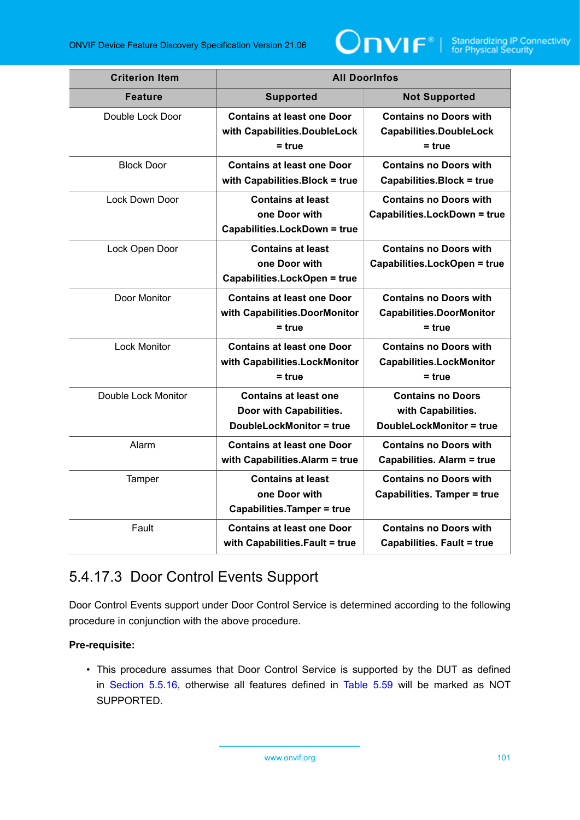

| <b>Criterion Item</b> | <b>All DoorInfos</b>                                                                       |                                                                                   |
|-----------------------|--------------------------------------------------------------------------------------------|-----------------------------------------------------------------------------------|
| <b>Feature</b>        | <b>Supported</b>                                                                           | <b>Not Supported</b>                                                              |
| Double Lock Door      | <b>Contains at least one Door</b><br>with Capabilities.DoubleLock<br>$=$ true              | <b>Contains no Doors with</b><br><b>Capabilities.DoubleLock</b><br>$=$ true       |
| <b>Block Door</b>     | <b>Contains at least one Door</b><br>with Capabilities. Block = true                       | <b>Contains no Doors with</b><br><b>Capabilities.Block = true</b>                 |
| Lock Down Door        | <b>Contains at least</b><br>one Door with<br><b>Capabilities.LockDown = true</b>           | <b>Contains no Doors with</b><br><b>Capabilities.LockDown = true</b>              |
| Lock Open Door        | <b>Contains at least</b><br>one Door with<br><b>Capabilities.LockOpen = true</b>           | <b>Contains no Doors with</b><br><b>Capabilities.LockOpen = true</b>              |
| Door Monitor          | <b>Contains at least one Door</b><br>with Capabilities.DoorMonitor<br>$=$ true             | <b>Contains no Doors with</b><br><b>Capabilities.DoorMonitor</b><br>$= true$      |
| <b>Lock Monitor</b>   | <b>Contains at least one Door</b><br>with Capabilities.LockMonitor<br>$=$ true             | <b>Contains no Doors with</b><br><b>Capabilities.LockMonitor</b><br>$= true$      |
| Double Lock Monitor   | <b>Contains at least one</b><br>Door with Capabilities.<br><b>DoubleLockMonitor = true</b> | <b>Contains no Doors</b><br>with Capabilities.<br><b>DoubleLockMonitor = true</b> |
| Alarm                 | <b>Contains at least one Door</b><br>with Capabilities. Alarm = true                       | <b>Contains no Doors with</b><br><b>Capabilities. Alarm = true</b>                |
| Tamper                | <b>Contains at least</b><br>one Door with<br><b>Capabilities.Tamper = true</b>             | <b>Contains no Doors with</b><br><b>Capabilities. Tamper = true</b>               |
| Fault                 | <b>Contains at least one Door</b><br>with Capabilities. Fault = true                       | <b>Contains no Doors with</b><br><b>Capabilities. Fault = true</b>                |

# <span id="page-100-0"></span>5.4.17.3 Door Control Events Support

Door Control Events support under Door Control Service is determined according to the following procedure in conjunction with the above procedure.

## **Pre-requisite:**

• This procedure assumes that Door Control Service is supported by the DUT as defined in [Section 5.5.16](#page-97-2), otherwise all features defined in [Table](#page-101-0) 5.59 will be marked as NOT SUPPORTED.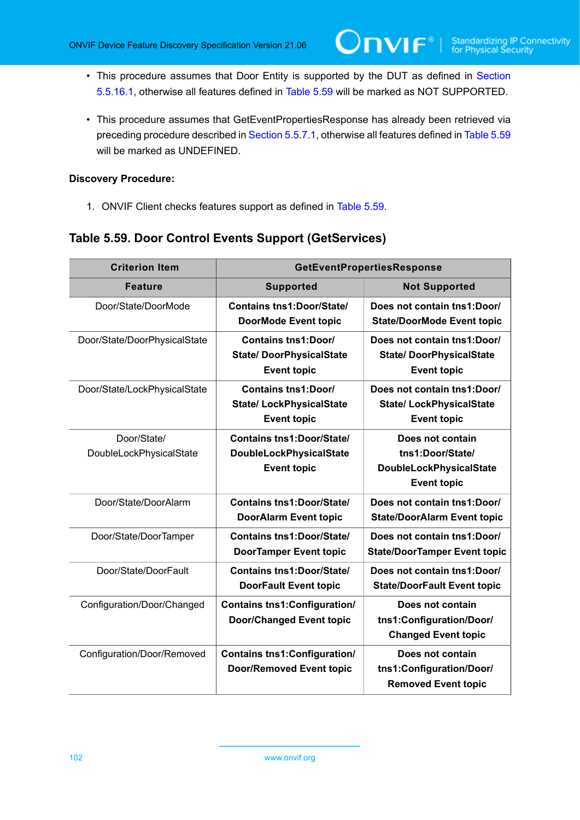- This procedure assumes that Door Entity is supported by the DUT as defined in [Section](#page-98-0) [5.5.16.1](#page-98-0), otherwise all features defined in [Table](#page-101-0) 5.59 will be marked as NOT SUPPORTED.
- This procedure assumes that GetEventPropertiesResponse has already been retrieved via preceding procedure described in [Section 5.5.7.1](#page-65-0), otherwise all features defined in [Table](#page-101-0) 5.59 will be marked as UNDEFINED.

#### **Discovery Procedure:**

1. ONVIF Client checks features support as defined in [Table](#page-101-0) 5.59.

## <span id="page-101-0"></span>**Table 5.59. Door Control Events Support (GetServices)**

| <b>Criterion Item</b>        | <b>GetEventPropertiesResponse</b>                                                  |                                                                                      |
|------------------------------|------------------------------------------------------------------------------------|--------------------------------------------------------------------------------------|
| Feature                      | <b>Supported</b>                                                                   | <b>Not Supported</b>                                                                 |
| Door/State/DoorMode          | <b>Contains tns1:Door/State/</b><br><b>DoorMode Event topic</b>                    | Does not contain tns1: Door/<br><b>State/DoorMode Event topic</b>                    |
| Door/State/DoorPhysicalState | <b>Contains tns1:Door/</b><br><b>State/DoorPhysicalState</b><br><b>Event topic</b> | Does not contain tns1: Door/<br><b>State/DoorPhysicalState</b><br><b>Event topic</b> |
| Door/State/LockPhysicalState | <b>Contains tns1:Door/</b><br><b>State/LockPhysicalState</b><br><b>Event topic</b> | Does not contain tns1: Door/<br><b>State/LockPhysicalState</b><br><b>Event topic</b> |
| Door/State/                  | <b>Contains tns1:Door/State/</b>                                                   | Does not contain                                                                     |
| DoubleLockPhysicalState      | <b>DoubleLockPhysicalState</b>                                                     | tns1:Door/State/                                                                     |
|                              | <b>Event topic</b>                                                                 | <b>DoubleLockPhysicalState</b><br><b>Event topic</b>                                 |
| Door/State/DoorAlarm         | <b>Contains tns1:Door/State/</b><br><b>DoorAlarm Event topic</b>                   | Does not contain tns1: Door/<br><b>State/DoorAlarm Event topic</b>                   |
| Door/State/DoorTamper        | <b>Contains tns1:Door/State/</b><br><b>DoorTamper Event topic</b>                  | Does not contain tns1: Door/<br><b>State/DoorTamper Event topic</b>                  |
| Door/State/DoorFault         | <b>Contains tns1:Door/State/</b><br><b>DoorFault Event topic</b>                   | Does not contain tns1:Door/<br><b>State/DoorFault Event topic</b>                    |
| Configuration/Door/Changed   | <b>Contains tns1: Configuration/</b><br><b>Door/Changed Event topic</b>            | Does not contain<br>tns1:Configuration/Door/<br><b>Changed Event topic</b>           |
| Configuration/Door/Removed   | <b>Contains tns1: Configuration/</b>                                               | Does not contain                                                                     |
|                              | <b>Door/Removed Event topic</b>                                                    | tns1:Configuration/Door/<br><b>Removed Event topic</b>                               |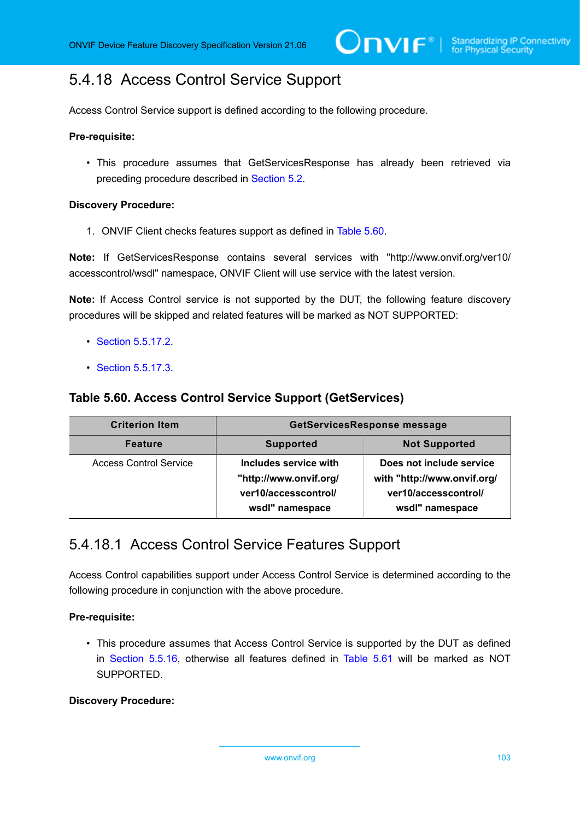# <span id="page-102-1"></span>5.4.18 Access Control Service Support

Access Control Service support is defined according to the following procedure.

#### **Pre-requisite:**

• This procedure assumes that GetServicesResponse has already been retrieved via preceding procedure described in [Section 5.2](#page-38-0).

#### **Discovery Procedure:**

1. ONVIF Client checks features support as defined in [Table](#page-102-0) 5.60.

**Note:** If GetServicesResponse contains several services with "http://www.onvif.org/ver10/ accesscontrol/wsdl" namespace, ONVIF Client will use service with the latest version.

**Note:** If Access Control service is not supported by the DUT, the following feature discovery procedures will be skipped and related features will be marked as NOT SUPPORTED:

- [Section 5.5.17.2](#page-103-0).
- [Section 5.5.17.3](#page-104-0).

### <span id="page-102-0"></span>**Table 5.60. Access Control Service Support (GetServices)**

| <b>Criterion Item</b>         | GetServicesResponse message                                                                |                                                                                                    |
|-------------------------------|--------------------------------------------------------------------------------------------|----------------------------------------------------------------------------------------------------|
| <b>Feature</b>                | <b>Supported</b>                                                                           | <b>Not Supported</b>                                                                               |
| <b>Access Control Service</b> | Includes service with<br>"http://www.onvif.org/<br>ver10/accesscontrol/<br>wsdl" namespace | Does not include service<br>with "http://www.onvif.org/<br>ver10/accesscontrol/<br>wsdl" namespace |

## <span id="page-102-2"></span>5.4.18.1 Access Control Service Features Support

Access Control capabilities support under Access Control Service is determined according to the following procedure in conjunction with the above procedure.

#### **Pre-requisite:**

• This procedure assumes that Access Control Service is supported by the DUT as defined in [Section 5.5.16](#page-97-2), otherwise all features defined in [Table](#page-103-1) 5.61 will be marked as NOT SUPPORTED.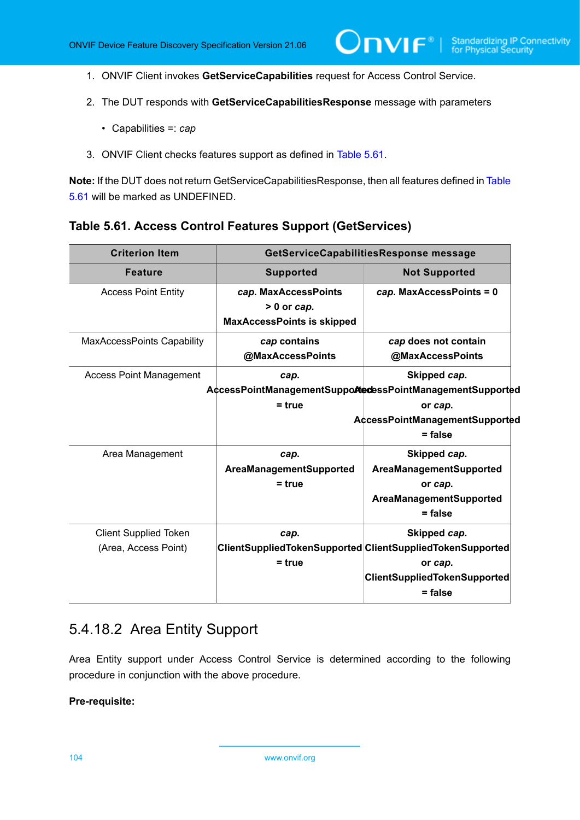- 1. ONVIF Client invokes **GetServiceCapabilities** request for Access Control Service.
- 2. The DUT responds with **GetServiceCapabilitiesResponse** message with parameters
	- Capabilities =: *cap*
- 3. ONVIF Client checks features support as defined in [Table](#page-103-1) 5.61.

**Note:** If the DUT does not return GetServiceCapabilitiesResponse, then all features defined in [Table](#page-103-1) [5.61](#page-103-1) will be marked as UNDEFINED.

#### <span id="page-103-1"></span>**Table 5.61. Access Control Features Support (GetServices)**

| <b>Criterion Item</b>                                | GetServiceCapabilitiesResponse message                                     |                                                                                                                                          |
|------------------------------------------------------|----------------------------------------------------------------------------|------------------------------------------------------------------------------------------------------------------------------------------|
| <b>Feature</b>                                       | <b>Supported</b>                                                           | <b>Not Supported</b>                                                                                                                     |
| <b>Access Point Entity</b>                           | cap. MaxAccessPoints<br>$> 0$ or cap.<br><b>MaxAccessPoints is skipped</b> | cap. MaxAccessPoints = 0                                                                                                                 |
| MaxAccessPoints Capability                           | cap contains<br>@MaxAccessPoints                                           | cap does not contain<br>@MaxAccessPoints                                                                                                 |
| <b>Access Point Management</b>                       | cap.<br>$=$ true                                                           | Skipped cap.<br>AccessPointManagementSuppoAtecessPointManagementSupported<br>or cap.<br>AccessPointManagementSupported<br>$=$ false      |
| Area Management                                      | cap.<br>AreaManagementSupported<br>$= true$                                | Skipped cap.<br>AreaManagementSupported<br>or cap.<br>AreaManagementSupported<br>$=$ false                                               |
| <b>Client Supplied Token</b><br>(Area, Access Point) | cap.<br>$= true$                                                           | Skipped cap.<br>ClientSuppliedTokenSupported ClientSuppliedTokenSupported<br>or cap.<br><b>ClientSuppliedTokenSupported</b><br>$=$ false |

## <span id="page-103-0"></span>5.4.18.2 Area Entity Support

Area Entity support under Access Control Service is determined according to the following procedure in conjunction with the above procedure.

#### **Pre-requisite:**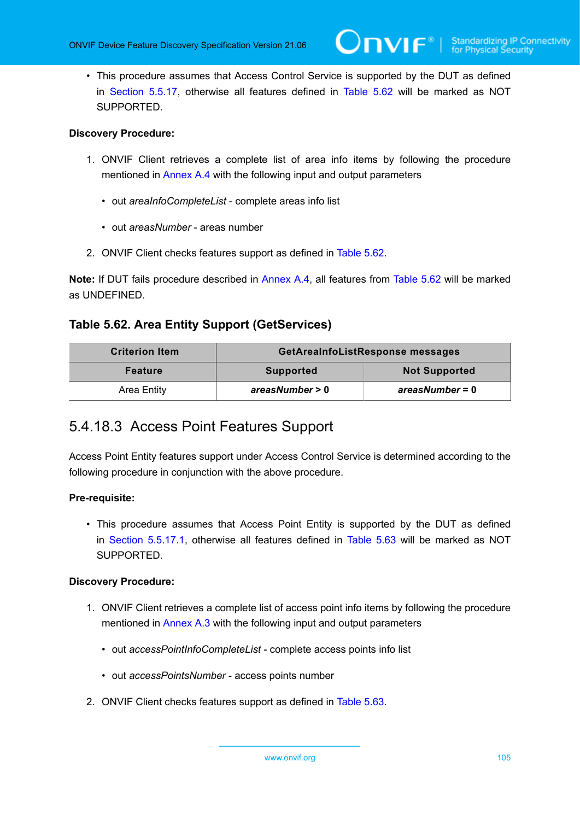• This procedure assumes that Access Control Service is supported by the DUT as defined in [Section 5.5.17](#page-102-1), otherwise all features defined in [Table](#page-104-1) 5.62 will be marked as NOT SUPPORTED.

#### **Discovery Procedure:**

- 1. ONVIF Client retrieves a complete list of area info items by following the procedure mentioned in [Annex A.4](#page-167-0) with the following input and output parameters
	- out *areaInfoCompleteList* complete areas info list
	- out *areasNumber* areas number
- 2. ONVIF Client checks features support as defined in [Table](#page-104-1) 5.62.

**Note:** If DUT fails procedure described in [Annex A.4,](#page-167-0) all features from [Table](#page-104-1) 5.62 will be marked as UNDEFINED.

## <span id="page-104-1"></span>**Table 5.62. Area Entity Support (GetServices)**

| <b>Criterion Item</b> | GetAreaInfoListResponse messages |                      |
|-----------------------|----------------------------------|----------------------|
| Feature               | <b>Supported</b>                 | <b>Not Supported</b> |
| Area Entity           | areasNumber > 0                  | areasNumber = 0      |

## <span id="page-104-0"></span>5.4.18.3 Access Point Features Support

Access Point Entity features support under Access Control Service is determined according to the following procedure in conjunction with the above procedure.

#### **Pre-requisite:**

• This procedure assumes that Access Point Entity is supported by the DUT as defined in [Section 5.5.17.1,](#page-102-2) otherwise all features defined in [Table](#page-105-0) 5.63 will be marked as NOT SUPPORTED.

- 1. ONVIF Client retrieves a complete list of access point info items by following the procedure mentioned in [Annex A.3](#page-166-1) with the following input and output parameters
	- out *accessPointInfoCompleteList* complete access points info list
	- out *accessPointsNumber* access points number
- 2. ONVIF Client checks features support as defined in [Table](#page-105-0) 5.63.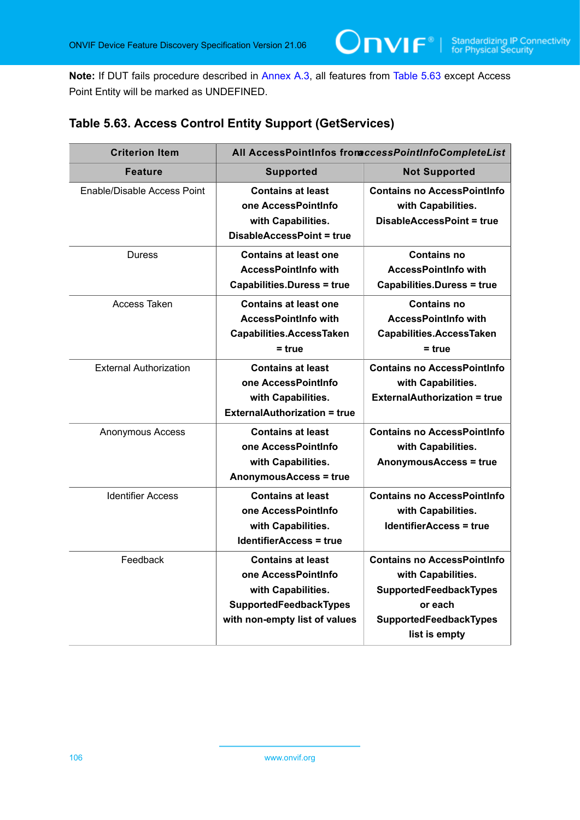**Note:** If DUT fails procedure described in [Annex A.3,](#page-166-1) all features from [Table](#page-105-0) 5.63 except Access Point Entity will be marked as UNDEFINED.

 $OnVIF<sup>°</sup>$ 

## <span id="page-105-0"></span>**Table 5.63. Access Control Entity Support (GetServices)**

| <b>Criterion Item</b>         | All AccessPointInfos from ccessPointInfoCompleteList                                                                                    |                                                                                                                                          |
|-------------------------------|-----------------------------------------------------------------------------------------------------------------------------------------|------------------------------------------------------------------------------------------------------------------------------------------|
| <b>Feature</b>                | <b>Supported</b>                                                                                                                        | <b>Not Supported</b>                                                                                                                     |
| Enable/Disable Access Point   | <b>Contains at least</b><br>one AccessPointInfo<br>with Capabilities.<br><b>DisableAccessPoint = true</b>                               | <b>Contains no AccessPointInfo</b><br>with Capabilities.<br>DisableAccessPoint = true                                                    |
| <b>Duress</b>                 | <b>Contains at least one</b><br><b>AccessPointInfo with</b><br><b>Capabilities.Duress = true</b>                                        | <b>Contains no</b><br><b>AccessPointInfo with</b><br><b>Capabilities.Duress = true</b>                                                   |
| Access Taken                  | <b>Contains at least one</b><br><b>AccessPointInfo with</b><br>Capabilities.AccessTaken<br>$=$ true                                     | <b>Contains no</b><br><b>AccessPointInfo with</b><br><b>Capabilities.AccessTaken</b><br>$=$ true                                         |
| <b>External Authorization</b> | <b>Contains at least</b><br>one AccessPointInfo<br>with Capabilities.<br><b>ExternalAuthorization = true</b>                            | <b>Contains no AccessPointInfo</b><br>with Capabilities.<br><b>ExternalAuthorization = true</b>                                          |
| Anonymous Access              | <b>Contains at least</b><br>one AccessPointInfo<br>with Capabilities.<br><b>AnonymousAccess = true</b>                                  | <b>Contains no AccessPointInfo</b><br>with Capabilities.<br><b>AnonymousAccess = true</b>                                                |
| <b>Identifier Access</b>      | <b>Contains at least</b><br>one AccessPointInfo<br>with Capabilities.<br><b>IdentifierAccess = true</b>                                 | <b>Contains no AccessPointInfo</b><br>with Capabilities.<br><b>IdentifierAccess = true</b>                                               |
| Feedback                      | <b>Contains at least</b><br>one AccessPointInfo<br>with Capabilities.<br><b>SupportedFeedbackTypes</b><br>with non-empty list of values | <b>Contains no AccessPointInfo</b><br>with Capabilities.<br>SupportedFeedbackTypes<br>or each<br>SupportedFeedbackTypes<br>list is empty |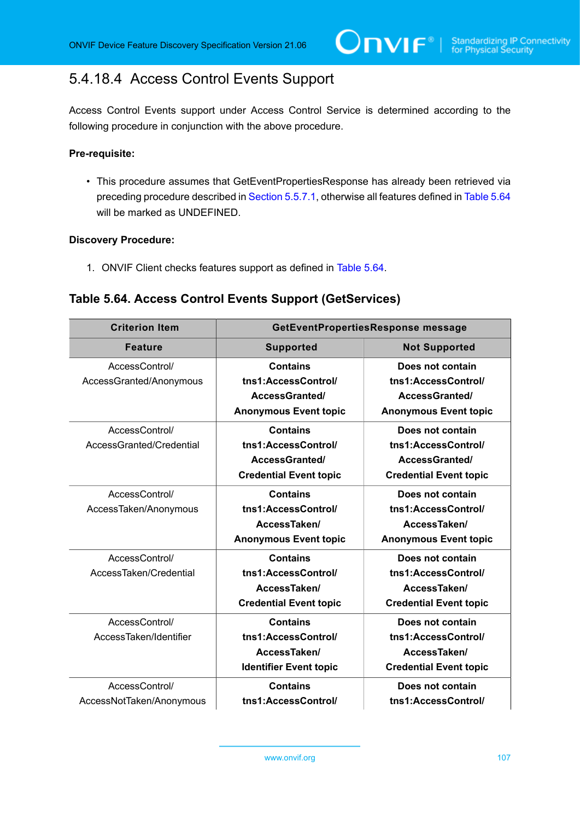# 5.4.18.4 Access Control Events Support

Access Control Events support under Access Control Service is determined according to the following procedure in conjunction with the above procedure.

ι

#### **Pre-requisite:**

• This procedure assumes that GetEventPropertiesResponse has already been retrieved via preceding procedure described in [Section 5.5.7.1](#page-65-0), otherwise all features defined in [Table](#page-106-0) 5.64 will be marked as UNDEFINED.

#### **Discovery Procedure:**

1. ONVIF Client checks features support as defined in [Table](#page-106-0) 5.64.

## <span id="page-106-0"></span>**Table 5.64. Access Control Events Support (GetServices)**

| <b>Criterion Item</b>    | GetEventPropertiesResponse message |                               |
|--------------------------|------------------------------------|-------------------------------|
| <b>Feature</b>           | <b>Supported</b>                   | <b>Not Supported</b>          |
| AccessControl/           | <b>Contains</b>                    | Does not contain              |
| AccessGranted/Anonymous  | tns1:AccessControl/                | tns1:AccessControl/           |
|                          | AccessGranted/                     | <b>AccessGranted/</b>         |
|                          | <b>Anonymous Event topic</b>       | <b>Anonymous Event topic</b>  |
| AccessControl/           | <b>Contains</b>                    | Does not contain              |
| AccessGranted/Credential | tns1:AccessControl/                | tns1:AccessControl/           |
|                          | AccessGranted/                     | AccessGranted/                |
|                          | <b>Credential Event topic</b>      | <b>Credential Event topic</b> |
| AccessControl/           | <b>Contains</b>                    | Does not contain              |
| AccessTaken/Anonymous    | tns1:AccessControl/                | tns1:AccessControl/           |
|                          | AccessTaken/                       | AccessTaken/                  |
|                          | <b>Anonymous Event topic</b>       | <b>Anonymous Event topic</b>  |
| AccessControl/           | <b>Contains</b>                    | Does not contain              |
| AccessTaken/Credential   | tns1:AccessControl/                | tns1:AccessControl/           |
|                          | AccessTaken/                       | AccessTaken/                  |
|                          | <b>Credential Event topic</b>      | <b>Credential Event topic</b> |
| AccessControl/           | <b>Contains</b>                    | Does not contain              |
| AccessTaken/Identifier   | tns1:AccessControl/                | tns1:AccessControl/           |
|                          | AccessTaken/                       | AccessTaken/                  |
|                          | <b>Identifier Event topic</b>      | <b>Credential Event topic</b> |
| AccessControl/           | <b>Contains</b>                    | Does not contain              |
| AccessNotTaken/Anonymous | tns1:AccessControl/                | tns1:AccessControl/           |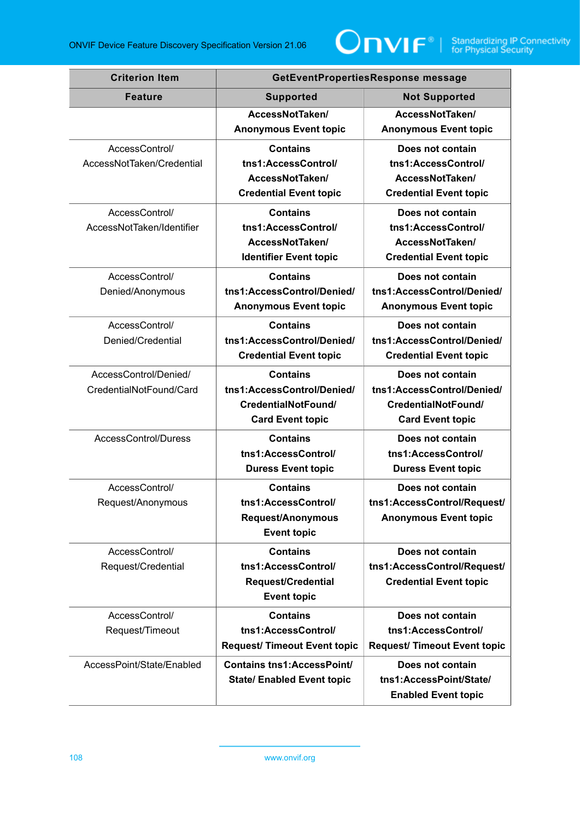

| <b>Criterion Item</b>     | GetEventPropertiesResponse message      |                                                |
|---------------------------|-----------------------------------------|------------------------------------------------|
| <b>Feature</b>            | <b>Supported</b>                        | <b>Not Supported</b>                           |
|                           | AccessNotTaken/                         | AccessNotTaken/                                |
|                           | <b>Anonymous Event topic</b>            | <b>Anonymous Event topic</b>                   |
| AccessControl/            | <b>Contains</b>                         | Does not contain                               |
| AccessNotTaken/Credential | tns1:AccessControl/                     | tns1:AccessControl/                            |
|                           | AccessNotTaken/                         | AccessNotTaken/                                |
|                           | <b>Credential Event topic</b>           | <b>Credential Event topic</b>                  |
| AccessControl/            | <b>Contains</b>                         | Does not contain                               |
| AccessNotTaken/Identifier | tns1:AccessControl/<br>AccessNotTaken/  | tns1:AccessControl/<br>AccessNotTaken/         |
|                           | <b>Identifier Event topic</b>           | <b>Credential Event topic</b>                  |
| AccessControl/            | <b>Contains</b>                         |                                                |
| Denied/Anonymous          | tns1:AccessControl/Denied/              | Does not contain<br>tns1:AccessControl/Denied/ |
|                           | <b>Anonymous Event topic</b>            | <b>Anonymous Event topic</b>                   |
| AccessControl/            | <b>Contains</b>                         | Does not contain                               |
| Denied/Credential         | tns1:AccessControl/Denied/              | tns1:AccessControl/Denied/                     |
|                           | <b>Credential Event topic</b>           | <b>Credential Event topic</b>                  |
| AccessControl/Denied/     | <b>Contains</b>                         | Does not contain                               |
| CredentialNotFound/Card   | tns1:AccessControl/Denied/              | tns1:AccessControl/Denied/                     |
|                           | CredentialNotFound/                     | CredentialNotFound/                            |
|                           | <b>Card Event topic</b>                 | <b>Card Event topic</b>                        |
| AccessControl/Duress      | <b>Contains</b>                         | Does not contain                               |
|                           | tns1:AccessControl/                     | tns1:AccessControl/                            |
|                           | <b>Duress Event topic</b>               | <b>Duress Event topic</b>                      |
| AccessControl/            | <b>Contains</b>                         | Does not contain                               |
| Request/Anonymous         | tns1:AccessControl/                     | tns1:AccessControl/Request/                    |
|                           | Request/Anonymous<br><b>Event topic</b> | <b>Anonymous Event topic</b>                   |
| AccessControl/            | <b>Contains</b>                         | Does not contain                               |
| Request/Credential        | tns1:AccessControl/                     | tns1:AccessControl/Request/                    |
|                           | <b>Request/Credential</b>               | <b>Credential Event topic</b>                  |
|                           | <b>Event topic</b>                      |                                                |
| AccessControl/            | <b>Contains</b>                         | Does not contain                               |
| Request/Timeout           | tns1:AccessControl/                     | tns1:AccessControl/                            |
|                           | <b>Request/ Timeout Event topic</b>     | <b>Request/ Timeout Event topic</b>            |
| AccessPoint/State/Enabled | <b>Contains tns1:AccessPoint/</b>       | Does not contain                               |
|                           | <b>State/ Enabled Event topic</b>       | tns1:AccessPoint/State/                        |
|                           |                                         | <b>Enabled Event topic</b>                     |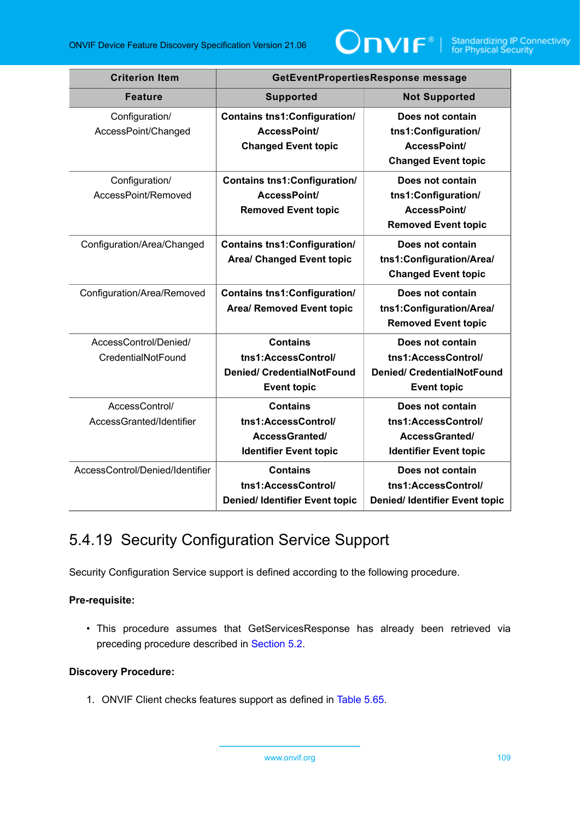

| <b>Criterion Item</b>                       | GetEventPropertiesResponse message                                                                |                                                                                                    |
|---------------------------------------------|---------------------------------------------------------------------------------------------------|----------------------------------------------------------------------------------------------------|
| <b>Feature</b>                              | <b>Supported</b>                                                                                  | <b>Not Supported</b>                                                                               |
| Configuration/<br>AccessPoint/Changed       | <b>Contains tns1: Configuration/</b><br>AccessPoint/<br><b>Changed Event topic</b>                | Does not contain<br>tns1:Configuration/<br>AccessPoint/<br><b>Changed Event topic</b>              |
| Configuration/<br>AccessPoint/Removed       | <b>Contains tns1: Configuration/</b><br>AccessPoint/<br><b>Removed Event topic</b>                | Does not contain<br>tns1:Configuration/<br>AccessPoint/<br><b>Removed Event topic</b>              |
| Configuration/Area/Changed                  | <b>Contains tns1: Configuration/</b><br><b>Area/ Changed Event topic</b>                          | Does not contain<br>tns1:Configuration/Area/<br><b>Changed Event topic</b>                         |
| Configuration/Area/Removed                  | <b>Contains tns1: Configuration/</b><br><b>Area/ Removed Event topic</b>                          | Does not contain<br>tns1:Configuration/Area/<br><b>Removed Event topic</b>                         |
| AccessControl/Denied/<br>CredentialNotFound | <b>Contains</b><br>tns1:AccessControl/<br><b>Denied/ CredentialNotFound</b><br><b>Event topic</b> | Does not contain<br>tns1:AccessControl/<br><b>Denied/ CredentialNotFound</b><br><b>Event topic</b> |
| AccessControl/<br>AccessGranted/Identifier  | <b>Contains</b><br>tns1:AccessControl/<br>AccessGranted/<br><b>Identifier Event topic</b>         | Does not contain<br>tns1:AccessControl/<br>AccessGranted/<br><b>Identifier Event topic</b>         |
| AccessControl/Denied/Identifier             | <b>Contains</b><br>tns1:AccessControl/<br>Denied/ Identifier Event topic                          | Does not contain<br>tns1:AccessControl/<br><b>Denied/ Identifier Event topic</b>                   |

# <span id="page-108-0"></span>5.4.19 Security Configuration Service Support

Security Configuration Service support is defined according to the following procedure.

#### **Pre-requisite:**

• This procedure assumes that GetServicesResponse has already been retrieved via preceding procedure described in [Section 5.2](#page-38-0).

#### **Discovery Procedure:**

1. ONVIF Client checks features support as defined in [Table](#page-109-0) 5.65.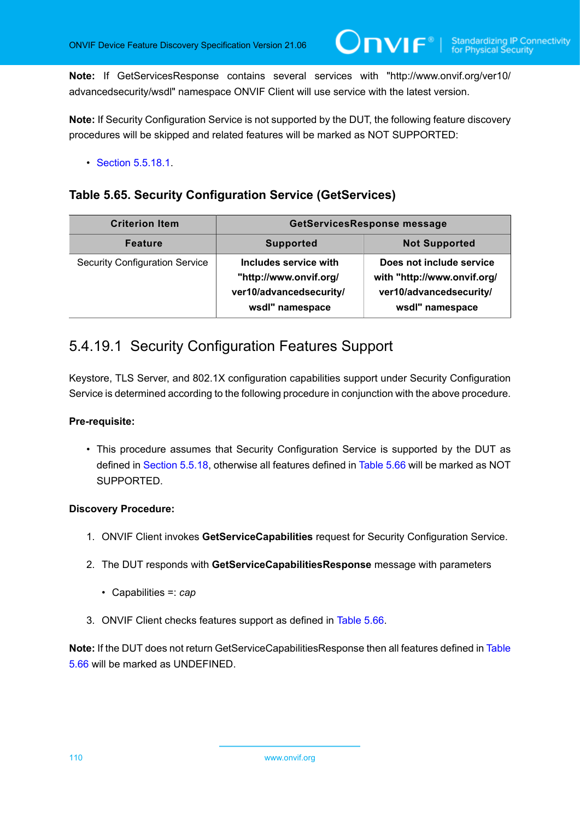**Note:** If GetServicesResponse contains several services with "http://www.onvif.org/ver10/ advancedsecurity/wsdl" namespace ONVIF Client will use service with the latest version.

 $\mathsf{D}\mathbf{N}\mathsf{I}\mathsf{F}^\ast$ l

**Note:** If Security Configuration Service is not supported by the DUT, the following feature discovery procedures will be skipped and related features will be marked as NOT SUPPORTED:

• **[Section 5.5.18.1](#page-109-1)** 

## <span id="page-109-0"></span>**Table 5.65. Security Configuration Service (GetServices)**

| <b>Criterion Item</b>                 | <b>GetServicesResponse message</b>                                                            |                                                                                                       |
|---------------------------------------|-----------------------------------------------------------------------------------------------|-------------------------------------------------------------------------------------------------------|
| <b>Feature</b>                        | <b>Supported</b>                                                                              | <b>Not Supported</b>                                                                                  |
| <b>Security Configuration Service</b> | Includes service with<br>"http://www.onvif.org/<br>ver10/advancedsecurity/<br>wsdl" namespace | Does not include service<br>with "http://www.onvif.org/<br>ver10/advancedsecurity/<br>wsdl" namespace |

# <span id="page-109-1"></span>5.4.19.1 Security Configuration Features Support

Keystore, TLS Server, and 802.1X configuration capabilities support under Security Configuration Service is determined according to the following procedure in conjunction with the above procedure.

#### **Pre-requisite:**

• This procedure assumes that Security Configuration Service is supported by the DUT as defined in [Section 5.5.18,](#page-108-0) otherwise all features defined in [Table](#page-110-0) 5.66 will be marked as NOT SUPPORTED.

#### **Discovery Procedure:**

- 1. ONVIF Client invokes **GetServiceCapabilities** request for Security Configuration Service.
- 2. The DUT responds with **GetServiceCapabilitiesResponse** message with parameters
	- Capabilities =: *cap*
- 3. ONVIF Client checks features support as defined in [Table](#page-110-0) 5.66.

**Note:** If the DUT does not return GetServiceCapabilitiesResponse then all features defined in [Table](#page-110-0) [5.66](#page-110-0) will be marked as UNDEFINED.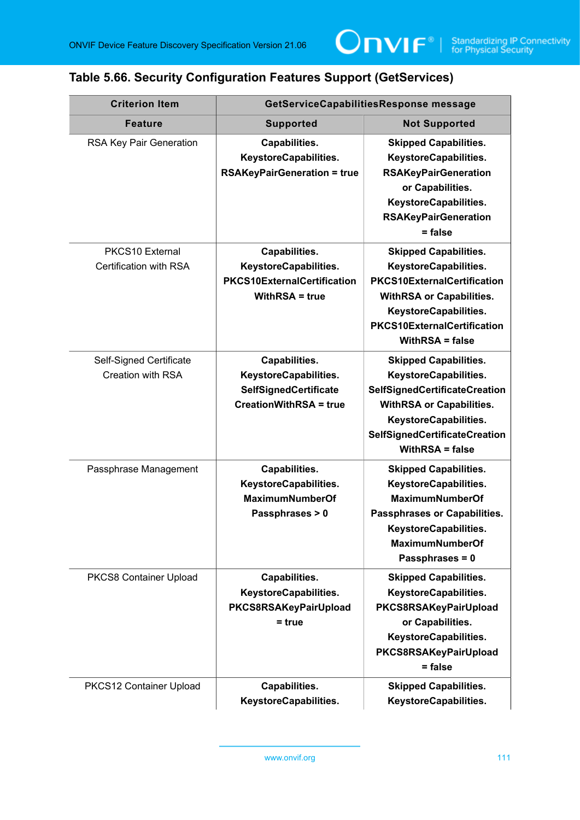# <span id="page-110-0"></span>**Table 5.66. Security Configuration Features Support (GetServices)**

| <b>Criterion Item</b>                        | GetServiceCapabilitiesResponse message                                                           |                                                                                                                                                                                                                         |
|----------------------------------------------|--------------------------------------------------------------------------------------------------|-------------------------------------------------------------------------------------------------------------------------------------------------------------------------------------------------------------------------|
| <b>Feature</b>                               | <b>Supported</b>                                                                                 | <b>Not Supported</b>                                                                                                                                                                                                    |
| RSA Key Pair Generation                      | Capabilities.<br>KeystoreCapabilities.<br><b>RSAKeyPairGeneration = true</b>                     | <b>Skipped Capabilities.</b><br>KeystoreCapabilities.<br><b>RSAKeyPairGeneration</b><br>or Capabilities.<br>KeystoreCapabilities.<br><b>RSAKeyPairGeneration</b><br>$= false$                                           |
| PKCS10 External<br>Certification with RSA    | Capabilities.<br>KeystoreCapabilities.<br><b>PKCS10ExternalCertification</b><br>WithRSA = true   | <b>Skipped Capabilities.</b><br>KeystoreCapabilities.<br><b>PKCS10ExternalCertification</b><br><b>WithRSA or Capabilities.</b><br>KeystoreCapabilities.<br><b>PKCS10ExternalCertification</b><br><b>WithRSA = false</b> |
| Self-Signed Certificate<br>Creation with RSA | Capabilities.<br>KeystoreCapabilities.<br>SelfSignedCertificate<br><b>CreationWithRSA = true</b> | <b>Skipped Capabilities.</b><br>KeystoreCapabilities.<br>SelfSignedCertificateCreation<br><b>WithRSA or Capabilities.</b><br>KeystoreCapabilities.<br>SelfSignedCertificateCreation<br><b>WithRSA = false</b>           |
| Passphrase Management                        | Capabilities.<br>KeystoreCapabilities.<br><b>MaximumNumberOf</b><br>Passphrases > 0              | <b>Skipped Capabilities.</b><br>KeystoreCapabilities.<br><b>MaximumNumberOf</b><br>Passphrases or Capabilities.<br>KeystoreCapabilities.<br>MaximumNumberOf<br>Passphrases = 0                                          |
| PKCS8 Container Upload                       | Capabilities.<br>KeystoreCapabilities.<br>PKCS8RSAKeyPairUpload<br>= true                        | <b>Skipped Capabilities.</b><br>KeystoreCapabilities.<br>PKCS8RSAKeyPairUpload<br>or Capabilities.<br>KeystoreCapabilities.<br>PKCS8RSAKeyPairUpload<br>= false                                                         |
| PKCS12 Container Upload                      | Capabilities.<br>KeystoreCapabilities.                                                           | <b>Skipped Capabilities.</b><br>KeystoreCapabilities.                                                                                                                                                                   |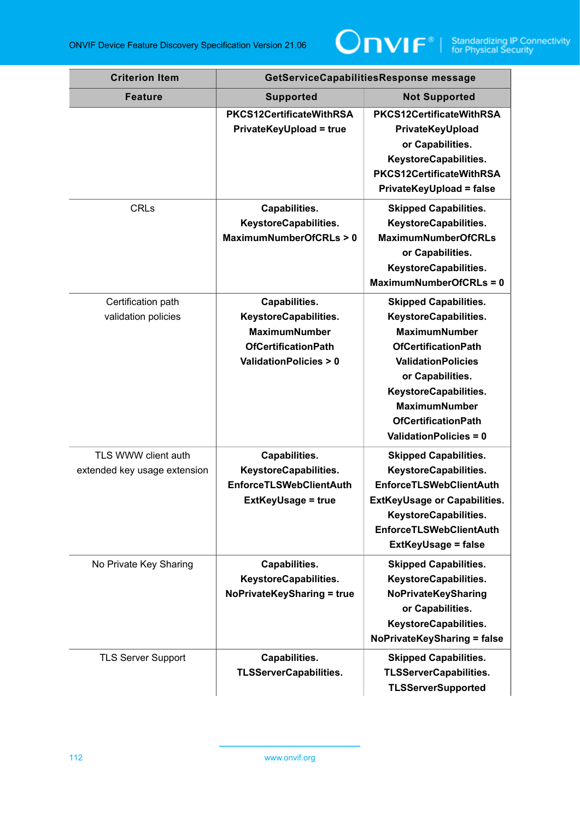

| <b>Criterion Item</b>                               | GetServiceCapabilitiesResponse message                                                                                           |                                                                                                                                                                                                                                                                       |
|-----------------------------------------------------|----------------------------------------------------------------------------------------------------------------------------------|-----------------------------------------------------------------------------------------------------------------------------------------------------------------------------------------------------------------------------------------------------------------------|
| <b>Feature</b>                                      | <b>Supported</b>                                                                                                                 | <b>Not Supported</b>                                                                                                                                                                                                                                                  |
|                                                     | PKCS12CertificateWithRSA<br><b>PrivateKeyUpload = true</b>                                                                       | PKCS12CertificateWithRSA<br>PrivateKeyUpload<br>or Capabilities.<br>KeystoreCapabilities.<br>PKCS12CertificateWithRSA<br><b>PrivateKeyUpload = false</b>                                                                                                              |
| <b>CRLs</b>                                         | Capabilities.<br>KeystoreCapabilities.<br>MaximumNumberOfCRLs > 0                                                                | <b>Skipped Capabilities.</b><br>KeystoreCapabilities.<br><b>MaximumNumberOfCRLs</b><br>or Capabilities.<br>KeystoreCapabilities.<br>MaximumNumberOfCRLs = 0                                                                                                           |
| Certification path<br>validation policies           | Capabilities.<br>KeystoreCapabilities.<br><b>MaximumNumber</b><br><b>OfCertificationPath</b><br><b>ValidationPolicies &gt; 0</b> | <b>Skipped Capabilities.</b><br>KeystoreCapabilities.<br><b>MaximumNumber</b><br><b>OfCertificationPath</b><br><b>ValidationPolicies</b><br>or Capabilities.<br>KeystoreCapabilities.<br><b>MaximumNumber</b><br><b>OfCertificationPath</b><br>ValidationPolicies = 0 |
| TLS WWW client auth<br>extended key usage extension | Capabilities.<br>KeystoreCapabilities.<br><b>EnforceTLSWebClientAuth</b><br><b>ExtKeyUsage = true</b>                            | <b>Skipped Capabilities.</b><br>KeystoreCapabilities.<br><b>EnforceTLSWebClientAuth</b><br><b>ExtKeyUsage or Capabilities.</b><br>KeystoreCapabilities.<br><b>EnforceTLSWebClientAuth</b><br><b>ExtKeyUsage = false</b>                                               |
| No Private Key Sharing                              | Capabilities.<br>KeystoreCapabilities.<br><b>NoPrivateKeySharing = true</b>                                                      | <b>Skipped Capabilities.</b><br>KeystoreCapabilities.<br>NoPrivateKeySharing<br>or Capabilities.<br>KeystoreCapabilities.<br><b>NoPrivateKeySharing = false</b>                                                                                                       |
| <b>TLS Server Support</b>                           | Capabilities.<br><b>TLSServerCapabilities.</b>                                                                                   | <b>Skipped Capabilities.</b><br><b>TLSServerCapabilities.</b><br><b>TLSServerSupported</b>                                                                                                                                                                            |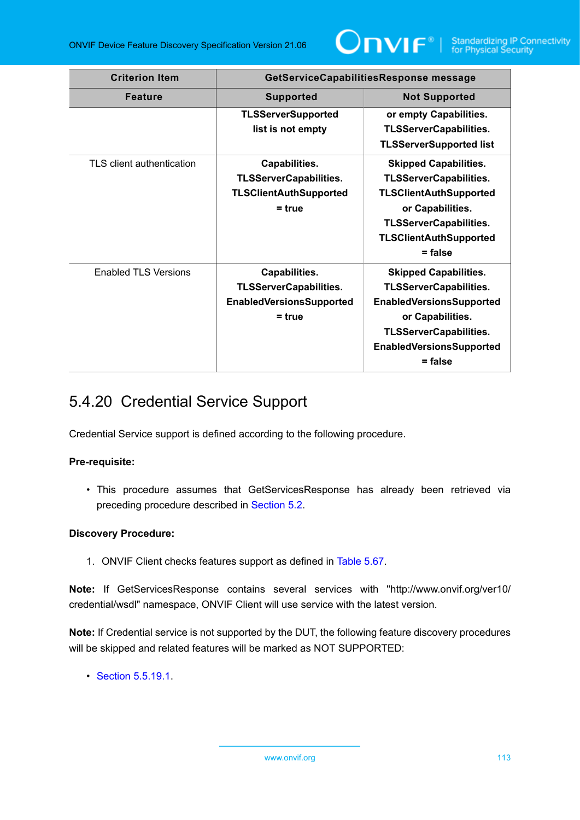

| <b>Criterion Item</b>     | GetServiceCapabilitiesResponse message                                                        |                                                                                                                                                                                                       |
|---------------------------|-----------------------------------------------------------------------------------------------|-------------------------------------------------------------------------------------------------------------------------------------------------------------------------------------------------------|
| <b>Feature</b>            | <b>Supported</b>                                                                              | <b>Not Supported</b>                                                                                                                                                                                  |
|                           | <b>TLSServerSupported</b><br>list is not empty                                                | or empty Capabilities.<br><b>TLSServerCapabilities.</b><br><b>TLSServerSupported list</b>                                                                                                             |
| TLS client authentication | Capabilities.<br><b>TLSServerCapabilities.</b><br><b>TLSClientAuthSupported</b><br>$= true$   | <b>Skipped Capabilities.</b><br><b>TLSServerCapabilities.</b><br><b>TLSClientAuthSupported</b><br>or Capabilities.<br><b>TLSServerCapabilities.</b><br><b>TLSClientAuthSupported</b><br>$=$ false     |
| Enabled TLS Versions      | Capabilities.<br><b>TLSServerCapabilities.</b><br><b>EnabledVersionsSupported</b><br>$= true$ | <b>Skipped Capabilities.</b><br><b>TLSServerCapabilities.</b><br><b>EnabledVersionsSupported</b><br>or Capabilities.<br><b>TLSServerCapabilities.</b><br><b>EnabledVersionsSupported</b><br>$=$ false |

# <span id="page-112-0"></span>5.4.20 Credential Service Support

Credential Service support is defined according to the following procedure.

#### **Pre-requisite:**

• This procedure assumes that GetServicesResponse has already been retrieved via preceding procedure described in [Section 5.2](#page-38-0).

#### **Discovery Procedure:**

1. ONVIF Client checks features support as defined in [Table](#page-113-0) 5.67.

**Note:** If GetServicesResponse contains several services with "http://www.onvif.org/ver10/ credential/wsdl" namespace, ONVIF Client will use service with the latest version.

**Note:** If Credential service is not supported by the DUT, the following feature discovery procedures will be skipped and related features will be marked as NOT SUPPORTED:

• [Section 5.5.19.1](#page-113-1).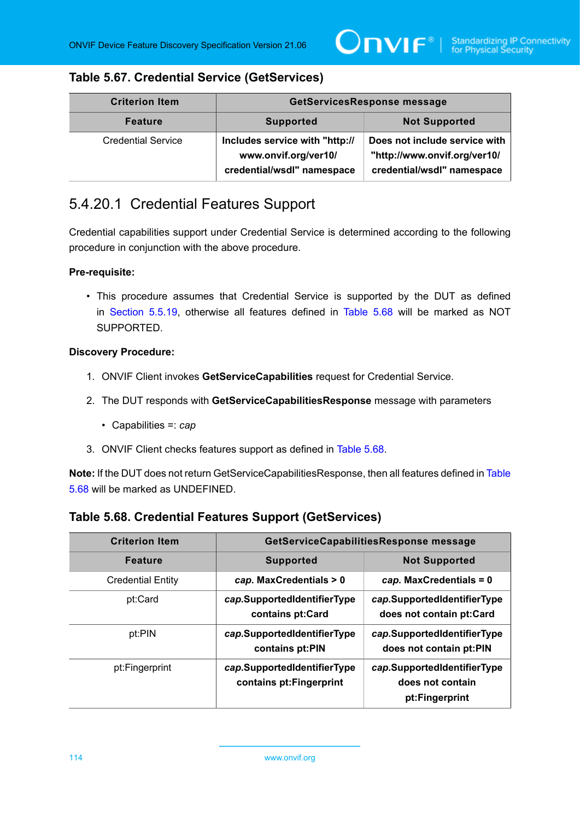## <span id="page-113-0"></span>**Table 5.67. Credential Service (GetServices)**

| <b>Criterion Item</b>     | GetServicesResponse message                                                          |                                                                                             |
|---------------------------|--------------------------------------------------------------------------------------|---------------------------------------------------------------------------------------------|
| <b>Feature</b>            | <b>Supported</b>                                                                     | <b>Not Supported</b>                                                                        |
| <b>Credential Service</b> | Includes service with "http://<br>www.onvif.org/ver10/<br>credential/wsdl" namespace | Does not include service with<br>"http://www.onvif.org/ver10/<br>credential/wsdl" namespace |

# <span id="page-113-1"></span>5.4.20.1 Credential Features Support

Credential capabilities support under Credential Service is determined according to the following procedure in conjunction with the above procedure.

#### **Pre-requisite:**

• This procedure assumes that Credential Service is supported by the DUT as defined in [Section 5.5.19](#page-112-0), otherwise all features defined in [Table](#page-113-2) 5.68 will be marked as NOT SUPPORTED.

#### **Discovery Procedure:**

- 1. ONVIF Client invokes **GetServiceCapabilities** request for Credential Service.
- 2. The DUT responds with **GetServiceCapabilitiesResponse** message with parameters
	- Capabilities =: *cap*
- 3. ONVIF Client checks features support as defined in [Table](#page-113-2) 5.68.

**Note:** If the DUT does not return GetServiceCapabilitiesResponse, then all features defined in [Table](#page-113-2) [5.68](#page-113-2) will be marked as UNDEFINED.

### <span id="page-113-2"></span>**Table 5.68. Credential Features Support (GetServices)**

| <b>Criterion Item</b>    | GetServiceCapabilitiesResponse message                  |                                                                   |
|--------------------------|---------------------------------------------------------|-------------------------------------------------------------------|
| <b>Feature</b>           | <b>Supported</b>                                        | <b>Not Supported</b>                                              |
| <b>Credential Entity</b> | cap. MaxCredentials > 0                                 | $cap.$ MaxCredentials = 0                                         |
| pt:Card                  | cap.SupportedIdentifierType<br>contains pt:Card         | cap.SupportedIdentifierType<br>does not contain pt:Card           |
| pt:PIN                   | cap.SupportedIdentifierType<br>contains pt:PIN          | cap.SupportedIdentifierType<br>does not contain pt:PIN            |
| pt:Fingerprint           | cap.SupportedIdentifierType<br>contains pt: Fingerprint | cap.SupportedIdentifierType<br>does not contain<br>pt:Fingerprint |

114 www.onvif.org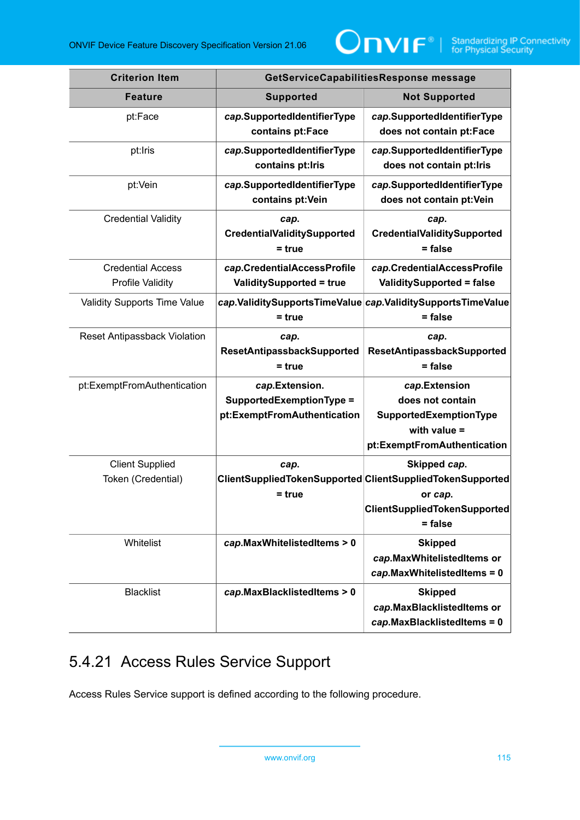

| <b>Criterion Item</b>        | GetServiceCapabilitiesResponse message                                    |                                                                                                                        |
|------------------------------|---------------------------------------------------------------------------|------------------------------------------------------------------------------------------------------------------------|
| <b>Feature</b>               | <b>Supported</b>                                                          | <b>Not Supported</b>                                                                                                   |
| pt:Face                      | cap.SupportedIdentifierType<br>contains pt:Face                           | cap.SupportedIdentifierType<br>does not contain pt:Face                                                                |
| pt:Iris                      | cap.SupportedIdentifierType<br>contains pt: Iris                          | cap.SupportedIdentifierType<br>does not contain pt:lris                                                                |
| pt:Vein                      | cap.SupportedIdentifierType<br>contains pt: Vein                          | cap.SupportedIdentifierType<br>does not contain pt: Vein                                                               |
| <b>Credential Validity</b>   | cap.<br>CredentialValiditySupported<br>= true                             | cap.<br>CredentialValiditySupported<br>$=$ false                                                                       |
| <b>Credential Access</b>     | cap.CredentialAccessProfile                                               | cap.CredentialAccessProfile                                                                                            |
| <b>Profile Validity</b>      | <b>ValiditySupported = true</b>                                           | <b>ValiditySupported = false</b>                                                                                       |
| Validity Supports Time Value | = true                                                                    | cap.ValiditySupportsTimeValue cap.ValiditySupportsTimeValue<br>= false                                                 |
| Reset Antipassback Violation | cap.<br>ResetAntipassbackSupported<br>= true                              | cap.<br>ResetAntipassbackSupported<br>$=$ false                                                                        |
| pt:ExemptFromAuthentication  | cap.Extension.<br>SupportedExemptionType =<br>pt:ExemptFromAuthentication | cap.Extension<br>does not contain<br>SupportedExemptionType<br>with value $=$<br>pt:ExemptFromAuthentication           |
| <b>Client Supplied</b>       | cap.                                                                      | Skipped cap.                                                                                                           |
| Token (Credential)           | $=$ true                                                                  | ClientSuppliedTokenSupported ClientSuppliedTokenSupported<br>or cap.<br><b>ClientSuppliedTokenSupported</b><br>= false |
| Whitelist                    | cap.MaxWhitelistedItems > 0                                               | <b>Skipped</b><br>cap.MaxWhitelistedItems or<br>cap.MaxWhitelistedItems = 0                                            |
| <b>Blacklist</b>             | cap.MaxBlacklistedItems > 0                                               | <b>Skipped</b><br>cap.MaxBlacklistedItems or<br>cap.MaxBlacklistedItems = 0                                            |

# <span id="page-114-0"></span>5.4.21 Access Rules Service Support

Access Rules Service support is defined according to the following procedure.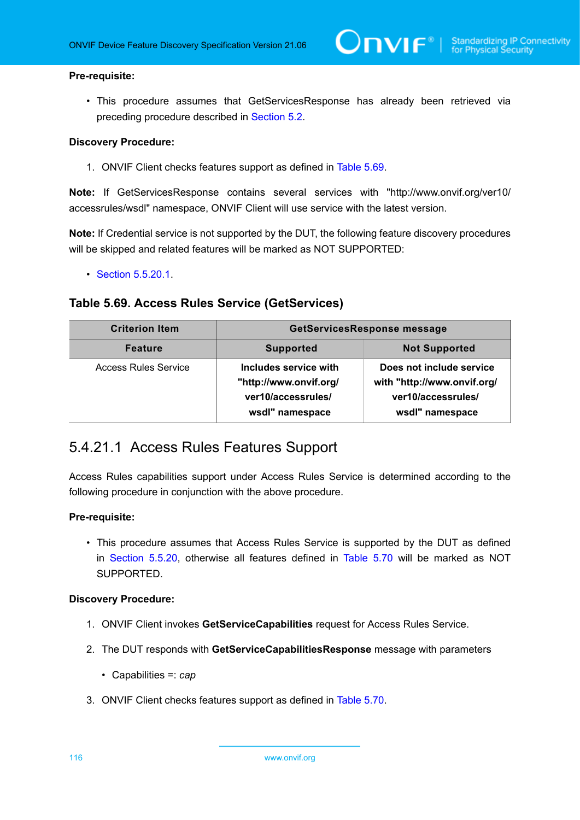#### **Pre-requisite:**

• This procedure assumes that GetServicesResponse has already been retrieved via preceding procedure described in [Section 5.2](#page-38-0).

#### **Discovery Procedure:**

1. ONVIF Client checks features support as defined in [Table](#page-115-0) 5.69.

**Note:** If GetServicesResponse contains several services with "http://www.onvif.org/ver10/ accessrules/wsdl" namespace, ONVIF Client will use service with the latest version.

**Note:** If Credential service is not supported by the DUT, the following feature discovery procedures will be skipped and related features will be marked as NOT SUPPORTED:

• [Section 5.5.20.1](#page-115-1).

#### <span id="page-115-0"></span>**Table 5.69. Access Rules Service (GetServices)**

| <b>Criterion Item</b>       | <b>GetServicesResponse message</b>                                                       |                                                                                                  |
|-----------------------------|------------------------------------------------------------------------------------------|--------------------------------------------------------------------------------------------------|
| <b>Feature</b>              | <b>Supported</b>                                                                         | <b>Not Supported</b>                                                                             |
| <b>Access Rules Service</b> | Includes service with<br>"http://www.onvif.org/<br>ver10/accessrules/<br>wsdl" namespace | Does not include service<br>with "http://www.onvif.org/<br>ver10/accessrules/<br>wsdl" namespace |

## <span id="page-115-1"></span>5.4.21.1 Access Rules Features Support

Access Rules capabilities support under Access Rules Service is determined according to the following procedure in conjunction with the above procedure.

#### **Pre-requisite:**

• This procedure assumes that Access Rules Service is supported by the DUT as defined in [Section 5.5.20](#page-114-0), otherwise all features defined in [Table](#page-116-0) 5.70 will be marked as NOT SUPPORTED.

#### **Discovery Procedure:**

- 1. ONVIF Client invokes **GetServiceCapabilities** request for Access Rules Service.
- 2. The DUT responds with **GetServiceCapabilitiesResponse** message with parameters
	- Capabilities =: *cap*
- 3. ONVIF Client checks features support as defined in [Table](#page-116-0) 5.70.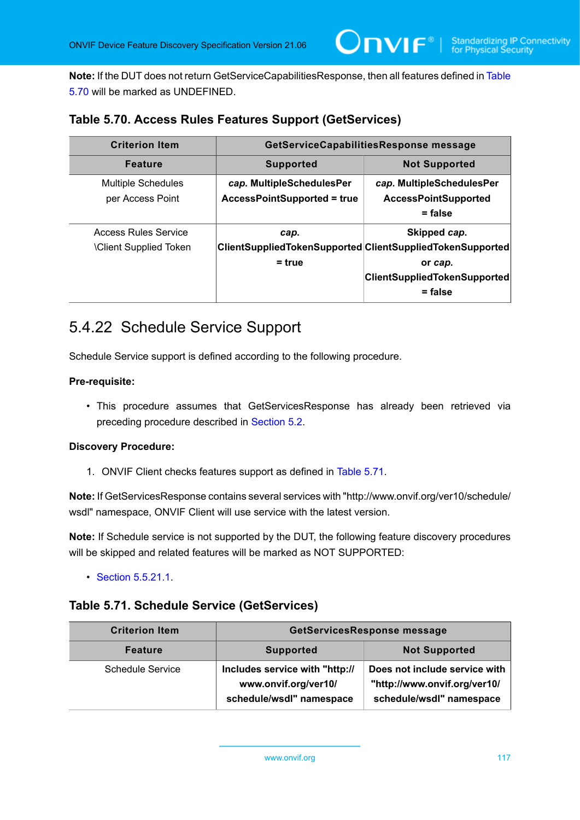**Note:** If the DUT does not return GetServiceCapabilitiesResponse, then all features defined in [Table](#page-116-0) [5.70](#page-116-0) will be marked as UNDEFINED.

### <span id="page-116-0"></span>**Table 5.70. Access Rules Features Support (GetServices)**

| <b>Criterion Item</b>                                       | GetServiceCapabilitiesResponse message                          |                                                                                                                                          |
|-------------------------------------------------------------|-----------------------------------------------------------------|------------------------------------------------------------------------------------------------------------------------------------------|
| <b>Feature</b>                                              | <b>Supported</b>                                                | <b>Not Supported</b>                                                                                                                     |
| <b>Multiple Schedules</b><br>per Access Point               | cap. MultipleSchedulesPer<br><b>AccessPointSupported = true</b> | cap. MultipleSchedulesPer<br><b>AccessPointSupported</b><br>$=$ false                                                                    |
| <b>Access Rules Service</b><br><b>Client Supplied Token</b> | cap.<br>$= true$                                                | Skipped cap.<br>ClientSuppliedTokenSupported ClientSuppliedTokenSupported<br>or cap.<br><b>ClientSuppliedTokenSupported</b><br>$=$ false |

# <span id="page-116-2"></span>5.4.22 Schedule Service Support

Schedule Service support is defined according to the following procedure.

#### **Pre-requisite:**

• This procedure assumes that GetServicesResponse has already been retrieved via preceding procedure described in [Section 5.2](#page-38-0).

#### **Discovery Procedure:**

1. ONVIF Client checks features support as defined in [Table](#page-116-1) 5.71.

**Note:** If GetServicesResponse contains several services with "http://www.onvif.org/ver10/schedule/ wsdl" namespace, ONVIF Client will use service with the latest version.

**Note:** If Schedule service is not supported by the DUT, the following feature discovery procedures will be skipped and related features will be marked as NOT SUPPORTED:

• [Section 5.5.21.1](#page-117-0).

#### <span id="page-116-1"></span>**Table 5.71. Schedule Service (GetServices)**

| <b>Criterion Item</b>   | GetServicesResponse message                                                        |                                                                                           |
|-------------------------|------------------------------------------------------------------------------------|-------------------------------------------------------------------------------------------|
| <b>Feature</b>          | <b>Supported</b>                                                                   | <b>Not Supported</b>                                                                      |
| <b>Schedule Service</b> | Includes service with "http://<br>www.onvif.org/ver10/<br>schedule/wsdl" namespace | Does not include service with<br>"http://www.onvif.org/ver10/<br>schedule/wsdl" namespace |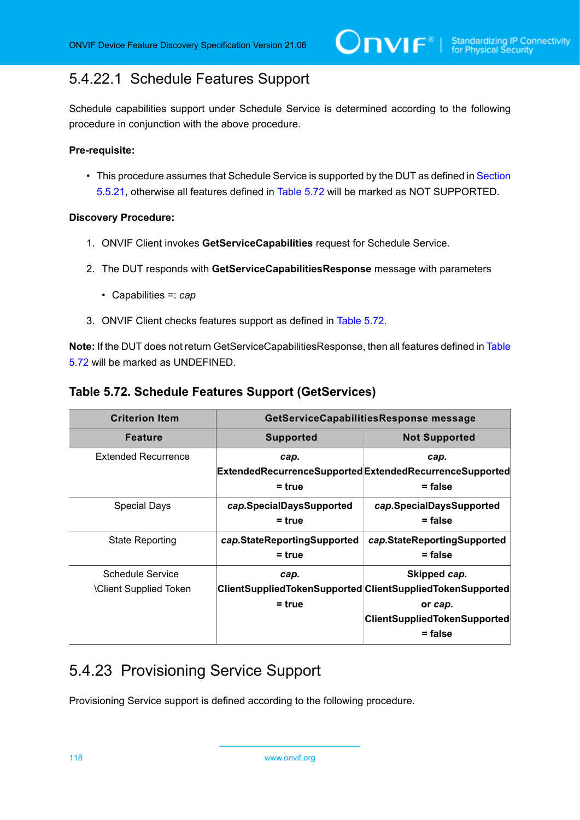# <span id="page-117-0"></span>5.4.22.1 Schedule Features Support

Schedule capabilities support under Schedule Service is determined according to the following procedure in conjunction with the above procedure.

#### **Pre-requisite:**

• This procedure assumes that Schedule Service is supported by the DUT as defined in [Section](#page-116-2) [5.5.21](#page-116-2), otherwise all features defined in [Table](#page-117-1) 5.72 will be marked as NOT SUPPORTED.

#### **Discovery Procedure:**

- 1. ONVIF Client invokes **GetServiceCapabilities** request for Schedule Service.
- 2. The DUT responds with **GetServiceCapabilitiesResponse** message with parameters
	- Capabilities =: *cap*
- 3. ONVIF Client checks features support as defined in [Table](#page-117-1) 5.72.

**Note:** If the DUT does not return GetServiceCapabilitiesResponse, then all features defined in [Table](#page-117-1) [5.72](#page-117-1) will be marked as UNDEFINED.

<span id="page-117-1"></span>

| <b>Criterion Item</b>                            | GetServiceCapabilitiesResponse message  |                                                                                                                             |
|--------------------------------------------------|-----------------------------------------|-----------------------------------------------------------------------------------------------------------------------------|
| <b>Feature</b>                                   | <b>Supported</b>                        | <b>Not Supported</b>                                                                                                        |
| <b>Extended Recurrence</b>                       | cap.<br>$=$ true                        | cap.<br>ExtendedRecurrenceSupportedExtendedRecurrenceSupported<br>= false                                                   |
| Special Days                                     | cap.SpecialDaysSupported<br>$=$ true    | cap.SpecialDaysSupported<br>= false                                                                                         |
| <b>State Reporting</b>                           | cap.StateReportingSupported<br>$=$ true | cap.StateReportingSupported<br>$=$ false                                                                                    |
| Schedule Service<br><b>Client Supplied Token</b> | cap.<br>$=$ true                        | Skipped cap.<br>ClientSuppliedTokenSupported ClientSuppliedTokenSupported<br>or cap.<br><b>ClientSuppliedTokenSupported</b> |
|                                                  |                                         | $=$ false                                                                                                                   |

# 5.4.23 Provisioning Service Support

Provisioning Service support is defined according to the following procedure.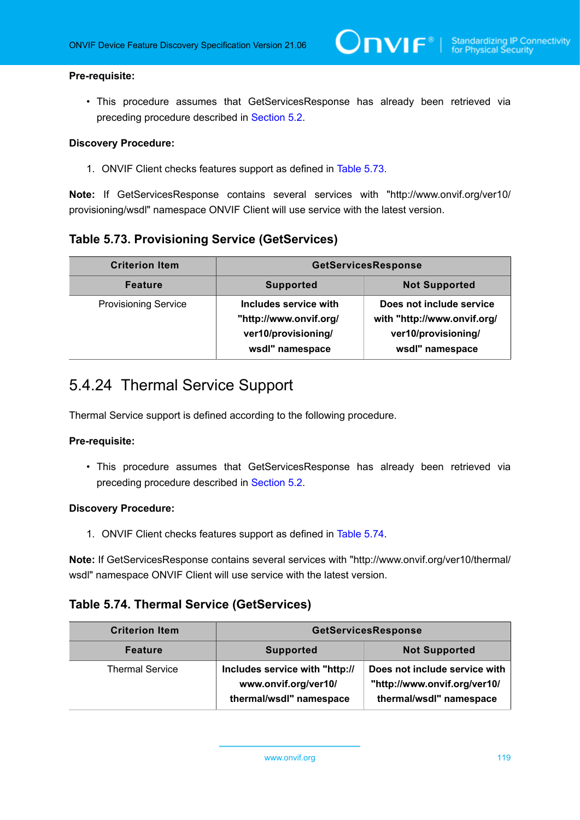#### **Pre-requisite:**

• This procedure assumes that GetServicesResponse has already been retrieved via preceding procedure described in [Section 5.2](#page-38-0).

#### **Discovery Procedure:**

1. ONVIF Client checks features support as defined in [Table](#page-118-0) 5.73.

**Note:** If GetServicesResponse contains several services with "http://www.onvif.org/ver10/ provisioning/wsdl" namespace ONVIF Client will use service with the latest version.

### <span id="page-118-0"></span>**Table 5.73. Provisioning Service (GetServices)**

| <b>Criterion Item</b>       | <b>GetServicesResponse</b>                                                                |                                                                                                   |
|-----------------------------|-------------------------------------------------------------------------------------------|---------------------------------------------------------------------------------------------------|
| <b>Feature</b>              | <b>Supported</b>                                                                          | <b>Not Supported</b>                                                                              |
| <b>Provisioning Service</b> | Includes service with<br>"http://www.onvif.org/<br>ver10/provisioning/<br>wsdl" namespace | Does not include service<br>with "http://www.onvif.org/<br>ver10/provisioning/<br>wsdl" namespace |

# 5.4.24 Thermal Service Support

Thermal Service support is defined according to the following procedure.

#### **Pre-requisite:**

• This procedure assumes that GetServicesResponse has already been retrieved via preceding procedure described in [Section 5.2](#page-38-0).

#### **Discovery Procedure:**

1. ONVIF Client checks features support as defined in [Table](#page-118-1) 5.74.

**Note:** If GetServicesResponse contains several services with "http://www.onvif.org/ver10/thermal/ wsdl" namespace ONVIF Client will use service with the latest version.

#### <span id="page-118-1"></span>**Table 5.74. Thermal Service (GetServices)**

| <b>Criterion Item</b>  | <b>GetServicesResponse</b>                                                        |                                                                                          |
|------------------------|-----------------------------------------------------------------------------------|------------------------------------------------------------------------------------------|
| <b>Feature</b>         | <b>Supported</b>                                                                  | <b>Not Supported</b>                                                                     |
| <b>Thermal Service</b> | Includes service with "http://<br>www.onvif.org/ver10/<br>thermal/wsdl" namespace | Does not include service with<br>"http://www.onvif.org/ver10/<br>thermal/wsdl" namespace |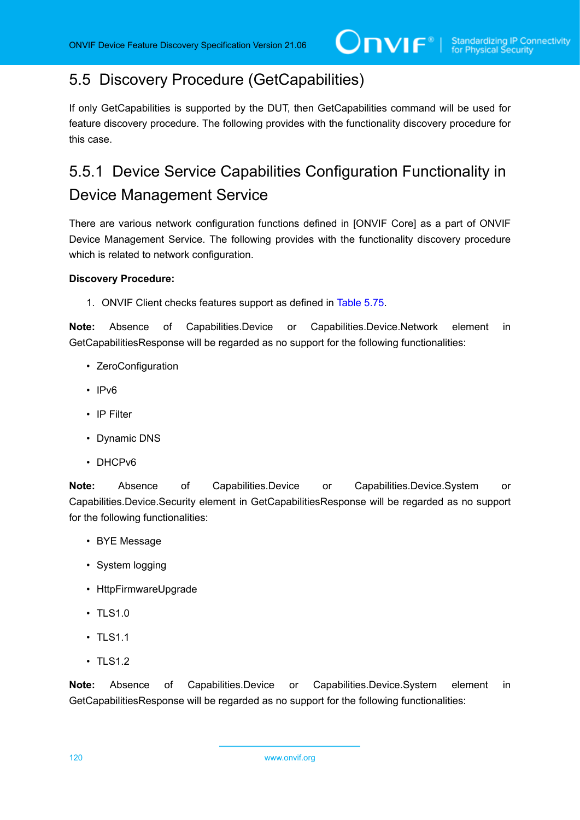# 5.5 Discovery Procedure (GetCapabilities)

If only GetCapabilities is supported by the DUT, then GetCapabilities command will be used for feature discovery procedure. The following provides with the functionality discovery procedure for this case.

# 5.5.1 Device Service Capabilities Configuration Functionality in Device Management Service

There are various network configuration functions defined in [ONVIF Core] as a part of ONVIF Device Management Service. The following provides with the functionality discovery procedure which is related to network configuration.

#### **Discovery Procedure:**

1. ONVIF Client checks features support as defined in [Table](#page-120-0) 5.75.

**Note:** Absence of Capabilities.Device or Capabilities.Device.Network element in GetCapabilitiesResponse will be regarded as no support for the following functionalities:

- ZeroConfiguration
- IPv6
- IP Filter
- Dynamic DNS
- DHCPv6

**Note:** Absence of Capabilities.Device or Capabilities.Device.System or Capabilities.Device.Security element in GetCapabilitiesResponse will be regarded as no support for the following functionalities:

- BYE Message
- System logging
- HttpFirmwareUpgrade
- TLS1.0
- TLS1.1
- TLS1.2

**Note:** Absence of Capabilities.Device or Capabilities.Device.System element in GetCapabilitiesResponse will be regarded as no support for the following functionalities:

120 www.onvif.org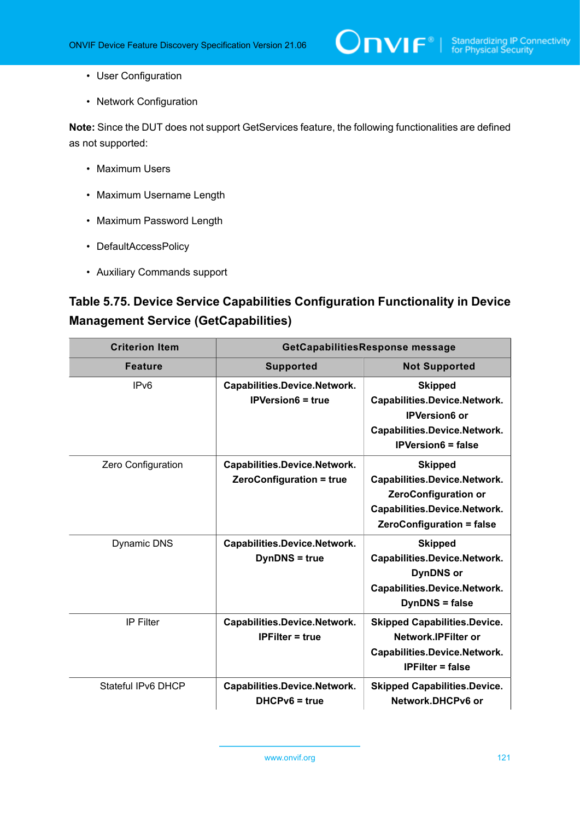- User Configuration
- Network Configuration

**Note:** Since the DUT does not support GetServices feature, the following functionalities are defined as not supported:

- Maximum Users
- Maximum Username Length
- Maximum Password Length
- DefaultAccessPolicy
- Auxiliary Commands support

# <span id="page-120-0"></span>**Table 5.75. Device Service Capabilities Configuration Functionality in Device Management Service (GetCapabilities)**

| <b>Criterion Item</b> | GetCapabilitiesResponse message                          |                                                                                                                                                   |
|-----------------------|----------------------------------------------------------|---------------------------------------------------------------------------------------------------------------------------------------------------|
| <b>Feature</b>        | <b>Supported</b>                                         | <b>Not Supported</b>                                                                                                                              |
| IP <sub>v6</sub>      | Capabilities.Device.Network.<br><b>IPVersion6 = true</b> | <b>Skipped</b><br>Capabilities.Device.Network.<br><b>IPVersion6 or</b><br>Capabilities.Device.Network.<br><b>IPVersion6 = false</b>               |
| Zero Configuration    | Capabilities.Device.Network.<br>ZeroConfiguration = true | <b>Skipped</b><br>Capabilities.Device.Network.<br><b>ZeroConfiguration or</b><br>Capabilities.Device.Network.<br><b>ZeroConfiguration = false</b> |
| <b>Dynamic DNS</b>    | Capabilities.Device.Network.<br><b>DynDNS</b> = true     | <b>Skipped</b><br>Capabilities.Device.Network.<br><b>DynDNS</b> or<br>Capabilities.Device.Network.<br><b>DynDNS</b> = false                       |
| IP Filter             | Capabilities.Device.Network.<br><b>IPFilter = true</b>   | <b>Skipped Capabilities.Device.</b><br>Network.IPFilter or<br>Capabilities.Device.Network.<br><b>IPFilter = false</b>                             |
| Stateful IPv6 DHCP    | Capabilities.Device.Network.<br>$DHCPv6 = true$          | <b>Skipped Capabilities.Device.</b><br>Network.DHCPv6 or                                                                                          |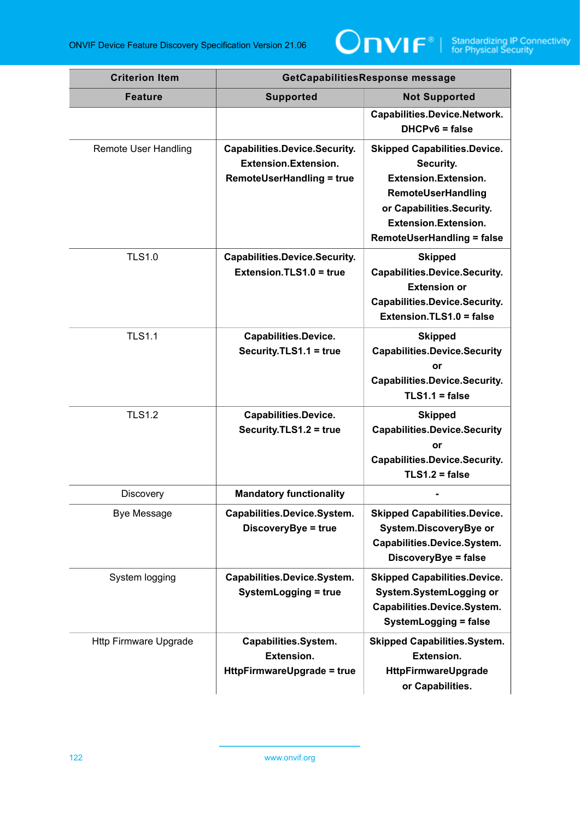

| <b>Criterion Item</b>        | GetCapabilitiesResponse message                                                                         |                                                                                                                                                                                                        |
|------------------------------|---------------------------------------------------------------------------------------------------------|--------------------------------------------------------------------------------------------------------------------------------------------------------------------------------------------------------|
| <b>Feature</b>               | <b>Supported</b>                                                                                        | <b>Not Supported</b>                                                                                                                                                                                   |
|                              |                                                                                                         | Capabilities.Device.Network.<br>$DHCPv6 = false$                                                                                                                                                       |
| <b>Remote User Handling</b>  | <b>Capabilities.Device.Security.</b><br><b>Extension.Extension.</b><br><b>RemoteUserHandling = true</b> | <b>Skipped Capabilities.Device.</b><br>Security.<br><b>Extension.Extension.</b><br>RemoteUserHandling<br>or Capabilities.Security.<br><b>Extension.Extension.</b><br><b>RemoteUserHandling = false</b> |
| <b>TLS1.0</b>                | <b>Capabilities.Device.Security.</b><br>Extension.TLS1.0 = true                                         | <b>Skipped</b><br><b>Capabilities.Device.Security.</b><br><b>Extension or</b><br><b>Capabilities.Device.Security.</b><br>Extension.TLS1.0 = false                                                      |
| <b>TLS1.1</b>                | Capabilities.Device.<br>Security.TLS1.1 = true                                                          | <b>Skipped</b><br><b>Capabilities.Device.Security</b><br>or<br><b>Capabilities.Device.Security.</b><br>$TLS1.1 = false$                                                                                |
| <b>TLS1.2</b>                | <b>Capabilities.Device.</b><br>Security.TLS1.2 = true                                                   | <b>Skipped</b><br><b>Capabilities.Device.Security</b><br>or<br><b>Capabilities.Device.Security.</b><br>$TLS1.2 = false$                                                                                |
| Discovery                    | <b>Mandatory functionality</b>                                                                          |                                                                                                                                                                                                        |
| <b>Bye Message</b>           | Capabilities.Device.System.<br>DiscoveryBye = true                                                      | <b>Skipped Capabilities.Device.</b><br>System.DiscoveryBye or<br>Capabilities.Device.System.<br>DiscoveryBye = false                                                                                   |
| System logging               | Capabilities.Device.System.<br><b>SystemLogging = true</b>                                              | <b>Skipped Capabilities.Device.</b><br>System.SystemLogging or<br>Capabilities.Device.System.<br>SystemLogging = false                                                                                 |
| <b>Http Firmware Upgrade</b> | Capabilities.System.<br><b>Extension.</b><br>HttpFirmwareUpgrade = true                                 | <b>Skipped Capabilities.System.</b><br><b>Extension.</b><br>HttpFirmwareUpgrade<br>or Capabilities.                                                                                                    |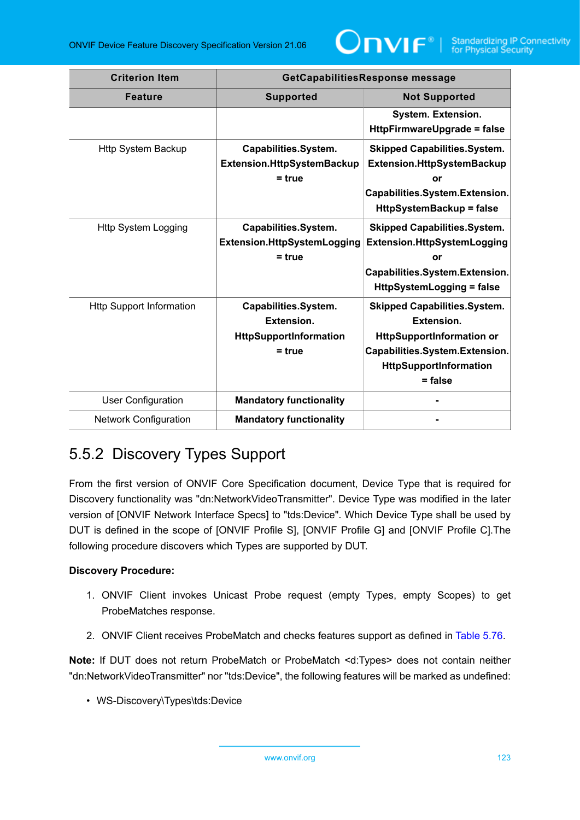

| <b>Criterion Item</b>           | GetCapabilitiesResponse message                                                        |                                                                                                                                                                       |
|---------------------------------|----------------------------------------------------------------------------------------|-----------------------------------------------------------------------------------------------------------------------------------------------------------------------|
| <b>Feature</b>                  | <b>Supported</b>                                                                       | <b>Not Supported</b>                                                                                                                                                  |
|                                 |                                                                                        | System. Extension.<br><b>HttpFirmwareUpgrade = false</b>                                                                                                              |
| <b>Http System Backup</b>       | Capabilities.System.<br>Extension.HttpSystemBackup<br>$= true$                         | <b>Skipped Capabilities.System.</b><br>Extension.HttpSystemBackup<br>or<br>Capabilities.System.Extension.<br><b>HttpSystemBackup = false</b>                          |
| <b>Http System Logging</b>      | Capabilities.System.<br><b>Extension.HttpSystemLogging</b><br>$= true$                 | <b>Skipped Capabilities.System.</b><br>Extension.HttpSystemLogging<br>or<br>Capabilities.System.Extension.<br><b>HttpSystemLogging = false</b>                        |
| <b>Http Support Information</b> | Capabilities.System.<br><b>Extension.</b><br><b>HttpSupportInformation</b><br>$= true$ | <b>Skipped Capabilities.System.</b><br>Extension.<br><b>HttpSupportInformation or</b><br>Capabilities.System.Extension.<br><b>HttpSupportInformation</b><br>$=$ false |
| <b>User Configuration</b>       | <b>Mandatory functionality</b>                                                         |                                                                                                                                                                       |
| <b>Network Configuration</b>    | <b>Mandatory functionality</b>                                                         |                                                                                                                                                                       |

# 5.5.2 Discovery Types Support

From the first version of ONVIF Core Specification document, Device Type that is required for Discovery functionality was "dn:NetworkVideoTransmitter". Device Type was modified in the later version of [ONVIF Network Interface Specs] to "tds:Device". Which Device Type shall be used by DUT is defined in the scope of [ONVIF Profile S], [ONVIF Profile G] and [ONVIF Profile C].The following procedure discovers which Types are supported by DUT.

#### **Discovery Procedure:**

- 1. ONVIF Client invokes Unicast Probe request (empty Types, empty Scopes) to get ProbeMatches response.
- 2. ONVIF Client receives ProbeMatch and checks features support as defined in [Table](#page-123-0) 5.76.

**Note:** If DUT does not return ProbeMatch or ProbeMatch <d:Types> does not contain neither "dn:NetworkVideoTransmitter" nor "tds:Device", the following features will be marked as undefined:

• WS-Discovery\Types\tds:Device

www.onvif.org 123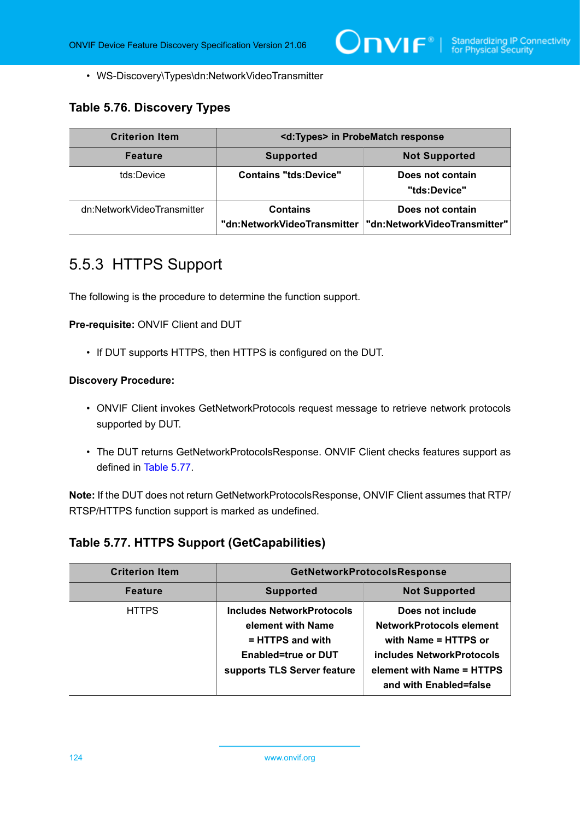• WS-Discovery\Types\dn:NetworkVideoTransmitter

## <span id="page-123-0"></span>**Table 5.76. Discovery Types**

| <b>Criterion Item</b>      | <d:types> in ProbeMatch response</d:types>     |                                                  |
|----------------------------|------------------------------------------------|--------------------------------------------------|
| <b>Feature</b>             | <b>Supported</b>                               | <b>Not Supported</b>                             |
| tds:Device                 | <b>Contains "tds:Device"</b>                   | Does not contain<br>"tds:Device"                 |
| dn:NetworkVideoTransmitter | <b>Contains</b><br>"dn:NetworkVideoTransmitter | Does not contain<br>"dn:NetworkVideoTransmitter" |

# 5.5.3 HTTPS Support

The following is the procedure to determine the function support.

**Pre-requisite:** ONVIF Client and DUT

• If DUT supports HTTPS, then HTTPS is configured on the DUT.

#### **Discovery Procedure:**

- ONVIF Client invokes GetNetworkProtocols request message to retrieve network protocols supported by DUT.
- The DUT returns GetNetworkProtocolsResponse. ONVIF Client checks features support as defined in [Table](#page-123-1) 5.77.

**Note:** If the DUT does not return GetNetworkProtocolsResponse, ONVIF Client assumes that RTP/ RTSP/HTTPS function support is marked as undefined.

### <span id="page-123-1"></span>**Table 5.77. HTTPS Support (GetCapabilities)**

| <b>Criterion Item</b> | <b>GetNetworkProtocolsResponse</b>                                                                                       |                                                                                                                                                          |
|-----------------------|--------------------------------------------------------------------------------------------------------------------------|----------------------------------------------------------------------------------------------------------------------------------------------------------|
| <b>Feature</b>        | <b>Supported</b>                                                                                                         | <b>Not Supported</b>                                                                                                                                     |
| <b>HTTPS</b>          | Includes NetworkProtocols<br>element with Name<br>= HTTPS and with<br>Enabled=true or DUT<br>supports TLS Server feature | Does not include<br>NetworkProtocols element<br>with Name = HTTPS or<br>includes NetworkProtocols<br>element with Name = HTTPS<br>and with Enabled=false |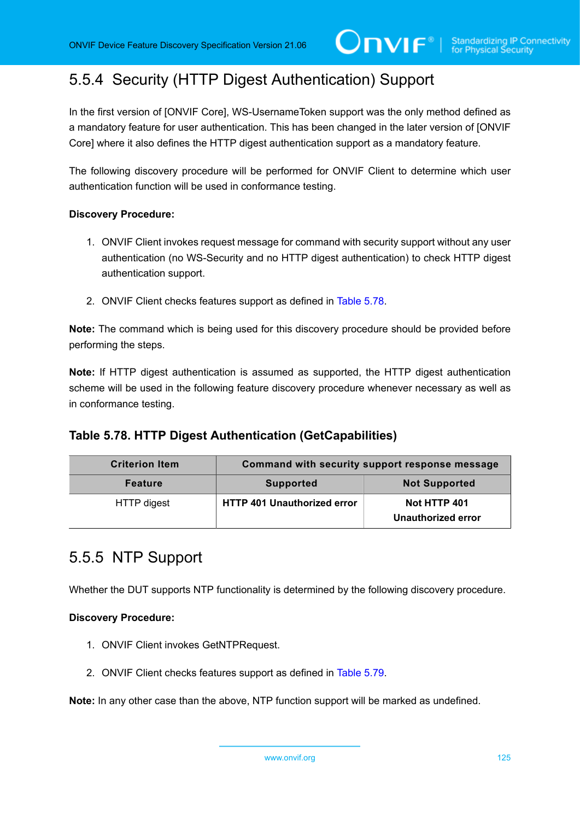# 5.5.4 Security (HTTP Digest Authentication) Support

In the first version of [ONVIF Core], WS-UsernameToken support was the only method defined as a mandatory feature for user authentication. This has been changed in the later version of [ONVIF Core] where it also defines the HTTP digest authentication support as a mandatory feature.

The following discovery procedure will be performed for ONVIF Client to determine which user authentication function will be used in conformance testing.

#### **Discovery Procedure:**

- 1. ONVIF Client invokes request message for command with security support without any user authentication (no WS-Security and no HTTP digest authentication) to check HTTP digest authentication support.
- 2. ONVIF Client checks features support as defined in [Table](#page-124-0) 5.78.

**Note:** The command which is being used for this discovery procedure should be provided before performing the steps.

**Note:** If HTTP digest authentication is assumed as supported, the HTTP digest authentication scheme will be used in the following feature discovery procedure whenever necessary as well as in conformance testing.

### <span id="page-124-0"></span>**Table 5.78. HTTP Digest Authentication (GetCapabilities)**

| <b>Criterion Item</b> | Command with security support response message |                                    |
|-----------------------|------------------------------------------------|------------------------------------|
| <b>Feature</b>        | <b>Supported</b>                               | <b>Not Supported</b>               |
| HTTP digest           | <b>HTTP 401 Unauthorized error</b>             | Not HTTP 401<br>Unauthorized error |

# 5.5.5 NTP Support

Whether the DUT supports NTP functionality is determined by the following discovery procedure.

#### **Discovery Procedure:**

- 1. ONVIF Client invokes GetNTPRequest.
- 2. ONVIF Client checks features support as defined in [Table](#page-125-0) 5.79.

**Note:** In any other case than the above, NTP function support will be marked as undefined.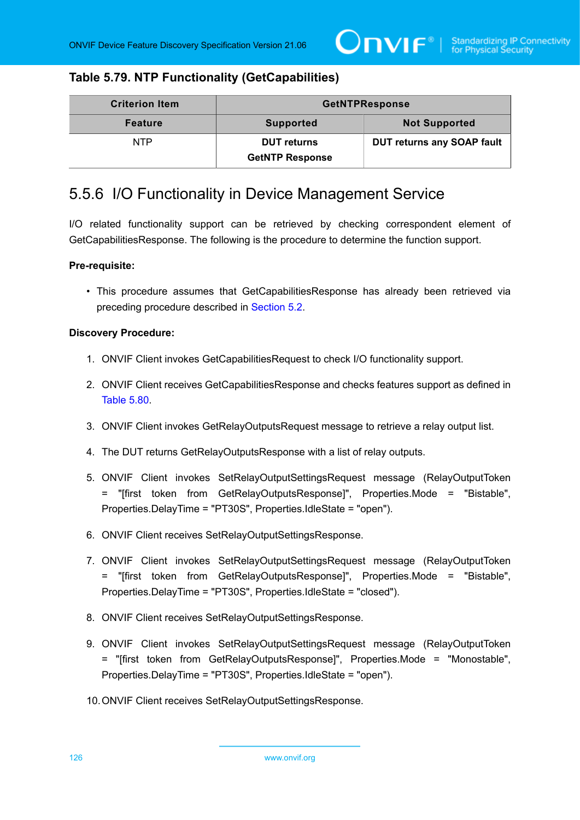### <span id="page-125-0"></span>**Table 5.79. NTP Functionality (GetCapabilities)**

| <b>Criterion Item</b> | <b>GetNTPResponse</b>                        |                                   |
|-----------------------|----------------------------------------------|-----------------------------------|
| <b>Feature</b>        | <b>Supported</b>                             | <b>Not Supported</b>              |
| <b>NTP</b>            | <b>DUT returns</b><br><b>GetNTP Response</b> | <b>DUT returns any SOAP fault</b> |

## 5.5.6 I/O Functionality in Device Management Service

I/O related functionality support can be retrieved by checking correspondent element of GetCapabilitiesResponse. The following is the procedure to determine the function support.

#### **Pre-requisite:**

• This procedure assumes that GetCapabilitiesResponse has already been retrieved via preceding procedure described in [Section 5.2](#page-38-0).

#### **Discovery Procedure:**

- 1. ONVIF Client invokes GetCapabilitiesRequest to check I/O functionality support.
- 2. ONVIF Client receives GetCapabilitiesResponse and checks features support as defined in [Table](#page-126-0) 5.80.
- 3. ONVIF Client invokes GetRelayOutputsRequest message to retrieve a relay output list.
- 4. The DUT returns GetRelayOutputsResponse with a list of relay outputs.
- 5. ONVIF Client invokes SetRelayOutputSettingsRequest message (RelayOutputToken = "[first token from GetRelayOutputsResponse]", Properties.Mode = "Bistable", Properties.DelayTime = "PT30S", Properties.IdleState = "open").
- <span id="page-125-1"></span>6. ONVIF Client receives SetRelayOutputSettingsResponse.
- 7. ONVIF Client invokes SetRelayOutputSettingsRequest message (RelayOutputToken = "[first token from GetRelayOutputsResponse]", Properties.Mode = "Bistable", Properties.DelayTime = "PT30S", Properties.IdleState = "closed").
- <span id="page-125-2"></span>8. ONVIF Client receives SetRelayOutputSettingsResponse.
- <span id="page-125-3"></span>9. ONVIF Client invokes SetRelayOutputSettingsRequest message (RelayOutputToken = "[first token from GetRelayOutputsResponse]", Properties.Mode = "Monostable", Properties.DelayTime = "PT30S", Properties.IdleState = "open").
- 10.ONVIF Client receives SetRelayOutputSettingsResponse.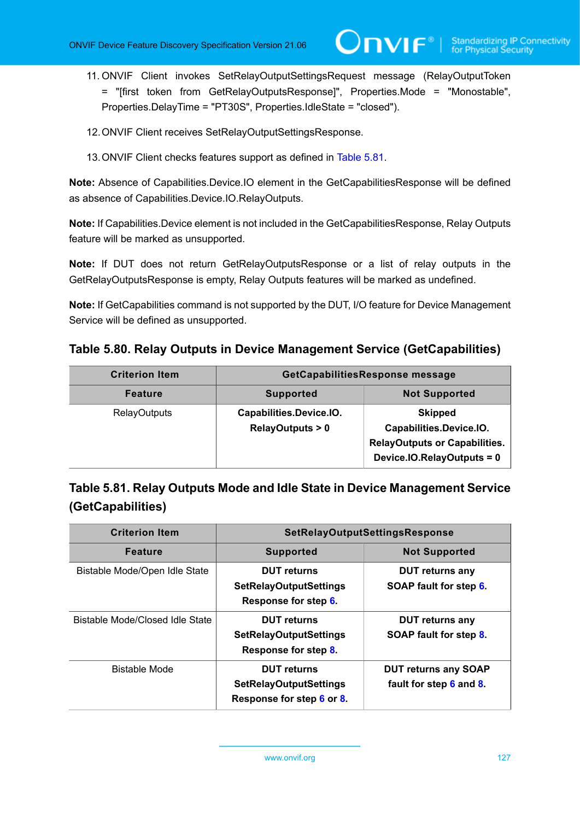- <span id="page-126-2"></span>11. ONVIF Client invokes SetRelayOutputSettingsRequest message (RelayOutputToken = "[first token from GetRelayOutputsResponse]", Properties.Mode = "Monostable", Properties.DelayTime = "PT30S", Properties.IdleState = "closed").
- 12.ONVIF Client receives SetRelayOutputSettingsResponse.
- 13.ONVIF Client checks features support as defined in [Table](#page-126-1) 5.81.

**Note:** Absence of Capabilities.Device.IO element in the GetCapabilitiesResponse will be defined as absence of Capabilities.Device.IO.RelayOutputs.

**Note:** If Capabilities.Device element is not included in the GetCapabilitiesResponse, Relay Outputs feature will be marked as unsupported.

**Note:** If DUT does not return GetRelayOutputsResponse or a list of relay outputs in the GetRelayOutputsResponse is empty, Relay Outputs features will be marked as undefined.

**Note:** If GetCapabilities command is not supported by the DUT, I/O feature for Device Management Service will be defined as unsupported.

<span id="page-126-0"></span>**Table 5.80. Relay Outputs in Device Management Service (GetCapabilities)**

| <b>Criterion Item</b> | GetCapabilitiesResponse message                       |                                                                                                                 |
|-----------------------|-------------------------------------------------------|-----------------------------------------------------------------------------------------------------------------|
| <b>Feature</b>        | <b>Supported</b>                                      | <b>Not Supported</b>                                                                                            |
| <b>RelayOutputs</b>   | Capabilities.Device.IO.<br><b>RelayOutputs &gt; 0</b> | <b>Skipped</b><br>Capabilities.Device.IO.<br><b>RelayOutputs or Capabilities.</b><br>Device.IO.RelayOutputs = 0 |

<span id="page-126-1"></span>

| Table 5.81. Relay Outputs Mode and Idle State in Device Management Service |
|----------------------------------------------------------------------------|
| (GetCapabilities)                                                          |

| <b>Criterion Item</b>           | <b>SetRelayOutputSettingsResponse</b>                                            |                                                        |
|---------------------------------|----------------------------------------------------------------------------------|--------------------------------------------------------|
| <b>Feature</b>                  | <b>Supported</b>                                                                 | <b>Not Supported</b>                                   |
| Bistable Mode/Open Idle State   | <b>DUT</b> returns<br><b>SetRelayOutputSettings</b><br>Response for step 6.      | <b>DUT</b> returns any<br>SOAP fault for step 6.       |
| Bistable Mode/Closed Idle State | <b>DUT</b> returns<br><b>SetRelayOutputSettings</b><br>Response for step 8.      | <b>DUT returns any</b><br>SOAP fault for step 8.       |
| <b>Bistable Mode</b>            | <b>DUT</b> returns<br><b>SetRelayOutputSettings</b><br>Response for step 6 or 8. | <b>DUT returns any SOAP</b><br>fault for step 6 and 8. |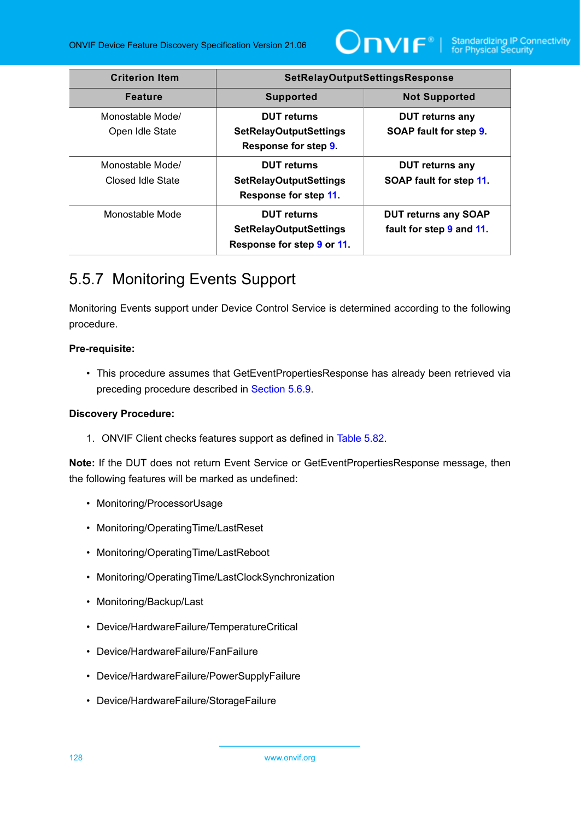

| <b>Criterion Item</b>                 | <b>SetRelayOutputSettingsResponse</b>                                             |                                                         |
|---------------------------------------|-----------------------------------------------------------------------------------|---------------------------------------------------------|
| <b>Feature</b>                        | <b>Supported</b>                                                                  | <b>Not Supported</b>                                    |
| Monostable Mode/<br>Open Idle State   | <b>DUT</b> returns<br><b>SetRelayOutputSettings</b><br>Response for step 9.       | <b>DUT returns any</b><br>SOAP fault for step 9.        |
| Monostable Mode/<br>Closed Idle State | <b>DUT</b> returns<br><b>SetRelayOutputSettings</b><br>Response for step 11.      | <b>DUT returns any</b><br>SOAP fault for step 11        |
| Monostable Mode                       | <b>DUT</b> returns<br><b>SetRelayOutputSettings</b><br>Response for step 9 or 11. | <b>DUT returns any SOAP</b><br>fault for step 9 and 11. |

# 5.5.7 Monitoring Events Support

Monitoring Events support under Device Control Service is determined according to the following procedure.

#### **Pre-requisite:**

• This procedure assumes that GetEventPropertiesResponse has already been retrieved via preceding procedure described in [Section 5.6.9](#page-133-0).

### **Discovery Procedure:**

1. ONVIF Client checks features support as defined in [Table](#page-128-0) 5.82.

**Note:** If the DUT does not return Event Service or GetEventPropertiesResponse message, then the following features will be marked as undefined:

- Monitoring/ProcessorUsage
- Monitoring/OperatingTime/LastReset
- Monitoring/OperatingTime/LastReboot
- Monitoring/OperatingTime/LastClockSynchronization
- Monitoring/Backup/Last
- Device/HardwareFailure/TemperatureCritical
- Device/HardwareFailure/FanFailure
- Device/HardwareFailure/PowerSupplyFailure
- Device/HardwareFailure/StorageFailure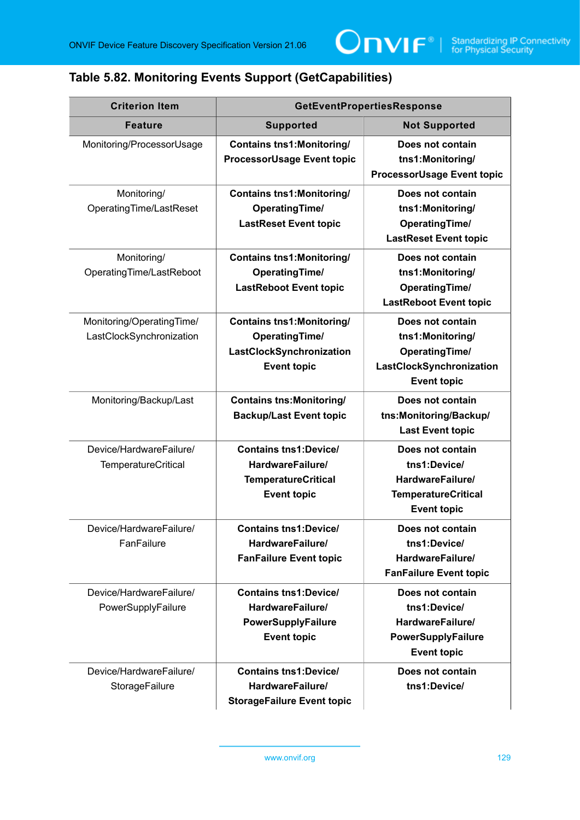## <span id="page-128-0"></span>**Table 5.82. Monitoring Events Support (GetCapabilities)**

| <b>Criterion Item</b>                                 | <b>GetEventPropertiesResponse</b>                                                                           |                                                                                                                 |
|-------------------------------------------------------|-------------------------------------------------------------------------------------------------------------|-----------------------------------------------------------------------------------------------------------------|
| <b>Feature</b>                                        | <b>Supported</b>                                                                                            | <b>Not Supported</b>                                                                                            |
| Monitoring/ProcessorUsage                             | <b>Contains tns1:Monitoring/</b><br><b>ProcessorUsage Event topic</b>                                       | Does not contain<br>tns1:Monitoring/<br><b>ProcessorUsage Event topic</b>                                       |
| Monitoring/<br>OperatingTime/LastReset                | <b>Contains tns1: Monitoring/</b><br><b>OperatingTime/</b><br><b>LastReset Event topic</b>                  | Does not contain<br>tns1:Monitoring/<br><b>OperatingTime/</b><br><b>LastReset Event topic</b>                   |
| Monitoring/<br>OperatingTime/LastReboot               | <b>Contains tns1:Monitoring/</b><br><b>OperatingTime/</b><br><b>LastReboot Event topic</b>                  | Does not contain<br>tns1:Monitoring/<br><b>OperatingTime/</b><br><b>LastReboot Event topic</b>                  |
| Monitoring/OperatingTime/<br>LastClockSynchronization | <b>Contains tns1:Monitoring/</b><br><b>OperatingTime/</b><br>LastClockSynchronization<br><b>Event topic</b> | Does not contain<br>tns1:Monitoring/<br><b>OperatingTime/</b><br>LastClockSynchronization<br><b>Event topic</b> |
| Monitoring/Backup/Last                                | <b>Contains tns: Monitoring/</b><br><b>Backup/Last Event topic</b>                                          | Does not contain<br>tns:Monitoring/Backup/<br><b>Last Event topic</b>                                           |
| Device/HardwareFailure/<br>TemperatureCritical        | <b>Contains tns1:Device/</b><br>HardwareFailure/<br><b>TemperatureCritical</b><br><b>Event topic</b>        | Does not contain<br>tns1:Device/<br>HardwareFailure/<br><b>TemperatureCritical</b><br><b>Event topic</b>        |
| Device/HardwareFailure/<br>FanFailure                 | <b>Contains tns1:Device/</b><br>HardwareFailure/<br><b>FanFailure Event topic</b>                           | Does not contain<br>tns1:Device/<br>HardwareFailure/<br><b>FanFailure Event topic</b>                           |
| Device/HardwareFailure/<br>PowerSupplyFailure         | <b>Contains tns1:Device/</b><br>HardwareFailure/<br>PowerSupplyFailure<br><b>Event topic</b>                | Does not contain<br>tns1:Device/<br>HardwareFailure/<br>PowerSupplyFailure<br><b>Event topic</b>                |
| Device/HardwareFailure/<br>StorageFailure             | <b>Contains tns1:Device/</b><br>HardwareFailure/<br><b>StorageFailure Event topic</b>                       | Does not contain<br>tns1:Device/                                                                                |

www.onvif.org 129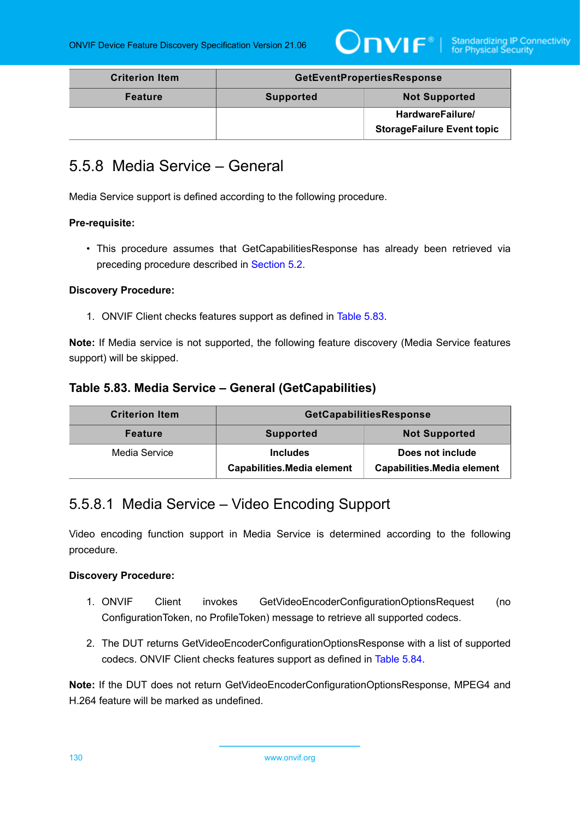

| <b>Criterion Item</b> | <b>GetEventPropertiesResponse</b> |                                   |
|-----------------------|-----------------------------------|-----------------------------------|
| <b>Feature</b>        | <b>Supported</b>                  | <b>Not Supported</b>              |
|                       |                                   | HardwareFailure/                  |
|                       |                                   | <b>StorageFailure Event topic</b> |

# 5.5.8 Media Service – General

Media Service support is defined according to the following procedure.

#### **Pre-requisite:**

• This procedure assumes that GetCapabilitiesResponse has already been retrieved via preceding procedure described in [Section 5.2](#page-38-0).

#### **Discovery Procedure:**

1. ONVIF Client checks features support as defined in [Table](#page-129-0) 5.83.

**Note:** If Media service is not supported, the following feature discovery (Media Service features support) will be skipped.

## <span id="page-129-0"></span>**Table 5.83. Media Service – General (GetCapabilities)**

| <b>Criterion Item</b> | GetCapabilitiesResponse                              |                                                       |
|-----------------------|------------------------------------------------------|-------------------------------------------------------|
| <b>Feature</b>        | <b>Supported</b>                                     | <b>Not Supported</b>                                  |
| Media Service         | <b>Includes</b><br><b>Capabilities.Media element</b> | Does not include<br><b>Capabilities.Media element</b> |

# 5.5.8.1 Media Service – Video Encoding Support

Video encoding function support in Media Service is determined according to the following procedure.

#### **Discovery Procedure:**

- 1. ONVIF Client invokes GetVideoEncoderConfigurationOptionsRequest (no ConfigurationToken, no ProfileToken) message to retrieve all supported codecs.
- 2. The DUT returns GetVideoEncoderConfigurationOptionsResponse with a list of supported codecs. ONVIF Client checks features support as defined in [Table](#page-130-0) 5.84.

**Note:** If the DUT does not return GetVideoEncoderConfigurationOptionsResponse, MPEG4 and H.264 feature will be marked as undefined.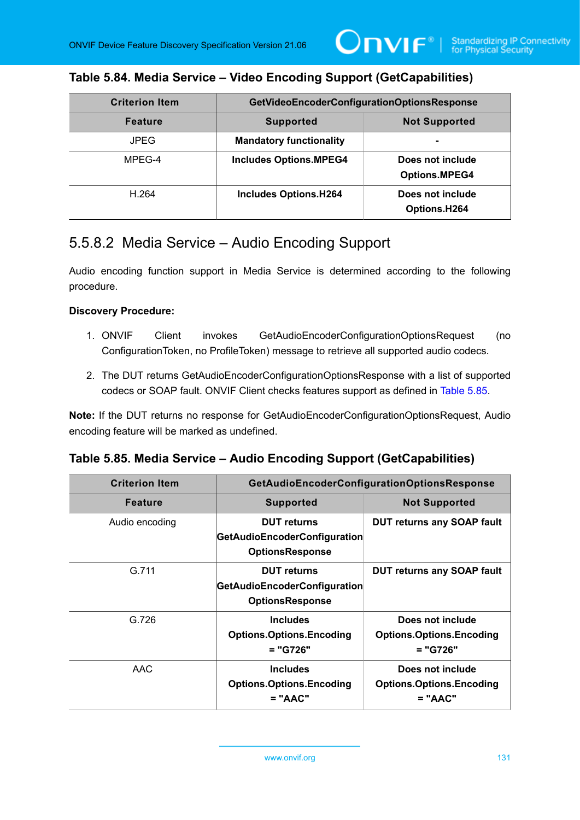$\bm{\mathsf{J}}$ NIF $^{\circ}$ l

### <span id="page-130-0"></span>**Table 5.84. Media Service – Video Encoding Support (GetCapabilities)**

| <b>Criterion Item</b> | GetVideoEncoderConfigurationOptionsResponse |                                          |
|-----------------------|---------------------------------------------|------------------------------------------|
| <b>Feature</b>        | <b>Supported</b>                            | <b>Not Supported</b>                     |
| <b>JPEG</b>           | <b>Mandatory functionality</b>              |                                          |
| MPEG-4                | <b>Includes Options.MPEG4</b>               | Does not include<br><b>Options.MPEG4</b> |
| H.264                 | <b>Includes Options.H264</b>                | Does not include<br>Options.H264         |

## 5.5.8.2 Media Service – Audio Encoding Support

Audio encoding function support in Media Service is determined according to the following procedure.

#### **Discovery Procedure:**

- 1. ONVIF Client invokes GetAudioEncoderConfigurationOptionsRequest (no ConfigurationToken, no ProfileToken) message to retrieve all supported audio codecs.
- 2. The DUT returns GetAudioEncoderConfigurationOptionsResponse with a list of supported codecs or SOAP fault. ONVIF Client checks features support as defined in [Table](#page-130-1) 5.85.

**Note:** If the DUT returns no response for GetAudioEncoderConfigurationOptionsRequest, Audio encoding feature will be marked as undefined.

### <span id="page-130-1"></span>**Table 5.85. Media Service – Audio Encoding Support (GetCapabilities)**

| <b>Criterion Item</b> | GetAudioEncoderConfigurationOptionsResponse                                  |                                                                  |
|-----------------------|------------------------------------------------------------------------------|------------------------------------------------------------------|
| <b>Feature</b>        | <b>Supported</b>                                                             | <b>Not Supported</b>                                             |
| Audio encoding        | <b>DUT</b> returns<br>GetAudioEncoderConfiguration<br><b>OptionsResponse</b> | <b>DUT returns any SOAP fault</b>                                |
| G.711                 | <b>DUT</b> returns<br>GetAudioEncoderConfiguration<br><b>OptionsResponse</b> | <b>DUT returns any SOAP fault</b>                                |
| G.726                 | <b>Includes</b><br><b>Options.Options.Encoding</b><br>= "G726"               | Does not include<br><b>Options.Options.Encoding</b><br>= "G726"  |
| AAC                   | <b>Includes</b><br><b>Options.Options.Encoding</b><br>$= "AAC"$              | Does not include<br><b>Options.Options.Encoding</b><br>$= "AAC"$ |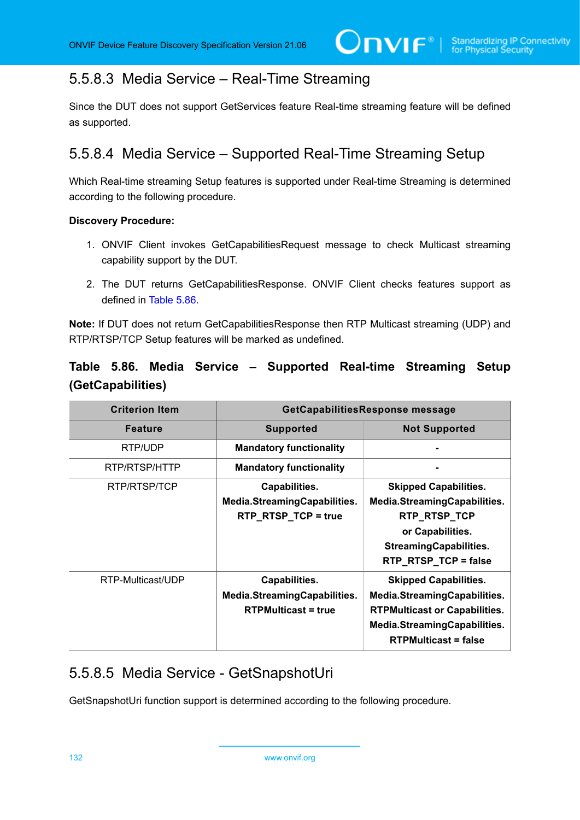# 5.5.8.3 Media Service – Real-Time Streaming

Since the DUT does not support GetServices feature Real-time streaming feature will be defined as supported.

# 5.5.8.4 Media Service – Supported Real-Time Streaming Setup

Which Real-time streaming Setup features is supported under Real-time Streaming is determined according to the following procedure.

#### **Discovery Procedure:**

- 1. ONVIF Client invokes GetCapabilitiesRequest message to check Multicast streaming capability support by the DUT.
- 2. The DUT returns GetCapabilitiesResponse. ONVIF Client checks features support as defined in [Table](#page-131-0) 5.86.

**Note:** If DUT does not return GetCapabilitiesResponse then RTP Multicast streaming (UDP) and RTP/RTSP/TCP Setup features will be marked as undefined.

## <span id="page-131-0"></span>**Table 5.86. Media Service – Supported Real-time Streaming Setup (GetCapabilities)**

| <b>Criterion Item</b> | GetCapabilitiesResponse message                                             |                                                                                                                                                                     |
|-----------------------|-----------------------------------------------------------------------------|---------------------------------------------------------------------------------------------------------------------------------------------------------------------|
| <b>Feature</b>        | <b>Supported</b>                                                            | <b>Not Supported</b>                                                                                                                                                |
| RTP/UDP               | <b>Mandatory functionality</b>                                              |                                                                                                                                                                     |
| RTP/RTSP/HTTP         | <b>Mandatory functionality</b>                                              |                                                                                                                                                                     |
| RTP/RTSP/TCP          | Capabilities.<br>Media.StreamingCapabilities.<br>RTP_RTSP_TCP = true        | <b>Skipped Capabilities.</b><br>Media.StreamingCapabilities.<br>RTP_RTSP_TCP<br>or Capabilities.<br><b>StreamingCapabilities.</b><br>RTP_RTSP_TCP = false           |
| RTP-Multicast/UDP     | Capabilities.<br>Media.StreamingCapabilities.<br><b>RTPMulticast = true</b> | <b>Skipped Capabilities.</b><br>Media.StreamingCapabilities.<br><b>RTPMulticast or Capabilities.</b><br>Media.StreamingCapabilities.<br><b>RTPMulticast = false</b> |

# 5.5.8.5 Media Service - GetSnapshotUri

GetSnapshotUri function support is determined according to the following procedure.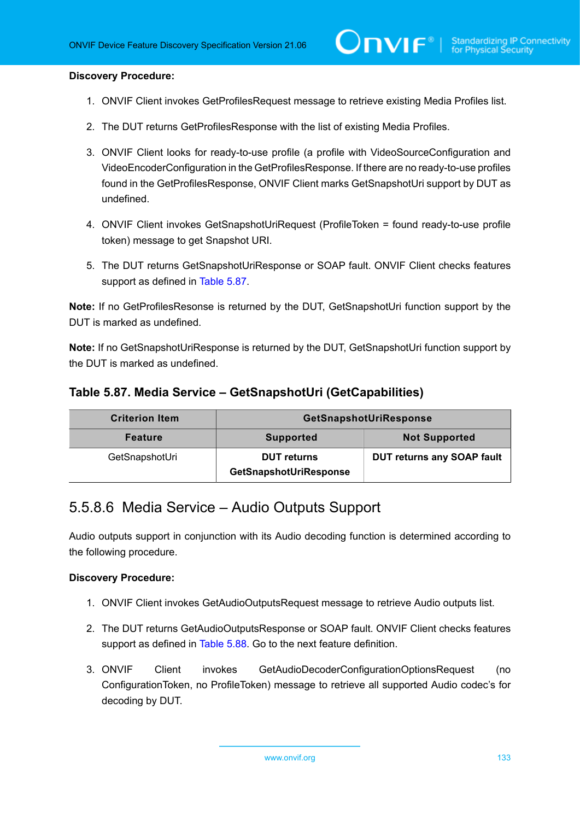#### **Discovery Procedure:**

- 1. ONVIF Client invokes GetProfilesRequest message to retrieve existing Media Profiles list.
- 2. The DUT returns GetProfilesResponse with the list of existing Media Profiles.
- 3. ONVIF Client looks for ready-to-use profile (a profile with VideoSourceConfiguration and VideoEncoderConfiguration in the GetProfilesResponse. If there are no ready-to-use profiles found in the GetProfilesResponse, ONVIF Client marks GetSnapshotUri support by DUT as undefined.
- 4. ONVIF Client invokes GetSnapshotUriRequest (ProfileToken = found ready-to-use profile token) message to get Snapshot URI.
- 5. The DUT returns GetSnapshotUriResponse or SOAP fault. ONVIF Client checks features support as defined in [Table](#page-132-0) 5.87.

**Note:** If no GetProfilesResonse is returned by the DUT, GetSnapshotUri function support by the DUT is marked as undefined.

**Note:** If no GetSnapshotUriResponse is returned by the DUT, GetSnapshotUri function support by the DUT is marked as undefined.

### <span id="page-132-0"></span>**Table 5.87. Media Service – GetSnapshotUri (GetCapabilities)**

| <b>Criterion Item</b> | GetSnapshotUriResponse                       |                                   |
|-----------------------|----------------------------------------------|-----------------------------------|
| <b>Feature</b>        | <b>Supported</b>                             | <b>Not Supported</b>              |
| GetSnapshotUri        | <b>DUT returns</b><br>GetSnapshotUriResponse | <b>DUT returns any SOAP fault</b> |

## 5.5.8.6 Media Service – Audio Outputs Support

Audio outputs support in conjunction with its Audio decoding function is determined according to the following procedure.

#### **Discovery Procedure:**

- 1. ONVIF Client invokes GetAudioOutputsRequest message to retrieve Audio outputs list.
- 2. The DUT returns GetAudioOutputsResponse or SOAP fault. ONVIF Client checks features support as defined in [Table](#page-133-1) 5.88. Go to the next feature definition.
- 3. ONVIF Client invokes GetAudioDecoderConfigurationOptionsRequest (no ConfigurationToken, no ProfileToken) message to retrieve all supported Audio codec's for decoding by DUT.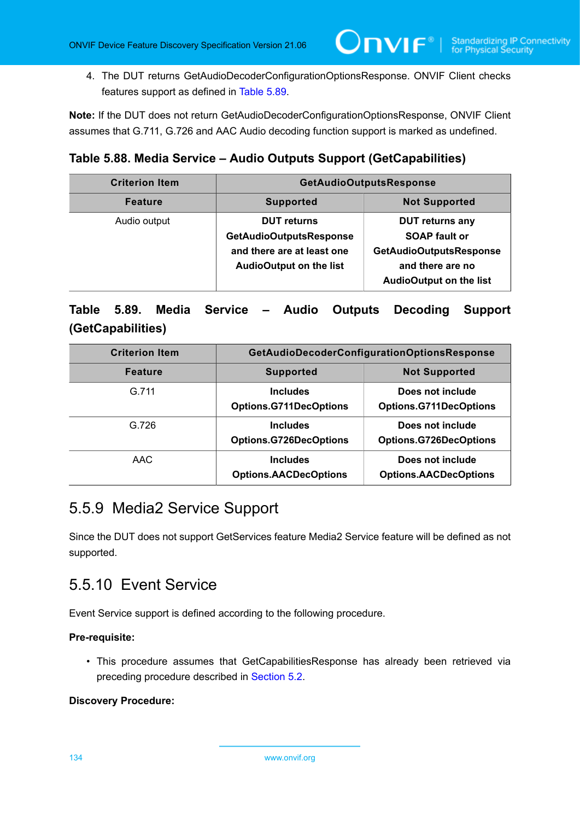4. The DUT returns GetAudioDecoderConfigurationOptionsResponse. ONVIF Client checks features support as defined in [Table](#page-133-2) 5.89.

 $\mathsf{D}\mathsf{N}\mathsf{H}^*$ l

**Note:** If the DUT does not return GetAudioDecoderConfigurationOptionsResponse, ONVIF Client assumes that G.711, G.726 and AAC Audio decoding function support is marked as undefined.

## <span id="page-133-1"></span>**Table 5.88. Media Service – Audio Outputs Support (GetCapabilities)**

| <b>Criterion Item</b> | <b>GetAudioOutputsResponse</b>                                                                                       |                                                                                                                                        |
|-----------------------|----------------------------------------------------------------------------------------------------------------------|----------------------------------------------------------------------------------------------------------------------------------------|
| <b>Feature</b>        | <b>Supported</b>                                                                                                     | <b>Not Supported</b>                                                                                                                   |
| Audio output          | <b>DUT</b> returns<br><b>GetAudioOutputsResponse</b><br>and there are at least one<br><b>AudioOutput on the list</b> | <b>DUT returns any</b><br><b>SOAP fault or</b><br><b>GetAudioOutputsResponse</b><br>and there are no<br><b>AudioOutput on the list</b> |

## <span id="page-133-2"></span>**Table 5.89. Media Service – Audio Outputs Decoding Support (GetCapabilities)**

| <b>Criterion Item</b> | <b>GetAudioDecoderConfigurationOptionsResponse</b> |                                                   |
|-----------------------|----------------------------------------------------|---------------------------------------------------|
| <b>Feature</b>        | <b>Supported</b>                                   | <b>Not Supported</b>                              |
| G.711                 | <b>Includes</b><br><b>Options.G711DecOptions</b>   | Does not include<br><b>Options.G711DecOptions</b> |
| G.726                 | <b>Includes</b><br><b>Options.G726DecOptions</b>   | Does not include<br><b>Options.G726DecOptions</b> |
| AAC                   | <b>Includes</b><br><b>Options.AACDecOptions</b>    | Does not include<br><b>Options.AACDecOptions</b>  |

# 5.5.9 Media2 Service Support

Since the DUT does not support GetServices feature Media2 Service feature will be defined as not supported.

# <span id="page-133-0"></span>5.5.10 Event Service

Event Service support is defined according to the following procedure.

#### **Pre-requisite:**

• This procedure assumes that GetCapabilitiesResponse has already been retrieved via preceding procedure described in [Section 5.2](#page-38-0).

#### **Discovery Procedure:**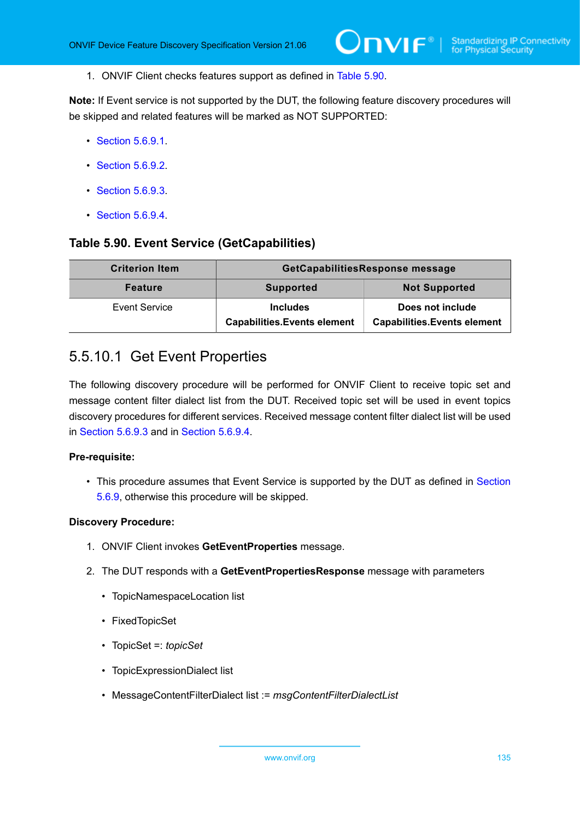1. ONVIF Client checks features support as defined in [Table](#page-134-0) 5.90.

**Note:** If Event service is not supported by the DUT, the following feature discovery procedures will be skipped and related features will be marked as NOT SUPPORTED:

- [Section 5.6.9.1](#page-134-1).
- [Section 5.6.9.2](#page-135-0).
- [Section 5.6.9.3](#page-135-1).
- [Section 5.6.9.4](#page-136-0)

### <span id="page-134-0"></span>**Table 5.90. Event Service (GetCapabilities)**

| <b>Criterion Item</b> | GetCapabilitiesResponse message                       |                                                        |
|-----------------------|-------------------------------------------------------|--------------------------------------------------------|
| <b>Feature</b>        | <b>Supported</b>                                      | <b>Not Supported</b>                                   |
| <b>Event Service</b>  | <b>Includes</b><br><b>Capabilities.Events element</b> | Does not include<br><b>Capabilities.Events element</b> |

## <span id="page-134-1"></span>5.5.10.1 Get Event Properties

The following discovery procedure will be performed for ONVIF Client to receive topic set and message content filter dialect list from the DUT. Received topic set will be used in event topics discovery procedures for different services. Received message content filter dialect list will be used in [Section 5.6.9.3](#page-135-1) and in [Section 5.6.9.4](#page-136-0).

#### **Pre-requisite:**

• This procedure assumes that Event Service is supported by the DUT as defined in [Section](#page-133-0) [5.6.9,](#page-133-0) otherwise this procedure will be skipped.

#### **Discovery Procedure:**

- 1. ONVIF Client invokes **GetEventProperties** message.
- 2. The DUT responds with a **GetEventPropertiesResponse** message with parameters
	- TopicNamespaceLocation list
	- FixedTopicSet
	- TopicSet =: *topicSet*
	- TopicExpressionDialect list
	- MessageContentFilterDialect list := *msgContentFilterDialectList*

www.onvif.org 135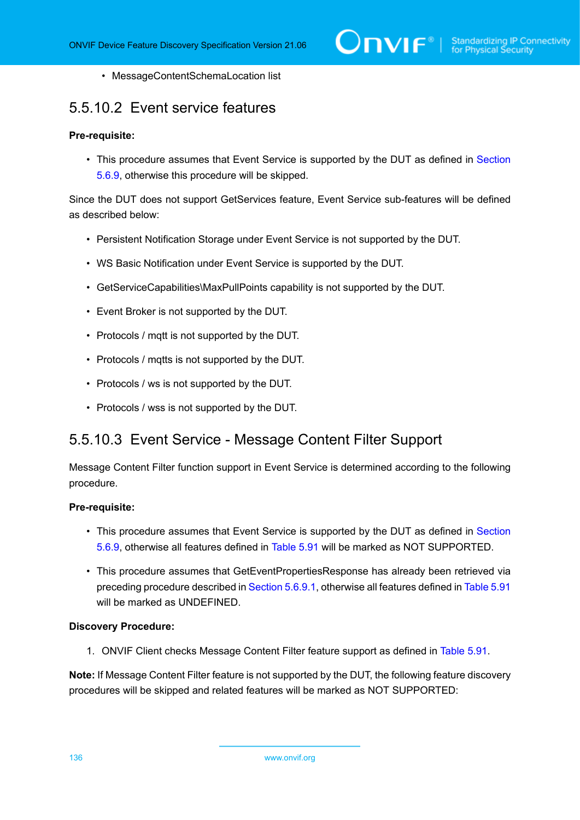• MessageContentSchemaLocation list

# <span id="page-135-0"></span>5.5.10.2 Event service features

#### **Pre-requisite:**

• This procedure assumes that Event Service is supported by the DUT as defined in [Section](#page-133-0) [5.6.9,](#page-133-0) otherwise this procedure will be skipped.

Since the DUT does not support GetServices feature, Event Service sub-features will be defined as described below:

- Persistent Notification Storage under Event Service is not supported by the DUT.
- WS Basic Notification under Event Service is supported by the DUT.
- GetServiceCapabilities\MaxPullPoints capability is not supported by the DUT.
- Event Broker is not supported by the DUT.
- Protocols / mqtt is not supported by the DUT.
- Protocols / mqtts is not supported by the DUT.
- Protocols / ws is not supported by the DUT.
- Protocols / wss is not supported by the DUT.

## <span id="page-135-1"></span>5.5.10.3 Event Service - Message Content Filter Support

Message Content Filter function support in Event Service is determined according to the following procedure.

#### **Pre-requisite:**

- This procedure assumes that Event Service is supported by the DUT as defined in [Section](#page-133-0) [5.6.9,](#page-133-0) otherwise all features defined in [Table](#page-136-1) 5.91 will be marked as NOT SUPPORTED.
- This procedure assumes that GetEventPropertiesResponse has already been retrieved via preceding procedure described in [Section 5.6.9.1](#page-134-1), otherwise all features defined in [Table](#page-136-1) 5.91 will be marked as UNDEFINED.

#### **Discovery Procedure:**

1. ONVIF Client checks Message Content Filter feature support as defined in [Table](#page-136-1) 5.91.

**Note:** If Message Content Filter feature is not supported by the DUT, the following feature discovery procedures will be skipped and related features will be marked as NOT SUPPORTED: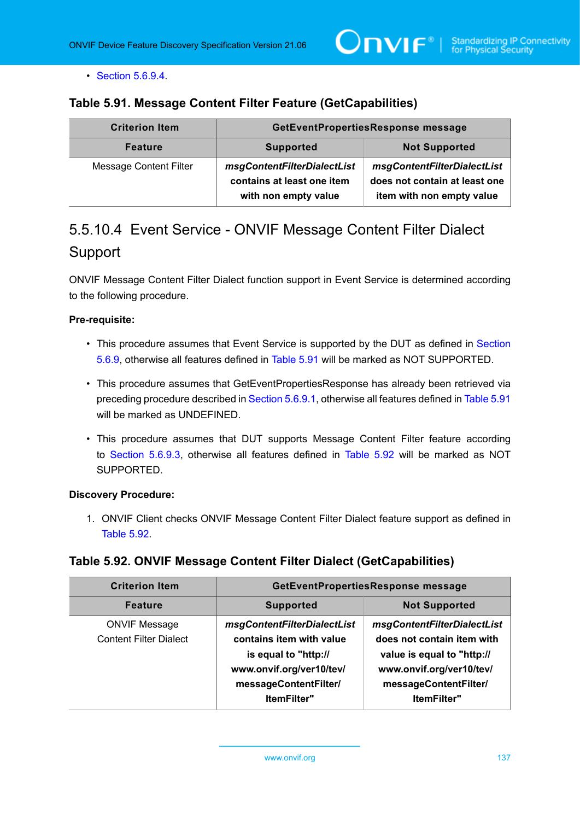$\mathsf{D}\mathbf{n}\mathsf{V}$ lf $^\circ$ l

• [Section 5.6.9.4](#page-136-0).

### <span id="page-136-1"></span>**Table 5.91. Message Content Filter Feature (GetCapabilities)**

| <b>Criterion Item</b>         | GetEventPropertiesResponse message                                                |                                                                                           |
|-------------------------------|-----------------------------------------------------------------------------------|-------------------------------------------------------------------------------------------|
| <b>Feature</b>                | <b>Supported</b>                                                                  | <b>Not Supported</b>                                                                      |
| <b>Message Content Filter</b> | msgContentFilterDialectList<br>contains at least one item<br>with non empty value | msgContentFilterDialectList<br>does not contain at least one<br>item with non empty value |

# <span id="page-136-0"></span>5.5.10.4 Event Service - ONVIF Message Content Filter Dialect Support

ONVIF Message Content Filter Dialect function support in Event Service is determined according to the following procedure.

#### **Pre-requisite:**

- This procedure assumes that Event Service is supported by the DUT as defined in [Section](#page-133-0) [5.6.9,](#page-133-0) otherwise all features defined in [Table](#page-136-1) 5.91 will be marked as NOT SUPPORTED.
- This procedure assumes that GetEventPropertiesResponse has already been retrieved via preceding procedure described in [Section 5.6.9.1](#page-134-1), otherwise all features defined in [Table](#page-136-1) 5.91 will be marked as UNDEFINED.
- This procedure assumes that DUT supports Message Content Filter feature according to [Section 5.6.9.3](#page-135-1), otherwise all features defined in [Table](#page-136-2) 5.92 will be marked as NOT SUPPORTED.

#### **Discovery Procedure:**

1. ONVIF Client checks ONVIF Message Content Filter Dialect feature support as defined in [Table](#page-136-2) 5.92.

### <span id="page-136-2"></span>**Table 5.92. ONVIF Message Content Filter Dialect (GetCapabilities)**

| <b>Criterion Item</b>                                 | GetEventPropertiesResponse message                                                                                                   |                                                                                                                                              |
|-------------------------------------------------------|--------------------------------------------------------------------------------------------------------------------------------------|----------------------------------------------------------------------------------------------------------------------------------------------|
| <b>Feature</b>                                        | <b>Supported</b>                                                                                                                     | <b>Not Supported</b>                                                                                                                         |
| <b>ONVIF Message</b><br><b>Content Filter Dialect</b> | msgContentFilterDialectList<br>contains item with value<br>is equal to "http://<br>www.onvif.org/ver10/tev/<br>messageContentFilter/ | msgContentFilterDialectList<br>does not contain item with<br>value is equal to "http://<br>www.onvif.org/ver10/tev/<br>messageContentFilter/ |
|                                                       | <b>ItemFilter"</b>                                                                                                                   | <b>ItemFilter"</b>                                                                                                                           |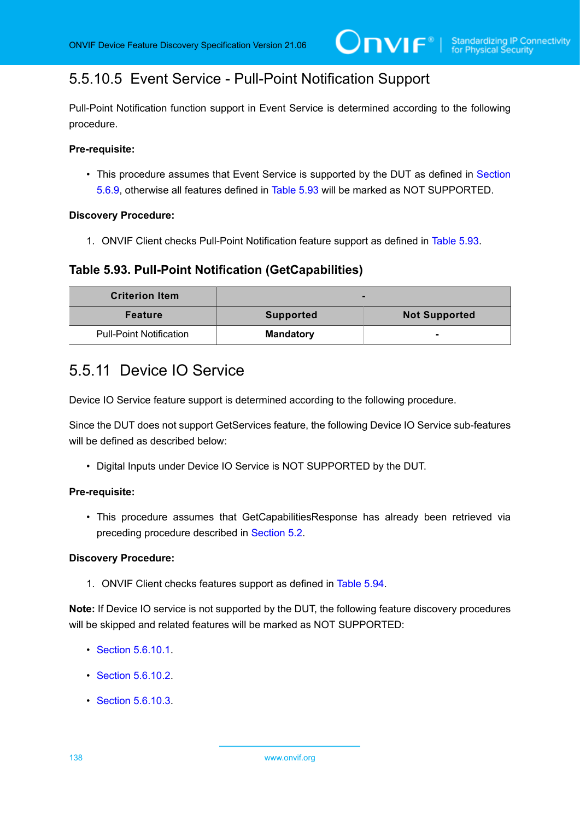# 5.5.10.5 Event Service - Pull-Point Notification Support

Pull-Point Notification function support in Event Service is determined according to the following procedure.

#### **Pre-requisite:**

• This procedure assumes that Event Service is supported by the DUT as defined in [Section](#page-133-0) [5.6.9,](#page-133-0) otherwise all features defined in [Table](#page-137-0) 5.93 will be marked as NOT SUPPORTED.

#### **Discovery Procedure:**

1. ONVIF Client checks Pull-Point Notification feature support as defined in [Table](#page-137-0) 5.93.

### <span id="page-137-0"></span>**Table 5.93. Pull-Point Notification (GetCapabilities)**

| <b>Criterion Item</b>          | -                |                      |
|--------------------------------|------------------|----------------------|
| <b>Feature</b>                 | <b>Supported</b> | <b>Not Supported</b> |
| <b>Pull-Point Notification</b> | <b>Mandatory</b> | ۰                    |

# <span id="page-137-1"></span>5.5.11 Device IO Service

Device IO Service feature support is determined according to the following procedure.

Since the DUT does not support GetServices feature, the following Device IO Service sub-features will be defined as described below:

• Digital Inputs under Device IO Service is NOT SUPPORTED by the DUT.

#### **Pre-requisite:**

• This procedure assumes that GetCapabilitiesResponse has already been retrieved via preceding procedure described in [Section 5.2](#page-38-0).

#### **Discovery Procedure:**

1. ONVIF Client checks features support as defined in [Table](#page-138-0) 5.94.

**Note:** If Device IO service is not supported by the DUT, the following feature discovery procedures will be skipped and related features will be marked as NOT SUPPORTED:

- [Section 5.6.10.1](#page-138-1).
- [Section 5.6.10.2](#page-138-2).
- [Section 5.6.10.3](#page-139-0).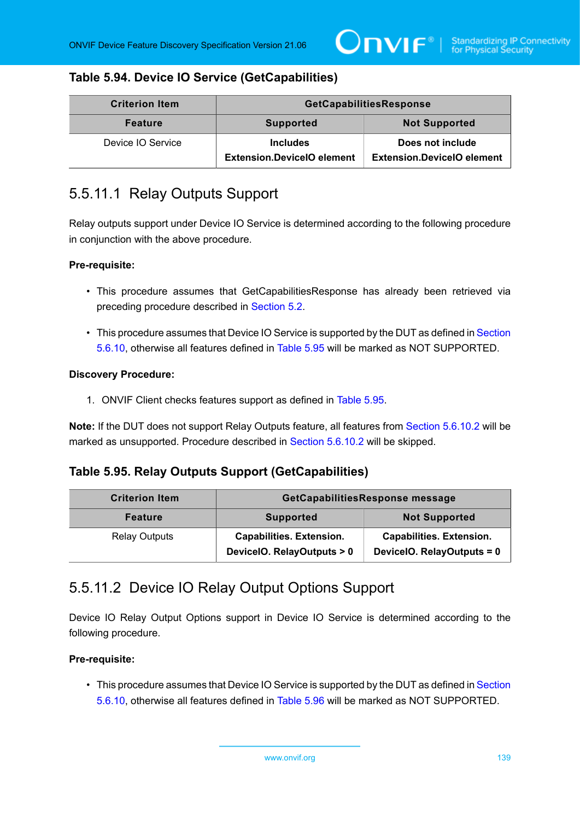## <span id="page-138-0"></span>**Table 5.94. Device IO Service (GetCapabilities)**

| <b>Criterion Item</b> | GetCapabilitiesResponse                              |                                                       |
|-----------------------|------------------------------------------------------|-------------------------------------------------------|
| <b>Feature</b>        | <b>Supported</b>                                     | <b>Not Supported</b>                                  |
| Device IO Service     | <b>Includes</b><br><b>Extension.DevicelO element</b> | Does not include<br><b>Extension.DevicelO element</b> |

## <span id="page-138-1"></span>5.5.11.1 Relay Outputs Support

Relay outputs support under Device IO Service is determined according to the following procedure in conjunction with the above procedure.

#### **Pre-requisite:**

- This procedure assumes that GetCapabilitiesResponse has already been retrieved via preceding procedure described in [Section 5.2](#page-38-0).
- This procedure assumes that Device IO Service is supported by the DUT as defined in [Section](#page-137-1) [5.6.10](#page-137-1), otherwise all features defined in [Table](#page-138-3) 5.95 will be marked as NOT SUPPORTED.

#### **Discovery Procedure:**

1. ONVIF Client checks features support as defined in [Table](#page-138-3) 5.95.

**Note:** If the DUT does not support Relay Outputs feature, all features from [Section 5.6.10.2](#page-138-2) will be marked as unsupported. Procedure described in [Section 5.6.10.2](#page-138-2) will be skipped.

### <span id="page-138-3"></span>**Table 5.95. Relay Outputs Support (GetCapabilities)**

| <b>Criterion Item</b> | GetCapabilitiesResponse message                               |                                                               |
|-----------------------|---------------------------------------------------------------|---------------------------------------------------------------|
| <b>Feature</b>        | <b>Supported</b>                                              | <b>Not Supported</b>                                          |
| <b>Relay Outputs</b>  | <b>Capabilities. Extension.</b><br>DeviceIO. RelayOutputs > 0 | <b>Capabilities. Extension.</b><br>DeviceIO. RelayOutputs = 0 |

## <span id="page-138-2"></span>5.5.11.2 Device IO Relay Output Options Support

Device IO Relay Output Options support in Device IO Service is determined according to the following procedure.

#### **Pre-requisite:**

• This procedure assumes that Device IO Service is supported by the DUT as defined in [Section](#page-137-1) [5.6.10](#page-137-1), otherwise all features defined in [Table](#page-139-1) 5.96 will be marked as NOT SUPPORTED.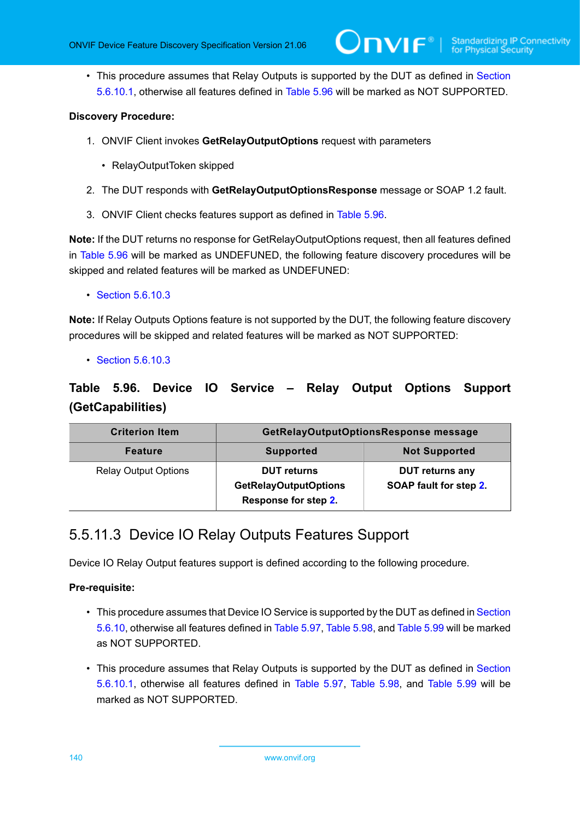• This procedure assumes that Relay Outputs is supported by the DUT as defined in [Section](#page-138-1) [5.6.10.1](#page-138-1), otherwise all features defined in [Table](#page-139-1) 5.96 will be marked as NOT SUPPORTED.

#### **Discovery Procedure:**

- 1. ONVIF Client invokes **GetRelayOutputOptions** request with parameters
	- RelayOutputToken skipped
- <span id="page-139-2"></span>2. The DUT responds with **GetRelayOutputOptionsResponse** message or SOAP 1.2 fault.
- 3. ONVIF Client checks features support as defined in [Table](#page-139-1) 5.96.

**Note:** If the DUT returns no response for GetRelayOutputOptions request, then all features defined in [Table](#page-139-1) 5.96 will be marked as UNDEFUNED, the following feature discovery procedures will be skipped and related features will be marked as UNDEFUNED:

#### • [Section 5.6.10.3](#page-139-0)

**Note:** If Relay Outputs Options feature is not supported by the DUT, the following feature discovery procedures will be skipped and related features will be marked as NOT SUPPORTED:

• [Section 5.6.10.3](#page-139-0)

## <span id="page-139-1"></span>**Table 5.96. Device IO Service – Relay Output Options Support (GetCapabilities)**

| <b>Criterion Item</b>       | GetRelayOutputOptionsResponse message                                      |                                                  |
|-----------------------------|----------------------------------------------------------------------------|--------------------------------------------------|
| <b>Feature</b>              | <b>Supported</b>                                                           | <b>Not Supported</b>                             |
| <b>Relay Output Options</b> | <b>DUT</b> returns<br><b>GetRelayOutputOptions</b><br>Response for step 2. | <b>DUT returns any</b><br>SOAP fault for step 2. |

# <span id="page-139-0"></span>5.5.11.3 Device IO Relay Outputs Features Support

Device IO Relay Output features support is defined according to the following procedure.

#### **Pre-requisite:**

- This procedure assumes that Device IO Service is supported by the DUT as defined in [Section](#page-137-1) [5.6.10](#page-137-1), otherwise all features defined in [Table](#page-142-0) 5.97, [Table](#page-142-1) 5.98, and [Table](#page-142-2) 5.99 will be marked as NOT SUPPORTED.
- This procedure assumes that Relay Outputs is supported by the DUT as defined in [Section](#page-138-1) [5.6.10.1](#page-138-1), otherwise all features defined in [Table](#page-142-0) 5.97, [Table](#page-142-1) 5.98, and [Table](#page-142-2) 5.99 will be marked as NOT SUPPORTED.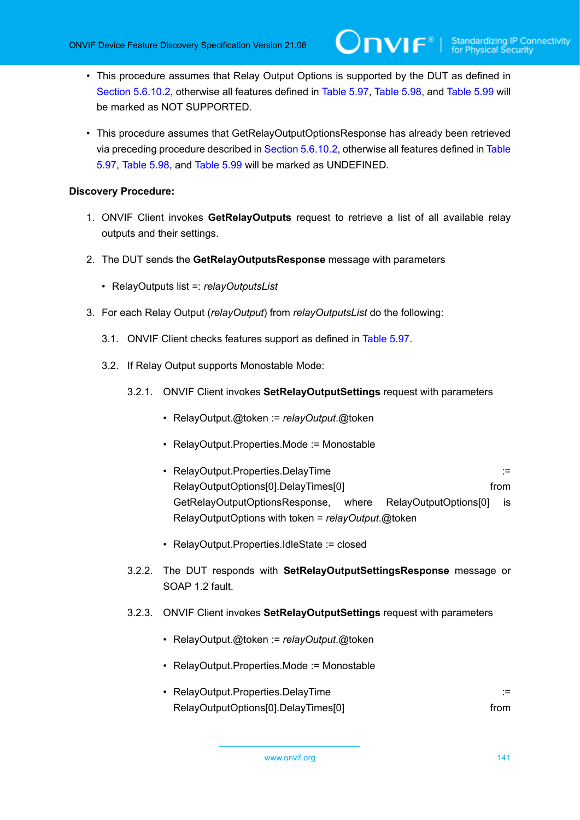- This procedure assumes that Relay Output Options is supported by the DUT as defined in [Section 5.6.10.2,](#page-138-2) otherwise all features defined in [Table](#page-142-0) 5.97, [Table](#page-142-1) 5.98, and [Table](#page-142-2) 5.99 will be marked as NOT SUPPORTED.
- This procedure assumes that GetRelayOutputOptionsResponse has already been retrieved via preceding procedure described in [Section 5.6.10.2,](#page-138-2) otherwise all features defined in [Table](#page-142-0) [5.97,](#page-142-0) [Table](#page-142-1) 5.98, and [Table](#page-142-2) 5.99 will be marked as UNDEFINED.

#### **Discovery Procedure:**

- 1. ONVIF Client invokes **GetRelayOutputs** request to retrieve a list of all available relay outputs and their settings.
- 2. The DUT sends the **GetRelayOutputsResponse** message with parameters
	- RelayOutputs list =: *relayOutputsList*
- <span id="page-140-0"></span>3. For each Relay Output (*relayOutput*) from *relayOutputsList* do the following:
	- 3.1. ONVIF Client checks features support as defined in [Table](#page-142-0) 5.97.
	- 3.2. If Relay Output supports Monostable Mode:
		- 3.2.1. ONVIF Client invokes **SetRelayOutputSettings** request with parameters
			- RelayOutput.@token := *relayOutput*.@token
			- RelayOutput.Properties.Mode := Monostable
			- RelayOutput.Properties.DelayTime := RelayOutputOptions[0].DelayTimes[0] from GetRelayOutputOptionsResponse, where RelayOutputOptions[0] is RelayOutputOptions with token = *relayOutput*.@token
			- RelayOutput.Properties.IdleState := closed
		- 3.2.2. The DUT responds with **SetRelayOutputSettingsResponse** message or SOAP 1.2 fault.
		- 3.2.3. ONVIF Client invokes **SetRelayOutputSettings** request with parameters
			- RelayOutput.@token := *relayOutput*.@token
			- RelayOutput.Properties.Mode := Monostable
			- RelayOutput.Properties.DelayTime := RelayOutputOptions[0].DelayTimes[0] example and the from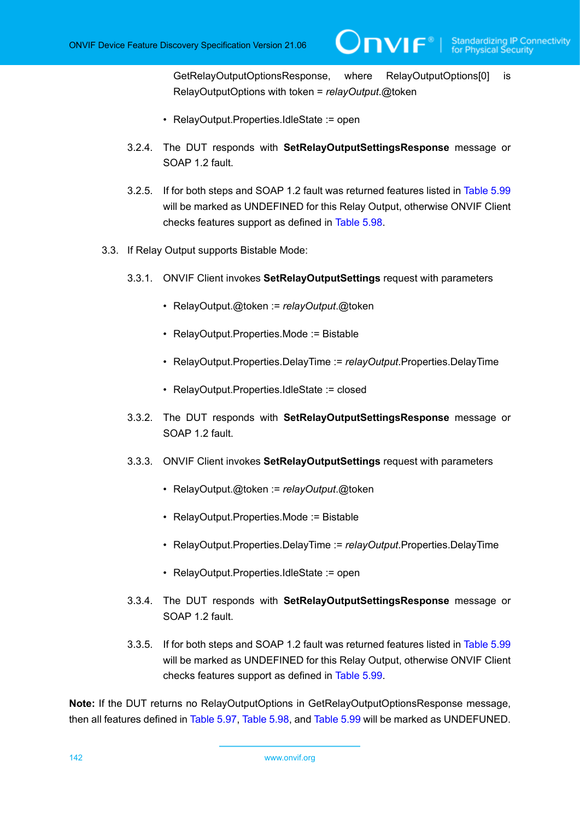GetRelayOutputOptionsResponse, where RelayOutputOptions[0] is RelayOutputOptions with token = *relayOutput*.@token

- RelayOutput.Properties.IdleState := open
- <span id="page-141-0"></span>3.2.4. The DUT responds with **SetRelayOutputSettingsResponse** message or SOAP 1.2 fault.
- 3.2.5. If for both steps and SOAP 1.2 fault was returned features listed in [Table](#page-142-2) 5.99 will be marked as UNDEFINED for this Relay Output, otherwise ONVIF Client checks features support as defined in [Table](#page-142-1) 5.98.
- <span id="page-141-1"></span>3.3. If Relay Output supports Bistable Mode:
	- 3.3.1. ONVIF Client invokes **SetRelayOutputSettings** request with parameters
		- RelayOutput.@token := *relayOutput*.@token
		- RelayOutput.Properties.Mode := Bistable
		- RelayOutput.Properties.DelayTime := *relayOutput*.Properties.DelayTime
		- RelayOutput.Properties.IdleState := closed
	- 3.3.2. The DUT responds with **SetRelayOutputSettingsResponse** message or SOAP 1.2 fault
	- 3.3.3. ONVIF Client invokes **SetRelayOutputSettings** request with parameters
		- RelayOutput.@token := *relayOutput*.@token
		- RelayOutput.Properties.Mode := Bistable
		- RelayOutput.Properties.DelayTime := *relayOutput*.Properties.DelayTime
		- RelayOutput.Properties.IdleState := open
	- 3.3.4. The DUT responds with **SetRelayOutputSettingsResponse** message or SOAP 1.2 fault.
	- 3.3.5. If for both steps and SOAP 1.2 fault was returned features listed in [Table](#page-142-2) 5.99 will be marked as UNDEFINED for this Relay Output, otherwise ONVIF Client checks features support as defined in [Table](#page-142-2) 5.99.

<span id="page-141-2"></span>**Note:** If the DUT returns no RelayOutputOptions in GetRelayOutputOptionsResponse message, then all features defined in [Table](#page-142-0) 5.97, [Table](#page-142-1) 5.98, and [Table](#page-142-2) 5.99 will be marked as UNDEFUNED.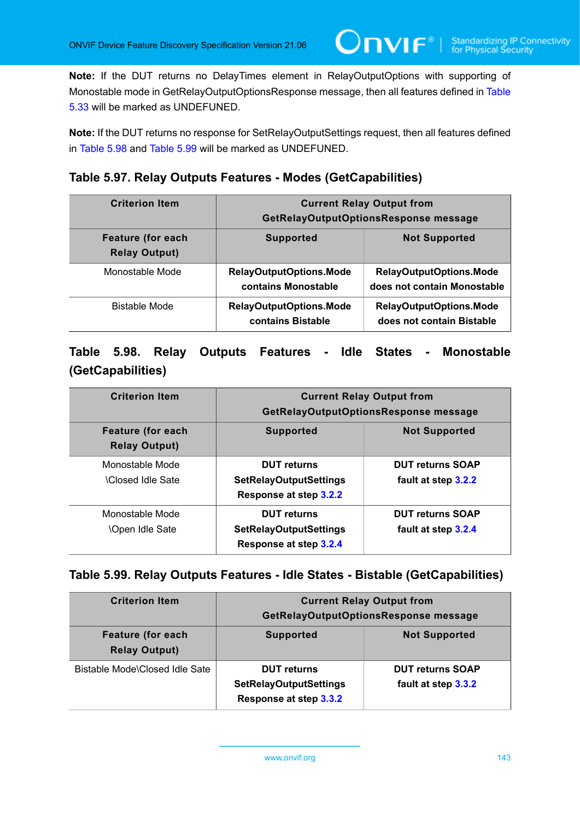**Note:** If the DUT returns no DelayTimes element in RelayOutputOptions with supporting of Monostable mode in GetRelayOutputOptionsResponse message, then all features defined in [Table](#page-75-0) [5.33](#page-75-0) will be marked as UNDEFUNED.

 $\mathbf{Onv}$ r $^{\circ}$ 

**Note:** If the DUT returns no response for SetRelayOutputSettings request, then all features defined in [Table](#page-142-1) 5.98 and [Table](#page-142-2) 5.99 will be marked as UNDEFUNED.

### <span id="page-142-0"></span>**Table 5.97. Relay Outputs Features - Modes (GetCapabilities)**

| <b>Criterion Item</b>                            | <b>Current Relay Output from</b><br>GetRelayOutputOptionsResponse message |                                                               |
|--------------------------------------------------|---------------------------------------------------------------------------|---------------------------------------------------------------|
| <b>Feature (for each</b><br><b>Relay Output)</b> | <b>Supported</b>                                                          | <b>Not Supported</b>                                          |
| Monostable Mode                                  | <b>RelayOutputOptions.Mode</b><br>contains Monostable                     | <b>RelayOutputOptions.Mode</b><br>does not contain Monostable |
| <b>Bistable Mode</b>                             | RelayOutputOptions.Mode<br>contains Bistable                              | <b>RelayOutputOptions.Mode</b><br>does not contain Bistable   |

## <span id="page-142-1"></span>**Table 5.98. Relay Outputs Features - Idle States - Monostable (GetCapabilities)**

| <b>Criterion Item</b>                            | <b>Current Relay Output from</b><br>GetRelayOutputOptionsResponse message     |                                                |
|--------------------------------------------------|-------------------------------------------------------------------------------|------------------------------------------------|
| <b>Feature (for each</b><br><b>Relay Output)</b> | <b>Supported</b>                                                              | <b>Not Supported</b>                           |
| Monostable Mode<br><b>Closed Idle Sate</b>       | <b>DUT</b> returns<br><b>SetRelayOutputSettings</b><br>Response at step 3.2.2 | <b>DUT returns SOAP</b><br>fault at step 3.2.2 |
| Monostable Mode<br><b>\Open Idle Sate</b>        | <b>DUT</b> returns<br><b>SetRelayOutputSettings</b><br>Response at step 3.2.4 | <b>DUT returns SOAP</b><br>fault at step 3.2.4 |

### <span id="page-142-2"></span>**Table 5.99. Relay Outputs Features - Idle States - Bistable (GetCapabilities)**

| <b>Criterion Item</b>                            | <b>Current Relay Output from</b>                                              |                                                |
|--------------------------------------------------|-------------------------------------------------------------------------------|------------------------------------------------|
|                                                  | GetRelayOutputOptionsResponse message                                         |                                                |
| <b>Feature (for each</b><br><b>Relay Output)</b> | <b>Supported</b>                                                              | <b>Not Supported</b>                           |
| Bistable Mode\Closed Idle Sate                   | <b>DUT</b> returns<br><b>SetRelayOutputSettings</b><br>Response at step 3.3.2 | <b>DUT returns SOAP</b><br>fault at step 3.3.2 |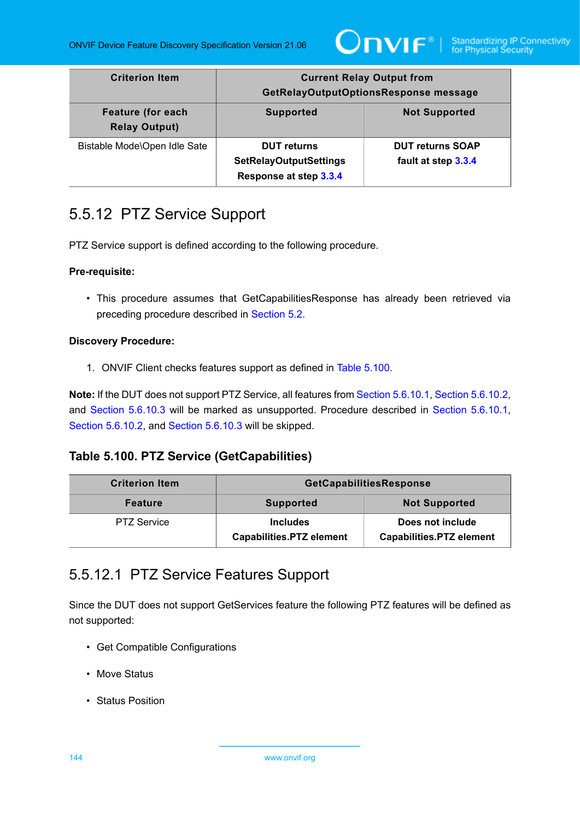

| <b>Criterion Item</b>                            | <b>Current Relay Output from</b><br>GetRelayOutputOptionsResponse message     |                                                |
|--------------------------------------------------|-------------------------------------------------------------------------------|------------------------------------------------|
| <b>Feature (for each</b><br><b>Relay Output)</b> | <b>Supported</b>                                                              | <b>Not Supported</b>                           |
| Bistable Mode\Open Idle Sate                     | <b>DUT</b> returns<br><b>SetRelayOutputSettings</b><br>Response at step 3.3.4 | <b>DUT returns SOAP</b><br>fault at step 3.3.4 |

# 5.5.12 PTZ Service Support

PTZ Service support is defined according to the following procedure.

#### **Pre-requisite:**

• This procedure assumes that GetCapabilitiesResponse has already been retrieved via preceding procedure described in [Section 5.2](#page-38-0).

#### **Discovery Procedure:**

1. ONVIF Client checks features support as defined in Table [5.100](#page-143-0).

**Note:** If the DUT does not support PTZ Service, all features from [Section 5.6.10.1](#page-143-1), [Section 5.6.10.2,](#page-144-0) and [Section 5.6.10.3](#page-145-0) will be marked as unsupported. Procedure described in [Section 5.6.10.1,](#page-143-1) [Section 5.6.10.2,](#page-144-0) and [Section 5.6.10.3](#page-145-0) will be skipped.

## <span id="page-143-0"></span>**Table 5.100. PTZ Service (GetCapabilities)**

| <b>Criterion Item</b> | GetCapabilitiesResponse                            |                                                     |
|-----------------------|----------------------------------------------------|-----------------------------------------------------|
| <b>Feature</b>        | <b>Supported</b>                                   | <b>Not Supported</b>                                |
| <b>PTZ Service</b>    | <b>Includes</b><br><b>Capabilities.PTZ element</b> | Does not include<br><b>Capabilities.PTZ element</b> |

# <span id="page-143-1"></span>5.5.12.1 PTZ Service Features Support

Since the DUT does not support GetServices feature the following PTZ features will be defined as not supported:

- Get Compatible Configurations
- Move Status
- Status Position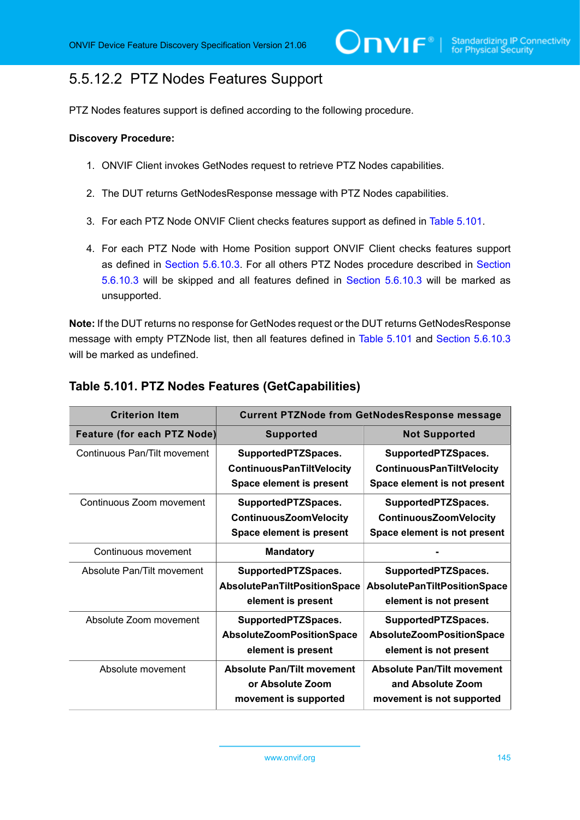# <span id="page-144-1"></span>5.5.12.2 PTZ Nodes Features Support

PTZ Nodes features support is defined according to the following procedure.

#### **Discovery Procedure:**

- 1. ONVIF Client invokes GetNodes request to retrieve PTZ Nodes capabilities.
- 2. The DUT returns GetNodesResponse message with PTZ Nodes capabilities.
- 3. For each PTZ Node ONVIF Client checks features support as defined in Table [5.101](#page-144-0).
- 4. For each PTZ Node with Home Position support ONVIF Client checks features support as defined in [Section 5.6.10.3](#page-145-0). For all others PTZ Nodes procedure described in [Section](#page-145-0) [5.6.10.3](#page-145-0) will be skipped and all features defined in [Section 5.6.10.3](#page-145-0) will be marked as unsupported.

**Note:** If the DUT returns no response for GetNodes request or the DUT returns GetNodesResponse message with empty PTZNode list, then all features defined in Table [5.101](#page-144-0) and [Section 5.6.10.3](#page-145-0) will be marked as undefined.

| <b>Criterion Item</b>              | <b>Current PTZNode from GetNodesResponse message</b>                                |                                                                                         |
|------------------------------------|-------------------------------------------------------------------------------------|-----------------------------------------------------------------------------------------|
| <b>Feature (for each PTZ Node)</b> | <b>Supported</b>                                                                    | <b>Not Supported</b>                                                                    |
| Continuous Pan/Tilt movement       | SupportedPTZSpaces.<br><b>ContinuousPanTiltVelocity</b><br>Space element is present | SupportedPTZSpaces.<br><b>ContinuousPanTiltVelocity</b><br>Space element is not present |
| Continuous Zoom movement           | SupportedPTZSpaces.<br><b>ContinuousZoomVelocity</b><br>Space element is present    | SupportedPTZSpaces.<br><b>ContinuousZoomVelocity</b><br>Space element is not present    |
| Continuous movement                | <b>Mandatory</b>                                                                    |                                                                                         |
| Absolute Pan/Tilt movement         | SupportedPTZSpaces.<br><b>AbsolutePanTiltPositionSpace</b><br>element is present    | SupportedPTZSpaces.<br><b>AbsolutePanTiltPositionSpace</b><br>element is not present    |
| Absolute Zoom movement             | SupportedPTZSpaces.<br>AbsoluteZoomPositionSpace<br>element is present              | SupportedPTZSpaces.<br><b>AbsoluteZoomPositionSpace</b><br>element is not present       |
| Absolute movement                  | <b>Absolute Pan/Tilt movement</b><br>or Absolute Zoom<br>movement is supported      | <b>Absolute Pan/Tilt movement</b><br>and Absolute Zoom<br>movement is not supported     |

### <span id="page-144-0"></span>**Table 5.101. PTZ Nodes Features (GetCapabilities)**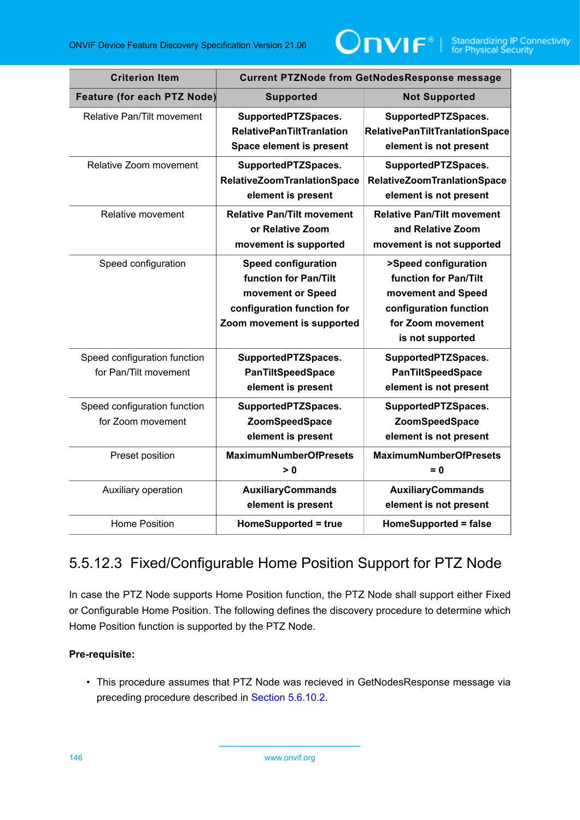

| <b>Criterion Item</b>                                 | <b>Current PTZNode from GetNodesResponse message</b>                                                                                 |                                                                                                                                        |
|-------------------------------------------------------|--------------------------------------------------------------------------------------------------------------------------------------|----------------------------------------------------------------------------------------------------------------------------------------|
| <b>Feature (for each PTZ Node)</b>                    | <b>Supported</b>                                                                                                                     | <b>Not Supported</b>                                                                                                                   |
| Relative Pan/Tilt movement                            | SupportedPTZSpaces.<br><b>RelativePanTiltTranlation</b><br>Space element is present                                                  | SupportedPTZSpaces.<br><b>RelativePanTiltTranlationSpace</b><br>element is not present                                                 |
| Relative Zoom movement                                | SupportedPTZSpaces.<br><b>RelativeZoomTranlationSpace</b><br>element is present                                                      | SupportedPTZSpaces.<br><b>RelativeZoomTranlationSpace</b><br>element is not present                                                    |
| Relative movement                                     | <b>Relative Pan/Tilt movement</b><br>or Relative Zoom<br>movement is supported                                                       | <b>Relative Pan/Tilt movement</b><br>and Relative Zoom<br>movement is not supported                                                    |
| Speed configuration                                   | <b>Speed configuration</b><br>function for Pan/Tilt<br>movement or Speed<br>configuration function for<br>Zoom movement is supported | >Speed configuration<br>function for Pan/Tilt<br>movement and Speed<br>configuration function<br>for Zoom movement<br>is not supported |
| Speed configuration function<br>for Pan/Tilt movement | SupportedPTZSpaces.<br><b>PanTiltSpeedSpace</b><br>element is present                                                                | SupportedPTZSpaces.<br><b>PanTiltSpeedSpace</b><br>element is not present                                                              |
| Speed configuration function<br>for Zoom movement     | SupportedPTZSpaces.<br>ZoomSpeedSpace<br>element is present                                                                          | SupportedPTZSpaces.<br><b>ZoomSpeedSpace</b><br>element is not present                                                                 |
| Preset position                                       | <b>MaximumNumberOfPresets</b><br>> 0                                                                                                 | <b>MaximumNumberOfPresets</b><br>$= 0$                                                                                                 |
| Auxiliary operation                                   | <b>AuxiliaryCommands</b><br>element is present                                                                                       | <b>AuxiliaryCommands</b><br>element is not present                                                                                     |
| <b>Home Position</b>                                  | HomeSupported = true                                                                                                                 | <b>HomeSupported = false</b>                                                                                                           |

# <span id="page-145-0"></span>5.5.12.3 Fixed/Configurable Home Position Support for PTZ Node

In case the PTZ Node supports Home Position function, the PTZ Node shall support either Fixed or Configurable Home Position. The following defines the discovery procedure to determine which Home Position function is supported by the PTZ Node.

### **Pre-requisite:**

• This procedure assumes that PTZ Node was recieved in GetNodesResponse message via preceding procedure described in [Section 5.6.10.2.](#page-144-1)

146 www.onvif.org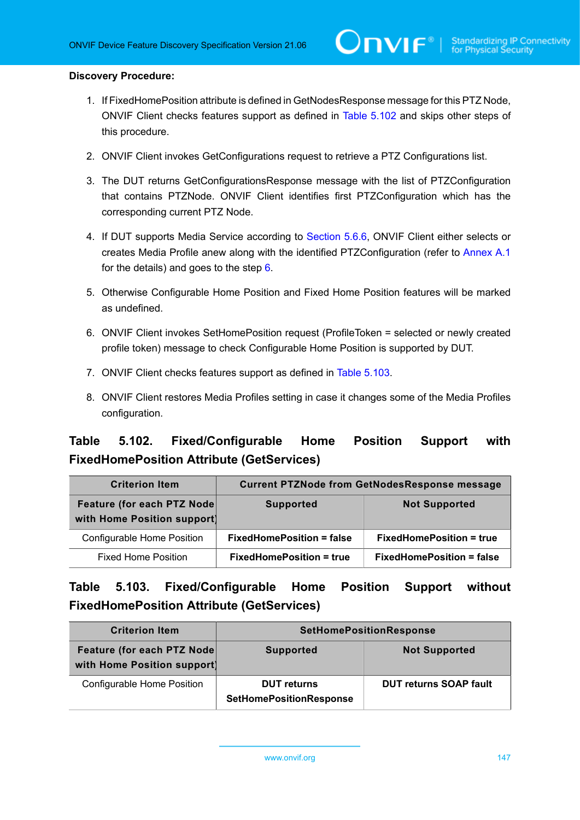#### **Discovery Procedure:**

1. If FixedHomePosition attribute is defined in GetNodesResponse message for this PTZ Node, ONVIF Client checks features support as defined in Table [5.102](#page-146-0) and skips other steps of this procedure.

 $\mathsf{D}\mathbf{N}\mathsf{I}\mathsf{F}^*$ l

- 2. ONVIF Client invokes GetConfigurations request to retrieve a PTZ Configurations list.
- 3. The DUT returns GetConfigurationsResponse message with the list of PTZConfiguration that contains PTZNode. ONVIF Client identifies first PTZConfiguration which has the corresponding current PTZ Node.
- 4. If DUT supports Media Service according to [Section 5.6.6,](#page-129-0) ONVIF Client either selects or creates Media Profile anew along with the identified PTZConfiguration (refer to [Annex A.1](#page-163-0) for the details) and goes to the step [6.](#page-146-1)
- 5. Otherwise Configurable Home Position and Fixed Home Position features will be marked as undefined.
- <span id="page-146-1"></span>6. ONVIF Client invokes SetHomePosition request (ProfileToken = selected or newly created profile token) message to check Configurable Home Position is supported by DUT.
- 7. ONVIF Client checks features support as defined in Table [5.103](#page-146-2).
- 8. ONVIF Client restores Media Profiles setting in case it changes some of the Media Profiles configuration.

### <span id="page-146-0"></span>**Table 5.102. Fixed/Configurable Home Position Support with FixedHomePosition Attribute (GetServices)**

| <b>Criterion Item</b>                                     | <b>Current PTZNode from GetNodesResponse message</b> |                                  |
|-----------------------------------------------------------|------------------------------------------------------|----------------------------------|
| Feature (for each PTZ Node<br>with Home Position support) | <b>Supported</b>                                     | <b>Not Supported</b>             |
| Configurable Home Position                                | <b>FixedHomePosition = false</b>                     | <b>FixedHomePosition = true</b>  |
| <b>Fixed Home Position</b>                                | <b>FixedHomePosition = true</b>                      | <b>FixedHomePosition = false</b> |

### <span id="page-146-2"></span>**Table 5.103. Fixed/Configurable Home Position Support without FixedHomePosition Attribute (GetServices)**

| <b>Criterion Item</b>                                     | <b>SetHomePositionResponse</b>                       |                               |
|-----------------------------------------------------------|------------------------------------------------------|-------------------------------|
| Feature (for each PTZ Node<br>with Home Position support) | <b>Supported</b>                                     | <b>Not Supported</b>          |
| Configurable Home Position                                | <b>DUT</b> returns<br><b>SetHomePositionResponse</b> | <b>DUT returns SOAP fault</b> |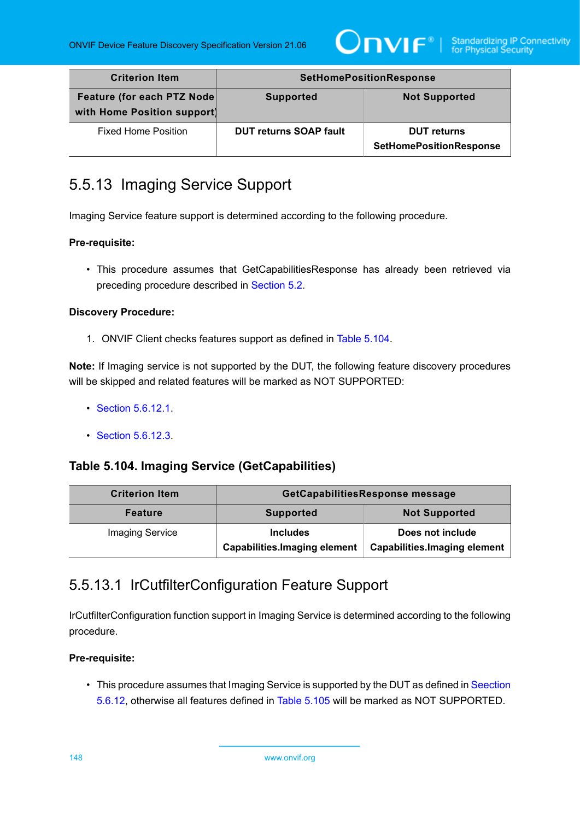

| <b>Criterion Item</b>                                      | <b>SetHomePositionResponse</b> |                                                      |
|------------------------------------------------------------|--------------------------------|------------------------------------------------------|
| Feature (for each PTZ Node)<br>with Home Position support) | <b>Supported</b>               | <b>Not Supported</b>                                 |
| <b>Fixed Home Position</b>                                 | <b>DUT returns SOAP fault</b>  | <b>DUT</b> returns<br><b>SetHomePositionResponse</b> |

# <span id="page-147-2"></span>5.5.13 Imaging Service Support

Imaging Service feature support is determined according to the following procedure.

### **Pre-requisite:**

• This procedure assumes that GetCapabilitiesResponse has already been retrieved via preceding procedure described in [Section 5.2](#page-38-0).

### **Discovery Procedure:**

1. ONVIF Client checks features support as defined in Table [5.104](#page-147-0).

**Note:** If Imaging service is not supported by the DUT, the following feature discovery procedures will be skipped and related features will be marked as NOT SUPPORTED:

- [Section 5.6.12.1](#page-147-1).
- [Section 5.6.12.3](#page-150-0).

### <span id="page-147-0"></span>**Table 5.104. Imaging Service (GetCapabilities)**

| <b>Criterion Item</b>  | GetCapabilitiesResponse message                         |                                                         |
|------------------------|---------------------------------------------------------|---------------------------------------------------------|
| <b>Feature</b>         | <b>Supported</b>                                        | <b>Not Supported</b>                                    |
| <b>Imaging Service</b> | <b>Includes</b><br><b>Capabilities. Imaging element</b> | Does not include<br><b>Capabilities.Imaging element</b> |

### <span id="page-147-1"></span>5.5.13.1 IrCutfilterConfiguration Feature Support

IrCutfilterConfiguration function support in Imaging Service is determined according to the following procedure.

### **Pre-requisite:**

• This procedure assumes that Imaging Service is supported by the DUT as defined in [Seection](#page-147-2) [5.6.12](#page-147-2), otherwise all features defined in Table [5.105](#page-148-0) will be marked as NOT SUPPORTED.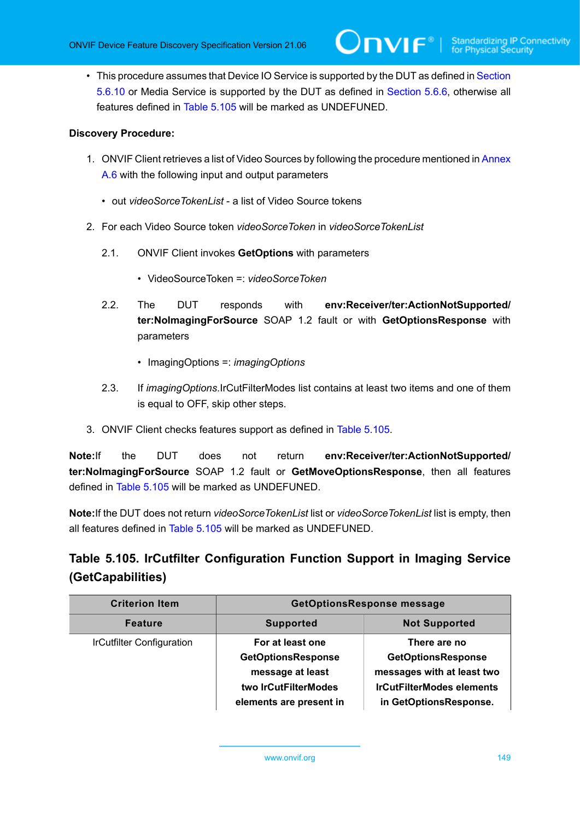• This procedure assumes that Device IO Service is supported by the DUT as defined in [Section](#page-137-0) [5.6.10](#page-137-0) or Media Service is supported by the DUT as defined in [Section 5.6.6](#page-129-0), otherwise all features defined in Table [5.105](#page-148-0) will be marked as UNDEFUNED.

 $\bm{\cup}$ NIF $^*$ l

#### **Discovery Procedure:**

- 1. ONVIF Client retrieves a list of Video Sources by following the procedure mentioned in [Annex](#page-169-0) [A.6](#page-169-0) with the following input and output parameters
	- out *videoSorceTokenList* a list of Video Source tokens
- 2. For each Video Source token *videoSorceToken* in *videoSorceTokenList*
	- 2.1. ONVIF Client invokes **GetOptions** with parameters
		- VideoSourceToken =: *videoSorceToken*
	- 2.2. The DUT responds with **env:Receiver/ter:ActionNotSupported/ ter:NoImagingForSource** SOAP 1.2 fault or with **GetOptionsResponse** with parameters
		- ImagingOptions =: *imagingOptions*
	- 2.3. If *imagingOptions*.IrCutFilterModes list contains at least two items and one of them is equal to OFF, skip other steps.
- 3. ONVIF Client checks features support as defined in Table [5.105](#page-148-0).

**Note:**If the DUT does not return **env:Receiver/ter:ActionNotSupported/ ter:NoImagingForSource** SOAP 1.2 fault or **GetMoveOptionsResponse**, then all features defined in Table [5.105](#page-148-0) will be marked as UNDEFUNED.

**Note:**If the DUT does not return *videoSorceTokenList* list or *videoSorceTokenList* list is empty, then all features defined in Table [5.105](#page-148-0) will be marked as UNDEFUNED.

# <span id="page-148-0"></span>**Table 5.105. IrCutfilter Configuration Function Support in Imaging Service (GetCapabilities)**

| <b>Criterion Item</b>            | <b>GetOptionsResponse message</b>                                                                                    |                                                                                                                                       |
|----------------------------------|----------------------------------------------------------------------------------------------------------------------|---------------------------------------------------------------------------------------------------------------------------------------|
| <b>Feature</b>                   | <b>Supported</b>                                                                                                     | <b>Not Supported</b>                                                                                                                  |
| <b>IrCutfilter Configuration</b> | For at least one<br><b>GetOptionsResponse</b><br>message at least<br>two IrCutFilterModes<br>elements are present in | There are no<br><b>GetOptionsResponse</b><br>messages with at least two<br><b>IrCutFilterModes elements</b><br>in GetOptionsResponse. |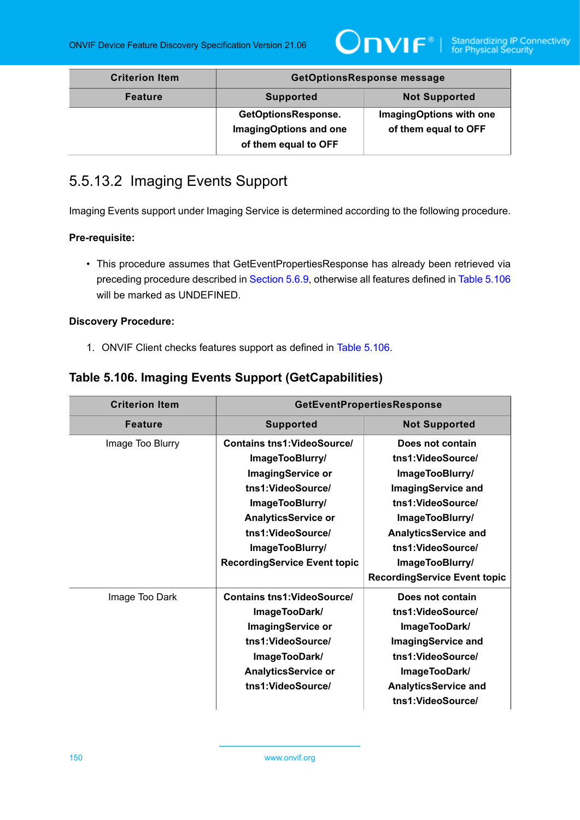

| <b>Criterion Item</b> | <b>GetOptionsResponse message</b>                                     |                                                 |
|-----------------------|-----------------------------------------------------------------------|-------------------------------------------------|
| <b>Feature</b>        | <b>Supported</b>                                                      | <b>Not Supported</b>                            |
|                       | GetOptionsResponse.<br>ImagingOptions and one<br>of them equal to OFF | ImagingOptions with one<br>of them equal to OFF |

# 5.5.13.2 Imaging Events Support

Imaging Events support under Imaging Service is determined according to the following procedure.

### **Pre-requisite:**

• This procedure assumes that GetEventPropertiesResponse has already been retrieved via preceding procedure described in [Section 5.6.9,](#page-133-0) otherwise all features defined in Table [5.106](#page-149-0) will be marked as UNDEFINED.

### **Discovery Procedure:**

1. ONVIF Client checks features support as defined in Table [5.106](#page-149-0).

### <span id="page-149-0"></span>**Table 5.106. Imaging Events Support (GetCapabilities)**

| <b>Criterion Item</b> | <b>GetEventPropertiesResponse</b>   |                                     |
|-----------------------|-------------------------------------|-------------------------------------|
| <b>Feature</b>        | <b>Supported</b>                    | <b>Not Supported</b>                |
| Image Too Blurry      | <b>Contains tns1: VideoSource/</b>  | Does not contain                    |
|                       | ImageTooBlurry/                     | tns1:VideoSource/                   |
|                       | <b>ImagingService or</b>            | ImageTooBlurry/                     |
|                       | tns1:VideoSource/                   | <b>ImagingService and</b>           |
|                       | ImageTooBlurry/                     | tns1:VideoSource/                   |
|                       | <b>AnalyticsService or</b>          | ImageTooBlurry/                     |
|                       | tns1:VideoSource/                   | <b>AnalyticsService and</b>         |
|                       | ImageTooBlurry/                     | tns1:VideoSource/                   |
|                       | <b>RecordingService Event topic</b> | ImageTooBlurry/                     |
|                       |                                     | <b>RecordingService Event topic</b> |
| Image Too Dark        | <b>Contains tns1: VideoSource/</b>  | Does not contain                    |
|                       | ImageTooDark/                       | tns1:VideoSource/                   |
|                       | <b>ImagingService or</b>            | ImageTooDark/                       |
|                       | tns1:VideoSource/                   | <b>ImagingService and</b>           |
|                       | ImageTooDark/                       | tns1:VideoSource/                   |
|                       | <b>AnalyticsService or</b>          | ImageTooDark/                       |
|                       | tns1:VideoSource/                   | <b>AnalyticsService and</b>         |
|                       |                                     | tns1:VideoSource/                   |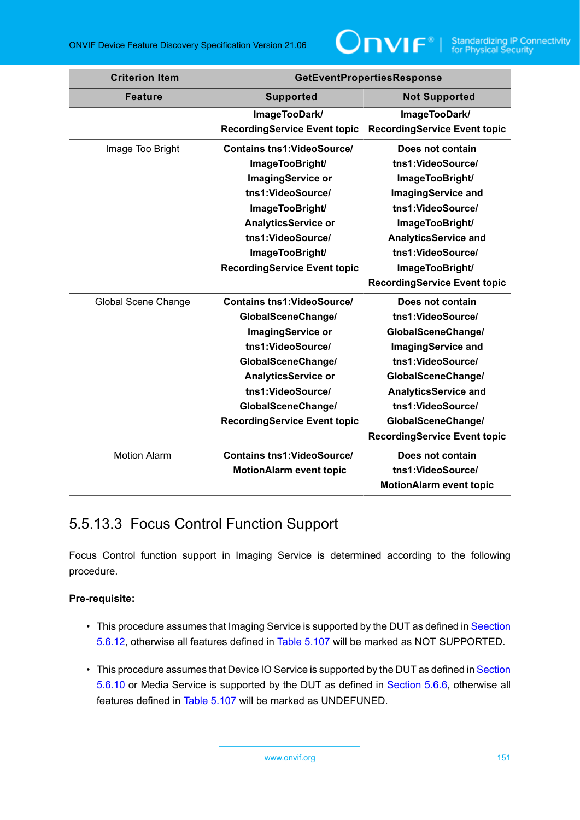| <b>Criterion Item</b> | <b>GetEventPropertiesResponse</b>   |                                     |
|-----------------------|-------------------------------------|-------------------------------------|
| <b>Feature</b>        | <b>Supported</b>                    | <b>Not Supported</b>                |
|                       | ImageTooDark/                       | ImageTooDark/                       |
|                       | <b>RecordingService Event topic</b> | <b>RecordingService Event topic</b> |
| Image Too Bright      | <b>Contains tns1: VideoSource/</b>  | Does not contain                    |
|                       | ImageTooBright/                     | tns1:VideoSource/                   |
|                       | <b>ImagingService or</b>            | ImageTooBright/                     |
|                       | tns1:VideoSource/                   | <b>ImagingService and</b>           |
|                       | ImageTooBright/                     | tns1:VideoSource/                   |
|                       | <b>AnalyticsService or</b>          | ImageTooBright/                     |
|                       | tns1:VideoSource/                   | <b>AnalyticsService and</b>         |
|                       | ImageTooBright/                     | tns1:VideoSource/                   |
|                       | <b>RecordingService Event topic</b> | ImageTooBright/                     |
|                       |                                     | <b>RecordingService Event topic</b> |
| Global Scene Change   | <b>Contains tns1: VideoSource/</b>  | Does not contain                    |
|                       | GlobalSceneChange/                  | tns1:VideoSource/                   |
|                       | ImagingService or                   | GlobalSceneChange/                  |
|                       | tns1:VideoSource/                   | <b>ImagingService and</b>           |
|                       | GlobalSceneChange/                  | tns1:VideoSource/                   |
|                       | <b>AnalyticsService or</b>          | GlobalSceneChange/                  |
|                       | tns1:VideoSource/                   | <b>AnalyticsService and</b>         |
|                       | GlobalSceneChange/                  | tns1:VideoSource/                   |
|                       | <b>RecordingService Event topic</b> | GlobalSceneChange/                  |
|                       |                                     | <b>RecordingService Event topic</b> |
| <b>Motion Alarm</b>   | <b>Contains tns1: VideoSource/</b>  | Does not contain                    |
|                       | <b>MotionAlarm event topic</b>      | tns1:VideoSource/                   |
|                       |                                     | <b>MotionAlarm event topic</b>      |

# <span id="page-150-0"></span>5.5.13.3 Focus Control Function Support

Focus Control function support in Imaging Service is determined according to the following procedure.

### **Pre-requisite:**

- This procedure assumes that Imaging Service is supported by the DUT as defined in [Seection](#page-147-2) [5.6.12](#page-147-2), otherwise all features defined in Table [5.107](#page-151-0) will be marked as NOT SUPPORTED.
- This procedure assumes that Device IO Service is supported by the DUT as defined in [Section](#page-137-0) [5.6.10](#page-137-0) or Media Service is supported by the DUT as defined in [Section 5.6.6](#page-129-0), otherwise all features defined in Table [5.107](#page-151-0) will be marked as UNDEFUNED.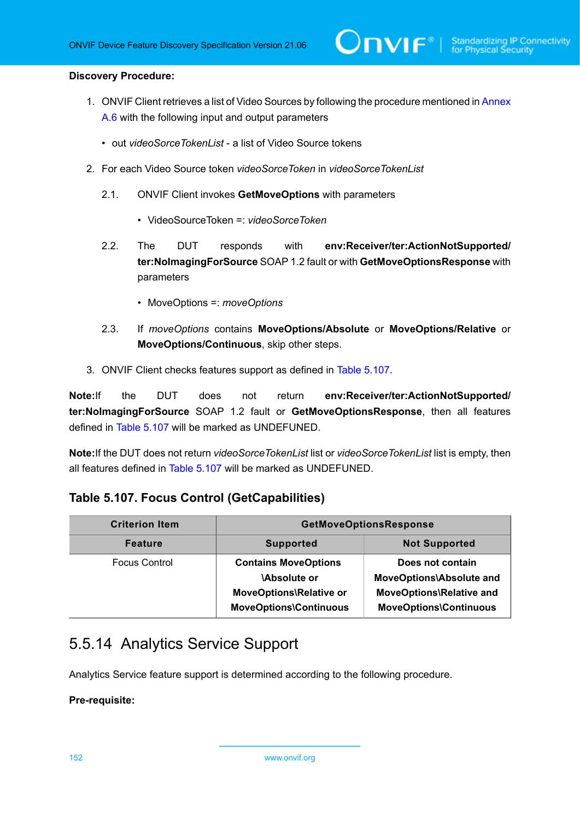#### **Discovery Procedure:**

1. ONVIF Client retrieves a list of Video Sources by following the procedure mentioned in [Annex](#page-169-0) [A.6](#page-169-0) with the following input and output parameters

 $\mathsf{D}\mathsf{N}\mathsf{H}^*$ l

- out *videoSorceTokenList* a list of Video Source tokens
- 2. For each Video Source token *videoSorceToken* in *videoSorceTokenList*
	- 2.1. ONVIF Client invokes **GetMoveOptions** with parameters
		- VideoSourceToken =: *videoSorceToken*
	- 2.2. The DUT responds with **env:Receiver/ter:ActionNotSupported/ ter:NoImagingForSource** SOAP 1.2 fault or with **GetMoveOptionsResponse** with parameters
		- MoveOptions =: *moveOptions*
	- 2.3. If *moveOptions* contains **MoveOptions/Absolute** or **MoveOptions/Relative** or **MoveOptions/Continuous**, skip other steps.
- 3. ONVIF Client checks features support as defined in Table [5.107](#page-151-0).

**Note:**If the DUT does not return **env:Receiver/ter:ActionNotSupported/ ter:NoImagingForSource** SOAP 1.2 fault or **GetMoveOptionsResponse**, then all features defined in Table [5.107](#page-151-0) will be marked as UNDEFUNED.

**Note:**If the DUT does not return *videoSorceTokenList* list or *videoSorceTokenList* list is empty, then all features defined in Table [5.107](#page-151-0) will be marked as UNDEFUNED.

### <span id="page-151-0"></span>**Table 5.107. Focus Control (GetCapabilities)**

| <b>Criterion Item</b> | <b>GetMoveOptionsResponse</b>                                                                                 |                                                                                                                         |
|-----------------------|---------------------------------------------------------------------------------------------------------------|-------------------------------------------------------------------------------------------------------------------------|
| <b>Feature</b>        | <b>Supported</b>                                                                                              | <b>Not Supported</b>                                                                                                    |
| <b>Focus Control</b>  | <b>Contains MoveOptions</b><br><b>Absolute or</b><br>MoveOptions\Relative or<br><b>MoveOptions\Continuous</b> | Does not contain<br><b>MoveOptions\Absolute and</b><br><b>MoveOptions\Relative and</b><br><b>MoveOptions\Continuous</b> |

# 5.5.14 Analytics Service Support

Analytics Service feature support is determined according to the following procedure.

### **Pre-requisite:**

152 www.onvif.org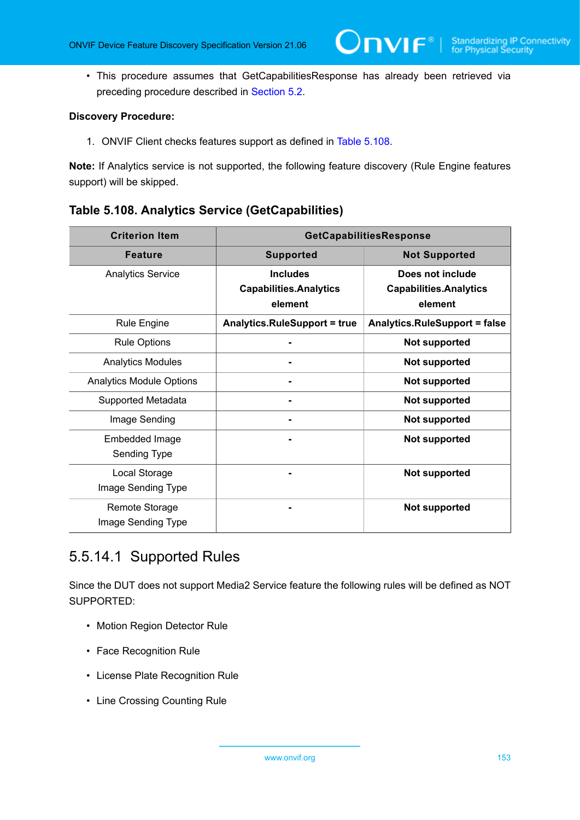• This procedure assumes that GetCapabilitiesResponse has already been retrieved via preceding procedure described in [Section 5.2](#page-38-0).

 $\mathsf{D}\mathsf{n}\mathsf{v}\mathsf{l}\mathsf{f}^\ast$ l

#### **Discovery Procedure:**

1. ONVIF Client checks features support as defined in Table [5.108](#page-152-0).

**Note:** If Analytics service is not supported, the following feature discovery (Rule Engine features support) will be skipped.

### <span id="page-152-0"></span>**Table 5.108. Analytics Service (GetCapabilities)**

| <b>Criterion Item</b>                | GetCapabilitiesResponse                                     |                                                              |
|--------------------------------------|-------------------------------------------------------------|--------------------------------------------------------------|
| <b>Feature</b>                       | <b>Supported</b>                                            | <b>Not Supported</b>                                         |
| <b>Analytics Service</b>             | <b>Includes</b><br><b>Capabilities.Analytics</b><br>element | Does not include<br><b>Capabilities.Analytics</b><br>element |
| <b>Rule Engine</b>                   | <b>Analytics.RuleSupport = true</b>                         | <b>Analytics.RuleSupport = false</b>                         |
| <b>Rule Options</b>                  |                                                             | <b>Not supported</b>                                         |
| <b>Analytics Modules</b>             |                                                             | <b>Not supported</b>                                         |
| <b>Analytics Module Options</b>      |                                                             | <b>Not supported</b>                                         |
| Supported Metadata                   |                                                             | <b>Not supported</b>                                         |
| Image Sending                        |                                                             | <b>Not supported</b>                                         |
| Embedded Image<br>Sending Type       |                                                             | <b>Not supported</b>                                         |
| Local Storage<br>Image Sending Type  |                                                             | <b>Not supported</b>                                         |
| Remote Storage<br>Image Sending Type |                                                             | <b>Not supported</b>                                         |

# 5.5.14.1 Supported Rules

Since the DUT does not support Media2 Service feature the following rules will be defined as NOT SUPPORTED:

- Motion Region Detector Rule
- Face Recognition Rule
- License Plate Recognition Rule
- Line Crossing Counting Rule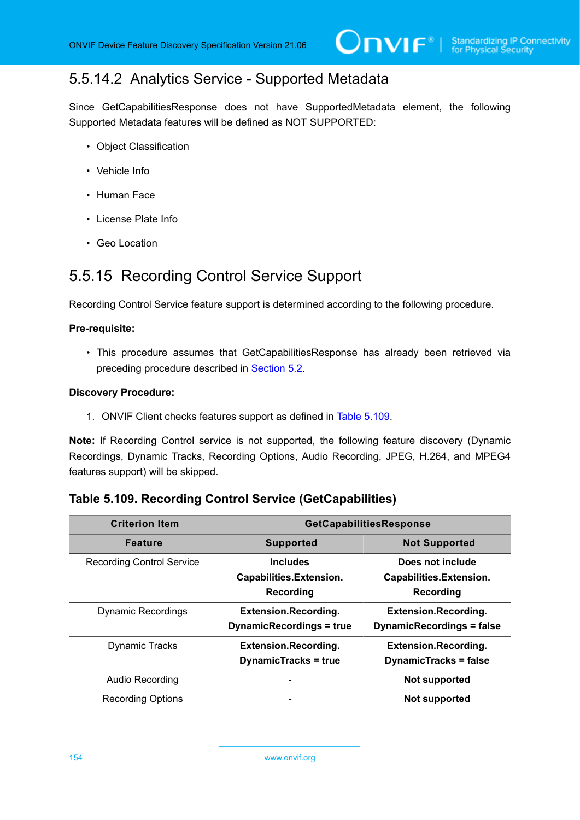# 5.5.14.2 Analytics Service - Supported Metadata

Since GetCapabilitiesResponse does not have SupportedMetadata element, the following Supported Metadata features will be defined as NOT SUPPORTED:

- Object Classification
- Vehicle Info
- Human Face
- License Plate Info
- Geo Location

# 5.5.15 Recording Control Service Support

Recording Control Service feature support is determined according to the following procedure.

#### **Pre-requisite:**

• This procedure assumes that GetCapabilitiesResponse has already been retrieved via preceding procedure described in [Section 5.2](#page-38-0).

#### **Discovery Procedure:**

1. ONVIF Client checks features support as defined in Table [5.109](#page-153-0).

**Note:** If Recording Control service is not supported, the following feature discovery (Dynamic Recordings, Dynamic Tracks, Recording Options, Audio Recording, JPEG, H.264, and MPEG4 features support) will be skipped.

### <span id="page-153-0"></span>**Table 5.109. Recording Control Service (GetCapabilities)**

| <b>Criterion Item</b>            | GetCapabilitiesResponse                                        |                                                                 |
|----------------------------------|----------------------------------------------------------------|-----------------------------------------------------------------|
| <b>Feature</b>                   | <b>Supported</b>                                               | <b>Not Supported</b>                                            |
| <b>Recording Control Service</b> | <b>Includes</b><br>Capabilities.Extension.<br>Recording        | Does not include<br>Capabilities.Extension.<br>Recording        |
| <b>Dynamic Recordings</b>        | <b>Extension.Recording.</b><br><b>DynamicRecordings = true</b> | <b>Extension.Recording.</b><br><b>DynamicRecordings = false</b> |
| <b>Dynamic Tracks</b>            | <b>Extension.Recording.</b><br><b>DynamicTracks = true</b>     | <b>Extension.Recording.</b><br><b>DynamicTracks = false</b>     |
| Audio Recording                  |                                                                | <b>Not supported</b>                                            |
| <b>Recording Options</b>         |                                                                | Not supported                                                   |

154 www.onvif.org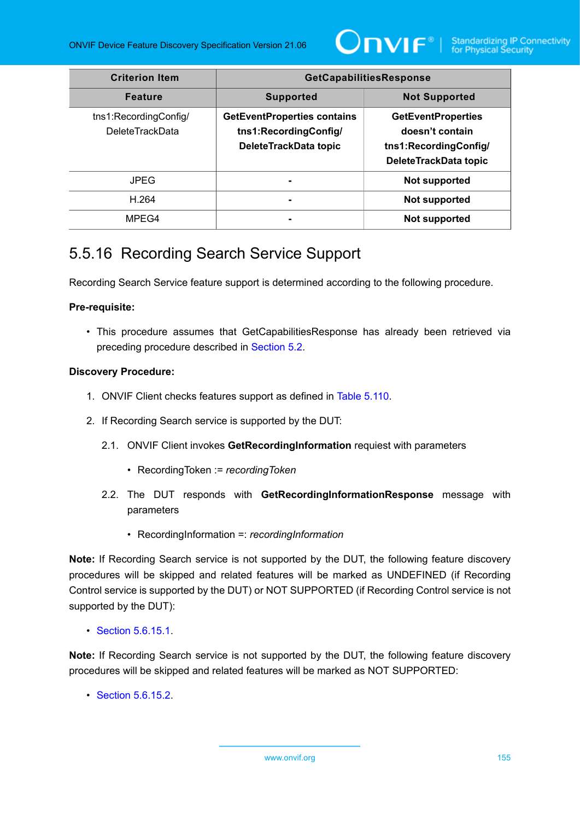

| <b>Criterion Item</b>                           | GetCapabilitiesResponse                                                              |                                                                                                |
|-------------------------------------------------|--------------------------------------------------------------------------------------|------------------------------------------------------------------------------------------------|
| <b>Feature</b>                                  | <b>Supported</b>                                                                     | <b>Not Supported</b>                                                                           |
| tns1:RecordingConfig/<br><b>DeleteTrackData</b> | <b>GetEventProperties contains</b><br>tns1:RecordingConfig/<br>DeleteTrackData topic | <b>GetEventProperties</b><br>doesn't contain<br>tns1:RecordingConfig/<br>DeleteTrackData topic |
| <b>JPEG</b>                                     |                                                                                      | <b>Not supported</b>                                                                           |
| H.264                                           |                                                                                      | <b>Not supported</b>                                                                           |
| MPEG4                                           |                                                                                      | <b>Not supported</b>                                                                           |

# <span id="page-154-0"></span>5.5.16 Recording Search Service Support

Recording Search Service feature support is determined according to the following procedure.

### **Pre-requisite:**

• This procedure assumes that GetCapabilitiesResponse has already been retrieved via preceding procedure described in [Section 5.2](#page-38-0).

### **Discovery Procedure:**

- 1. ONVIF Client checks features support as defined in Table [5.110](#page-155-0).
- 2. If Recording Search service is supported by the DUT:
	- 2.1. ONVIF Client invokes **GetRecordingInformation** requiest with parameters
		- RecordingToken := *recordingToken*
	- 2.2. The DUT responds with **GetRecordingInformationResponse** message with parameters
		- RecordingInformation =: *recordingInformation*

**Note:** If Recording Search service is not supported by the DUT, the following feature discovery procedures will be skipped and related features will be marked as UNDEFINED (if Recording Control service is supported by the DUT) or NOT SUPPORTED (if Recording Control service is not supported by the DUT):

• [Section 5.6.15.1](#page-155-1).

**Note:** If Recording Search service is not supported by the DUT, the following feature discovery procedures will be skipped and related features will be marked as NOT SUPPORTED:

• [Section 5.6.15.2](#page-156-0).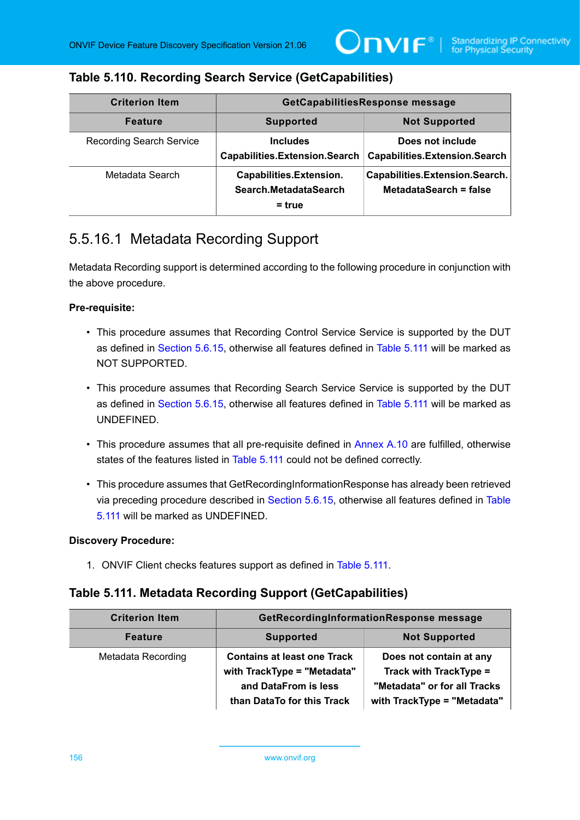### <span id="page-155-0"></span>**Table 5.110. Recording Search Service (GetCapabilities)**

| <b>Criterion Item</b>           | GetCapabilitiesResponse message                              |                                                          |
|---------------------------------|--------------------------------------------------------------|----------------------------------------------------------|
| <b>Feature</b>                  | <b>Supported</b>                                             | <b>Not Supported</b>                                     |
| <b>Recording Search Service</b> | <b>Includes</b><br>Capabilities.Extension.Search             | Does not include<br><b>Capabilities.Extension.Search</b> |
| Metadata Search                 | Capabilities.Extension.<br>Search.MetadataSearch<br>$=$ true | Capabilities.Extension.Search.<br>MetadataSearch = false |

# <span id="page-155-1"></span>5.5.16.1 Metadata Recording Support

Metadata Recording support is determined according to the following procedure in conjunction with the above procedure.

### **Pre-requisite:**

- This procedure assumes that Recording Control Service Service is supported by the DUT as defined in [Section 5.6.15](#page-154-0), otherwise all features defined in Table [5.111](#page-155-2) will be marked as NOT SUPPORTED.
- This procedure assumes that Recording Search Service Service is supported by the DUT as defined in [Section 5.6.15](#page-154-0), otherwise all features defined in Table [5.111](#page-155-2) will be marked as UNDEFINED.
- This procedure assumes that all pre-requisite defined in [Annex A.10](#page-174-0) are fulfilled, otherwise states of the features listed in [Table](#page-155-2) 5.111 could not be defined correctly.
- This procedure assumes that GetRecordingInformationResponse has already been retrieved via preceding procedure described in [Section 5.6.15](#page-154-0), otherwise all features defined in [Table](#page-155-2) [5.111](#page-155-2) will be marked as UNDEFINED.

### **Discovery Procedure:**

1. ONVIF Client checks features support as defined in Table [5.111.](#page-155-2)

### <span id="page-155-2"></span>**Table 5.111. Metadata Recording Support (GetCapabilities)**

| <b>Criterion Item</b> | GetRecordingInformationResponse message                                                                                 |                                                                                                                         |
|-----------------------|-------------------------------------------------------------------------------------------------------------------------|-------------------------------------------------------------------------------------------------------------------------|
| <b>Feature</b>        | <b>Supported</b>                                                                                                        | <b>Not Supported</b>                                                                                                    |
| Metadata Recording    | <b>Contains at least one Track</b><br>with TrackType = "Metadata"<br>and DataFrom is less<br>than DataTo for this Track | Does not contain at any<br><b>Track with TrackType =</b><br>"Metadata" or for all Tracks<br>with TrackType = "Metadata" |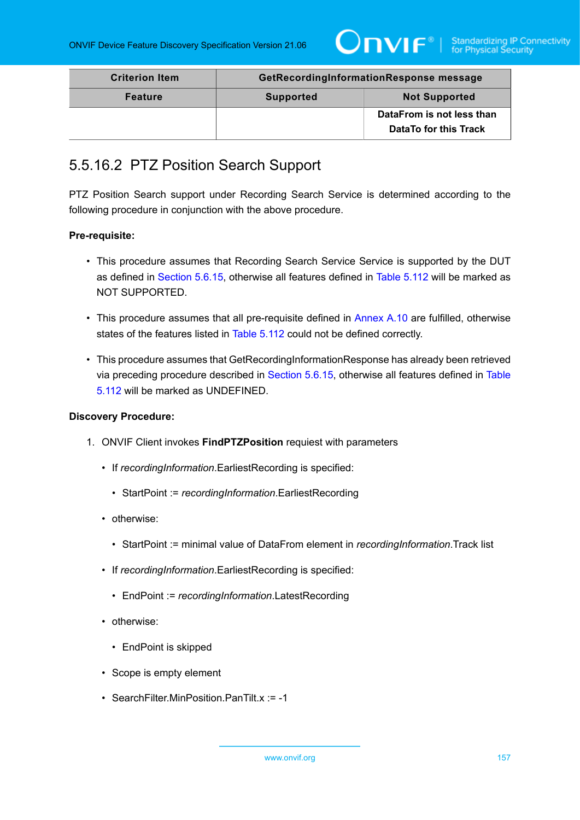

| <b>Criterion Item</b> | GetRecordingInformationResponse message |                              |
|-----------------------|-----------------------------------------|------------------------------|
| <b>Feature</b>        | <b>Supported</b>                        | <b>Not Supported</b>         |
|                       |                                         | DataFrom is not less than    |
|                       |                                         | <b>DataTo for this Track</b> |

### <span id="page-156-0"></span>5.5.16.2 PTZ Position Search Support

PTZ Position Search support under Recording Search Service is determined according to the following procedure in conjunction with the above procedure.

### **Pre-requisite:**

- This procedure assumes that Recording Search Service Service is supported by the DUT as defined in [Section 5.6.15](#page-154-0), otherwise all features defined in Table [5.112](#page-157-0) will be marked as NOT SUPPORTED.
- This procedure assumes that all pre-requisite defined in [Annex A.10](#page-174-0) are fulfilled, otherwise states of the features listed in Table [5.112](#page-157-0) could not be defined correctly.
- This procedure assumes that GetRecordingInformationResponse has already been retrieved via preceding procedure described in [Section 5.6.15](#page-154-0), otherwise all features defined in [Table](#page-157-0) [5.112](#page-157-0) will be marked as UNDEFINED.

#### **Discovery Procedure:**

- 1. ONVIF Client invokes **FindPTZPosition** requiest with parameters
	- If *recordingInformation*.EarliestRecording is specified:
		- StartPoint := *recordingInformation*.EarliestRecording
	- otherwise:
		- StartPoint := minimal value of DataFrom element in *recordingInformation*.Track list
	- If *recordingInformation*.EarliestRecording is specified:
		- EndPoint := *recordingInformation*.LatestRecording
	- otherwise:
		- EndPoint is skipped
	- Scope is empty element
	- SearchFilter.MinPosition.PanTilt.x := -1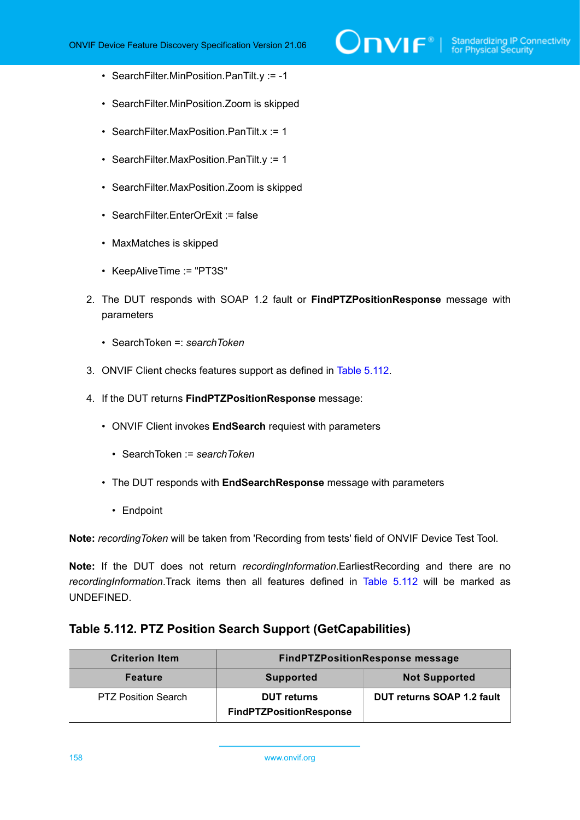- SearchFilter.MinPosition.PanTilt.y := -1
- SearchFilter.MinPosition.Zoom is skipped
- SearchFilter.MaxPosition.PanTilt.x := 1
- SearchFilter.MaxPosition.PanTilt.y := 1
- SearchFilter.MaxPosition.Zoom is skipped
- SearchFilter.EnterOrExit := false
- MaxMatches is skipped
- KeepAliveTime := "PT3S"
- 2. The DUT responds with SOAP 1.2 fault or **FindPTZPositionResponse** message with parameters
	- SearchToken =: *searchToken*
- 3. ONVIF Client checks features support as defined in Table [5.112](#page-157-0).
- 4. If the DUT returns **FindPTZPositionResponse** message:
	- ONVIF Client invokes **EndSearch** requiest with parameters
		- SearchToken := *searchToken*
	- The DUT responds with **EndSearchResponse** message with parameters
		- Endpoint

**Note:** *recordingToken* will be taken from 'Recording from tests' field of ONVIF Device Test Tool.

**Note:** If the DUT does not return *recordingInformation*.EarliestRecording and there are no *recordingInformation*.Track items then all features defined in Table [5.112](#page-157-0) will be marked as UNDEFINED.

### <span id="page-157-0"></span>**Table 5.112. PTZ Position Search Support (GetCapabilities)**

| <b>Criterion Item</b>      | <b>FindPTZPositionResponse message</b>               |                            |
|----------------------------|------------------------------------------------------|----------------------------|
| <b>Feature</b>             | <b>Supported</b>                                     | <b>Not Supported</b>       |
| <b>PTZ Position Search</b> | <b>DUT</b> returns<br><b>FindPTZPositionResponse</b> | DUT returns SOAP 1.2 fault |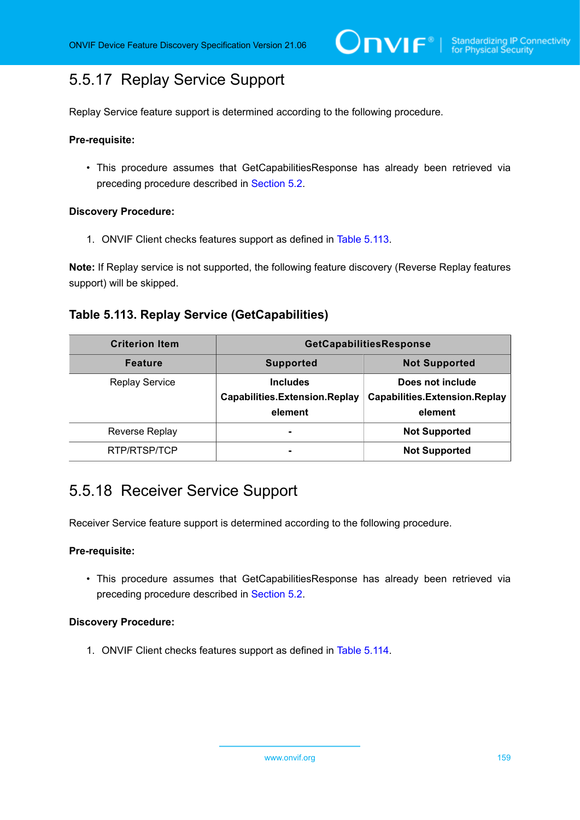# 5.5.17 Replay Service Support

Replay Service feature support is determined according to the following procedure.

#### **Pre-requisite:**

• This procedure assumes that GetCapabilitiesResponse has already been retrieved via preceding procedure described in [Section 5.2](#page-38-0).

#### **Discovery Procedure:**

1. ONVIF Client checks features support as defined in Table [5.113](#page-158-0).

**Note:** If Replay service is not supported, the following feature discovery (Reverse Replay features support) will be skipped.

### <span id="page-158-0"></span>**Table 5.113. Replay Service (GetCapabilities)**

| <b>Criterion Item</b> | GetCapabilitiesResponse                                            |                                                                     |
|-----------------------|--------------------------------------------------------------------|---------------------------------------------------------------------|
| <b>Feature</b>        | <b>Supported</b>                                                   | <b>Not Supported</b>                                                |
| <b>Replay Service</b> | <b>Includes</b><br><b>Capabilities.Extension.Replay</b><br>element | Does not include<br><b>Capabilities.Extension.Replay</b><br>element |
| <b>Reverse Replay</b> | $\overline{\phantom{a}}$                                           | <b>Not Supported</b>                                                |
| RTP/RTSP/TCP          |                                                                    | <b>Not Supported</b>                                                |

# 5.5.18 Receiver Service Support

Receiver Service feature support is determined according to the following procedure.

#### **Pre-requisite:**

• This procedure assumes that GetCapabilitiesResponse has already been retrieved via preceding procedure described in [Section 5.2](#page-38-0).

#### **Discovery Procedure:**

1. ONVIF Client checks features support as defined in Table [5.114](#page-159-0).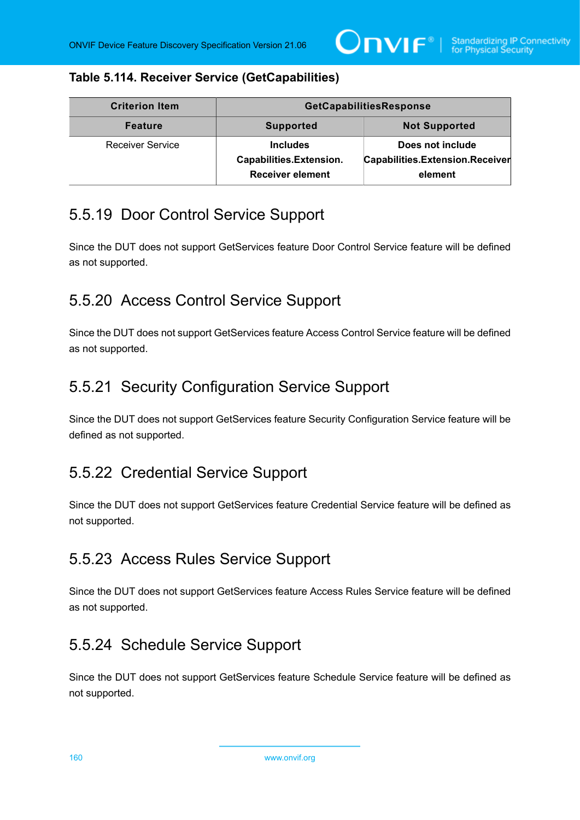### <span id="page-159-0"></span>**Table 5.114. Receiver Service (GetCapabilities)**

| <b>Criterion Item</b>   | GetCapabilitiesResponse                                               |                                                                |
|-------------------------|-----------------------------------------------------------------------|----------------------------------------------------------------|
| <b>Feature</b>          | <b>Supported</b>                                                      | <b>Not Supported</b>                                           |
| <b>Receiver Service</b> | <b>Includes</b><br>Capabilities.Extension.<br><b>Receiver element</b> | Does not include<br>Capabilities.Extension.Receiver<br>element |

# 5.5.19 Door Control Service Support

Since the DUT does not support GetServices feature Door Control Service feature will be defined as not supported.

# 5.5.20 Access Control Service Support

Since the DUT does not support GetServices feature Access Control Service feature will be defined as not supported.

# 5.5.21 Security Configuration Service Support

Since the DUT does not support GetServices feature Security Configuration Service feature will be defined as not supported.

# 5.5.22 Credential Service Support

Since the DUT does not support GetServices feature Credential Service feature will be defined as not supported.

# 5.5.23 Access Rules Service Support

Since the DUT does not support GetServices feature Access Rules Service feature will be defined as not supported.

# 5.5.24 Schedule Service Support

Since the DUT does not support GetServices feature Schedule Service feature will be defined as not supported.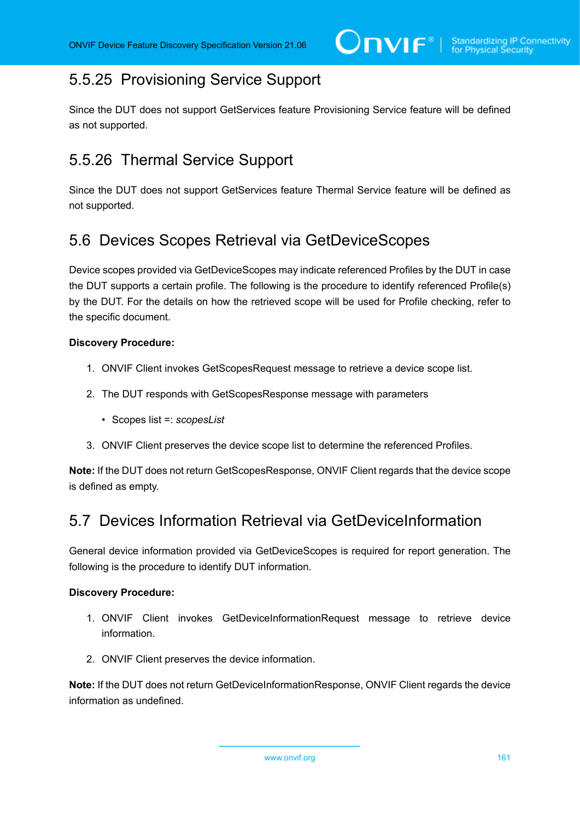# 5.5.25 Provisioning Service Support

Since the DUT does not support GetServices feature Provisioning Service feature will be defined as not supported.

# 5.5.26 Thermal Service Support

Since the DUT does not support GetServices feature Thermal Service feature will be defined as not supported.

# 5.6 Devices Scopes Retrieval via GetDeviceScopes

Device scopes provided via GetDeviceScopes may indicate referenced Profiles by the DUT in case the DUT supports a certain profile. The following is the procedure to identify referenced Profile(s) by the DUT. For the details on how the retrieved scope will be used for Profile checking, refer to the specific document.

### **Discovery Procedure:**

- 1. ONVIF Client invokes GetScopesRequest message to retrieve a device scope list.
- 2. The DUT responds with GetScopesResponse message with parameters
	- Scopes list =: *scopesList*
- 3. ONVIF Client preserves the device scope list to determine the referenced Profiles.

**Note:** If the DUT does not return GetScopesResponse, ONVIF Client regards that the device scope is defined as empty.

# 5.7 Devices Information Retrieval via GetDeviceInformation

General device information provided via GetDeviceScopes is required for report generation. The following is the procedure to identify DUT information.

#### **Discovery Procedure:**

- 1. ONVIF Client invokes GetDeviceInformationRequest message to retrieve device information.
- 2. ONVIF Client preserves the device information.

**Note:** If the DUT does not return GetDeviceInformationResponse, ONVIF Client regards the device information as undefined.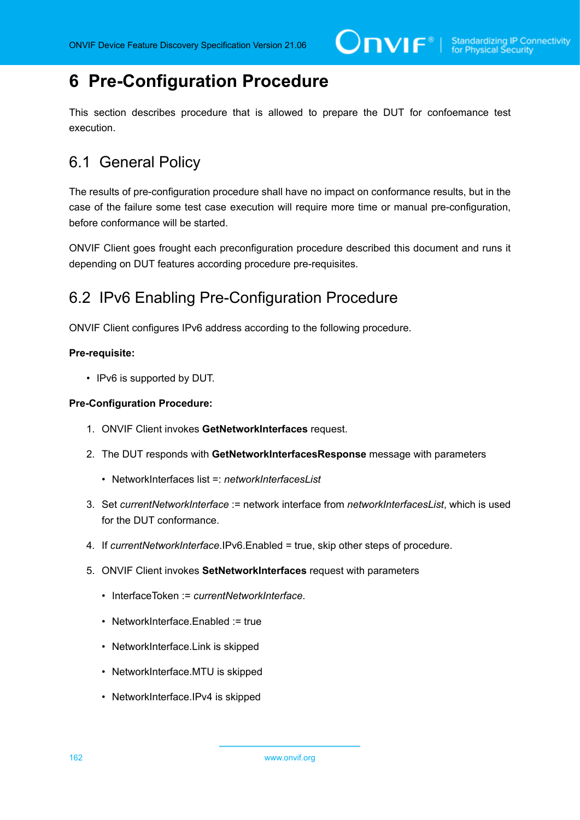# **6 Pre-Configuration Procedure**

This section describes procedure that is allowed to prepare the DUT for confoemance test execution.

# 6.1 General Policy

The results of pre-configuration procedure shall have no impact on conformance results, but in the case of the failure some test case execution will require more time or manual pre-configuration, before conformance will be started.

ONVIF Client goes frought each preconfiguration procedure described this document and runs it depending on DUT features according procedure pre-requisites.

# 6.2 IPv6 Enabling Pre-Configuration Procedure

ONVIF Client configures IPv6 address according to the following procedure.

### **Pre-requisite:**

• IPv6 is supported by DUT.

### **Pre-Configuration Procedure:**

- 1. ONVIF Client invokes **GetNetworkInterfaces** request.
- 2. The DUT responds with **GetNetworkInterfacesResponse** message with parameters
	- NetworkInterfaces list = *networkInterfacesList*
- 3. Set *currentNetworkInterface* := network interface from *networkInterfacesList*, which is used for the DUT conformance.
- 4. If *currentNetworkInterface*.IPv6.Enabled = true, skip other steps of procedure.
- 5. ONVIF Client invokes **SetNetworkInterfaces** request with parameters
	- InterfaceToken := *currentNetworkInterface*.
	- NetworkInterface.Enabled := true
	- NetworkInterface.Link is skipped
	- NetworkInterface.MTU is skipped
	- NetworkInterface.IPv4 is skipped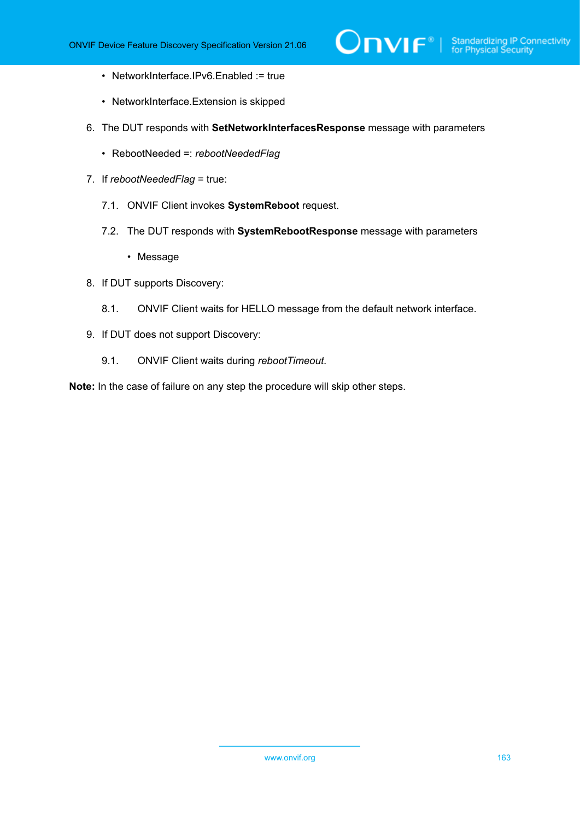- NetworkInterface.IPv6.Enabled := true
- NetworkInterface.Extension is skipped
- 6. The DUT responds with **SetNetworkInterfacesResponse** message with parameters
	- RebootNeeded =: *rebootNeededFlag*
- 7. If *rebootNeededFlag* = true:
	- 7.1. ONVIF Client invokes **SystemReboot** request.
	- 7.2. The DUT responds with **SystemRebootResponse** message with parameters
		- Message
- 8. If DUT supports Discovery:
	- 8.1. ONVIF Client waits for HELLO message from the default network interface.
- 9. If DUT does not support Discovery:
	- 9.1. ONVIF Client waits during *rebootTimeout*.

**Note:** In the case of failure on any step the procedure will skip other steps.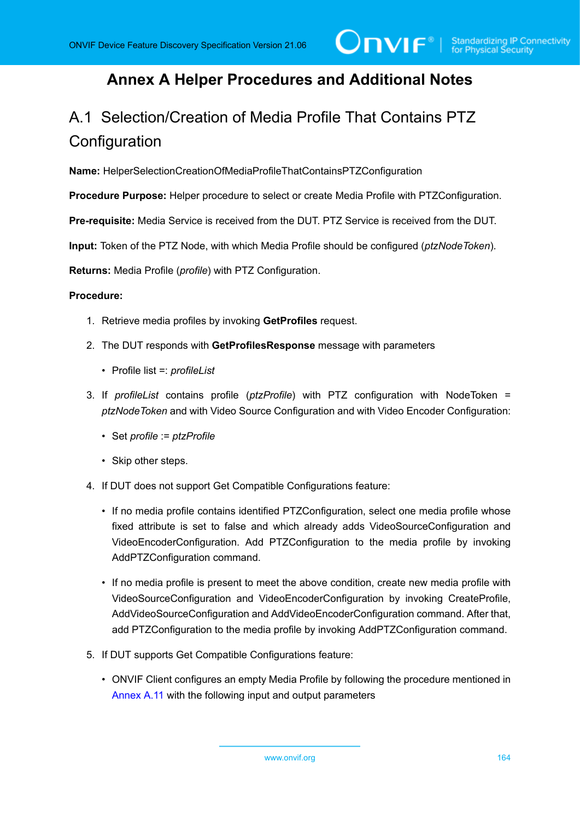# **Annex A Helper Procedures and Additional Notes**

# <span id="page-163-0"></span>A.1 Selection/Creation of Media Profile That Contains PTZ **Configuration**

**Name:** HelperSelectionCreationOfMediaProfileThatContainsPTZConfiguration

**Procedure Purpose:** Helper procedure to select or create Media Profile with PTZConfiguration.

**Pre-requisite:** Media Service is received from the DUT. PTZ Service is received from the DUT.

**Input:** Token of the PTZ Node, with which Media Profile should be configured (*ptzNodeToken*).

**Returns:** Media Profile (*profile*) with PTZ Configuration.

#### **Procedure:**

- 1. Retrieve media profiles by invoking **GetProfiles** request.
- 2. The DUT responds with **GetProfilesResponse** message with parameters
	- Profile list =: *profileList*
- 3. If *profileList* contains profile (*ptzProfile*) with PTZ configuration with NodeToken = *ptzNodeToken* and with Video Source Configuration and with Video Encoder Configuration:
	- Set *profile* := *ptzProfile*
	- Skip other steps.
- 4. If DUT does not support Get Compatible Configurations feature:
	- If no media profile contains identified PTZConfiguration, select one media profile whose fixed attribute is set to false and which already adds VideoSourceConfiguration and VideoEncoderConfiguration. Add PTZConfiguration to the media profile by invoking AddPTZConfiguration command.
	- If no media profile is present to meet the above condition, create new media profile with VideoSourceConfiguration and VideoEncoderConfiguration by invoking CreateProfile, AddVideoSourceConfiguration and AddVideoEncoderConfiguration command. After that, add PTZConfiguration to the media profile by invoking AddPTZConfiguration command.
- 5. If DUT supports Get Compatible Configurations feature:
	- ONVIF Client configures an empty Media Profile by following the procedure mentioned in [Annex](#page-174-1) A.11 with the following input and output parameters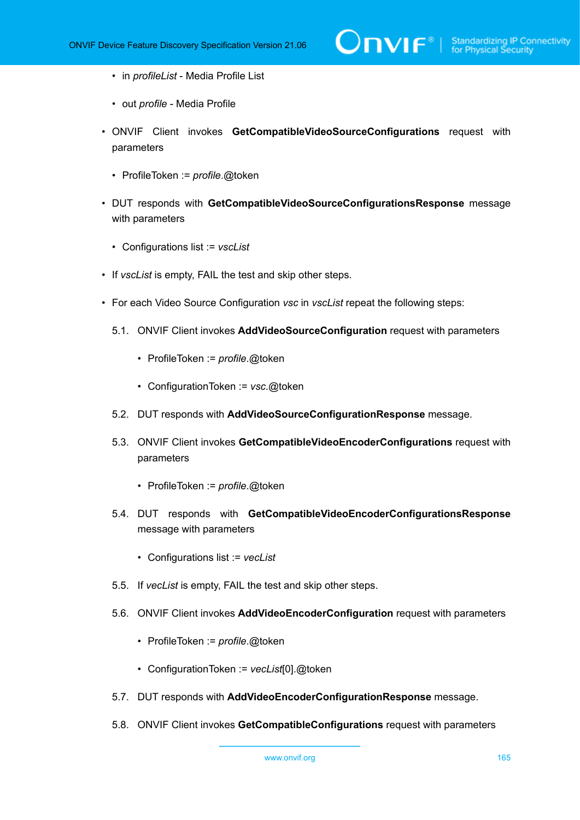- in *profileList* Media Profile List
- out *profile* Media Profile
- ONVIF Client invokes **GetCompatibleVideoSourceConfigurations** request with parameters
	- ProfileToken := *profile*.@token
- DUT responds with **GetCompatibleVideoSourceConfigurationsResponse** message with parameters
	- Configurations list := *vscList*
- If *vscList* is empty, FAIL the test and skip other steps.
- For each Video Source Configuration *vsc* in *vscList* repeat the following steps:
	- 5.1. ONVIF Client invokes **AddVideoSourceConfiguration** request with parameters
		- ProfileToken := *profile*.@token
		- ConfigurationToken := *vsc*.@token
	- 5.2. DUT responds with **AddVideoSourceConfigurationResponse** message.
	- 5.3. ONVIF Client invokes **GetCompatibleVideoEncoderConfigurations** request with parameters
		- ProfileToken := *profile*.@token
	- 5.4. DUT responds with **GetCompatibleVideoEncoderConfigurationsResponse** message with parameters
		- Configurations list := *vecList*
	- 5.5. If *vecList* is empty, FAIL the test and skip other steps.
	- 5.6. ONVIF Client invokes **AddVideoEncoderConfiguration** request with parameters
		- ProfileToken := *profile*.@token
		- ConfigurationToken := *vecList*[0].@token
	- 5.7. DUT responds with **AddVideoEncoderConfigurationResponse** message.
	- 5.8. ONVIF Client invokes **GetCompatibleConfigurations** request with parameters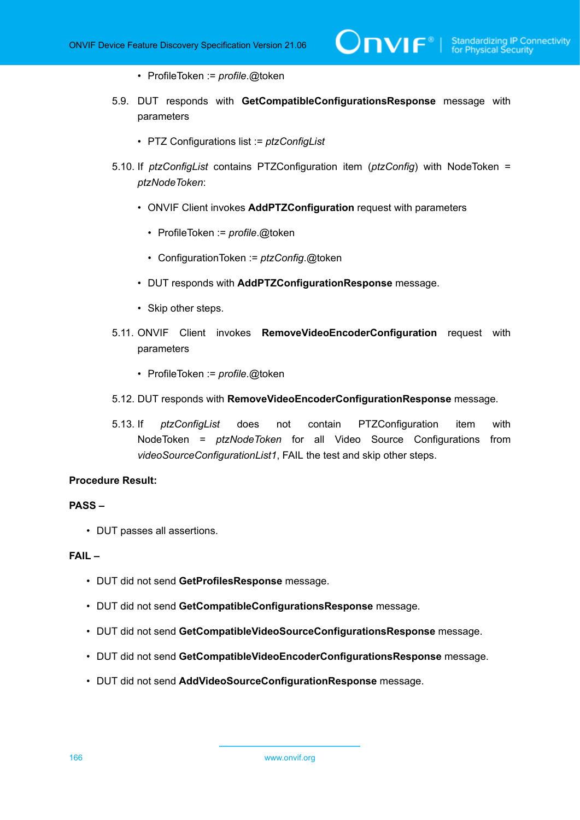- ProfileToken := *profile*.@token
- 5.9. DUT responds with **GetCompatibleConfigurationsResponse** message with parameters
	- PTZ Configurations list := *ptzConfigList*
- 5.10. If *ptzConfigList* contains PTZConfiguration item (*ptzConfig*) with NodeToken = *ptzNodeToken*:
	- ONVIF Client invokes **AddPTZConfiguration** request with parameters
		- ProfileToken := *profile*.@token
		- ConfigurationToken := *ptzConfig*.@token
	- DUT responds with **AddPTZConfigurationResponse** message.
	- Skip other steps.
- 5.11. ONVIF Client invokes **RemoveVideoEncoderConfiguration** request with parameters
	- ProfileToken := *profile*.@token
- 5.12. DUT responds with **RemoveVideoEncoderConfigurationResponse** message.
- 5.13. If *ptzConfigList* does not contain PTZConfiguration item with NodeToken = *ptzNodeToken* for all Video Source Configurations from *videoSourceConfigurationList1*, FAIL the test and skip other steps.

#### **Procedure Result:**

#### **PASS –**

• DUT passes all assertions.

#### **FAIL –**

- DUT did not send **GetProfilesResponse** message.
- DUT did not send **GetCompatibleConfigurationsResponse** message.
- DUT did not send **GetCompatibleVideoSourceConfigurationsResponse** message.
- DUT did not send **GetCompatibleVideoEncoderConfigurationsResponse** message.
- DUT did not send **AddVideoSourceConfigurationResponse** message.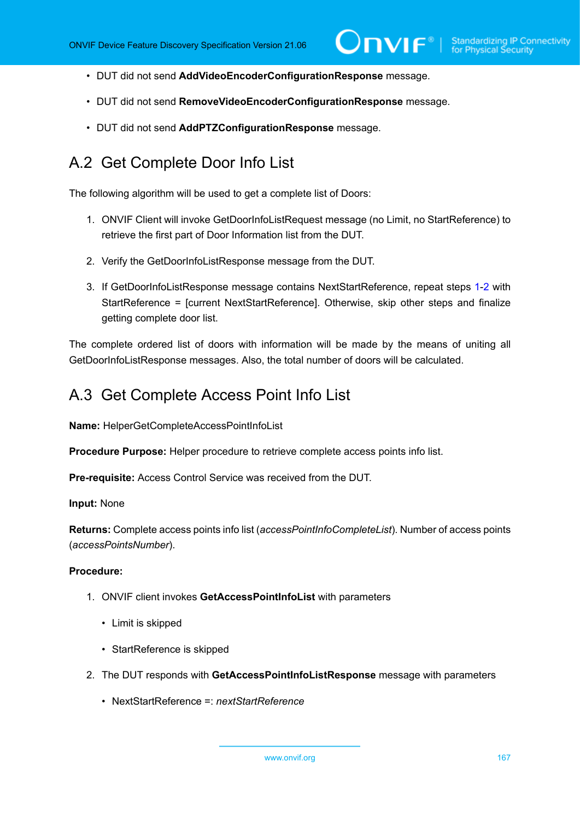- DUT did not send **AddVideoEncoderConfigurationResponse** message.
- DUT did not send **RemoveVideoEncoderConfigurationResponse** message.
- DUT did not send **AddPTZConfigurationResponse** message.

# A.2 Get Complete Door Info List

The following algorithm will be used to get a complete list of Doors:

- <span id="page-166-0"></span>1. ONVIF Client will invoke GetDoorInfoListRequest message (no Limit, no StartReference) to retrieve the first part of Door Information list from the DUT.
- <span id="page-166-1"></span>2. Verify the GetDoorInfoListResponse message from the DUT.
- 3. If GetDoorInfoListResponse message contains NextStartReference, repeat steps [1](#page-166-0)[-2](#page-166-1) with StartReference = [current NextStartReference]. Otherwise, skip other steps and finalize getting complete door list.

The complete ordered list of doors with information will be made by the means of uniting all GetDoorInfoListResponse messages. Also, the total number of doors will be calculated.

### A.3 Get Complete Access Point Info List

**Name:** HelperGetCompleteAccessPointInfoList

**Procedure Purpose:** Helper procedure to retrieve complete access points info list.

**Pre-requisite:** Access Control Service was received from the DUT.

**Input:** None

**Returns:** Complete access points info list (*accessPointInfoCompleteList*). Number of access points (*accessPointsNumber*).

#### **Procedure:**

- 1. ONVIF client invokes **GetAccessPointInfoList** with parameters
	- Limit is skipped
	- StartReference is skipped
- 2. The DUT responds with **GetAccessPointInfoListResponse** message with parameters
	- NextStartReference =: *nextStartReference*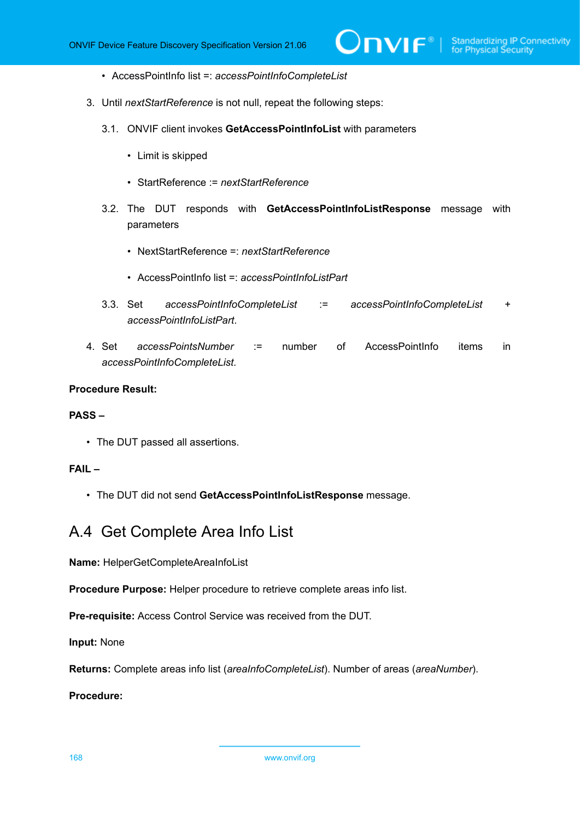- AccessPointInfo list =: *accessPointInfoCompleteList*
- 3. Until *nextStartReference* is not null, repeat the following steps:
	- 3.1. ONVIF client invokes **GetAccessPointInfoList** with parameters
		- Limit is skipped
		- StartReference := *nextStartReference*
	- 3.2. The DUT responds with **GetAccessPointInfoListResponse** message with parameters
		- NextStartReference =: *nextStartReference*
		- AccessPointInfo list =: *accessPointInfoListPart*
	- 3.3. Set *accessPointInfoCompleteList* := *accessPointInfoCompleteList* + *accessPointInfoListPart*.
- 4. Set *accessPointsNumber* := number of AccessPointInfo items in *accessPointInfoCompleteList*.

#### **Procedure Result:**

#### **PASS –**

• The DUT passed all assertions.

### **FAIL –**

• The DUT did not send **GetAccessPointInfoListResponse** message.

### A.4 Get Complete Area Info List

**Name:** HelperGetCompleteAreaInfoList

**Procedure Purpose:** Helper procedure to retrieve complete areas info list.

**Pre-requisite:** Access Control Service was received from the DUT.

**Input:** None

**Returns:** Complete areas info list (*areaInfoCompleteList*). Number of areas (*areaNumber*).

**Procedure:**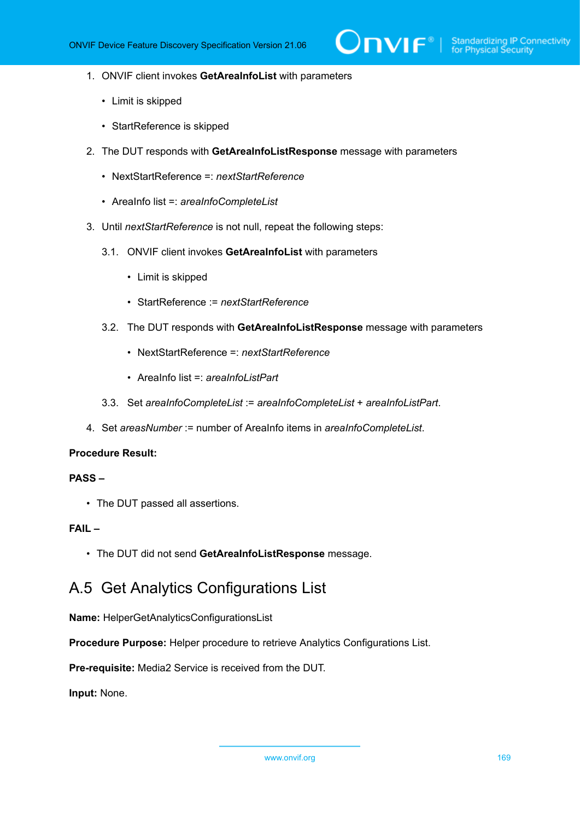- 1. ONVIF client invokes **GetAreaInfoList** with parameters
	- Limit is skipped
	- StartReference is skipped
- 2. The DUT responds with **GetAreaInfoListResponse** message with parameters
	- NextStartReference =: *nextStartReference*
	- AreaInfo list =: *areaInfoCompleteList*
- 3. Until *nextStartReference* is not null, repeat the following steps:
	- 3.1. ONVIF client invokes **GetAreaInfoList** with parameters
		- Limit is skipped
		- StartReference := *nextStartReference*
	- 3.2. The DUT responds with **GetAreaInfoListResponse** message with parameters
		- NextStartReference =: *nextStartReference*
		- AreaInfo list =: *areaInfoListPart*
	- 3.3. Set *areaInfoCompleteList* := *areaInfoCompleteList* + *areaInfoListPart*.
- 4. Set *areasNumber* := number of AreaInfo items in *areaInfoCompleteList*.

#### **Procedure Result:**

#### **PASS –**

• The DUT passed all assertions.

### **FAIL –**

• The DUT did not send **GetAreaInfoListResponse** message.

# A.5 Get Analytics Configurations List

**Name:** HelperGetAnalyticsConfigurationsList

**Procedure Purpose:** Helper procedure to retrieve Analytics Configurations List.

**Pre-requisite:** Media2 Service is received from the DUT.

**Input:** None.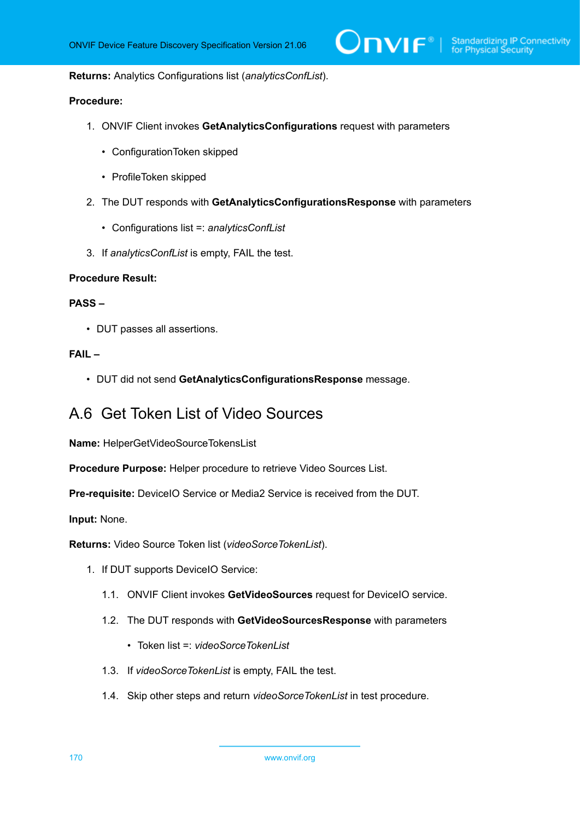#### **Returns:** Analytics Configurations list (*analyticsConfList*).

#### **Procedure:**

- 1. ONVIF Client invokes **GetAnalyticsConfigurations** request with parameters
	- ConfigurationToken skipped
	- ProfileToken skipped
- 2. The DUT responds with **GetAnalyticsConfigurationsResponse** with parameters
	- Configurations list =: *analyticsConfList*
- 3. If *analyticsConfList* is empty, FAIL the test.

#### **Procedure Result:**

#### **PASS –**

• DUT passes all assertions.

#### **FAIL –**

• DUT did not send **GetAnalyticsConfigurationsResponse** message.

### <span id="page-169-0"></span>A.6 Get Token List of Video Sources

**Name:** HelperGetVideoSourceTokensList

**Procedure Purpose:** Helper procedure to retrieve Video Sources List.

**Pre-requisite:** DeviceIO Service or Media2 Service is received from the DUT.

**Input:** None.

**Returns:** Video Source Token list (*videoSorceTokenList*).

- 1. If DUT supports DeviceIO Service:
	- 1.1. ONVIF Client invokes **GetVideoSources** request for DeviceIO service.
	- 1.2. The DUT responds with **GetVideoSourcesResponse** with parameters
		- Token list =: *videoSorceTokenList*
	- 1.3. If *videoSorceTokenList* is empty, FAIL the test.
	- 1.4. Skip other steps and return *videoSorceTokenList* in test procedure.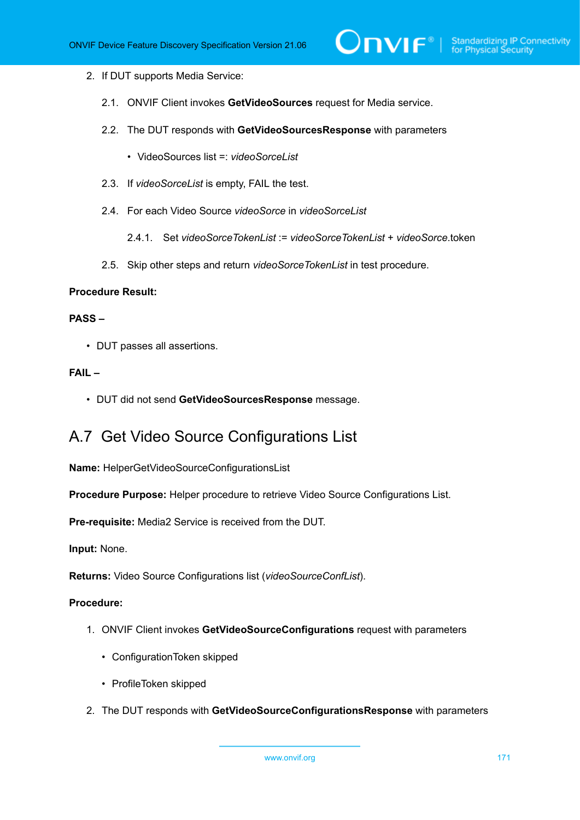#### 2. If DUT supports Media Service:

- 2.1. ONVIF Client invokes **GetVideoSources** request for Media service.
- 2.2. The DUT responds with **GetVideoSourcesResponse** with parameters
	- VideoSources list =: *videoSorceList*
- 2.3. If *videoSorceList* is empty, FAIL the test.
- 2.4. For each Video Source *videoSorce* in *videoSorceList*
	- 2.4.1. Set *videoSorceTokenList* := *videoSorceTokenList* + *videoSorce*.token
- 2.5. Skip other steps and return *videoSorceTokenList* in test procedure.

#### **Procedure Result:**

#### **PASS –**

• DUT passes all assertions.

#### **FAIL –**

• DUT did not send **GetVideoSourcesResponse** message.

# A.7 Get Video Source Configurations List

**Name:** HelperGetVideoSourceConfigurationsList

**Procedure Purpose:** Helper procedure to retrieve Video Source Configurations List.

**Pre-requisite:** Media2 Service is received from the DUT.

**Input:** None.

**Returns:** Video Source Configurations list (*videoSourceConfList*).

#### **Procedure:**

- 1. ONVIF Client invokes **GetVideoSourceConfigurations** request with parameters
	- ConfigurationToken skipped
	- ProfileToken skipped
- 2. The DUT responds with **GetVideoSourceConfigurationsResponse** with parameters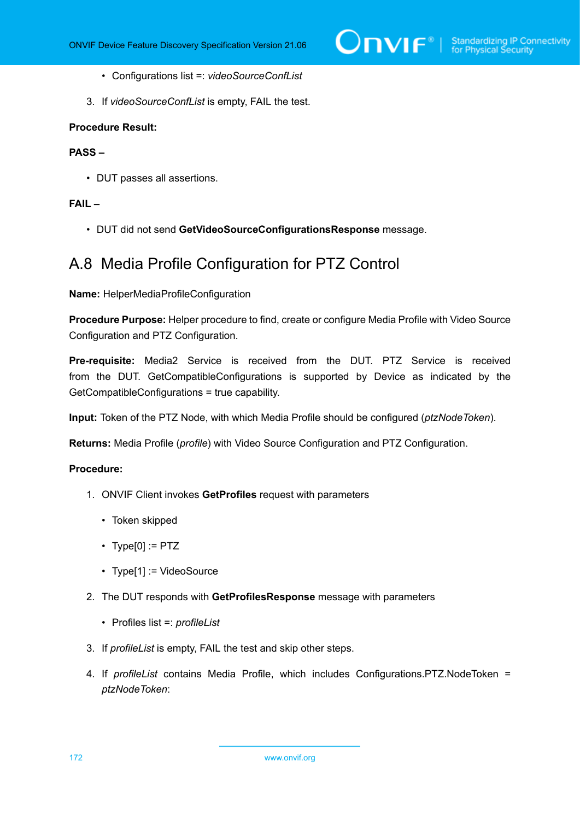- Configurations list =: *videoSourceConfList*
- 3. If *videoSourceConfList* is empty, FAIL the test.

#### **Procedure Result:**

#### **PASS –**

• DUT passes all assertions.

#### **FAIL –**

• DUT did not send **GetVideoSourceConfigurationsResponse** message.

### A.8 Media Profile Configuration for PTZ Control

**Name:** HelperMediaProfileConfiguration

**Procedure Purpose:** Helper procedure to find, create or configure Media Profile with Video Source Configuration and PTZ Configuration.

**Pre-requisite:** Media2 Service is received from the DUT. PTZ Service is received from the DUT. GetCompatibleConfigurations is supported by Device as indicated by the GetCompatibleConfigurations = true capability.

**Input:** Token of the PTZ Node, with which Media Profile should be configured (*ptzNodeToken*).

**Returns:** Media Profile (*profile*) with Video Source Configuration and PTZ Configuration.

#### **Procedure:**

- 1. ONVIF Client invokes **GetProfiles** request with parameters
	- Token skipped
	- $\cdot$  Type[0] := PTZ
	- Type[1] := VideoSource
- 2. The DUT responds with **GetProfilesResponse** message with parameters
	- Profiles list =: *profileList*
- 3. If *profileList* is empty, FAIL the test and skip other steps.
- 4. If *profileList* contains Media Profile, which includes Configurations.PTZ.NodeToken = *ptzNodeToken*: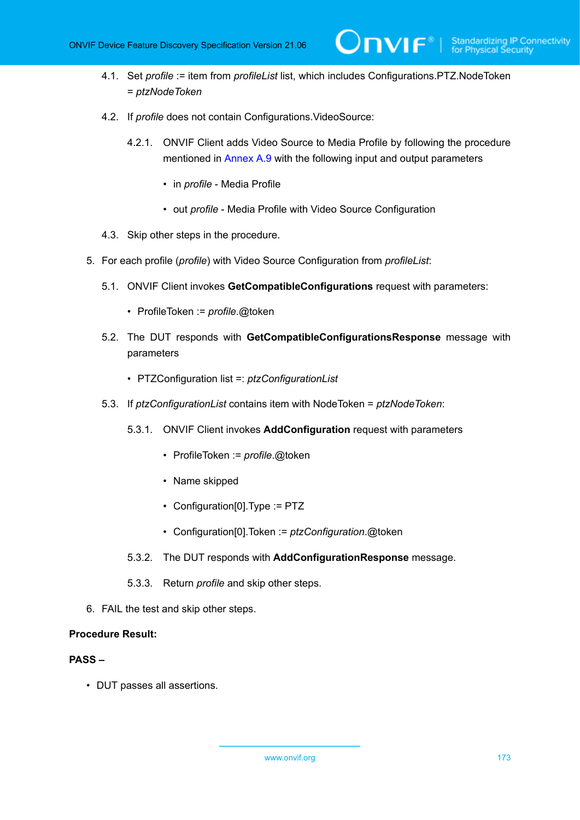- 4.1. Set *profile* := item from *profileList* list, which includes Configurations.PTZ.NodeToken = *ptzNodeToken*
- 4.2. If *profile* does not contain Configurations.VideoSource:
	- 4.2.1. ONVIF Client adds Video Source to Media Profile by following the procedure mentioned in [Annex A.9](#page-173-0) with the following input and output parameters

 $\mathsf{D}\mathbf{N}\mathsf{I}\mathsf{F}^\ast$ l

- in *profile* Media Profile
- out *profile* Media Profile with Video Source Configuration
- 4.3. Skip other steps in the procedure.
- 5. For each profile (*profile*) with Video Source Configuration from *profileList*:
	- 5.1. ONVIF Client invokes **GetCompatibleConfigurations** request with parameters:
		- ProfileToken := *profile*.@token
	- 5.2. The DUT responds with **GetCompatibleConfigurationsResponse** message with parameters
		- PTZConfiguration list =: *ptzConfigurationList*
	- 5.3. If *ptzConfigurationList* contains item with NodeToken = *ptzNodeToken*:
		- 5.3.1. ONVIF Client invokes **AddConfiguration** request with parameters
			- ProfileToken := *profile*.@token
			- Name skipped
			- Configuration[0].Type := PTZ
			- Configuration[0].Token := *ptzConfiguration*.@token
		- 5.3.2. The DUT responds with **AddConfigurationResponse** message.
		- 5.3.3. Return *profile* and skip other steps.
- 6. FAIL the test and skip other steps.

#### **Procedure Result:**

### **PASS –**

• DUT passes all assertions.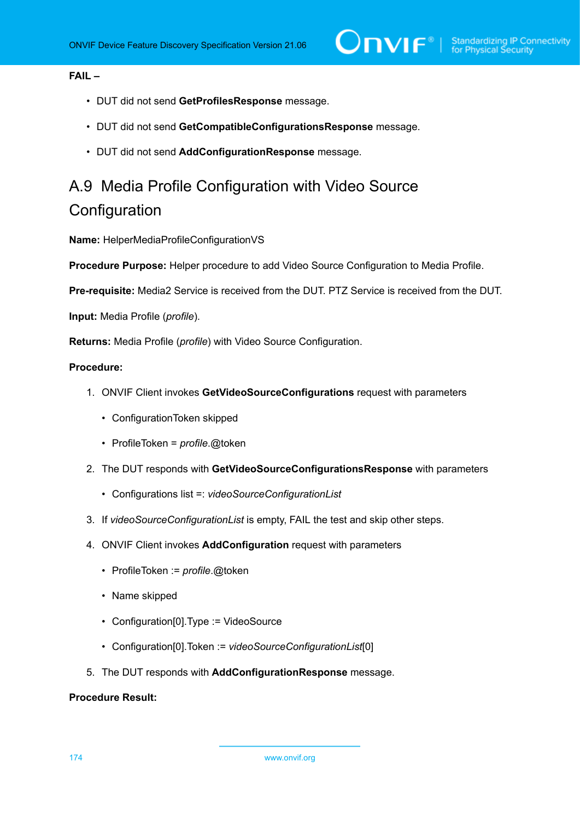### **FAIL –**

- DUT did not send **GetProfilesResponse** message.
- DUT did not send **GetCompatibleConfigurationsResponse** message.
- DUT did not send **AddConfigurationResponse** message.

# <span id="page-173-0"></span>A.9 Media Profile Configuration with Video Source **Configuration**

**Name:** HelperMediaProfileConfigurationVS

**Procedure Purpose:** Helper procedure to add Video Source Configuration to Media Profile.

**Pre-requisite:** Media2 Service is received from the DUT. PTZ Service is received from the DUT.

**Input:** Media Profile (*profile*).

**Returns:** Media Profile (*profile*) with Video Source Configuration.

#### **Procedure:**

- 1. ONVIF Client invokes **GetVideoSourceConfigurations** request with parameters
	- ConfigurationToken skipped
	- ProfileToken = *profile*.@token
- 2. The DUT responds with **GetVideoSourceConfigurationsResponse** with parameters
	- Configurations list =: *videoSourceConfigurationList*
- 3. If *videoSourceConfigurationList* is empty, FAIL the test and skip other steps.
- 4. ONVIF Client invokes **AddConfiguration** request with parameters
	- ProfileToken := *profile*.@token
	- Name skipped
	- Configuration[0].Type := VideoSource
	- Configuration[0].Token := *videoSourceConfigurationList*[0]
- 5. The DUT responds with **AddConfigurationResponse** message.

### **Procedure Result:**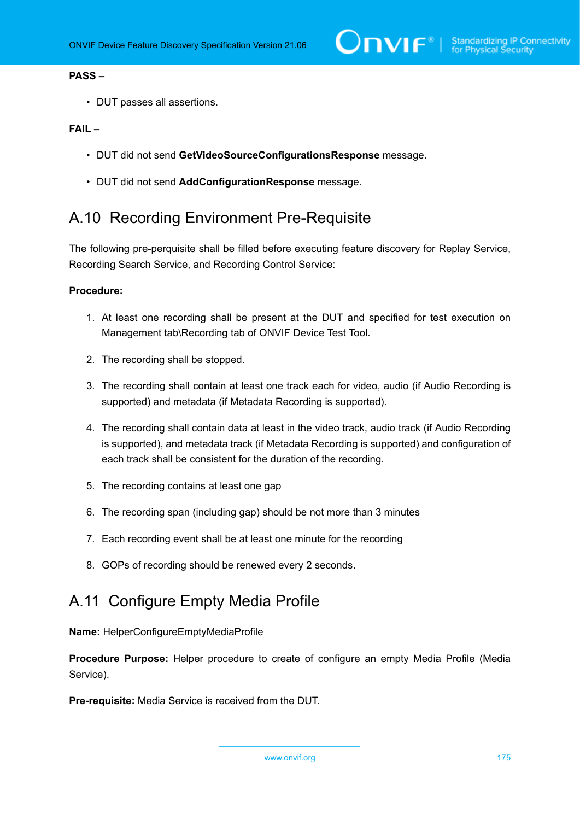#### **PASS –**

• DUT passes all assertions.

#### **FAIL –**

- DUT did not send **GetVideoSourceConfigurationsResponse** message.
- DUT did not send **AddConfigurationResponse** message.

# <span id="page-174-0"></span>A.10 Recording Environment Pre-Requisite

The following pre-perquisite shall be filled before executing feature discovery for Replay Service, Recording Search Service, and Recording Control Service:

#### **Procedure:**

- 1. At least one recording shall be present at the DUT and specified for test execution on Management tab\Recording tab of ONVIF Device Test Tool.
- 2. The recording shall be stopped.
- 3. The recording shall contain at least one track each for video, audio (if Audio Recording is supported) and metadata (if Metadata Recording is supported).
- 4. The recording shall contain data at least in the video track, audio track (if Audio Recording is supported), and metadata track (if Metadata Recording is supported) and configuration of each track shall be consistent for the duration of the recording.
- 5. The recording contains at least one gap
- 6. The recording span (including gap) should be not more than 3 minutes
- 7. Each recording event shall be at least one minute for the recording
- 8. GOPs of recording should be renewed every 2 seconds.

# <span id="page-174-1"></span>A.11 Configure Empty Media Profile

**Name:** HelperConfigureEmptyMediaProfile

**Procedure Purpose:** Helper procedure to create of configure an empty Media Profile (Media Service).

**Pre-requisite:** Media Service is received from the DUT.